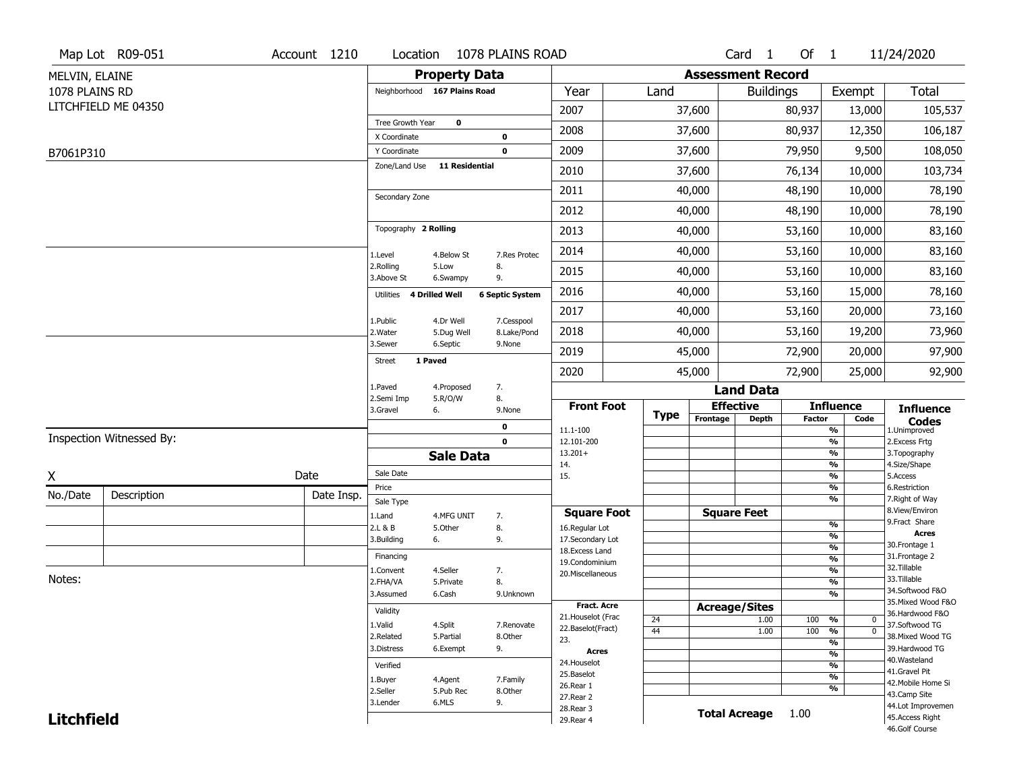|                   | Map Lot R09-051          | Account 1210 | Location                      |                              | 1078 PLAINS ROAD          |                                    |             |                          | Card <sub>1</sub>    | Of 1          |                                | 11/24/2020                            |
|-------------------|--------------------------|--------------|-------------------------------|------------------------------|---------------------------|------------------------------------|-------------|--------------------------|----------------------|---------------|--------------------------------|---------------------------------------|
| MELVIN, ELAINE    |                          |              |                               | <b>Property Data</b>         |                           |                                    |             | <b>Assessment Record</b> |                      |               |                                |                                       |
| 1078 PLAINS RD    |                          |              |                               | Neighborhood 167 Plains Road |                           | Year                               | Land        |                          | <b>Buildings</b>     |               | Exempt                         | <b>Total</b>                          |
|                   | LITCHFIELD ME 04350      |              |                               |                              |                           | 2007                               |             | 37,600                   |                      | 80,937        | 13,000                         | 105,537                               |
|                   |                          |              | Tree Growth Year              | $\mathbf 0$                  |                           | 2008                               |             | 37,600                   |                      | 80,937        | 12,350                         | 106,187                               |
|                   |                          |              | X Coordinate                  |                              | $\mathbf 0$               |                                    |             |                          |                      |               |                                |                                       |
| B7061P310         |                          |              | Y Coordinate<br>Zone/Land Use | 11 Residential               | $\mathbf 0$               | 2009                               |             | 37,600                   |                      | 79,950        | 9,500                          | 108,050                               |
|                   |                          |              |                               |                              |                           | 2010                               |             | 37,600                   |                      | 76,134        | 10,000                         | 103,734                               |
|                   |                          |              | Secondary Zone                |                              |                           | 2011                               |             | 40,000                   |                      | 48,190        | 10,000                         | 78,190                                |
|                   |                          |              |                               |                              |                           | 2012                               |             | 40,000                   |                      | 48,190        | 10,000                         | 78,190                                |
|                   |                          |              | Topography 2 Rolling          |                              |                           | 2013                               |             | 40,000                   |                      | 53,160        | 10,000                         | 83,160                                |
|                   |                          |              | 1.Level                       | 4.Below St                   | 7.Res Protec              | 2014                               |             | 40,000                   |                      | 53,160        | 10,000                         | 83,160                                |
|                   |                          |              | 2.Rolling<br>3.Above St       | 5.Low<br>6.Swampy            | 8.<br>9.                  | 2015                               |             | 40,000                   |                      | 53,160        | 10,000                         | 83,160                                |
|                   |                          |              | Utilities 4 Drilled Well      |                              | <b>6 Septic System</b>    | 2016                               |             | 40,000                   |                      | 53,160        | 15,000                         | 78,160                                |
|                   |                          |              |                               |                              |                           | 2017                               |             | 40,000                   |                      | 53,160        | 20,000                         | 73,160                                |
|                   |                          |              | 1.Public<br>2. Water          | 4.Dr Well<br>5.Dug Well      | 7.Cesspool<br>8.Lake/Pond | 2018                               |             | 40,000                   |                      | 53,160        | 19,200                         | 73,960                                |
|                   |                          |              | 3.Sewer                       | 6.Septic                     | 9.None                    | 2019                               |             | 45,000                   |                      | 72,900        | 20,000                         | 97,900                                |
|                   |                          |              | <b>Street</b>                 | 1 Paved                      |                           | 2020                               |             | 45,000                   |                      | 72,900        | 25,000                         | 92,900                                |
|                   |                          |              | 1.Paved                       | 4.Proposed                   | 7.                        |                                    |             |                          | <b>Land Data</b>     |               |                                |                                       |
|                   |                          |              | 2.Semi Imp<br>3.Gravel        | 5.R/O/W<br>6.                | 8.<br>9.None              | <b>Front Foot</b>                  |             | <b>Effective</b>         |                      |               | <b>Influence</b>               | <b>Influence</b>                      |
|                   |                          |              |                               |                              | 0                         | 11.1-100                           | <b>Type</b> | Frontage                 | <b>Depth</b>         | <b>Factor</b> | Code<br>%                      | <b>Codes</b><br>1.Unimproved          |
|                   | Inspection Witnessed By: |              |                               |                              | $\mathbf 0$               | 12.101-200                         |             |                          |                      |               | $\frac{9}{6}$                  | 2. Excess Frtg                        |
|                   |                          |              |                               | <b>Sale Data</b>             |                           | $13.201+$<br>14.                   |             |                          |                      |               | %<br>%                         | 3. Topography<br>4.Size/Shape         |
| Χ                 |                          | Date         | Sale Date                     |                              |                           | 15.                                |             |                          |                      |               | $\frac{9}{6}$                  | 5.Access                              |
| No./Date          | Description              | Date Insp.   | Price                         |                              |                           |                                    |             |                          |                      |               | %<br>%                         | 6.Restriction                         |
|                   |                          |              | Sale Type                     |                              |                           | <b>Square Foot</b>                 |             | <b>Square Feet</b>       |                      |               |                                | 7. Right of Way<br>8.View/Environ     |
|                   |                          |              | 1.Land<br>2.L & B             | 4.MFG UNIT<br>5.Other        | 7.<br>8.                  | 16.Regular Lot                     |             |                          |                      |               | $\frac{9}{6}$                  | 9.Fract Share                         |
|                   |                          |              | 3.Building                    | 6.                           | 9.                        | 17.Secondary Lot                   |             |                          |                      |               | $\frac{9}{6}$                  | <b>Acres</b><br>30. Frontage 1        |
|                   |                          |              | Financing                     |                              |                           | 18. Excess Land                    |             |                          |                      |               | $\frac{9}{6}$<br>$\frac{9}{6}$ | 31. Frontage 2                        |
|                   |                          |              | 1.Convent                     | 4.Seller                     | 7.                        | 19.Condominium<br>20.Miscellaneous |             |                          |                      |               | $\frac{9}{6}$                  | 32. Tillable                          |
| Notes:            |                          |              | 2.FHA/VA                      | 5.Private                    | 8.                        |                                    |             |                          |                      |               | $\frac{9}{6}$                  | 33.Tillable                           |
|                   |                          |              | 3.Assumed                     | 6.Cash                       | 9.Unknown                 |                                    |             |                          |                      |               | %                              | 34.Softwood F&O<br>35. Mixed Wood F&O |
|                   |                          |              | Validity                      |                              |                           | Fract. Acre<br>21. Houselot (Frac  |             | <b>Acreage/Sites</b>     |                      |               |                                | 36.Hardwood F&O                       |
|                   |                          |              | 1.Valid                       | 4.Split                      | 7.Renovate                | 22.Baselot(Fract)                  | 24<br>44    |                          | 1.00<br>1.00         | 100<br>100    | %<br>0<br>$\overline{0}$<br>%  | 37.Softwood TG                        |
|                   |                          |              | 2.Related                     | 5.Partial                    | 8.Other                   | 23.                                |             |                          |                      |               | $\frac{9}{6}$                  | 38. Mixed Wood TG                     |
|                   |                          |              | 3.Distress                    | 6.Exempt                     | 9.                        | <b>Acres</b>                       |             |                          |                      |               | $\frac{9}{6}$                  | 39.Hardwood TG                        |
|                   |                          |              | Verified                      |                              |                           | 24. Houselot                       |             |                          |                      |               | $\frac{9}{6}$                  | 40. Wasteland<br>41.Gravel Pit        |
|                   |                          |              | 1.Buyer                       | 4.Agent                      | 7.Family                  | 25.Baselot<br>26.Rear 1            |             |                          |                      |               | $\frac{9}{6}$                  | 42. Mobile Home Si                    |
|                   |                          |              | 2.Seller                      | 5.Pub Rec                    | 8.Other                   | 27.Rear 2                          |             |                          |                      |               | %                              | 43.Camp Site                          |
|                   |                          |              | 3.Lender                      | 6.MLS                        | 9.                        | 28. Rear 3                         |             |                          | <b>Total Acreage</b> | 1.00          |                                | 44.Lot Improvemen                     |
| <b>Litchfield</b> |                          |              |                               |                              |                           | 29. Rear 4                         |             |                          |                      |               |                                | 45.Access Right<br>46.Golf Course     |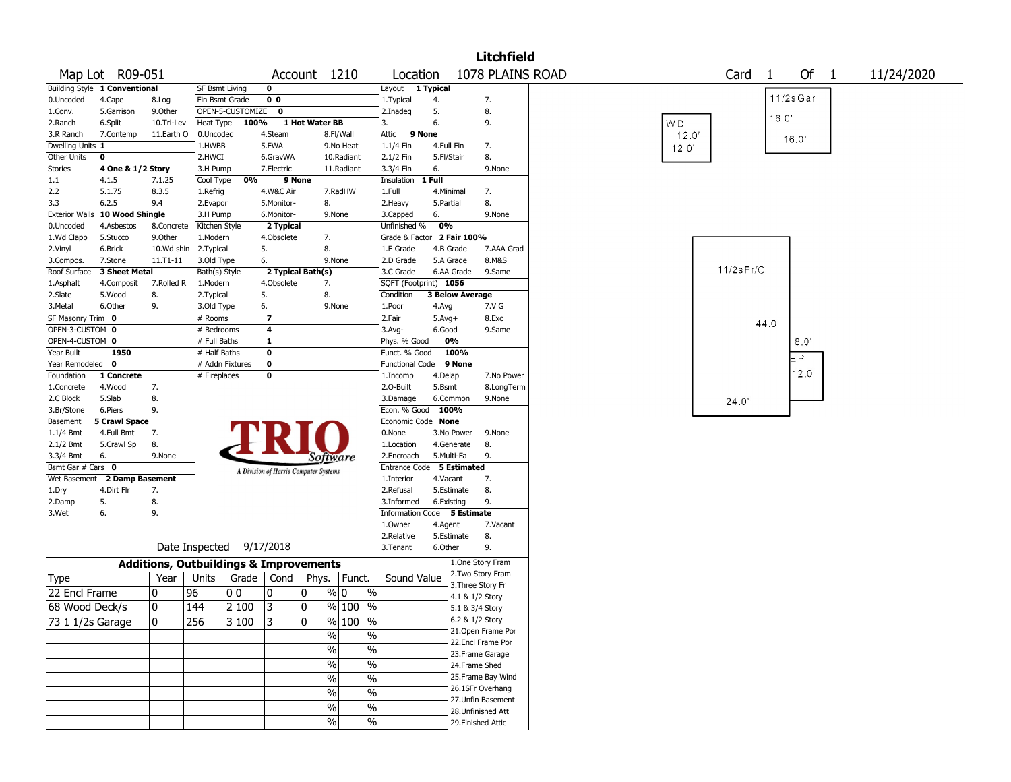|                       |                               |                                                   |                |                  |                         |                                       |                          |                             |                        |                 | <b>Litchfield</b>                        |       |              |              |             |            |
|-----------------------|-------------------------------|---------------------------------------------------|----------------|------------------|-------------------------|---------------------------------------|--------------------------|-----------------------------|------------------------|-----------------|------------------------------------------|-------|--------------|--------------|-------------|------------|
|                       | Map Lot R09-051               |                                                   |                |                  |                         | Account 1210                          |                          | Location                    |                        |                 | 1078 PLAINS ROAD                         |       | Card         | $\mathbf{1}$ | Of 1        | 11/24/2020 |
|                       | Building Style 1 Conventional |                                                   | SF Bsmt Living |                  | 0                       |                                       |                          | Layout                      | 1 Typical              |                 |                                          |       |              |              |             |            |
| 0.Uncoded             | 4.Cape                        | 8.Log                                             | Fin Bsmt Grade |                  | 0 <sub>0</sub>          |                                       |                          | 1. Typical                  | 4.                     |                 | 7.                                       |       |              |              | $11/2s$ Gar |            |
| 1.Conv.               | 5.Garrison                    | 9.0ther                                           |                | OPEN-5-CUSTOMIZE | 0                       |                                       |                          | 2.Inadeg                    | 5.                     |                 | 8.                                       |       |              | 16.0         |             |            |
| 2.Ranch               | 6.Split                       | 10.Tri-Lev                                        | Heat Type      | 100%             |                         | 1 Hot Water BB                        |                          | 3.                          | 6.                     |                 | 9.                                       | WD.   |              |              |             |            |
| 3.R Ranch             | 7.Contemp                     | 11.Earth O                                        | 0.Uncoded      |                  | 4.Steam                 |                                       | 8.Fl/Wall                | Attic                       | 9 None                 |                 |                                          | 12.0' |              |              | 16.0'       |            |
| Dwelling Units 1      |                               |                                                   | 1.HWBB         |                  | 5.FWA                   |                                       | 9.No Heat                | 1.1/4 Fin                   | 4.Full Fin             |                 | 7.                                       | 12.0' |              |              |             |            |
| Other Units           | 0                             |                                                   | 2.HWCI         |                  | 6.GravWA                |                                       | 10.Radiant               | 2.1/2 Fin                   | 5.Fl/Stair             |                 | 8.                                       |       |              |              |             |            |
| <b>Stories</b>        | 4 One & 1/2 Story             |                                                   | 3.H Pump       |                  | 7.Electric              |                                       | 11.Radiant               | 3.3/4 Fin                   | 6.                     |                 | 9.None                                   |       |              |              |             |            |
| 1.1                   | 4.1.5                         | 7.1.25                                            | Cool Type      | 0%               |                         | 9 None                                |                          | Insulation                  | 1 Full                 |                 |                                          |       |              |              |             |            |
| 2.2                   | 5.1.75                        | 8.3.5                                             | 1.Refrig       |                  | 4.W&C Air               |                                       | 7.RadHW                  | 1.Full                      | 4.Minimal              |                 | 7.                                       |       |              |              |             |            |
| 3.3                   | 6.2.5                         | 9.4                                               | 2.Evapor       |                  | 5.Monitor-              | 8.                                    |                          | 2.Heavy                     | 5.Partial              |                 | 8.                                       |       |              |              |             |            |
| <b>Exterior Walls</b> | 10 Wood Shingle               |                                                   | 3.H Pump       |                  | 6.Monitor-              |                                       | 9.None                   | 3.Capped                    | 6.                     |                 | 9.None                                   |       |              |              |             |            |
| 0.Uncoded             | 4.Asbestos                    | 8.Concrete                                        | Kitchen Style  |                  | 2 Typical               |                                       |                          | Unfinished %                | 0%                     |                 |                                          |       |              |              |             |            |
| 1.Wd Clapb            | 5.Stucco                      | 9.0ther                                           | 1.Modern       |                  | 4.Obsolete              | 7.                                    |                          | Grade & Factor 2 Fair 100%  |                        |                 |                                          |       |              |              |             |            |
| 2.Vinyl               | 6.Brick                       | 10.Wd shin                                        | 2. Typical     |                  | 5.                      | 8.                                    |                          | 1.E Grade                   | 4.B Grade              |                 | 7.AAA Grad                               |       |              |              |             |            |
| 3.Compos.             | 7.Stone                       | $11.71 - 11$                                      | 3.Old Type     |                  | 6.                      |                                       | 9.None                   | 2.D Grade                   | 5.A Grade              |                 | 8.M&S                                    |       |              |              |             |            |
| Roof Surface          | 3 Sheet Metal                 |                                                   | Bath(s) Style  |                  |                         | 2 Typical Bath(s)                     |                          | 3.C Grade                   | 6.AA Grade             |                 | 9.Same                                   |       | $11/2s$ Fr/C |              |             |            |
| 1.Asphalt             | 4.Composit                    | 7.Rolled R                                        | 1.Modern       |                  | 4.Obsolete              | 7.                                    |                          | SQFT (Footprint) 1056       |                        |                 |                                          |       |              |              |             |            |
| 2.Slate               | 5.Wood                        | 8.                                                | 2.Typical      |                  | 5.                      | 8.                                    |                          | Condition                   | <b>3 Below Average</b> |                 |                                          |       |              |              |             |            |
| 3.Metal               | 6.Other                       | 9.                                                | 3.Old Type     |                  | 6.                      |                                       | 9.None                   | 1.Poor                      | 4.Avg                  |                 | 7.V G                                    |       |              |              |             |            |
| SF Masonry Trim 0     |                               |                                                   | # Rooms        |                  | $\overline{\mathbf{z}}$ |                                       |                          | 2.Fair                      | $5.Avg+$               |                 | 8.Exc                                    |       |              | 44.0         |             |            |
| OPEN-3-CUSTOM 0       |                               |                                                   | # Bedrooms     |                  | 4                       |                                       |                          | 3.Avg-                      | 6.Good                 |                 | 9.Same                                   |       |              |              |             |            |
| OPEN-4-CUSTOM 0       |                               |                                                   | # Full Baths   |                  | $\mathbf{1}$            |                                       |                          | Phys. % Good                | 0%                     |                 |                                          |       |              |              | 8.0'        |            |
| Year Built            | 1950                          |                                                   | # Half Baths   |                  | 0                       |                                       |                          | Funct. % Good               |                        | 100%            |                                          |       |              |              | EР          |            |
| Year Remodeled        | 0                             |                                                   |                | # Addn Fixtures  | $\pmb{0}$               |                                       |                          | <b>Functional Code</b>      |                        | 9 None          |                                          |       |              |              |             |            |
| Foundation            | 1 Concrete                    |                                                   | # Fireplaces   |                  | 0                       |                                       |                          | 1.Incomp                    | 4.Delap                |                 | 7.No Power                               |       |              |              | 12.0'       |            |
| 1.Concrete            | 4.Wood                        | 7.                                                |                |                  |                         |                                       |                          | 2.O-Built                   | 5.Bsmt                 |                 | 8.LongTerm                               |       |              |              |             |            |
| 2.C Block             | 5.Slab                        | 8.                                                |                |                  |                         |                                       |                          | 3.Damage                    | 6.Common               |                 | 9.None                                   |       | 24.0'        |              |             |            |
| 3.Br/Stone            | 6.Piers                       | 9.                                                |                |                  |                         |                                       |                          | Econ. % Good                | 100%                   |                 |                                          |       |              |              |             |            |
| Basement              | <b>5 Crawl Space</b>          |                                                   |                |                  |                         |                                       |                          | Economic Code None          |                        |                 |                                          |       |              |              |             |            |
| 1.1/4 Bmt             | 4.Full Bmt                    | 7.                                                |                |                  |                         |                                       |                          | 0.None                      | 3.No Power             |                 | 9.None                                   |       |              |              |             |            |
| 2.1/2 Bmt             | 5.Crawl Sp                    | 8.                                                |                |                  |                         |                                       |                          | 1.Location                  | 4.Generate             |                 | 8.                                       |       |              |              |             |            |
| 3.3/4 Bmt             | 6.                            | 9.None                                            |                |                  |                         | Software                              |                          | 2.Encroach                  | 5.Multi-Fa             |                 | 9.                                       |       |              |              |             |            |
| Bsmt Gar # Cars 0     |                               |                                                   |                |                  |                         | A Division of Harris Computer Systems |                          | Entrance Code 5 Estimated   |                        |                 |                                          |       |              |              |             |            |
| Wet Basement          | 2 Damp Basement               |                                                   |                |                  |                         |                                       |                          | 1.Interior                  | 4.Vacant               |                 | 7.                                       |       |              |              |             |            |
| 1.Dry                 | 4.Dirt Flr                    | 7.                                                |                |                  |                         |                                       |                          | 2.Refusal                   | 5.Estimate             |                 | 8.                                       |       |              |              |             |            |
| 2.Damp                | 5.                            | 8.                                                |                |                  |                         |                                       |                          | 3.Informed                  | 6.Existing             |                 | 9.                                       |       |              |              |             |            |
| 3.Wet                 | 6.                            | 9.                                                |                |                  |                         |                                       |                          | Information Code 5 Estimate |                        |                 |                                          |       |              |              |             |            |
|                       |                               |                                                   |                |                  |                         |                                       |                          | 1.Owner                     | 4.Agent                |                 | 7.Vacant                                 |       |              |              |             |            |
|                       |                               |                                                   |                |                  |                         |                                       |                          | 2.Relative                  | 5.Estimate             |                 | 8.                                       |       |              |              |             |            |
|                       |                               |                                                   | Date Inspected |                  | 9/17/2018               |                                       |                          | 3.Tenant                    | 6.Other                |                 | 9.                                       |       |              |              |             |            |
|                       |                               | <b>Additions, Outbuildings &amp; Improvements</b> |                |                  |                         |                                       |                          |                             |                        |                 | 1.One Story Fram                         |       |              |              |             |            |
| Type                  |                               | Year                                              | Units          | Grade            | Cond                    | Phys.                                 | Funct.                   | Sound Value                 |                        |                 | 2. Two Story Fram                        |       |              |              |             |            |
| 22 Encl Frame         |                               | 0                                                 | 96             | 00               | 10                      | 0                                     | % 0<br>$\%$              |                             |                        |                 | 3. Three Story Fr                        |       |              |              |             |            |
| 68 Wood Deck/s        |                               | 0                                                 | 144            | 2 100            | 3                       | 0                                     | $%100$ %                 |                             |                        | 4.1 & 1/2 Story |                                          |       |              |              |             |            |
|                       |                               |                                                   |                |                  |                         |                                       |                          |                             |                        | 5.1 & 3/4 Story |                                          |       |              |              |             |            |
| 73 1 1/2s Garage      |                               | $\mathbf{0}$                                      | 256            | 3 100            | 3                       | 0                                     | % 100 %                  |                             |                        | 6.2 & 1/2 Story |                                          |       |              |              |             |            |
|                       |                               |                                                   |                |                  |                         | $\frac{0}{0}$                         | $\frac{0}{0}$            |                             |                        |                 | 21. Open Frame Por<br>22.Encl Frame Por  |       |              |              |             |            |
|                       |                               |                                                   |                |                  |                         | $\sqrt{6}$                            | $\overline{\frac{0}{0}}$ |                             |                        |                 |                                          |       |              |              |             |            |
|                       |                               |                                                   |                |                  |                         | $\frac{1}{2}$                         | $\frac{0}{0}$            |                             |                        | 24.Frame Shed   | 23. Frame Garage                         |       |              |              |             |            |
|                       |                               |                                                   |                |                  |                         |                                       |                          |                             |                        |                 |                                          |       |              |              |             |            |
|                       |                               |                                                   |                |                  |                         | $\sqrt{6}$                            | $\overline{\frac{0}{0}}$ |                             |                        |                 | 25. Frame Bay Wind                       |       |              |              |             |            |
|                       |                               |                                                   |                |                  |                         | %                                     | $\frac{0}{0}$            |                             |                        |                 | 26.1SFr Overhang                         |       |              |              |             |            |
|                       |                               |                                                   |                |                  |                         | $\%$                                  | $\%$                     |                             |                        |                 | 27. Unfin Basement<br>28. Unfinished Att |       |              |              |             |            |
|                       |                               |                                                   |                |                  |                         | $\sqrt{0}$                            | $\%$                     |                             |                        |                 |                                          |       |              |              |             |            |
|                       |                               |                                                   |                |                  |                         |                                       |                          |                             |                        |                 | 29. Finished Attic                       |       |              |              |             |            |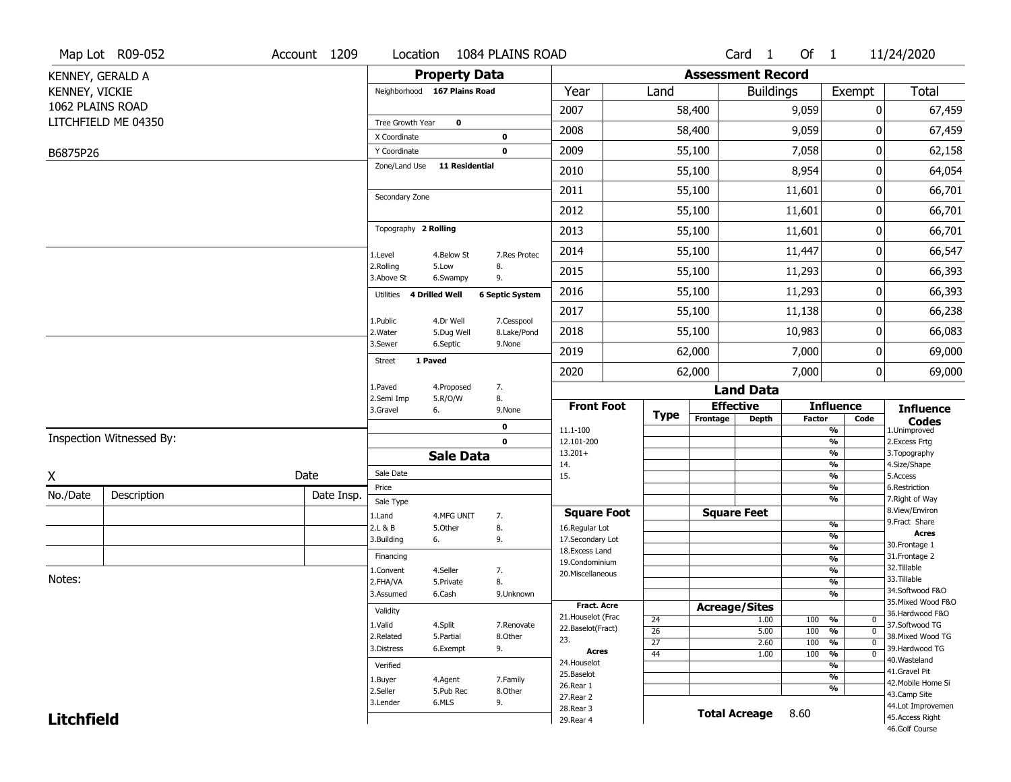|                   | Map Lot R09-052          | Account 1209 | Location                           |                       | 1084 PLAINS ROAD           |                                  |                       |                          | Card <sub>1</sub>    | Of $1$        |                                        | 11/24/2020                        |
|-------------------|--------------------------|--------------|------------------------------------|-----------------------|----------------------------|----------------------------------|-----------------------|--------------------------|----------------------|---------------|----------------------------------------|-----------------------------------|
| KENNEY, GERALD A  |                          |              |                                    | <b>Property Data</b>  |                            |                                  |                       | <b>Assessment Record</b> |                      |               |                                        |                                   |
| KENNEY, VICKIE    |                          |              | Neighborhood 167 Plains Road       |                       |                            | Year                             | Land                  |                          | <b>Buildings</b>     |               | Exempt                                 | Total                             |
| 1062 PLAINS ROAD  |                          |              |                                    |                       |                            | 2007                             |                       | 58,400                   |                      | 9,059         | 0                                      | 67,459                            |
|                   | LITCHFIELD ME 04350      |              | Tree Growth Year                   | $\mathbf 0$           |                            | 2008                             |                       | 58,400                   |                      | 9,059         | 0                                      | 67,459                            |
|                   |                          |              | X Coordinate<br>Y Coordinate       |                       | $\mathbf 0$<br>$\mathbf 0$ | 2009                             |                       | 55,100                   |                      | 7,058         | 0                                      | 62,158                            |
| B6875P26          |                          |              | Zone/Land Use                      | <b>11 Residential</b> |                            |                                  |                       |                          |                      |               |                                        |                                   |
|                   |                          |              |                                    |                       |                            | 2010                             |                       | 55,100                   |                      | 8,954         | 0                                      | 64,054                            |
|                   |                          |              | Secondary Zone                     |                       |                            | 2011                             |                       | 55,100                   |                      | 11,601        | 0                                      | 66,701                            |
|                   |                          |              |                                    |                       |                            | 2012                             |                       | 55,100                   |                      | 11,601        | 0                                      | 66,701                            |
|                   |                          |              | Topography 2 Rolling               |                       |                            | 2013                             |                       | 55,100                   |                      | 11,601        | 0                                      | 66,701                            |
|                   |                          |              | 1.Level                            | 4.Below St            | 7.Res Protec               | 2014                             |                       | 55,100                   |                      | 11,447        | 0                                      | 66,547                            |
|                   |                          |              | 2.Rolling<br>3.Above St            | 5.Low<br>6.Swampy     | 8.<br>9.                   | 2015                             |                       | 55,100                   |                      | 11,293        | 0                                      | 66,393                            |
|                   |                          |              | <b>4 Drilled Well</b><br>Utilities |                       | <b>6 Septic System</b>     | 2016                             |                       | 55,100                   |                      | 11,293        | 0                                      | 66,393                            |
|                   |                          |              | 1.Public                           | 4.Dr Well             | 7.Cesspool                 | 2017                             |                       | 55,100                   |                      | 11,138        | 0                                      | 66,238                            |
|                   |                          |              | 2. Water                           | 5.Dug Well            | 8.Lake/Pond                | 2018                             |                       | 55,100                   |                      | 10,983        | 0                                      | 66,083                            |
|                   |                          |              | 3.Sewer                            | 6.Septic              | 9.None                     | 2019                             |                       | 62,000                   |                      | 7,000         | 0                                      | 69,000                            |
|                   |                          |              | 1 Paved<br><b>Street</b>           |                       |                            | 2020                             |                       | 62,000                   |                      | 7,000         | 0                                      | 69,000                            |
|                   |                          |              | 1.Paved                            | 4.Proposed            | 7.                         |                                  |                       |                          | <b>Land Data</b>     |               |                                        |                                   |
|                   |                          |              | 2.Semi Imp<br>3.Gravel             | 5.R/O/W<br>6.         | 8.<br>9.None               | <b>Front Foot</b>                |                       |                          | <b>Effective</b>     |               | <b>Influence</b>                       | <b>Influence</b>                  |
|                   |                          |              |                                    |                       | $\mathbf 0$                | 11.1-100                         | <b>Type</b>           | Frontage                 | <b>Depth</b>         | <b>Factor</b> | Code<br>$\frac{9}{6}$                  | <b>Codes</b><br>1.Unimproved      |
|                   | Inspection Witnessed By: |              |                                    |                       | $\mathbf 0$                | 12.101-200                       |                       |                          |                      |               | $\frac{9}{6}$                          | 2.Excess Frtg                     |
|                   |                          |              |                                    | <b>Sale Data</b>      |                            | $13.201+$<br>14.                 |                       |                          |                      |               | $\frac{9}{6}$<br>$\frac{9}{6}$         | 3. Topography<br>4.Size/Shape     |
| Χ                 |                          | Date         | Sale Date                          |                       |                            | 15.                              |                       |                          |                      |               | $\frac{9}{6}$                          | 5.Access                          |
| No./Date          | Description              | Date Insp.   | Price<br>Sale Type                 |                       |                            |                                  |                       |                          |                      |               | $\frac{9}{6}$<br>$\frac{9}{6}$         | 6.Restriction<br>7. Right of Way  |
|                   |                          |              | 1.Land                             | 4.MFG UNIT            | 7.                         | <b>Square Foot</b>               |                       | <b>Square Feet</b>       |                      |               |                                        | 8.View/Environ                    |
|                   |                          |              | 2.L & B                            | 5.0ther               | 8.                         | 16.Regular Lot                   |                       |                          |                      |               | $\frac{9}{6}$                          | 9.Fract Share<br><b>Acres</b>     |
|                   |                          |              | 3.Building                         | 6.                    | 9.                         | 17.Secondary Lot                 |                       |                          |                      |               | %<br>$\frac{9}{6}$                     | 30.Frontage 1                     |
|                   |                          |              | Financing                          |                       |                            | 18.Excess Land<br>19.Condominium |                       |                          |                      |               | $\frac{9}{6}$                          | 31. Frontage 2                    |
|                   |                          |              | 1.Convent                          | 4.Seller              | 7.                         | 20.Miscellaneous                 |                       |                          |                      |               | $\frac{9}{6}$                          | 32.Tillable                       |
| Notes:            |                          |              | 2.FHA/VA                           | 5.Private             | 8.                         |                                  |                       |                          |                      |               | $\frac{9}{6}$                          | 33.Tillable<br>34.Softwood F&O    |
|                   |                          |              | 3.Assumed                          | 6.Cash                | 9.Unknown                  | <b>Fract. Acre</b>               |                       |                          |                      |               | $\frac{9}{6}$                          | 35. Mixed Wood F&O                |
|                   |                          |              | Validity                           |                       |                            | 21. Houselot (Frac               |                       | <b>Acreage/Sites</b>     |                      |               |                                        | 36.Hardwood F&O                   |
|                   |                          |              | 1.Valid                            | 4.Split               | 7.Renovate                 | 22.Baselot(Fract)                | 24<br>$\overline{26}$ |                          | 1.00<br>5.00         | 100<br>100    | %<br>0<br>$\frac{9}{6}$<br>$\mathbf 0$ | 37.Softwood TG                    |
|                   |                          |              | 2.Related                          | 5.Partial             | 8.Other                    | 23.                              | $\overline{27}$       |                          | 2.60                 | 100           | $\frac{9}{6}$<br>$\mathbf 0$           | 38. Mixed Wood TG                 |
|                   |                          |              | 3.Distress                         | 6.Exempt              | 9.                         | Acres                            | $\overline{44}$       |                          | 1.00                 | 100           | $\frac{9}{6}$<br>$\overline{0}$        | 39.Hardwood TG                    |
|                   |                          |              | Verified                           |                       |                            | 24. Houselot                     |                       |                          |                      |               | $\frac{9}{6}$                          | 40. Wasteland<br>41.Gravel Pit    |
|                   |                          |              | 1.Buyer                            | 4.Agent               | 7.Family                   | 25.Baselot                       |                       |                          |                      |               | $\frac{9}{6}$                          | 42. Mobile Home Si                |
|                   |                          |              | 2.Seller                           | 5.Pub Rec             | 8.Other                    | 26.Rear 1<br>27. Rear 2          |                       |                          |                      |               | $\frac{9}{6}$                          | 43.Camp Site                      |
|                   |                          |              | 3.Lender                           | 6.MLS                 | 9.                         |                                  |                       |                          |                      |               |                                        |                                   |
|                   |                          |              |                                    |                       |                            | 28. Rear 3                       |                       |                          |                      |               |                                        | 44.Lot Improvemen                 |
| <b>Litchfield</b> |                          |              |                                    |                       |                            | 29. Rear 4                       |                       |                          | <b>Total Acreage</b> | 8.60          |                                        | 45.Access Right<br>46.Golf Course |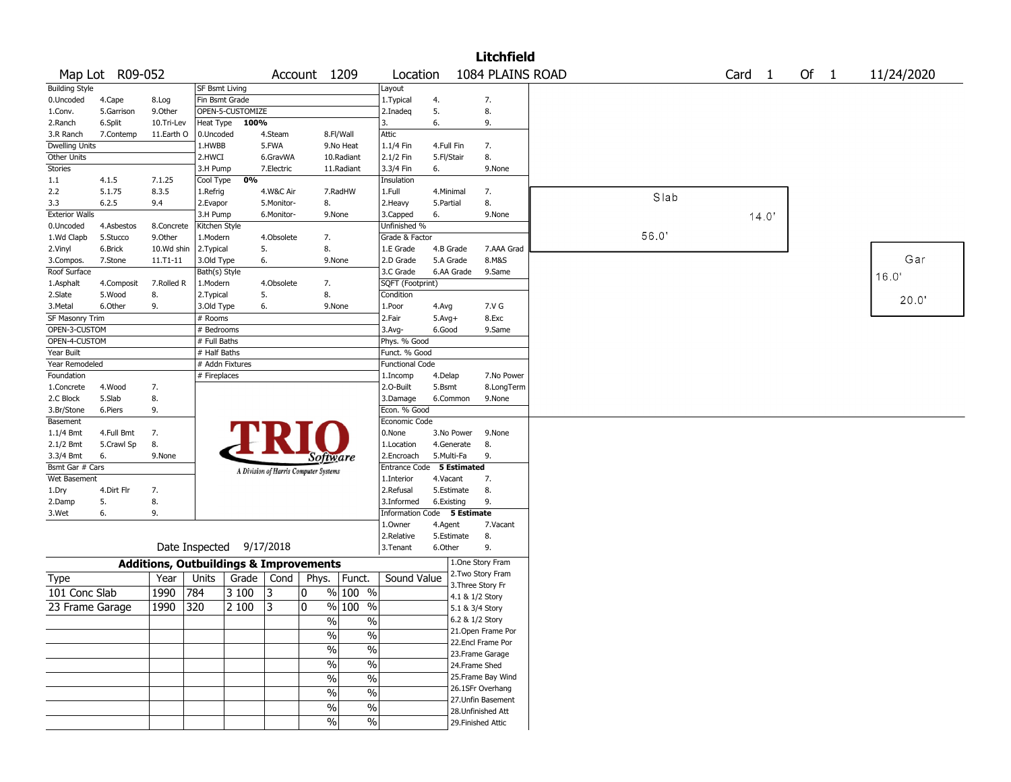|                              |                 |                                                   |                       |                          |            |                                       |                          |                               |            |                 | <b>Litchfield</b>  |       |                   |      |            |
|------------------------------|-----------------|---------------------------------------------------|-----------------------|--------------------------|------------|---------------------------------------|--------------------------|-------------------------------|------------|-----------------|--------------------|-------|-------------------|------|------------|
|                              | Map Lot R09-052 |                                                   |                       |                          |            | Account 1209                          |                          | Location                      |            |                 | 1084 PLAINS ROAD   |       | Card <sub>1</sub> | Of 1 | 11/24/2020 |
| <b>Building Style</b>        |                 |                                                   | <b>SF Bsmt Living</b> |                          |            |                                       |                          | Layout                        |            |                 |                    |       |                   |      |            |
| 0.Uncoded                    | 4.Cape          | 8.Log                                             | Fin Bsmt Grade        |                          |            |                                       |                          | 1.Typical                     | 4.         |                 | 7.                 |       |                   |      |            |
| 1.Conv.                      | 5.Garrison      | 9.0ther                                           |                       | OPEN-5-CUSTOMIZE         |            |                                       |                          | 2.Inadeg                      | 5.         |                 | 8.                 |       |                   |      |            |
| 2.Ranch                      | 6.Split         | 10.Tri-Lev                                        | Heat Type             | 100%                     |            |                                       |                          | 3.                            | 6.         |                 | 9.                 |       |                   |      |            |
| 3.R Ranch                    | 7.Contemp       | 11.Earth O                                        | 0.Uncoded             |                          | 4.Steam    |                                       | 8.Fl/Wall                | Attic                         |            |                 |                    |       |                   |      |            |
| <b>Dwelling Units</b>        |                 |                                                   | 1.HWBB                |                          | 5.FWA      |                                       | 9.No Heat                | 1.1/4 Fin                     | 4.Full Fin |                 | 7.                 |       |                   |      |            |
| Other Units                  |                 |                                                   | 2.HWCI                |                          | 6.GravWA   |                                       | 10.Radiant               | 2.1/2 Fin                     | 5.Fl/Stair |                 | 8.                 |       |                   |      |            |
| Stories                      |                 |                                                   | 3.H Pump              |                          | 7.Electric |                                       | 11.Radiant               | 3.3/4 Fin                     | 6.         |                 | 9.None             |       |                   |      |            |
| 1.1                          | 4.1.5           | 7.1.25                                            | Cool Type             | 0%                       |            |                                       |                          | Insulation                    |            |                 |                    |       |                   |      |            |
| 2.2                          | 5.1.75          | 8.3.5                                             | 1.Refrig              |                          | 4.W&C Air  |                                       | 7.RadHW                  | 1.Full                        | 4.Minimal  |                 | 7.                 | Slab  |                   |      |            |
| 3.3                          | 6.2.5           | 9.4                                               | 2.Evapor              |                          | 5.Monitor- | 8.                                    |                          | 2. Heavy                      | 5.Partial  |                 | 8.                 |       |                   |      |            |
| <b>Exterior Walls</b>        |                 |                                                   | 3.H Pump              |                          | 6.Monitor- |                                       | 9.None                   | 3.Capped                      | 6.         |                 | 9.None             |       | 14.0'             |      |            |
| 0.Uncoded                    | 4.Asbestos      | 8.Concrete                                        | Kitchen Style         |                          |            |                                       |                          | Unfinished %                  |            |                 |                    |       |                   |      |            |
| 1.Wd Clapb                   | 5.Stucco        | 9.Other                                           | 1.Modern              |                          | 4.Obsolete | 7.                                    |                          | Grade & Factor                |            |                 |                    | 56.0' |                   |      |            |
| 2.Vinyl                      | 6.Brick         | 10.Wd shin                                        | 2. Typical            |                          | 5.         | 8.                                    |                          | 1.E Grade                     | 4.B Grade  |                 | 7.AAA Grad         |       |                   |      |            |
| 3.Compos.                    | 7.Stone         | $11. T1 - 11$                                     | 3.Old Type            |                          | 6.         |                                       | 9.None                   | 2.D Grade                     | 5.A Grade  |                 | 8.M&S              |       |                   |      | Gar        |
| Roof Surface                 |                 |                                                   | Bath(s) Style         |                          |            |                                       |                          | 3.C Grade                     | 6.AA Grade |                 | 9.Same             |       |                   |      | 16.0       |
| 1.Asphalt                    | 4.Composit      | 7.Rolled R                                        | 1.Modern              |                          | 4.Obsolete | 7.                                    |                          | SQFT (Footprint)              |            |                 |                    |       |                   |      |            |
| 2.Slate                      | 5.Wood          | 8.                                                | 2. Typical            |                          | 5.         | 8.                                    |                          | Condition                     |            |                 |                    |       |                   |      | 20.0"      |
| 3. Metal                     | 6.Other         | 9.                                                | 3.Old Type            |                          | 6.         |                                       | 9.None                   | 1.Poor                        | 4.Avg      |                 | 7.V G              |       |                   |      |            |
| SF Masonry Trim              |                 |                                                   | # Rooms               |                          |            |                                       |                          | 2.Fair                        | $5.Avg+$   |                 | 8.Exc              |       |                   |      |            |
| OPEN-3-CUSTOM                |                 |                                                   | # Bedrooms            |                          |            |                                       |                          | $3.$ Avg-                     | 6.Good     |                 | 9.Same             |       |                   |      |            |
| OPEN-4-CUSTOM                |                 |                                                   | # Full Baths          |                          |            |                                       |                          | Phys. % Good<br>Funct. % Good |            |                 |                    |       |                   |      |            |
| Year Built<br>Year Remodeled |                 |                                                   | # Half Baths          | # Addn Fixtures          |            |                                       |                          | <b>Functional Code</b>        |            |                 |                    |       |                   |      |            |
| Foundation                   |                 |                                                   | # Fireplaces          |                          |            |                                       |                          | 1.Incomp                      | 4.Delap    |                 | 7.No Power         |       |                   |      |            |
| 1.Concrete                   | 4.Wood          | 7.                                                |                       |                          |            |                                       |                          | 2.0-Built                     | 5.Bsmt     |                 | 8.LongTerm         |       |                   |      |            |
| 2.C Block                    | 5.Slab          | 8.                                                |                       |                          |            |                                       |                          | 3.Damage                      | 6.Common   |                 | 9.None             |       |                   |      |            |
| 3.Br/Stone                   | 6.Piers         | 9.                                                |                       |                          |            |                                       |                          | Econ. % Good                  |            |                 |                    |       |                   |      |            |
| Basement                     |                 |                                                   |                       |                          |            |                                       |                          | Economic Code                 |            |                 |                    |       |                   |      |            |
| 1.1/4 Bmt                    | 4.Full Bmt      | 7.                                                |                       |                          |            |                                       |                          | 0.None                        | 3.No Power |                 | 9.None             |       |                   |      |            |
| $2.1/2$ Bmt                  | 5.Crawl Sp      | 8.                                                |                       |                          |            |                                       |                          | 1.Location                    | 4.Generate |                 | 8.                 |       |                   |      |            |
| 3.3/4 Bmt                    | 6.              | 9.None                                            |                       |                          |            | <i>Software</i>                       |                          | 2.Encroach                    | 5.Multi-Fa |                 | 9.                 |       |                   |      |            |
| Bsmt Gar # Cars              |                 |                                                   |                       |                          |            |                                       |                          | Entrance Code 5 Estimated     |            |                 |                    |       |                   |      |            |
| Wet Basement                 |                 |                                                   |                       |                          |            | A Division of Harris Computer Systems |                          | 1.Interior                    | 4.Vacant   |                 | 7.                 |       |                   |      |            |
| 1.Dry                        | 4.Dirt Flr      | 7.                                                |                       |                          |            |                                       |                          | 2.Refusal                     | 5.Estimate |                 | 8.                 |       |                   |      |            |
| 2.Damp                       | 5.              | 8.                                                |                       |                          |            |                                       |                          | 3.Informed                    | 6.Existing |                 | 9.                 |       |                   |      |            |
| 3.Wet                        | 6.              | 9.                                                |                       |                          |            |                                       |                          | <b>Information Code</b>       |            | 5 Estimate      |                    |       |                   |      |            |
|                              |                 |                                                   |                       |                          |            |                                       |                          | 1.Owner                       | 4.Agent    |                 | 7.Vacant           |       |                   |      |            |
|                              |                 |                                                   |                       |                          |            |                                       |                          | 2.Relative                    | 5.Estimate |                 | 8.                 |       |                   |      |            |
|                              |                 |                                                   |                       | Date Inspected 9/17/2018 |            |                                       |                          | 3.Tenant                      | 6.Other    |                 | 9.                 |       |                   |      |            |
|                              |                 | <b>Additions, Outbuildings &amp; Improvements</b> |                       |                          |            |                                       |                          |                               |            |                 | 1.One Story Fram   |       |                   |      |            |
| Type                         |                 | Year                                              | Units                 | Grade                    | Cond       | Phys.                                 | Funct.                   | Sound Value                   |            |                 | 2. Two Story Fram  |       |                   |      |            |
| 101 Conc Slab                |                 | 1990                                              | 784                   | 3 100                    | 13         | 0                                     | % 100 %                  |                               |            |                 | 3. Three Story Fr  |       |                   |      |            |
|                              |                 |                                                   |                       |                          |            |                                       |                          |                               |            | 4.1 & 1/2 Story |                    |       |                   |      |            |
| 23 Frame Garage              |                 | 1990                                              | 320                   | 2 100                    | 3          | 0                                     | $%100$ %                 |                               |            | 5.1 & 3/4 Story |                    |       |                   |      |            |
|                              |                 |                                                   |                       |                          |            | $\sqrt{6}$                            | $\frac{0}{6}$            |                               |            | 6.2 & 1/2 Story |                    |       |                   |      |            |
|                              |                 |                                                   |                       |                          |            | %                                     | $\%$                     |                               |            |                 | 21. Open Frame Por |       |                   |      |            |
|                              |                 |                                                   |                       |                          |            | $\frac{1}{2}$                         | $\%$                     |                               |            |                 | 22.Encl Frame Por  |       |                   |      |            |
|                              |                 |                                                   |                       |                          |            |                                       |                          |                               |            |                 | 23. Frame Garage   |       |                   |      |            |
|                              |                 |                                                   |                       |                          |            | $\%$                                  | $\%$                     |                               |            | 24.Frame Shed   |                    |       |                   |      |            |
|                              |                 |                                                   |                       |                          |            | %                                     | $\%$                     |                               |            |                 | 25.Frame Bay Wind  |       |                   |      |            |
|                              |                 |                                                   |                       |                          |            | $\%$                                  | $\%$                     |                               |            |                 | 26.1SFr Overhang   |       |                   |      |            |
|                              |                 |                                                   |                       |                          |            | $\sqrt{6}$                            | $\overline{\frac{0}{6}}$ |                               |            |                 | 27.Unfin Basement  |       |                   |      |            |
|                              |                 |                                                   |                       |                          |            | $\sqrt{6}$                            | $\sqrt{6}$               |                               |            |                 | 28.Unfinished Att  |       |                   |      |            |
|                              |                 |                                                   |                       |                          |            |                                       |                          |                               |            |                 | 29. Finished Attic |       |                   |      |            |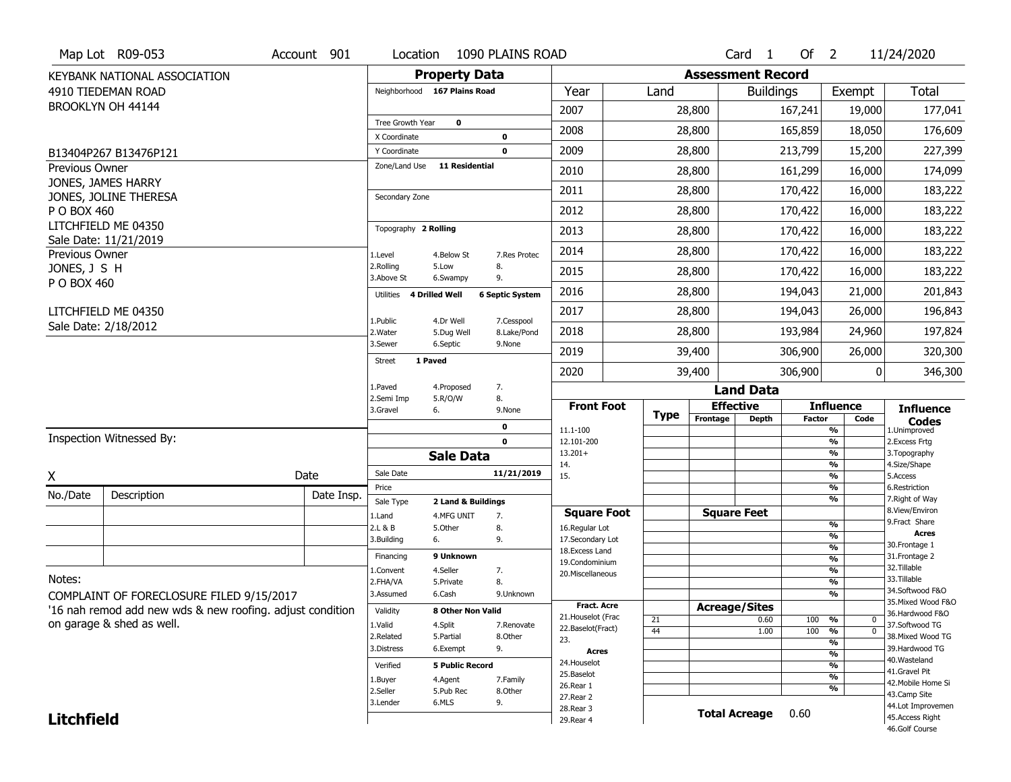|                   | Map Lot R09-053                                           | Account 901 | Location                     |                                  | 1090 PLAINS ROAD       |                                         |             |                          | Card <sub>1</sub>    | Of $2$        |                                                      | 11/24/2020                            |
|-------------------|-----------------------------------------------------------|-------------|------------------------------|----------------------------------|------------------------|-----------------------------------------|-------------|--------------------------|----------------------|---------------|------------------------------------------------------|---------------------------------------|
|                   | KEYBANK NATIONAL ASSOCIATION                              |             |                              | <b>Property Data</b>             |                        |                                         |             | <b>Assessment Record</b> |                      |               |                                                      |                                       |
|                   | 4910 TIEDEMAN ROAD                                        |             |                              | Neighborhood 167 Plains Road     |                        | Year                                    | Land        |                          | <b>Buildings</b>     |               | Exempt                                               | Total                                 |
|                   | BROOKLYN OH 44144                                         |             |                              |                                  |                        | 2007                                    |             | 28,800                   |                      | 167,241       | 19,000                                               | 177,041                               |
|                   |                                                           |             | Tree Growth Year             | $\mathbf 0$                      |                        | 2008                                    |             | 28,800                   |                      | 165,859       | 18,050                                               | 176,609                               |
|                   | B13404P267 B13476P121                                     |             | X Coordinate<br>Y Coordinate |                                  | 0<br>$\mathbf 0$       | 2009                                    |             | 28,800                   |                      | 213,799       | 15,200                                               | 227,399                               |
| Previous Owner    |                                                           |             | Zone/Land Use                | <b>11 Residential</b>            |                        | 2010                                    |             | 28,800                   |                      | 161,299       | 16,000                                               | 174,099                               |
|                   | JONES, JAMES HARRY                                        |             |                              |                                  |                        |                                         |             |                          |                      |               |                                                      |                                       |
|                   | JONES, JOLINE THERESA                                     |             | Secondary Zone               |                                  |                        | 2011                                    |             | 28,800                   |                      | 170,422       | 16,000                                               | 183,222                               |
| P O BOX 460       | LITCHFIELD ME 04350                                       |             |                              |                                  |                        | 2012                                    |             | 28,800                   |                      | 170,422       | 16,000                                               | 183,222                               |
|                   | Sale Date: 11/21/2019                                     |             | Topography 2 Rolling         |                                  |                        | 2013                                    |             | 28,800                   |                      | 170,422       | 16,000                                               | 183,222                               |
| Previous Owner    |                                                           |             | 1.Level                      | 4.Below St                       | 7.Res Protec           | 2014                                    |             | 28,800                   |                      | 170,422       | 16,000                                               | 183,222                               |
| JONES, J S H      |                                                           |             | 2.Rolling<br>3.Above St      | 5.Low<br>6.Swampy                | 8.<br>9.               | 2015                                    |             | 28,800                   |                      | 170,422       | 16,000                                               | 183,222                               |
| P O BOX 460       |                                                           |             | Utilities                    | 4 Drilled Well                   | <b>6 Septic System</b> | 2016                                    |             | 28,800                   |                      | 194,043       | 21,000                                               | 201,843                               |
|                   | LITCHFIELD ME 04350                                       |             | 1.Public                     | 4.Dr Well                        | 7.Cesspool             | 2017                                    |             | 28,800                   |                      | 194,043       | 26,000                                               | 196,843                               |
|                   | Sale Date: 2/18/2012                                      |             | 2. Water                     | 5.Dug Well                       | 8.Lake/Pond            | 2018                                    |             | 28,800                   |                      | 193,984       | 24,960                                               | 197,824                               |
|                   |                                                           |             | 3.Sewer                      | 6.Septic                         | 9.None                 | 2019                                    |             | 39,400                   |                      | 306,900       | 26,000                                               | 320,300                               |
|                   |                                                           |             | Street                       | 1 Paved                          |                        | 2020                                    |             | 39,400                   |                      | 306,900       | $\overline{0}$                                       | 346,300                               |
|                   |                                                           |             | 1.Paved                      | 4.Proposed                       | 7.                     |                                         |             |                          | <b>Land Data</b>     |               |                                                      |                                       |
|                   |                                                           |             | 2.Semi Imp<br>3.Gravel       | 5.R/O/W<br>6.                    | 8.<br>9.None           | <b>Front Foot</b>                       |             |                          | <b>Effective</b>     |               | <b>Influence</b>                                     | <b>Influence</b>                      |
|                   |                                                           |             |                              |                                  | 0                      | 11.1-100                                | <b>Type</b> | Frontage                 | <b>Depth</b>         | <b>Factor</b> | Code<br>%                                            | <b>Codes</b><br>1.Unimproved          |
|                   |                                                           |             |                              |                                  |                        |                                         |             |                          |                      |               |                                                      | 2.Excess Frtg                         |
|                   | Inspection Witnessed By:                                  |             |                              |                                  | $\mathbf{0}$           | 12.101-200                              |             |                          |                      |               | $\overline{\frac{9}{6}}$                             |                                       |
|                   |                                                           |             |                              | <b>Sale Data</b>                 |                        | $13.201+$<br>14.                        |             |                          |                      |               | $\overline{\frac{9}{6}}$<br>$\overline{\frac{9}{6}}$ | 3. Topography<br>4.Size/Shape         |
| X                 |                                                           | Date        | Sale Date                    |                                  | 11/21/2019             | 15.                                     |             |                          |                      |               | $\overline{\frac{9}{6}}$                             | 5.Access                              |
| No./Date          | Description                                               | Date Insp.  | Price                        |                                  |                        |                                         |             |                          |                      |               | %<br>%                                               | 6.Restriction<br>7. Right of Way      |
|                   |                                                           |             | Sale Type<br>1.Land          | 2 Land & Buildings<br>4.MFG UNIT | 7.                     | <b>Square Foot</b>                      |             |                          | <b>Square Feet</b>   |               |                                                      | 8.View/Environ                        |
|                   |                                                           |             | 2.L & B                      | 5.0ther                          | 8.                     | 16.Regular Lot                          |             |                          |                      |               | $\frac{9}{6}$<br>%                                   | 9.Fract Share<br>Acres                |
|                   |                                                           |             | 3.Building                   | 6.                               | 9.                     | 17.Secondary Lot<br>18.Excess Land      |             |                          |                      |               | $\overline{\frac{9}{6}}$                             | 30.Frontage 1                         |
|                   |                                                           |             | Financing                    | 9 Unknown                        |                        | 19.Condominium                          |             |                          |                      |               | $\overline{\frac{9}{6}}$                             | 31. Frontage 2<br>32.Tillable         |
| Notes:            |                                                           |             | 1.Convent<br>2.FHA/VA        | 4.Seller<br>5.Private            | 7.<br>8.               | 20.Miscellaneous                        |             |                          |                      |               | $\overline{\frac{9}{6}}$<br>$\overline{\frac{9}{6}}$ | 33.Tillable                           |
|                   | COMPLAINT OF FORECLOSURE FILED 9/15/2017                  |             | 3.Assumed                    | 6.Cash                           | 9.Unknown              |                                         |             |                          |                      |               | $\overline{\frac{9}{6}}$                             | 34.Softwood F&O                       |
|                   | '16 nah remod add new wds & new roofing. adjust condition |             | Validity                     | 8 Other Non Valid                |                        | <b>Fract. Acre</b>                      |             | <b>Acreage/Sites</b>     |                      |               |                                                      | 35. Mixed Wood F&O<br>36.Hardwood F&O |
|                   | on garage & shed as well.                                 |             | 1.Valid                      | 4.Split                          | 7.Renovate             | 21. Houselot (Frac<br>22.Baselot(Fract) | 21          |                          | 0.60                 | 100           | %<br>0                                               | 37.Softwood TG                        |
|                   |                                                           |             | 2.Related                    | 5.Partial                        | 8.Other                | 23.                                     | 44          |                          | 1.00                 | 100           | $\overline{0}$<br>%<br>%                             | 38. Mixed Wood TG                     |
|                   |                                                           |             | 3.Distress                   | 6.Exempt                         | 9.                     | <b>Acres</b>                            |             |                          |                      |               | $\overline{\frac{9}{6}}$                             | 39.Hardwood TG                        |
|                   |                                                           |             | Verified                     | <b>5 Public Record</b>           |                        | 24. Houselot                            |             |                          |                      |               | $\overline{\frac{9}{6}}$                             | 40.Wasteland<br>41.Gravel Pit         |
|                   |                                                           |             | 1.Buyer                      | 4.Agent                          | 7.Family               | 25.Baselot<br>26.Rear 1                 |             |                          |                      |               | $\overline{\frac{9}{6}}$                             | 42. Mobile Home Si                    |
|                   |                                                           |             | 2.Seller                     | 5.Pub Rec                        | 8.Other                | 27. Rear 2                              |             |                          |                      |               | %                                                    | 43.Camp Site                          |
| <b>Litchfield</b> |                                                           |             | 3.Lender                     | 6.MLS                            | 9.                     | 28.Rear 3<br>29. Rear 4                 |             |                          | <b>Total Acreage</b> | 0.60          |                                                      | 44.Lot Improvemen<br>45.Access Right  |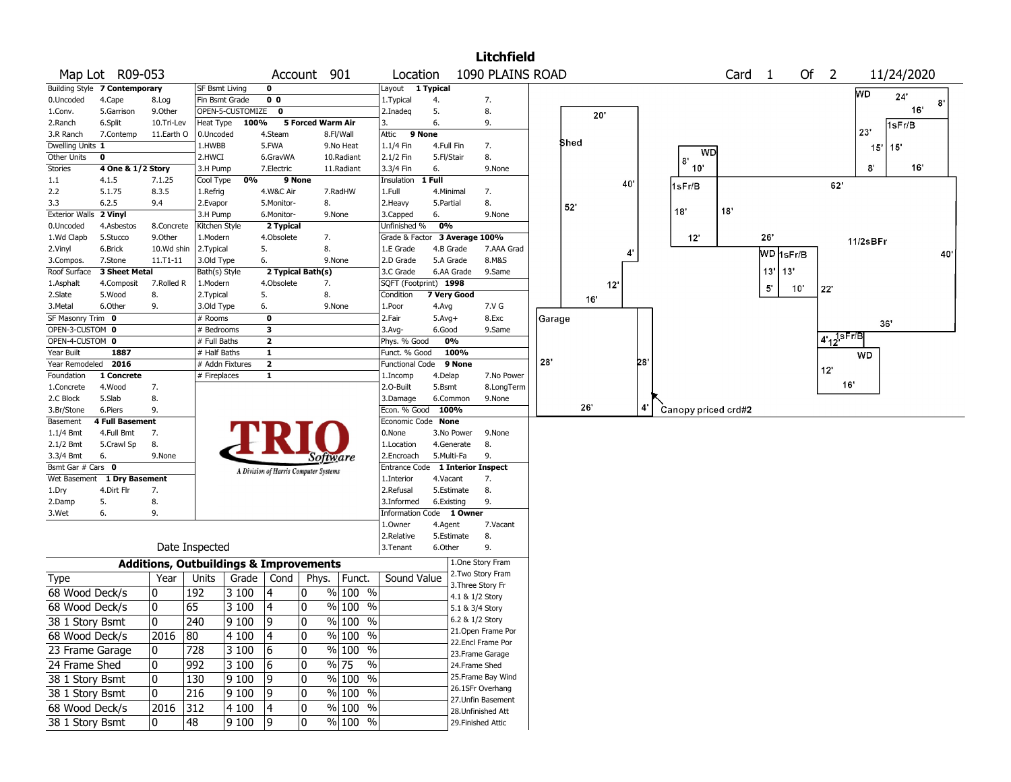|                        |                               |              |                      |                  |                                                   |                          |                          |                          |                        |                           | <b>Litchfield</b>  |        |      |                 |    |     |                     |                 |            |     |                          |             |                 |     |
|------------------------|-------------------------------|--------------|----------------------|------------------|---------------------------------------------------|--------------------------|--------------------------|--------------------------|------------------------|---------------------------|--------------------|--------|------|-----------------|----|-----|---------------------|-----------------|------------|-----|--------------------------|-------------|-----------------|-----|
|                        | Map Lot R09-053               |              |                      |                  |                                                   | Account 901              |                          | Location                 |                        |                           | 1090 PLAINS ROAD   |        |      |                 |    |     |                     | Card 1          |            |     | Of $2$                   |             | 11/24/2020      |     |
|                        | Building Style 7 Contemporary |              | SF Bsmt Living       |                  | 0                                                 |                          |                          | Layout                   | 1 Typical              |                           |                    |        |      |                 |    |     |                     |                 |            |     |                          | WD          | 24'             |     |
| 0.Uncoded              | 4.Cape                        | 8.Log        | Fin Bsmt Grade       |                  | 0 <sub>0</sub>                                    |                          |                          | 1. Typical               | 4.                     |                           | 7.                 |        |      |                 |    |     |                     |                 |            |     |                          |             |                 | 8   |
| 1.Conv.                | 5.Garrison                    | 9.0ther      |                      | OPEN-5-CUSTOMIZE | $\mathbf 0$                                       |                          |                          | 2.Inadeq                 | 5.                     |                           | 8.                 |        |      | 20"             |    |     |                     |                 |            |     |                          |             | 16 <sup>°</sup> |     |
| 2.Ranch                | 6.Split                       | 10.Tri-Lev   | Heat Type            | 100%             |                                                   | <b>5 Forced Warm Air</b> |                          | 3.                       | 6.                     |                           | 9.                 |        |      |                 |    |     |                     |                 |            |     |                          | 23'         | 1sFr/B          |     |
| 3.R Ranch              | 7.Contemp                     | 11.Earth O   | 0.Uncoded            |                  | 4.Steam                                           |                          | 8.Fl/Wall                | 9 None<br>Attic          |                        |                           |                    |        | Shed |                 |    |     |                     |                 |            |     |                          |             |                 |     |
| Dwelling Units 1       |                               |              | 1.HWBB               |                  | 5.FWA                                             |                          | 9.No Heat                | 1.1/4 Fin                | 4.Full Fin             |                           | 7.                 |        |      |                 |    |     | WD                  |                 |            |     |                          | 15'         | 15'             |     |
| Other Units            | 0                             |              | 2.HWCI               |                  | 6.GravWA                                          |                          | 10.Radiant               | 2.1/2 Fin                | 5.Fl/Stair             |                           | 8.                 |        |      |                 |    |     | 8.                  |                 |            |     |                          |             | $16^{\circ}$    |     |
| Stories                | 4 One & 1/2 Story             |              | 3.H Pump             |                  | 7.Electric                                        |                          | 11.Radiant               | 3.3/4 Fin                | 6.<br>1 Full           |                           | 9.None             |        |      |                 |    |     | 10'                 |                 |            |     |                          | $8^{\circ}$ |                 |     |
| $1.1\,$                | 4.1.5                         | 7.1.25       | Cool Type            | 0%               | 9 None                                            |                          |                          | Insulation               |                        |                           |                    |        |      |                 | 40 |     | 1sFr/B              |                 |            |     | 62'                      |             |                 |     |
| 2.2<br>3.3             | 5.1.75<br>6.2.5               | 8.3.5<br>9.4 | 1.Refrig             |                  | 4.W&C Air                                         | 8.                       | 7.RadHW                  | 1.Full                   | 4.Minimal<br>5.Partial |                           | 7.<br>8.           |        |      |                 |    |     |                     |                 |            |     |                          |             |                 |     |
| <b>Exterior Walls</b>  | 2 Vinyl                       |              | 2.Evapor<br>3.H Pump |                  | 5.Monitor-<br>6.Monitor-                          | 9.None                   |                          | 2.Heavy<br>3.Capped      | 6.                     |                           | 9.None             |        | 52'  |                 |    | 18" |                     | 18 <sup>°</sup> |            |     |                          |             |                 |     |
| 0.Uncoded              | 4.Asbestos                    | 8.Concrete   | Kitchen Style        |                  | 2 Typical                                         |                          |                          | Unfinished %             | 0%                     |                           |                    |        |      |                 |    |     |                     |                 |            |     |                          |             |                 |     |
| 1.Wd Clapb             | 5.Stucco                      | 9.0ther      | 1.Modern             |                  | 4.Obsolete                                        | 7.                       |                          | Grade & Factor           |                        | 3 Average 100%            |                    |        |      |                 |    |     | 12'                 |                 | 26'        |     |                          |             |                 |     |
| 2.Vinyl                | 6.Brick                       | 10.Wd shin   | 2. Typical           |                  | 5.                                                | 8.                       |                          | 1.E Grade                |                        | 4.B Grade                 | 7.AAA Grad         |        |      |                 |    |     |                     |                 |            |     |                          | 11/2sBFr    |                 |     |
| 3.Compos.              | 7.Stone                       | 11.T1-11     | 3.Old Type           |                  | 6.                                                | 9.None                   |                          | 2.D Grade                |                        | 5.A Grade                 | 8.M&S              |        |      |                 | 4' |     |                     |                 | WD 1sFr/B  |     |                          |             |                 | 40' |
| Roof Surface           | 3 Sheet Metal                 |              | Bath(s) Style        |                  | 2 Typical Bath(s)                                 |                          |                          | 3.C Grade                |                        | 6.AA Grade                | 9.Same             |        |      |                 |    |     |                     |                 | 13'<br>13' |     |                          |             |                 |     |
| 1.Asphalt              | 4.Composit                    | 7.Rolled R   | 1.Modern             |                  | 4.Obsolete                                        | 7.                       |                          | SQFT (Footprint) 1998    |                        |                           |                    |        |      | 12 <sup>°</sup> |    |     |                     |                 |            |     |                          |             |                 |     |
| 2.Slate                | 5.Wood                        | 8.           | 2. Typical           |                  | 5.                                                | 8.                       |                          | Condition                |                        | 7 Very Good               |                    |        |      |                 |    |     |                     |                 | 5'         | 10' | $22^\circ$               |             |                 |     |
| 3.Metal                | 6.Other                       | 9.           | 3.Old Type           |                  | 6.                                                | 9.None                   |                          | 1.Poor                   | 4.Avg                  |                           | 7.V G              |        | 16'  |                 |    |     |                     |                 |            |     |                          |             |                 |     |
| SF Masonry Trim 0      |                               |              | # Rooms              |                  | $\mathbf 0$                                       |                          |                          | 2.Fair                   | $5.Avg+$               |                           | 8.Exc              | Garage |      |                 |    |     |                     |                 |            |     |                          |             |                 |     |
| OPEN-3-CUSTOM 0        |                               |              | # Bedrooms           |                  | 3                                                 |                          |                          | $3.$ Avg-                | 6.Good                 |                           | 9.Same             |        |      |                 |    |     |                     |                 |            |     |                          |             | 36'             |     |
| OPEN-4-CUSTOM 0        |                               |              | # Full Baths         |                  | $\mathbf{z}$                                      |                          |                          | Phys. % Good             |                        | 0%                        |                    |        |      |                 |    |     |                     |                 |            |     | $4.12$ <sup>1sFr/B</sup> |             |                 |     |
| Year Built             | 1887                          |              | # Half Baths         |                  | $\mathbf{1}$                                      |                          |                          | Funct. % Good            |                        | 100%                      |                    |        |      |                 |    |     |                     |                 |            |     |                          | WD          |                 |     |
| Year Remodeled         | 2016                          |              | # Addn Fixtures      |                  | $\overline{\mathbf{2}}$                           |                          |                          | Functional Code          |                        | 9 None                    |                    | 28'    |      |                 |    | 28  |                     |                 |            |     | 12'                      |             |                 |     |
| Foundation             | 1 Concrete                    |              | # Fireplaces         |                  | 1                                                 |                          |                          | 1.Incomp                 | 4.Delap                |                           | 7.No Power         |        |      |                 |    |     |                     |                 |            |     |                          |             |                 |     |
| 1.Concrete             | 4.Wood                        | 7.           |                      |                  |                                                   |                          |                          | 2.0-Built                | 5.Bsmt                 |                           | 8.LongTerm         |        |      |                 |    |     |                     |                 |            |     |                          | 16          |                 |     |
| 2.C Block              | 5.Slab                        | 8.           |                      |                  |                                                   |                          |                          | 3.Damage                 |                        | 6.Common                  | 9.None             |        | 26'  |                 |    | 4   |                     |                 |            |     |                          |             |                 |     |
| 3.Br/Stone             | 6.Piers                       | 9.           |                      |                  |                                                   |                          |                          | Econ. % Good             | 100%                   |                           |                    |        |      |                 |    |     | Canopy priced crd#2 |                 |            |     |                          |             |                 |     |
| Basement               | <b>4 Full Basement</b>        |              |                      |                  |                                                   |                          |                          | Economic Code None       |                        |                           |                    |        |      |                 |    |     |                     |                 |            |     |                          |             |                 |     |
| 1.1/4 Bmt              | 4.Full Bmt                    | 7.           |                      |                  |                                                   |                          |                          | 0.None                   |                        | 3.No Power                | 9.None             |        |      |                 |    |     |                     |                 |            |     |                          |             |                 |     |
| 2.1/2 Bmt<br>3.3/4 Bmt | 5.Crawl Sp<br>6.              | 8.<br>9.None |                      |                  |                                                   |                          |                          | 1.Location<br>2.Encroach | 5.Multi-Fa             | 4.Generate                | 8.<br>9.           |        |      |                 |    |     |                     |                 |            |     |                          |             |                 |     |
| Bsmt Gar # Cars 0      |                               |              |                      |                  |                                                   | Software                 |                          | Entrance Code            |                        | <b>1 Interior Inspect</b> |                    |        |      |                 |    |     |                     |                 |            |     |                          |             |                 |     |
| Wet Basement           | 1 Dry Basement                |              |                      |                  | A Division of Harris Computer Systems             |                          |                          | 1.Interior               | 4.Vacant               |                           | 7.                 |        |      |                 |    |     |                     |                 |            |     |                          |             |                 |     |
| 1.Dry                  | 4.Dirt Flr                    | 7.           |                      |                  |                                                   |                          |                          | 2.Refusal                |                        | 5.Estimate                | 8.                 |        |      |                 |    |     |                     |                 |            |     |                          |             |                 |     |
| 2.Damp                 | 5.                            | 8.           |                      |                  |                                                   |                          |                          | 3.Informed               | 6.Existing             |                           | 9.                 |        |      |                 |    |     |                     |                 |            |     |                          |             |                 |     |
| 3.Wet                  | 6.                            | 9.           |                      |                  |                                                   |                          |                          | Information Code 1 Owner |                        |                           |                    |        |      |                 |    |     |                     |                 |            |     |                          |             |                 |     |
|                        |                               |              |                      |                  |                                                   |                          |                          | 1.0wner                  | 4.Agent                |                           | 7.Vacant           |        |      |                 |    |     |                     |                 |            |     |                          |             |                 |     |
|                        |                               |              |                      |                  |                                                   |                          |                          | 2.Relative               |                        | 5.Estimate                | 8.                 |        |      |                 |    |     |                     |                 |            |     |                          |             |                 |     |
|                        |                               |              | Date Inspected       |                  |                                                   |                          |                          | 3. Tenant                | 6.Other                |                           | 9.                 |        |      |                 |    |     |                     |                 |            |     |                          |             |                 |     |
|                        |                               |              |                      |                  | <b>Additions, Outbuildings &amp; Improvements</b> |                          |                          |                          |                        |                           | 1.One Story Fram   |        |      |                 |    |     |                     |                 |            |     |                          |             |                 |     |
| <b>Type</b>            |                               | Year         | Units                | Grade            | Cond                                              | Phys.                    | Funct.                   | Sound Value              |                        | 3. Three Story Fr         | 2. Two Story Fram  |        |      |                 |    |     |                     |                 |            |     |                          |             |                 |     |
| 68 Wood Deck/s         |                               | 0            | 192                  | 3 100            | 4                                                 | 0                        | % 100 %                  |                          |                        | 4.1 & 1/2 Story           |                    |        |      |                 |    |     |                     |                 |            |     |                          |             |                 |     |
| 68 Wood Deck/s         |                               | 0            | 65                   | 3 100            | 4                                                 | 0                        | % 100 %                  |                          |                        | 5.1 & 3/4 Story           |                    |        |      |                 |    |     |                     |                 |            |     |                          |             |                 |     |
| 38 1 Story Bsmt        |                               | 0            | 240                  | 9 100            | ٥,                                                | 0                        | $%100$ %                 |                          |                        | 6.2 & 1/2 Story           |                    |        |      |                 |    |     |                     |                 |            |     |                          |             |                 |     |
|                        |                               |              |                      |                  |                                                   |                          |                          |                          |                        |                           | 21.Open Frame Por  |        |      |                 |    |     |                     |                 |            |     |                          |             |                 |     |
| 68 Wood Deck/s         |                               | 2016         | 80                   | 4 100            | $\vert 4$                                         | 0                        | $%100$ %                 |                          |                        |                           | 22.Encl Frame Por  |        |      |                 |    |     |                     |                 |            |     |                          |             |                 |     |
| 23 Frame Garage        |                               | 0            | 728                  | 3100             | 6                                                 | 0                        | % 100 %                  |                          |                        |                           | 23. Frame Garage   |        |      |                 |    |     |                     |                 |            |     |                          |             |                 |     |
| 24 Frame Shed          |                               | 0            | 992                  | 3 100            | 6                                                 | 0                        | $\frac{9}{6}$ 75<br>$\%$ |                          |                        | 24.Frame Shed             |                    |        |      |                 |    |     |                     |                 |            |     |                          |             |                 |     |
| 38 1 Story Bsmt        |                               | 0            | 130                  | 9100             | 9                                                 | $\pmb{0}$                | % 100 %                  |                          |                        |                           | 25. Frame Bay Wind |        |      |                 |    |     |                     |                 |            |     |                          |             |                 |     |
| 38 1 Story Bsmt        |                               | 0            | 216                  | 9100             | 9                                                 | 0                        | $\frac{9}{6}$ 100 %      |                          |                        |                           | 26.1SFr Overhang   |        |      |                 |    |     |                     |                 |            |     |                          |             |                 |     |
| 68 Wood Deck/s         |                               | 2016 312     |                      | 4 100            | 4                                                 | 0                        | $\frac{9}{6}$ 100 %      |                          |                        |                           | 27.Unfin Basement  |        |      |                 |    |     |                     |                 |            |     |                          |             |                 |     |
|                        |                               |              |                      |                  |                                                   |                          |                          |                          |                        |                           | 28. Unfinished Att |        |      |                 |    |     |                     |                 |            |     |                          |             |                 |     |
| 38 1 Story Bsmt        |                               | 10           | 48                   | 9 1 0 0          | 19                                                | 0                        | % 100 %                  |                          |                        | 29. Finished Attic        |                    |        |      |                 |    |     |                     |                 |            |     |                          |             |                 |     |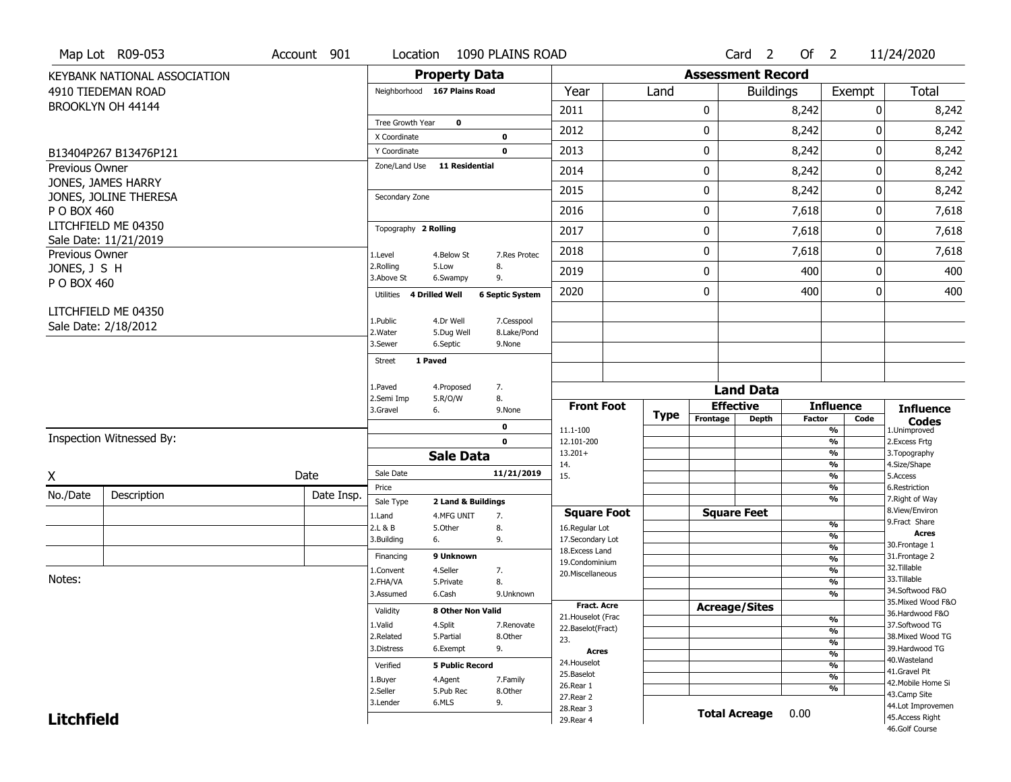|                             | Map Lot R09-053                             | Account 901 | Location                           | 1090 PLAINS ROAD                                     |                                  |      |          | Card <sub>2</sub>        | Of $2$        |                    | 11/24/2020                           |
|-----------------------------|---------------------------------------------|-------------|------------------------------------|------------------------------------------------------|----------------------------------|------|----------|--------------------------|---------------|--------------------|--------------------------------------|
|                             | KEYBANK NATIONAL ASSOCIATION                |             |                                    | <b>Property Data</b>                                 |                                  |      |          | <b>Assessment Record</b> |               |                    |                                      |
|                             | 4910 TIEDEMAN ROAD                          |             | Neighborhood 167 Plains Road       |                                                      | Year                             | Land |          | <b>Buildings</b>         |               | Exempt             | Total                                |
|                             | BROOKLYN OH 44144                           |             |                                    |                                                      | 2011                             |      | 0        |                          | 8,242         |                    | 8,242<br>0                           |
|                             |                                             |             | Tree Growth Year                   | $\mathbf{o}$                                         | 2012                             |      | 0        |                          | 8,242         |                    | 8,242<br>0                           |
|                             |                                             |             | X Coordinate                       | 0                                                    |                                  |      |          |                          |               |                    |                                      |
|                             | B13404P267 B13476P121                       |             | Y Coordinate                       | $\mathbf 0$                                          | 2013                             |      | 0        |                          | 8,242         |                    | 0<br>8,242                           |
| <b>Previous Owner</b>       |                                             |             | Zone/Land Use                      | 11 Residential                                       | 2014                             |      | 0        |                          | 8,242         |                    | 8,242<br>0                           |
|                             | JONES, JAMES HARRY<br>JONES, JOLINE THERESA |             | Secondary Zone                     |                                                      | 2015                             |      | 0        |                          | 8,242         |                    | 8,242<br>0                           |
| P O BOX 460                 |                                             |             |                                    |                                                      | 2016                             |      | 0        |                          | 7,618         |                    | 0<br>7,618                           |
|                             | LITCHFIELD ME 04350                         |             | Topography 2 Rolling               |                                                      | 2017                             |      | 0        |                          | 7,618         |                    | 7,618<br>0                           |
|                             | Sale Date: 11/21/2019                       |             |                                    |                                                      | 2018                             |      | 0        |                          | 7,618         |                    | 0<br>7,618                           |
| Previous Owner              |                                             |             | 1.Level<br>2.Rolling               | 4.Below St<br>7.Res Protec<br>8.<br>5.Low            |                                  |      |          |                          |               |                    |                                      |
| JONES, J S H<br>P O BOX 460 |                                             |             | 3.Above St                         | 9.<br>6.Swampy                                       | 2019                             |      | 0        |                          | 400           |                    | 0<br>400                             |
|                             |                                             |             | <b>4 Drilled Well</b><br>Utilities | <b>6 Septic System</b>                               | 2020                             |      | 0        |                          | 400           |                    | 400<br>0                             |
|                             | LITCHFIELD ME 04350                         |             |                                    |                                                      |                                  |      |          |                          |               |                    |                                      |
|                             | Sale Date: 2/18/2012                        |             | 1.Public<br>2. Water               | 4.Dr Well<br>7.Cesspool<br>5.Dug Well<br>8.Lake/Pond |                                  |      |          |                          |               |                    |                                      |
|                             |                                             |             | 3.Sewer                            | 6.Septic<br>9.None                                   |                                  |      |          |                          |               |                    |                                      |
|                             |                                             |             | 1 Paved<br>Street                  |                                                      |                                  |      |          |                          |               |                    |                                      |
|                             |                                             |             | 1.Paved                            | 7.<br>4.Proposed                                     |                                  |      |          |                          |               |                    |                                      |
|                             |                                             |             | 2.Semi Imp                         | 8.<br>5.R/O/W                                        |                                  |      |          | <b>Land Data</b>         |               |                    |                                      |
|                             |                                             |             | 3.Gravel<br>6.                     | 9.None                                               | <b>Front Foot</b>                |      |          | <b>Effective</b>         |               | <b>Influence</b>   | <b>Influence</b>                     |
|                             |                                             |             |                                    |                                                      |                                  | Type |          |                          |               |                    |                                      |
|                             |                                             |             |                                    | 0                                                    | 11.1-100                         |      | Frontage | <b>Depth</b>             | <b>Factor</b> | Code<br>%          | <b>Codes</b><br>1.Unimproved         |
|                             | Inspection Witnessed By:                    |             |                                    | $\mathbf 0$                                          | 12.101-200                       |      |          |                          |               | %                  | 2.Excess Frtg                        |
|                             |                                             |             |                                    | <b>Sale Data</b>                                     | $13.201+$<br>14.                 |      |          |                          |               | %<br>%             | 3. Topography<br>4.Size/Shape        |
| X                           |                                             | Date        | Sale Date                          | 11/21/2019                                           | 15.                              |      |          |                          |               | %                  | 5.Access                             |
| No./Date                    | Description                                 | Date Insp.  | Price                              |                                                      |                                  |      |          |                          |               | $\frac{9}{6}$<br>% | 6.Restriction<br>7. Right of Way     |
|                             |                                             |             | Sale Type<br>1.Land                | 2 Land & Buildings<br>4.MFG UNIT<br>7.               | <b>Square Foot</b>               |      |          | <b>Square Feet</b>       |               |                    | 8.View/Environ                       |
|                             |                                             |             | 2.L & B                            | 5.Other<br>8.                                        | 16.Regular Lot                   |      |          |                          |               | $\frac{9}{6}$      | 9.Fract Share<br><b>Acres</b>        |
|                             |                                             |             | 3.Building<br>6.                   | 9.                                                   | 17.Secondary Lot                 |      |          |                          |               | %<br>$\frac{9}{6}$ | 30. Frontage 1                       |
|                             |                                             |             | Financing                          | 9 Unknown                                            | 18.Excess Land<br>19.Condominium |      |          |                          |               | $\frac{9}{6}$      | 31. Frontage 2                       |
|                             |                                             |             | 1.Convent                          | 4.Seller<br>7.                                       | 20.Miscellaneous                 |      |          |                          |               | $\frac{9}{6}$      | 32. Tillable                         |
| Notes:                      |                                             |             | 2.FHA/VA                           | 8.<br>5.Private                                      |                                  |      |          |                          |               | $\frac{9}{6}$      | 33.Tillable<br>34.Softwood F&O       |
|                             |                                             |             | 3.Assumed                          | 6.Cash<br>9.Unknown                                  | <b>Fract. Acre</b>               |      |          |                          |               | %                  | 35. Mixed Wood F&O                   |
|                             |                                             |             | Validity                           | 8 Other Non Valid                                    | 21. Houselot (Frac               |      |          | <b>Acreage/Sites</b>     |               | %                  | 36.Hardwood F&O                      |
|                             |                                             |             | 1.Valid                            | 4.Split<br>7.Renovate                                | 22.Baselot(Fract)                |      |          |                          |               | $\frac{9}{6}$      | 37.Softwood TG                       |
|                             |                                             |             | 2.Related<br>3.Distress            | 5.Partial<br>8.Other<br>6.Exempt<br>9.               | 23.                              |      |          |                          |               | %                  | 38. Mixed Wood TG<br>39.Hardwood TG  |
|                             |                                             |             |                                    |                                                      | <b>Acres</b><br>24. Houselot     |      |          |                          |               | $\frac{9}{6}$      | 40. Wasteland                        |
|                             |                                             |             | Verified                           | <b>5 Public Record</b>                               | 25.Baselot                       |      |          |                          |               | %                  | 41.Gravel Pit                        |
|                             |                                             |             | 1.Buyer                            | 4.Agent<br>7.Family                                  | 26.Rear 1                        |      |          |                          |               | $\frac{9}{6}$<br>% | 42. Mobile Home Si                   |
|                             |                                             |             | 2.Seller<br>3.Lender               | 5.Pub Rec<br>8.0ther<br>6.MLS                        | 27.Rear 2                        |      |          |                          |               |                    | 43.Camp Site                         |
| <b>Litchfield</b>           |                                             |             |                                    | 9.                                                   | 28. Rear 3<br>29. Rear 4         |      |          | <b>Total Acreage</b>     | 0.00          |                    | 44.Lot Improvemen<br>45.Access Right |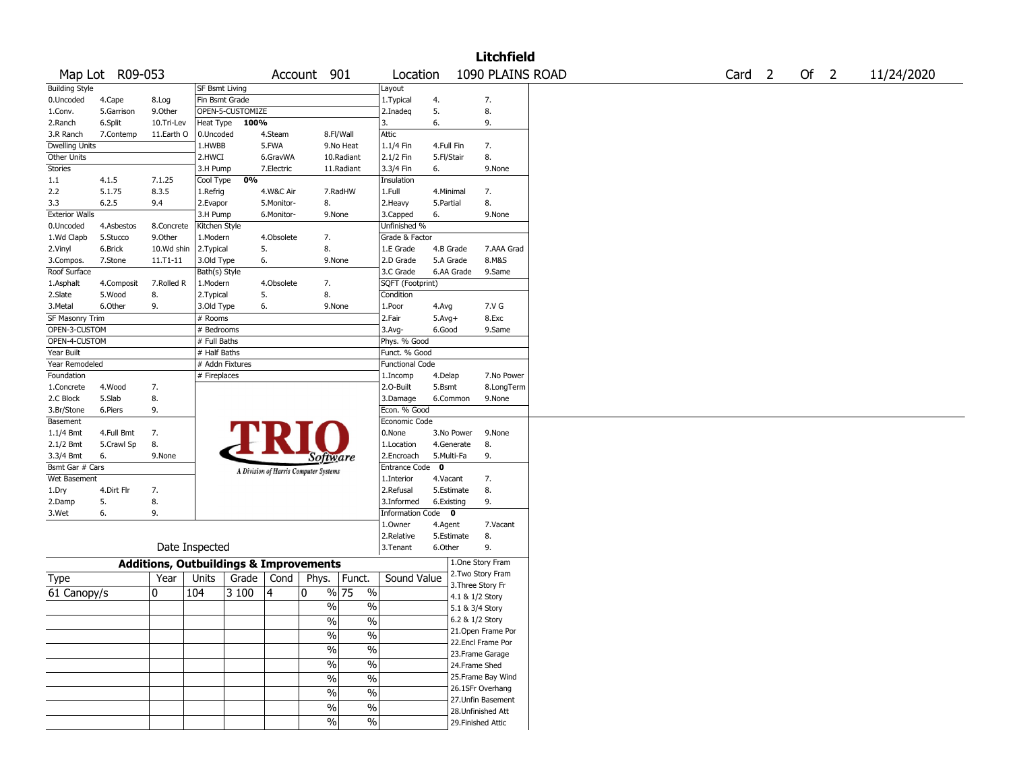|                       |                 |                                                   |                |                  |                                       |                 |                             |                        |             |            | <b>Litchfield</b>  |  |                   |        |            |
|-----------------------|-----------------|---------------------------------------------------|----------------|------------------|---------------------------------------|-----------------|-----------------------------|------------------------|-------------|------------|--------------------|--|-------------------|--------|------------|
|                       | Map Lot R09-053 |                                                   |                |                  |                                       | Account 901     |                             | Location               |             |            | 1090 PLAINS ROAD   |  | Card <sub>2</sub> | Of $2$ | 11/24/2020 |
| <b>Building Style</b> |                 |                                                   | SF Bsmt Living |                  |                                       |                 |                             | Layout                 |             |            |                    |  |                   |        |            |
| 0.Uncoded             | 4.Cape          | 8.Log                                             | Fin Bsmt Grade |                  |                                       |                 |                             | 1. Typical             | 4.          |            | 7.                 |  |                   |        |            |
| 1.Conv.               | 5.Garrison      | 9.Other                                           |                | OPEN-5-CUSTOMIZE |                                       |                 |                             | 2.Inadeq               | 5.          |            | 8.                 |  |                   |        |            |
| 2.Ranch               | 6.Split         | 10.Tri-Lev                                        | Heat Type      | 100%             |                                       |                 |                             | 3.                     | 6.          |            | 9.                 |  |                   |        |            |
| 3.R Ranch             | 7.Contemp       | 11.Earth O                                        | 0.Uncoded      |                  | 4.Steam                               |                 | 8.Fl/Wall                   | Attic                  |             |            |                    |  |                   |        |            |
| <b>Dwelling Units</b> |                 |                                                   | 1.HWBB         |                  | 5.FWA                                 |                 | 9.No Heat                   | 1.1/4 Fin              | 4.Full Fin  |            | 7.                 |  |                   |        |            |
| Other Units           |                 |                                                   | 2.HWCI         |                  | 6.GravWA                              |                 | 10.Radiant                  | 2.1/2 Fin              | 5.Fl/Stair  |            | 8.                 |  |                   |        |            |
| Stories               |                 |                                                   | 3.H Pump       |                  | 7.Electric                            |                 | 11.Radiant                  | 3.3/4 Fin              | 6.          |            | 9.None             |  |                   |        |            |
| 1.1                   | 4.1.5           | 7.1.25                                            | Cool Type      | 0%               |                                       |                 |                             | Insulation             |             |            |                    |  |                   |        |            |
| 2.2                   | 5.1.75          | 8.3.5                                             | 1.Refrig       |                  | 4.W&C Air                             |                 | 7.RadHW                     | 1.Full                 |             | 4.Minimal  | 7.                 |  |                   |        |            |
| 3.3                   | 6.2.5           | 9.4                                               | 2.Evapor       |                  | 5.Monitor-                            | 8.              |                             | 2.Heavy                | 5.Partial   |            | 8.                 |  |                   |        |            |
| <b>Exterior Walls</b> |                 |                                                   | 3.H Pump       |                  | 6.Monitor-                            |                 | 9.None                      | 3.Capped               | 6.          |            | 9.None             |  |                   |        |            |
| 0.Uncoded             | 4.Asbestos      | 8.Concrete                                        | Kitchen Style  |                  |                                       |                 |                             | Unfinished %           |             |            |                    |  |                   |        |            |
| 1.Wd Clapb            | 5.Stucco        | 9.Other                                           | 1.Modern       |                  | 4.Obsolete                            | 7.              |                             | Grade & Factor         |             |            |                    |  |                   |        |            |
| 2.Vinyl               | 6.Brick         | 10.Wd shin                                        | 2. Typical     |                  | 5.                                    | 8.              |                             | 1.E Grade              |             | 4.B Grade  | 7.AAA Grad         |  |                   |        |            |
| 3.Compos.             | 7.Stone         | 11.T1-11                                          | 3.Old Type     |                  | 6.                                    |                 | 9.None                      | 2.D Grade              |             | 5.A Grade  | 8.M&S              |  |                   |        |            |
| Roof Surface          |                 |                                                   | Bath(s) Style  |                  |                                       |                 |                             | 3.C Grade              |             | 6.AA Grade | 9.Same             |  |                   |        |            |
| 1.Asphalt             | 4.Composit      | 7.Rolled R                                        | 1.Modern       |                  | 4.Obsolete                            | 7.              |                             | SQFT (Footprint)       |             |            |                    |  |                   |        |            |
| 2.Slate               | 5.Wood          | 8.                                                | 2. Typical     |                  | 5.                                    | 8.              |                             | Condition              |             |            |                    |  |                   |        |            |
| 3.Metal               | 6.Other         | 9.                                                | 3.Old Type     |                  | 6.                                    |                 | 9.None                      | 1.Poor                 | 4.Avg       |            | 7.V G              |  |                   |        |            |
| SF Masonry Trim       |                 |                                                   | # Rooms        |                  |                                       |                 |                             | 2.Fair                 | $5.Avg+$    |            | 8.Exc              |  |                   |        |            |
| OPEN-3-CUSTOM         |                 |                                                   | # Bedrooms     |                  |                                       |                 |                             | 3.Avg-                 | 6.Good      |            | 9.Same             |  |                   |        |            |
| OPEN-4-CUSTOM         |                 |                                                   | # Full Baths   |                  |                                       |                 |                             | Phys. % Good           |             |            |                    |  |                   |        |            |
| Year Built            |                 |                                                   | # Half Baths   |                  |                                       |                 |                             | Funct. % Good          |             |            |                    |  |                   |        |            |
| Year Remodeled        |                 |                                                   |                | # Addn Fixtures  |                                       |                 |                             | <b>Functional Code</b> |             |            |                    |  |                   |        |            |
| Foundation            |                 |                                                   | # Fireplaces   |                  |                                       |                 |                             | 1.Incomp               | 4.Delap     |            | 7.No Power         |  |                   |        |            |
| 1.Concrete            | 4.Wood          | 7.                                                |                |                  |                                       |                 |                             | 2.0-Built              | 5.Bsmt      |            | 8.LongTerm         |  |                   |        |            |
| 2.C Block             | 5.Slab          | 8.                                                |                |                  |                                       |                 |                             | 3.Damage               |             | 6.Common   | 9.None             |  |                   |        |            |
| 3.Br/Stone            | 6.Piers         | 9.                                                |                |                  |                                       |                 |                             | Econ. % Good           |             |            |                    |  |                   |        |            |
| Basement              |                 |                                                   |                |                  |                                       |                 |                             | Economic Code          |             |            |                    |  |                   |        |            |
| 1.1/4 Bmt             | 4.Full Bmt      | 7.                                                |                |                  |                                       |                 |                             | 0.None                 |             | 3.No Power | 9.None             |  |                   |        |            |
| 2.1/2 Bmt             | 5.Crawl Sp      | 8.                                                |                |                  |                                       |                 |                             | 1.Location             |             | 4.Generate | 8.                 |  |                   |        |            |
| 3.3/4 Bmt             | 6.              | 9.None                                            |                |                  |                                       | <i>Software</i> |                             | 2.Encroach             |             | 5.Multi-Fa | 9.                 |  |                   |        |            |
| Bsmt Gar # Cars       |                 |                                                   |                |                  | A Division of Harris Computer Systems |                 |                             | Entrance Code          | $\mathbf 0$ |            |                    |  |                   |        |            |
| Wet Basement          |                 |                                                   |                |                  |                                       |                 |                             | 1.Interior             | 4.Vacant    |            | 7.                 |  |                   |        |            |
| 1.Dry                 | 4.Dirt Flr      | 7.                                                |                |                  |                                       |                 |                             | 2.Refusal              |             | 5.Estimate | 8.                 |  |                   |        |            |
| 2.Damp                | 5.              | 8.                                                |                |                  |                                       |                 |                             | 3.Informed             | 6.Existing  |            | 9.                 |  |                   |        |            |
| 3.Wet                 | 6.              | 9.                                                |                |                  |                                       |                 |                             | Information Code 0     |             |            |                    |  |                   |        |            |
|                       |                 |                                                   |                |                  |                                       |                 |                             | 1.0wner                | 4.Agent     |            | 7.Vacant           |  |                   |        |            |
|                       |                 |                                                   |                |                  |                                       |                 |                             | 2.Relative             |             | 5.Estimate | 8.                 |  |                   |        |            |
|                       |                 |                                                   | Date Inspected |                  |                                       |                 |                             | 3.Tenant               | 6.Other     |            | 9.                 |  |                   |        |            |
|                       |                 | <b>Additions, Outbuildings &amp; Improvements</b> |                |                  |                                       |                 |                             |                        |             |            | 1.One Story Fram   |  |                   |        |            |
| Type                  |                 | Year                                              | Units          | Grade            | Cond                                  | Phys.           | Funct.                      | Sound Value            |             |            | 2. Two Story Fram  |  |                   |        |            |
|                       |                 |                                                   |                |                  |                                       | 0               | % 75                        |                        |             |            | 3. Three Story Fr  |  |                   |        |            |
| 61 Canopy/s           |                 | 0                                                 | 104            | 3 100            | 4                                     |                 | $\%$                        |                        |             |            | 4.1 & 1/2 Story    |  |                   |        |            |
|                       |                 |                                                   |                |                  |                                       |                 | $\frac{0}{0}$<br>$\%$       |                        |             |            | 5.1 & 3/4 Story    |  |                   |        |            |
|                       |                 |                                                   |                |                  |                                       |                 | $\sqrt{6}$<br>$\sqrt{6}$    |                        |             |            | 6.2 & 1/2 Story    |  |                   |        |            |
|                       |                 |                                                   |                |                  |                                       |                 | %<br>$\%$                   |                        |             |            | 21.Open Frame Por  |  |                   |        |            |
|                       |                 |                                                   |                |                  |                                       |                 |                             |                        |             |            | 22.Encl Frame Por  |  |                   |        |            |
|                       |                 |                                                   |                |                  |                                       |                 | $\sqrt{6}$<br>$\%$          |                        |             |            | 23. Frame Garage   |  |                   |        |            |
|                       |                 |                                                   |                |                  |                                       |                 | $\sqrt{6}$<br>$\%$          |                        |             |            | 24.Frame Shed      |  |                   |        |            |
|                       |                 |                                                   |                |                  |                                       |                 | %<br>$\%$                   |                        |             |            | 25.Frame Bay Wind  |  |                   |        |            |
|                       |                 |                                                   |                |                  |                                       |                 |                             |                        |             |            | 26.1SFr Overhang   |  |                   |        |            |
|                       |                 |                                                   |                |                  |                                       |                 | $\%$<br>$\%$                |                        |             |            | 27.Unfin Basement  |  |                   |        |            |
|                       |                 |                                                   |                |                  |                                       |                 | $\frac{1}{2}$<br>$\sqrt{6}$ |                        |             |            | 28.Unfinished Att  |  |                   |        |            |
|                       |                 |                                                   |                |                  |                                       |                 | $\%$<br>$\frac{0}{0}$       |                        |             |            | 29. Finished Attic |  |                   |        |            |
|                       |                 |                                                   |                |                  |                                       |                 |                             |                        |             |            |                    |  |                   |        |            |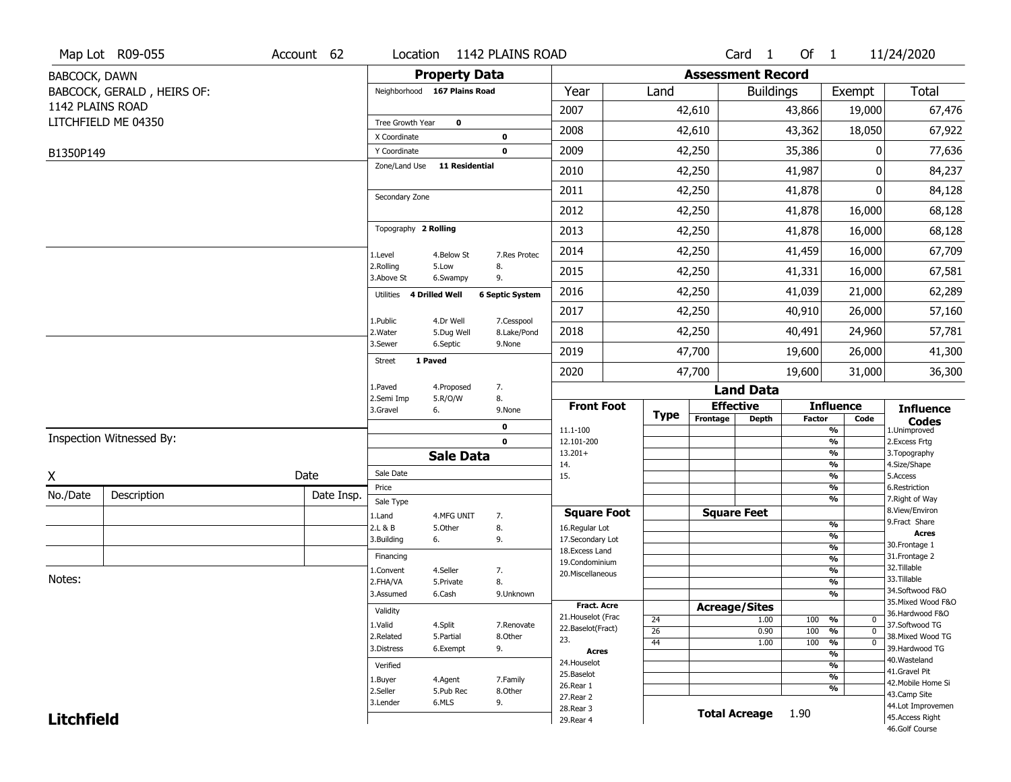| <b>Property Data</b><br><b>Assessment Record</b><br>BABCOCK, DAWN<br><b>Total</b><br>BABCOCK, GERALD, HEIRS OF:<br>Neighborhood 167 Plains Road<br>Year<br>Land<br>Exempt<br><b>Buildings</b><br>1142 PLAINS ROAD<br>2007<br>42,610<br>43,866<br>19,000<br>67,476<br>LITCHFIELD ME 04350<br>Tree Growth Year<br>$\mathbf 0$<br>2008<br>43,362<br>18,050<br>67,922<br>42,610<br>X Coordinate<br>0<br>2009<br>42,250<br>35,386<br>0<br>77,636<br>Y Coordinate<br>0<br>B1350P149<br>Zone/Land Use<br><b>11 Residential</b><br>2010<br>42,250<br>41,987<br>84,237<br>0<br>2011<br>42,250<br>41,878<br>0<br>84,128<br>Secondary Zone<br>2012<br>41,878<br>16,000<br>68,128<br>42,250<br>Topography 2 Rolling<br>68,128<br>2013<br>42,250<br>41,878<br>16,000<br>2014<br>42,250<br>41,459<br>16,000<br>67,709<br>4.Below St<br>7.Res Protec<br>1.Level<br>2.Rolling<br>5.Low<br>8.<br>2015<br>42,250<br>41,331<br>16,000<br>67,581<br>3.Above St<br>6.Swampy<br>9.<br>2016<br>41,039<br>21,000<br>62,289<br>42,250<br><b>4 Drilled Well</b><br><b>6 Septic System</b><br>Utilities<br>2017<br>42,250<br>40,910<br>26,000<br>57,160<br>1.Public<br>4.Dr Well<br>7.Cesspool<br>2018<br>42,250<br>40,491<br>24,960<br>57,781<br>2. Water<br>5.Dug Well<br>8.Lake/Pond<br>3.Sewer<br>6.Septic<br>9.None |
|-----------------------------------------------------------------------------------------------------------------------------------------------------------------------------------------------------------------------------------------------------------------------------------------------------------------------------------------------------------------------------------------------------------------------------------------------------------------------------------------------------------------------------------------------------------------------------------------------------------------------------------------------------------------------------------------------------------------------------------------------------------------------------------------------------------------------------------------------------------------------------------------------------------------------------------------------------------------------------------------------------------------------------------------------------------------------------------------------------------------------------------------------------------------------------------------------------------------------------------------------------------------------------------------------|
|                                                                                                                                                                                                                                                                                                                                                                                                                                                                                                                                                                                                                                                                                                                                                                                                                                                                                                                                                                                                                                                                                                                                                                                                                                                                                               |
|                                                                                                                                                                                                                                                                                                                                                                                                                                                                                                                                                                                                                                                                                                                                                                                                                                                                                                                                                                                                                                                                                                                                                                                                                                                                                               |
|                                                                                                                                                                                                                                                                                                                                                                                                                                                                                                                                                                                                                                                                                                                                                                                                                                                                                                                                                                                                                                                                                                                                                                                                                                                                                               |
|                                                                                                                                                                                                                                                                                                                                                                                                                                                                                                                                                                                                                                                                                                                                                                                                                                                                                                                                                                                                                                                                                                                                                                                                                                                                                               |
|                                                                                                                                                                                                                                                                                                                                                                                                                                                                                                                                                                                                                                                                                                                                                                                                                                                                                                                                                                                                                                                                                                                                                                                                                                                                                               |
|                                                                                                                                                                                                                                                                                                                                                                                                                                                                                                                                                                                                                                                                                                                                                                                                                                                                                                                                                                                                                                                                                                                                                                                                                                                                                               |
|                                                                                                                                                                                                                                                                                                                                                                                                                                                                                                                                                                                                                                                                                                                                                                                                                                                                                                                                                                                                                                                                                                                                                                                                                                                                                               |
|                                                                                                                                                                                                                                                                                                                                                                                                                                                                                                                                                                                                                                                                                                                                                                                                                                                                                                                                                                                                                                                                                                                                                                                                                                                                                               |
|                                                                                                                                                                                                                                                                                                                                                                                                                                                                                                                                                                                                                                                                                                                                                                                                                                                                                                                                                                                                                                                                                                                                                                                                                                                                                               |
|                                                                                                                                                                                                                                                                                                                                                                                                                                                                                                                                                                                                                                                                                                                                                                                                                                                                                                                                                                                                                                                                                                                                                                                                                                                                                               |
|                                                                                                                                                                                                                                                                                                                                                                                                                                                                                                                                                                                                                                                                                                                                                                                                                                                                                                                                                                                                                                                                                                                                                                                                                                                                                               |
|                                                                                                                                                                                                                                                                                                                                                                                                                                                                                                                                                                                                                                                                                                                                                                                                                                                                                                                                                                                                                                                                                                                                                                                                                                                                                               |
|                                                                                                                                                                                                                                                                                                                                                                                                                                                                                                                                                                                                                                                                                                                                                                                                                                                                                                                                                                                                                                                                                                                                                                                                                                                                                               |
|                                                                                                                                                                                                                                                                                                                                                                                                                                                                                                                                                                                                                                                                                                                                                                                                                                                                                                                                                                                                                                                                                                                                                                                                                                                                                               |
|                                                                                                                                                                                                                                                                                                                                                                                                                                                                                                                                                                                                                                                                                                                                                                                                                                                                                                                                                                                                                                                                                                                                                                                                                                                                                               |
| 2019<br>47,700<br>26,000<br>41,300<br>19,600                                                                                                                                                                                                                                                                                                                                                                                                                                                                                                                                                                                                                                                                                                                                                                                                                                                                                                                                                                                                                                                                                                                                                                                                                                                  |
| 1 Paved<br>Street<br>2020<br>47,700<br>19,600<br>31,000<br>36,300                                                                                                                                                                                                                                                                                                                                                                                                                                                                                                                                                                                                                                                                                                                                                                                                                                                                                                                                                                                                                                                                                                                                                                                                                             |
| 7.<br>1.Paved<br>4.Proposed<br><b>Land Data</b>                                                                                                                                                                                                                                                                                                                                                                                                                                                                                                                                                                                                                                                                                                                                                                                                                                                                                                                                                                                                                                                                                                                                                                                                                                               |
| 8.<br>2.Semi Imp<br>5.R/O/W<br><b>Effective</b><br><b>Front Foot</b><br><b>Influence</b><br><b>Influence</b><br>3.Gravel<br>6.<br>9.None                                                                                                                                                                                                                                                                                                                                                                                                                                                                                                                                                                                                                                                                                                                                                                                                                                                                                                                                                                                                                                                                                                                                                      |
| <b>Type</b><br>Frontage<br><b>Depth</b><br><b>Factor</b><br>Code<br><b>Codes</b><br>0<br>11.1-100<br>%<br>1.Unimproved                                                                                                                                                                                                                                                                                                                                                                                                                                                                                                                                                                                                                                                                                                                                                                                                                                                                                                                                                                                                                                                                                                                                                                        |
| Inspection Witnessed By:<br>$\mathbf 0$<br>$\overline{\frac{9}{6}}$<br>2. Excess Frtg<br>12.101-200                                                                                                                                                                                                                                                                                                                                                                                                                                                                                                                                                                                                                                                                                                                                                                                                                                                                                                                                                                                                                                                                                                                                                                                           |
| $13.201+$<br>%<br>3. Topography<br><b>Sale Data</b><br>$\overline{\frac{9}{6}}$<br>4.Size/Shape<br>14.                                                                                                                                                                                                                                                                                                                                                                                                                                                                                                                                                                                                                                                                                                                                                                                                                                                                                                                                                                                                                                                                                                                                                                                        |
| Sale Date<br>Date<br>X<br>$\overline{\frac{9}{6}}$<br>15.<br>5.Access                                                                                                                                                                                                                                                                                                                                                                                                                                                                                                                                                                                                                                                                                                                                                                                                                                                                                                                                                                                                                                                                                                                                                                                                                         |
| %<br>6.Restriction<br>Price<br>No./Date<br>Description<br>Date Insp.                                                                                                                                                                                                                                                                                                                                                                                                                                                                                                                                                                                                                                                                                                                                                                                                                                                                                                                                                                                                                                                                                                                                                                                                                          |
| %<br>7. Right of Way<br>Sale Type<br>8.View/Environ<br><b>Square Feet</b><br><b>Square Foot</b>                                                                                                                                                                                                                                                                                                                                                                                                                                                                                                                                                                                                                                                                                                                                                                                                                                                                                                                                                                                                                                                                                                                                                                                               |
| 1.Land<br>4.MFG UNIT<br>7.<br>9.Fract Share<br>$\frac{9}{6}$<br>8.<br>2.L & B<br>5.Other<br>16.Regular Lot                                                                                                                                                                                                                                                                                                                                                                                                                                                                                                                                                                                                                                                                                                                                                                                                                                                                                                                                                                                                                                                                                                                                                                                    |
| <b>Acres</b><br>$\overline{\frac{9}{6}}$<br>3.Building<br>9.<br>17.Secondary Lot<br>6.<br>30. Frontage 1                                                                                                                                                                                                                                                                                                                                                                                                                                                                                                                                                                                                                                                                                                                                                                                                                                                                                                                                                                                                                                                                                                                                                                                      |
| $\frac{9}{6}$<br>18.Excess Land<br>31. Frontage 2<br>Financing<br>$\frac{9}{6}$                                                                                                                                                                                                                                                                                                                                                                                                                                                                                                                                                                                                                                                                                                                                                                                                                                                                                                                                                                                                                                                                                                                                                                                                               |
| 19.Condominium<br>32.Tillable<br>$\frac{9}{6}$<br>4.Seller<br>L.Convent<br>7.<br>20.Miscellaneous                                                                                                                                                                                                                                                                                                                                                                                                                                                                                                                                                                                                                                                                                                                                                                                                                                                                                                                                                                                                                                                                                                                                                                                             |
| Notes:<br>33.Tillable<br>2.FHA/VA<br>$\overline{\frac{9}{6}}$<br>8.<br>5.Private                                                                                                                                                                                                                                                                                                                                                                                                                                                                                                                                                                                                                                                                                                                                                                                                                                                                                                                                                                                                                                                                                                                                                                                                              |
| 34.Softwood F&O<br>$\overline{\frac{9}{6}}$<br>3.Assumed<br>6.Cash<br>9.Unknown<br>35. Mixed Wood F&O                                                                                                                                                                                                                                                                                                                                                                                                                                                                                                                                                                                                                                                                                                                                                                                                                                                                                                                                                                                                                                                                                                                                                                                         |
| Fract. Acre<br><b>Acreage/Sites</b><br>Validity<br>36.Hardwood F&O<br>21. Houselot (Frac                                                                                                                                                                                                                                                                                                                                                                                                                                                                                                                                                                                                                                                                                                                                                                                                                                                                                                                                                                                                                                                                                                                                                                                                      |
| 24<br>1.00<br>100<br>%<br>0<br>1.Valid<br>4.Split<br>37.Softwood TG<br>7.Renovate<br>22.Baselot(Fract)<br>$\mathbf 0$                                                                                                                                                                                                                                                                                                                                                                                                                                                                                                                                                                                                                                                                                                                                                                                                                                                                                                                                                                                                                                                                                                                                                                         |
| 26<br>0.90<br>100<br>%<br>38. Mixed Wood TG<br>2.Related<br>5.Partial<br>8.Other<br>23.<br>100<br>$\frac{9}{6}$<br>44<br>1.00<br>$\mathbf 0$                                                                                                                                                                                                                                                                                                                                                                                                                                                                                                                                                                                                                                                                                                                                                                                                                                                                                                                                                                                                                                                                                                                                                  |
| 39.Hardwood TG<br>3.Distress<br>6.Exempt<br>9.<br><b>Acres</b><br>$\overline{\frac{9}{6}}$                                                                                                                                                                                                                                                                                                                                                                                                                                                                                                                                                                                                                                                                                                                                                                                                                                                                                                                                                                                                                                                                                                                                                                                                    |
| 40. Wasteland<br>24. Houselot<br>$\frac{9}{6}$<br>Verified<br>41.Gravel Pit                                                                                                                                                                                                                                                                                                                                                                                                                                                                                                                                                                                                                                                                                                                                                                                                                                                                                                                                                                                                                                                                                                                                                                                                                   |
| 25.Baselot<br>$\frac{9}{6}$<br>4.Agent<br>7.Family<br>1.Buyer<br>42. Mobile Home Si                                                                                                                                                                                                                                                                                                                                                                                                                                                                                                                                                                                                                                                                                                                                                                                                                                                                                                                                                                                                                                                                                                                                                                                                           |
| 26.Rear 1<br>%<br>2.Seller<br>8.Other<br>5.Pub Rec<br>43.Camp Site<br>27.Rear 2                                                                                                                                                                                                                                                                                                                                                                                                                                                                                                                                                                                                                                                                                                                                                                                                                                                                                                                                                                                                                                                                                                                                                                                                               |
| 6.MLS<br>9.<br>3.Lender<br>44.Lot Improvemen<br>28. Rear 3                                                                                                                                                                                                                                                                                                                                                                                                                                                                                                                                                                                                                                                                                                                                                                                                                                                                                                                                                                                                                                                                                                                                                                                                                                    |
| <b>Total Acreage</b><br>1.90<br><b>Litchfield</b><br>45.Access Right<br>29. Rear 4<br>46.Golf Course                                                                                                                                                                                                                                                                                                                                                                                                                                                                                                                                                                                                                                                                                                                                                                                                                                                                                                                                                                                                                                                                                                                                                                                          |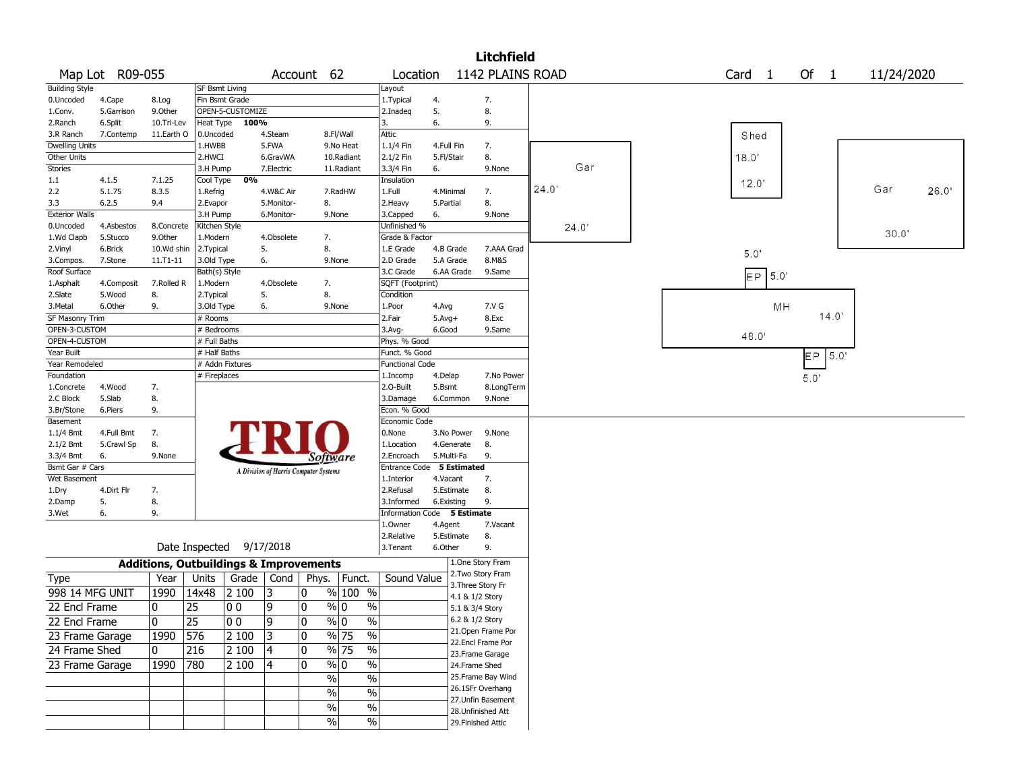|                              |                     |                                                   |                       |                          |                                       |              |                |                                |          |                             | <b>Litchfield</b>                       |       |                   |           |            |            |       |
|------------------------------|---------------------|---------------------------------------------------|-----------------------|--------------------------|---------------------------------------|--------------|----------------|--------------------------------|----------|-----------------------------|-----------------------------------------|-------|-------------------|-----------|------------|------------|-------|
|                              | Map Lot R09-055     |                                                   |                       |                          |                                       | Account 62   |                |                                | Location |                             | 1142 PLAINS ROAD                        |       | Card <sub>1</sub> |           | Of $1$     | 11/24/2020 |       |
| <b>Building Style</b>        |                     |                                                   | SF Bsmt Living        |                          |                                       |              |                | Layout                         |          |                             |                                         |       |                   |           |            |            |       |
| 0.Uncoded                    | 4.Cape              | 8.Log                                             |                       | Fin Bsmt Grade           |                                       |              |                | 1. Typical                     |          | 4.                          | 7.                                      |       |                   |           |            |            |       |
| 1.Conv.                      | 5.Garrison          | 9.0ther                                           |                       | OPEN-5-CUSTOMIZE         |                                       |              |                | 2.Inadeg                       |          | 5.                          | 8.                                      |       |                   |           |            |            |       |
| 2.Ranch                      | 6.Split             | 10.Tri-Lev                                        |                       | Heat Type 100%           |                                       |              |                | 3.                             |          | 6.                          | 9.                                      |       |                   |           |            |            |       |
| 3.R Ranch                    | 7.Contemp           | 11.Earth O                                        | 0.Uncoded             |                          | 4.Steam                               |              | 8.Fl/Wall      | Attic                          |          |                             |                                         |       | Shed              |           |            |            |       |
| <b>Dwelling Units</b>        |                     |                                                   | 1.HWBB                |                          | 5.FWA                                 |              | 9.No Heat      | 1.1/4 Fin                      |          | 4.Full Fin                  | 7.                                      |       |                   |           |            |            |       |
| Other Units                  |                     |                                                   | 2.HWCI                |                          | 6.GravWA                              |              | 10.Radiant     | 2.1/2 Fin                      |          | 5.Fl/Stair                  | 8.                                      |       | 18.0              |           |            |            |       |
| <b>Stories</b>               |                     |                                                   | 3.H Pump              |                          | 7.Electric                            |              | 11.Radiant     | 3.3/4 Fin                      |          | 6.                          | 9.None                                  | Gar   |                   |           |            |            |       |
| 1.1                          | 4.1.5               | 7.1.25                                            | Cool Type             | 0%                       |                                       |              |                | Insulation                     |          |                             |                                         | 24.0' | 12.0              |           |            | Gar        |       |
| 2.2                          | 5.1.75              | 8.3.5                                             | 1.Refrig              |                          | 4.W&C Air                             |              | 7.RadHW        | 1.Full                         |          | 4.Minimal                   | 7.                                      |       |                   |           |            |            | 26.0' |
| 3.3                          | 6.2.5               | 9.4                                               | 2.Evapor              |                          | 5.Monitor-                            |              | 8.             | 2. Heavy                       |          | 5.Partial                   | 8.                                      |       |                   |           |            |            |       |
| <b>Exterior Walls</b>        |                     |                                                   | 3.H Pump              |                          | 6.Monitor-                            |              | 9.None         | 3.Capped                       |          | 6.                          | 9.None                                  |       |                   |           |            |            |       |
| 0.Uncoded                    | 4.Asbestos          | 8.Concrete<br>9.Other                             | Kitchen Style         |                          |                                       |              |                | Unfinished %<br>Grade & Factor |          |                             |                                         | 24.0' |                   |           |            | 30.0'      |       |
| 1.Wd Clapb<br>2.Vinyl        | 5.Stucco<br>6.Brick | 10.Wd shin                                        | 1.Modern<br>2.Typical |                          | 4.Obsolete<br>5.                      |              | 7.<br>8.       | 1.E Grade                      |          | 4.B Grade                   | 7.AAA Grad                              |       |                   |           |            |            |       |
| 3.Compos.                    | 7.Stone             | 11.T1-11                                          | 3.Old Type            |                          | 6.                                    |              | 9.None         | 2.D Grade                      |          | 5.A Grade                   | 8.M&S                                   |       | 5.0'              |           |            |            |       |
| Roof Surface                 |                     |                                                   | Bath(s) Style         |                          |                                       |              |                | 3.C Grade                      |          | 6.AA Grade                  | 9.Same                                  |       |                   |           |            |            |       |
| 1.Asphalt                    | 4.Composit          | 7.Rolled R                                        | 1.Modern              |                          | 4.Obsolete                            |              | 7.             | SQFT (Footprint)               |          |                             |                                         |       |                   | $EP$ 5.0' |            |            |       |
| 2.Slate                      | 5.Wood              | 8.                                                | 2. Typical            |                          | 5.                                    |              | 8.             | Condition                      |          |                             |                                         |       |                   |           |            |            |       |
| 3.Metal                      | 6.Other             | 9.                                                | 3.Old Type            |                          | 6.                                    |              | 9.None         | 1.Poor                         |          | 4.Avg                       | 7.V G                                   |       |                   | MH        |            |            |       |
| SF Masonry Trim              |                     |                                                   | # Rooms               |                          |                                       |              |                | 2.Fair                         |          | $5.Avg+$                    | 8.Exc                                   |       |                   |           | 14.0'      |            |       |
| OPEN-3-CUSTOM                |                     |                                                   | # Bedrooms            |                          |                                       |              |                | 3.Avg-                         |          | 6.Good                      | 9.Same                                  |       |                   |           |            |            |       |
| OPEN-4-CUSTOM                |                     |                                                   | # Full Baths          |                          |                                       |              |                | Phys. % Good                   |          |                             |                                         |       | 48.0'             |           |            |            |       |
| Year Built                   |                     |                                                   | # Half Baths          |                          |                                       |              |                | Funct. % Good                  |          |                             |                                         |       |                   |           | 5.0'<br>EP |            |       |
| Year Remodeled               |                     |                                                   |                       | # Addn Fixtures          |                                       |              |                | <b>Functional Code</b>         |          |                             |                                         |       |                   |           |            |            |       |
| Foundation                   |                     |                                                   | # Fireplaces          |                          |                                       |              |                | 1.Incomp                       |          | 4.Delap                     | 7.No Power                              |       |                   |           | 5.0'       |            |       |
| 1.Concrete                   | 4.Wood              | 7.                                                |                       |                          |                                       |              |                | 2.0-Built                      |          | 5.Bsmt                      | 8.LongTerm                              |       |                   |           |            |            |       |
| 2.C Block                    | 5.Slab              | 8.                                                |                       |                          |                                       |              |                | 3.Damage                       |          | 6.Common                    | 9.None                                  |       |                   |           |            |            |       |
| 3.Br/Stone                   | 6.Piers             | 9.                                                |                       |                          |                                       |              |                | Econ. % Good                   |          |                             |                                         |       |                   |           |            |            |       |
| Basement                     |                     |                                                   |                       |                          |                                       |              |                | Economic Code                  |          |                             |                                         |       |                   |           |            |            |       |
| 1.1/4 Bmt                    | 4.Full Bmt          | 7.                                                |                       |                          |                                       |              |                | 0.None                         |          | 3.No Power                  | 9.None                                  |       |                   |           |            |            |       |
| 2.1/2 Bmt                    | 5.Crawl Sp          | 8.<br>9.None                                      |                       |                          |                                       |              |                | 1.Location                     |          | 4.Generate<br>5.Multi-Fa    | 8.<br>9.                                |       |                   |           |            |            |       |
| 3.3/4 Bmt<br>Bsmt Gar # Cars | 6.                  |                                                   |                       |                          |                                       |              | Software       | 2.Encroach                     |          | Entrance Code 5 Estimated   |                                         |       |                   |           |            |            |       |
| Wet Basement                 |                     |                                                   |                       |                          | A Division of Harris Computer Systems |              |                | 1.Interior                     |          | 4.Vacant                    | 7.                                      |       |                   |           |            |            |       |
| 1.Dry                        | 4.Dirt Flr          | 7.                                                |                       |                          |                                       |              |                | 2.Refusal                      |          | 5.Estimate                  | 8.                                      |       |                   |           |            |            |       |
| 2.Damp                       | 5.                  | 8.                                                |                       |                          |                                       |              |                | 3.Informed                     |          | 6.Existing                  | 9.                                      |       |                   |           |            |            |       |
| 3.Wet                        | 6.                  | 9.                                                |                       |                          |                                       |              |                |                                |          | Information Code 5 Estimate |                                         |       |                   |           |            |            |       |
|                              |                     |                                                   |                       |                          |                                       |              |                | 1.0wner                        |          | 4.Agent                     | 7.Vacant                                |       |                   |           |            |            |       |
|                              |                     |                                                   |                       |                          |                                       |              |                | 2.Relative                     |          | 5.Estimate                  | 8.                                      |       |                   |           |            |            |       |
|                              |                     |                                                   |                       | Date Inspected 9/17/2018 |                                       |              |                | 3.Tenant                       |          | 6.Other                     | 9.                                      |       |                   |           |            |            |       |
|                              |                     | <b>Additions, Outbuildings &amp; Improvements</b> |                       |                          |                                       |              |                |                                |          |                             | 1.One Story Fram                        |       |                   |           |            |            |       |
| <b>Type</b>                  |                     | Year                                              | Units                 | Grade                    | Cond                                  | Phys.        | Funct.         | Sound Value                    |          |                             | 2. Two Story Fram                       |       |                   |           |            |            |       |
| 998 14 MFG UNIT              |                     | 1990                                              | 14x48                 | 2 100                    | 13                                    | $\mathbf{0}$ | % 100 %        |                                |          |                             | 3. Three Story Fr                       |       |                   |           |            |            |       |
|                              |                     |                                                   |                       |                          |                                       |              |                |                                |          |                             | 4.1 & 1/2 Story                         |       |                   |           |            |            |       |
| 22 Encl Frame                |                     | 0                                                 | 25                    | 0 <sub>0</sub>           | 9                                     | 0            | % 0            | $\%$                           |          |                             | 5.1 & 3/4 Story                         |       |                   |           |            |            |       |
| 22 Encl Frame                |                     | 0                                                 | $\overline{25}$       | $ 00\rangle$             | 9                                     | 0            | $\sqrt[6]{0}$  | $\sqrt{20}$                    |          |                             | 6.2 & 1/2 Story                         |       |                   |           |            |            |       |
| 23 Frame Garage              |                     | 1990                                              | 576                   | 2 100                    | 3                                     | 10           | $\sqrt{96}$ 75 | $\frac{1}{2}$                  |          |                             | 21. Open Frame Por<br>22.Encl Frame Por |       |                   |           |            |            |       |
| 24 Frame Shed                |                     | 0                                                 | 216                   | 2 100                    | 4                                     | 10           | $\sqrt{96}$ 75 | $\frac{1}{2}$                  |          |                             | 23. Frame Garage                        |       |                   |           |            |            |       |
| 23 Frame Garage              |                     | 1990                                              | 780                   | 2 100                    | 4                                     | 10           | $\sqrt[6]{0}$  | $\%$                           |          |                             | 24.Frame Shed                           |       |                   |           |            |            |       |
|                              |                     |                                                   |                       |                          |                                       |              |                |                                |          |                             | 25. Frame Bay Wind                      |       |                   |           |            |            |       |
|                              |                     |                                                   |                       |                          |                                       |              | $\%$           | $\%$                           |          |                             | 26.1SFr Overhang                        |       |                   |           |            |            |       |
|                              |                     |                                                   |                       |                          |                                       |              | $\%$           | $\%$                           |          |                             | 27.Unfin Basement                       |       |                   |           |            |            |       |
|                              |                     |                                                   |                       |                          |                                       |              | $\sqrt{6}$     | $\%$                           |          |                             | 28. Unfinished Att                      |       |                   |           |            |            |       |
|                              |                     |                                                   |                       |                          |                                       |              | $\sqrt{6}$     | $\sqrt{6}$                     |          |                             | 29. Finished Attic                      |       |                   |           |            |            |       |
|                              |                     |                                                   |                       |                          |                                       |              |                |                                |          |                             |                                         |       |                   |           |            |            |       |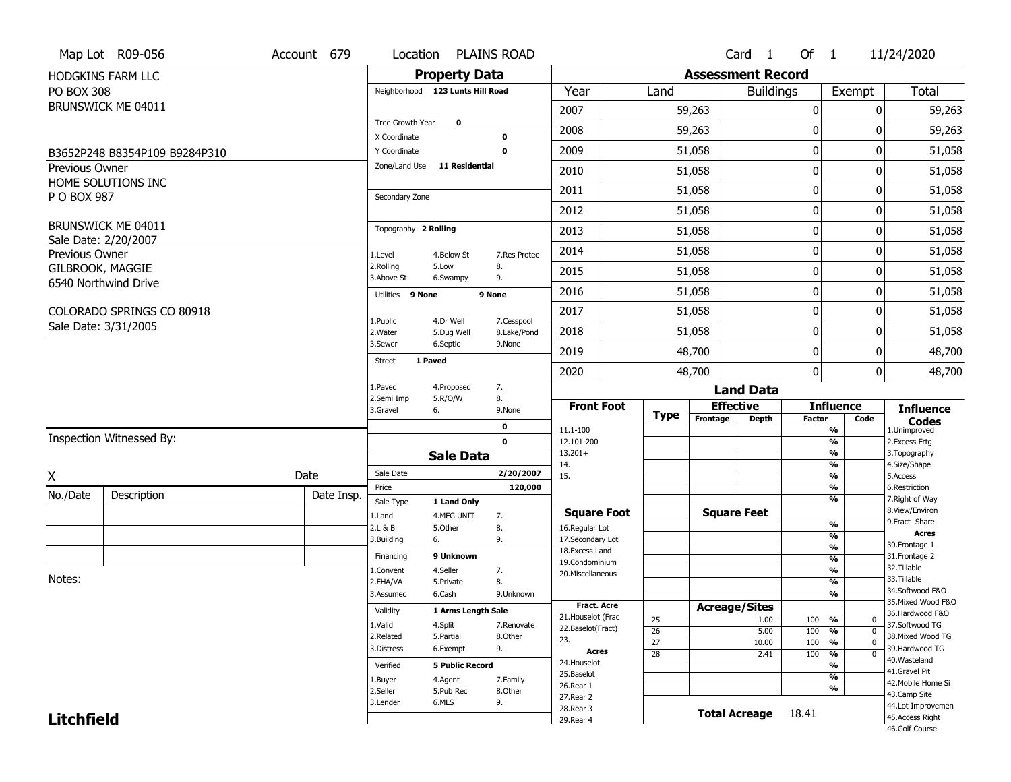|                       | Map Lot R09-056               | Account 679 |                                  | Location PLAINS ROAD          |                            |                                    |                                    |          | Card 1                   | Of $1$       |                                                                               | 11/24/2020                           |
|-----------------------|-------------------------------|-------------|----------------------------------|-------------------------------|----------------------------|------------------------------------|------------------------------------|----------|--------------------------|--------------|-------------------------------------------------------------------------------|--------------------------------------|
|                       | HODGKINS FARM LLC             |             |                                  | <b>Property Data</b>          |                            |                                    |                                    |          | <b>Assessment Record</b> |              |                                                                               |                                      |
| <b>PO BOX 308</b>     |                               |             | Neighborhood 123 Lunts Hill Road |                               |                            | Year                               | Land                               |          | <b>Buildings</b>         |              | Exempt                                                                        | Total                                |
|                       | BRUNSWICK ME 04011            |             |                                  |                               |                            | 2007                               |                                    | 59,263   |                          | $\mathbf 0$  | 0                                                                             | 59,263                               |
|                       |                               |             | Tree Growth Year                 | 0                             |                            | 2008                               |                                    | 59,263   |                          | 0            | O                                                                             | 59,263                               |
|                       |                               |             | X Coordinate                     |                               | 0                          |                                    |                                    |          |                          |              |                                                                               |                                      |
|                       | B3652P248 B8354P109 B9284P310 |             | Y Coordinate<br>Zone/Land Use    | <b>11 Residential</b>         | $\mathbf 0$                | 2009                               |                                    | 51,058   |                          | $\pmb{0}$    | 0                                                                             | 51,058                               |
| <b>Previous Owner</b> | HOME SOLUTIONS INC            |             |                                  |                               |                            | 2010                               |                                    | 51,058   |                          | 0            | 0                                                                             | 51,058                               |
| P O BOX 987           |                               |             | Secondary Zone                   |                               |                            | 2011                               |                                    | 51,058   |                          | $\mathbf 0$  | 0                                                                             | 51,058                               |
|                       |                               |             |                                  |                               |                            | 2012                               |                                    | 51,058   |                          | 0            | 0                                                                             | 51,058                               |
|                       | BRUNSWICK ME 04011            |             | Topography 2 Rolling             |                               |                            | 2013                               |                                    | 51,058   |                          | 0            | 0                                                                             | 51,058                               |
| Previous Owner        | Sale Date: 2/20/2007          |             | 1.Level                          | 4.Below St                    | 7.Res Protec               | 2014                               |                                    | 51,058   |                          | 0            | 0                                                                             | 51,058                               |
| GILBROOK, MAGGIE      |                               |             | 2.Rolling                        | 5.Low                         | 8.                         | 2015                               |                                    | 51,058   |                          | $\mathbf 0$  | 0                                                                             | 51,058                               |
|                       | 6540 Northwind Drive          |             | 3.Above St                       | 6.Swampy                      | 9.                         |                                    |                                    |          |                          |              |                                                                               |                                      |
|                       |                               |             | Utilities 9 None                 |                               | 9 None                     | 2016                               |                                    | 51,058   |                          | 0            | 0                                                                             | 51,058                               |
|                       | COLORADO SPRINGS CO 80918     |             | 1.Public                         | 4.Dr Well                     | 7.Cesspool                 | 2017                               |                                    | 51,058   |                          | 0            | 0                                                                             | 51,058                               |
|                       | Sale Date: 3/31/2005          |             | 2. Water                         | 5.Dug Well                    | 8.Lake/Pond                | 2018                               |                                    | 51,058   |                          | 0            | 0                                                                             | 51,058                               |
|                       |                               |             | 3.Sewer                          | 6.Septic                      | 9.None                     | 2019                               |                                    | 48,700   |                          | $\mathbf 0$  | 0                                                                             | 48,700                               |
|                       |                               |             | 1 Paved<br><b>Street</b>         |                               |                            | 2020                               |                                    | 48,700   |                          | $\mathbf{0}$ | 0                                                                             | 48,700                               |
|                       |                               |             | 1.Paved                          | 4.Proposed                    | 7.                         |                                    |                                    |          | <b>Land Data</b>         |              |                                                                               |                                      |
|                       |                               |             | 2.Semi Imp<br>3.Gravel           | 5.R/O/W<br>6.                 | 8.<br>9.None               | <b>Front Foot</b>                  |                                    |          | <b>Effective</b>         |              | <b>Influence</b>                                                              | <b>Influence</b>                     |
|                       |                               |             |                                  |                               |                            |                                    |                                    |          |                          |              |                                                                               |                                      |
|                       |                               |             |                                  |                               |                            |                                    | <b>Type</b>                        | Frontage | <b>Depth</b>             | Factor       | Code                                                                          | <b>Codes</b>                         |
|                       | Inspection Witnessed By:      |             |                                  |                               | $\mathbf 0$<br>$\mathbf 0$ | 11.1-100<br>12.101-200             |                                    |          |                          |              | $\overline{\frac{9}{6}}$<br>$\frac{9}{6}$                                     | 1.Unimproved<br>2. Excess Frtg       |
|                       |                               |             |                                  | <b>Sale Data</b>              |                            | $13.201+$                          |                                    |          |                          |              | $\frac{9}{6}$                                                                 | 3. Topography                        |
|                       |                               |             | Sale Date                        |                               | 2/20/2007                  | 14.                                |                                    |          |                          |              | $\frac{9}{6}$                                                                 | 4.Size/Shape<br>5.Access             |
| Χ                     |                               | Date        | Price                            |                               | 120,000                    | 15.                                |                                    |          |                          |              | $\frac{9}{6}$<br>%                                                            | 6.Restriction                        |
| No./Date              | Description                   | Date Insp.  | Sale Type                        | 1 Land Only                   |                            |                                    |                                    |          |                          |              | $\frac{9}{6}$                                                                 | 7. Right of Way                      |
|                       |                               |             | 1.Land                           | 4.MFG UNIT                    | 7.                         | <b>Square Foot</b>                 |                                    |          | <b>Square Feet</b>       |              | %                                                                             | 8.View/Environ<br>9. Fract Share     |
|                       |                               |             | 2.L & B<br>3.Building            | 5.0ther<br>6.                 | 8.<br>9.                   | 16.Regular Lot<br>17.Secondary Lot |                                    |          |                          |              | %                                                                             | <b>Acres</b>                         |
|                       |                               |             | Financing                        | 9 Unknown                     |                            | 18.Excess Land<br>19.Condominium   |                                    |          |                          |              | %<br>%                                                                        | 30. Frontage 1<br>31. Frontage 2     |
|                       |                               |             | 1.Convent                        | 4.Seller                      | 7.                         | 20.Miscellaneous                   |                                    |          |                          |              | %                                                                             | 32.Tillable                          |
| Notes:                |                               |             | 2.FHA/VA<br>3.Assumed            | 5.Private<br>6.Cash           | 8.<br>9.Unknown            |                                    |                                    |          |                          |              | %<br>%                                                                        | 33.Tillable<br>34.Softwood F&O       |
|                       |                               |             | Validity                         |                               |                            | <b>Fract. Acre</b>                 |                                    |          | <b>Acreage/Sites</b>     |              |                                                                               | 35. Mixed Wood F&O                   |
|                       |                               |             | 1.Valid                          | 1 Arms Length Sale<br>4.Split | 7.Renovate                 | 21. Houselot (Frac                 | 25                                 |          | 1.00                     | 100          | %<br>0                                                                        | 36.Hardwood F&O<br>37.Softwood TG    |
|                       |                               |             | 2.Related                        | 5.Partial                     | 8.0ther                    | 22.Baselot(Fract)<br>23.           | $\overline{26}$                    |          | 5.00                     | 100          | $\overline{\mathfrak{o}}$<br>%                                                | 38. Mixed Wood TG                    |
|                       |                               |             | 3.Distress                       | 6.Exempt                      | 9.                         | Acres                              | $\overline{27}$<br>$\overline{28}$ |          | 10.00<br>2.41            | 100<br>100   | $\frac{9}{6}$<br>$\overline{0}$<br>$\overline{\mathfrak{o}}$<br>$\frac{9}{6}$ | 39.Hardwood TG                       |
|                       |                               |             | Verified                         | <b>5 Public Record</b>        |                            | 24. Houselot                       |                                    |          |                          |              | %                                                                             | 40. Wasteland<br>41.Gravel Pit       |
|                       |                               |             | 1.Buyer                          | 4.Agent                       | 7.Family                   | 25.Baselot                         |                                    |          |                          |              | %                                                                             | 42. Mobile Home Si                   |
|                       |                               |             | 2.Seller                         | 5.Pub Rec                     | 8.Other                    | 26.Rear 1<br>27.Rear 2             |                                    |          |                          |              | %                                                                             | 43.Camp Site                         |
| <b>Litchfield</b>     |                               |             | 3.Lender                         | 6.MLS                         | 9.                         | 28. Rear 3<br>29. Rear 4           |                                    |          | <b>Total Acreage</b>     | 18.41        |                                                                               | 44.Lot Improvemen<br>45.Access Right |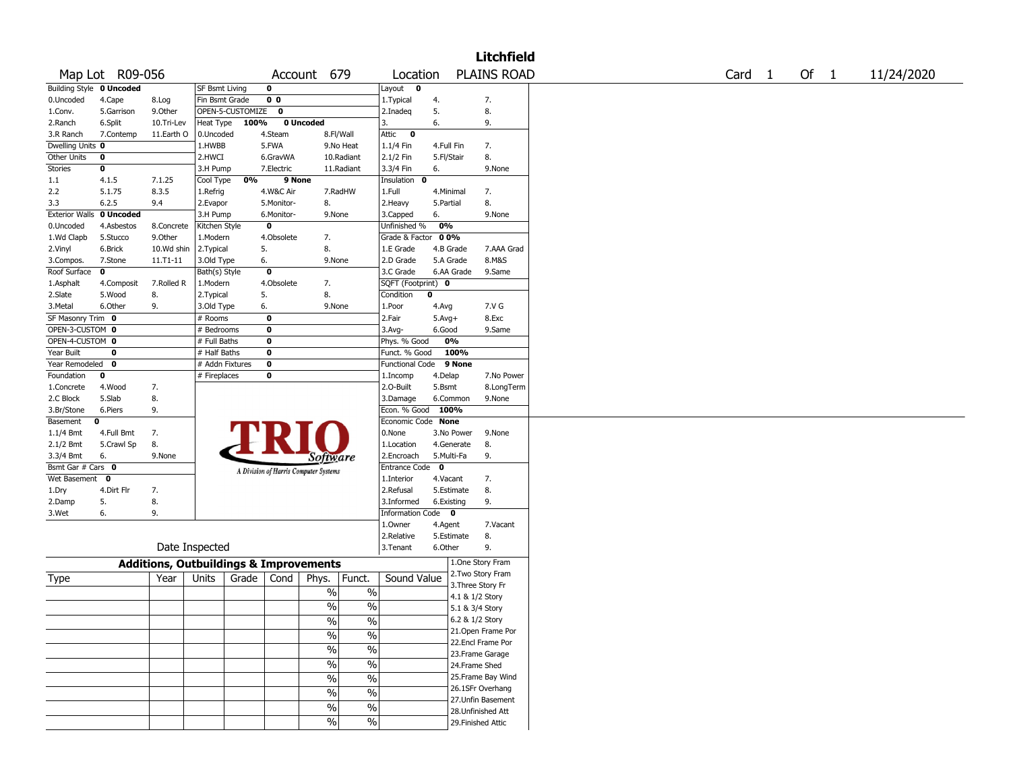|                       |                          |                                                   |                       |                  |                |                                       |                          |                         |              |                   | <b>Litchfield</b>  |        |        |            |
|-----------------------|--------------------------|---------------------------------------------------|-----------------------|------------------|----------------|---------------------------------------|--------------------------|-------------------------|--------------|-------------------|--------------------|--------|--------|------------|
|                       | Map Lot R09-056          |                                                   |                       |                  |                | Account 679                           |                          | Location                |              |                   | <b>PLAINS ROAD</b> | Card 1 | Of $1$ | 11/24/2020 |
|                       | Building Style 0 Uncoded |                                                   | <b>SF Bsmt Living</b> |                  | 0              |                                       |                          | Layout 0                |              |                   |                    |        |        |            |
| 0.Uncoded             | 4.Cape                   | 8.Log                                             | Fin Bsmt Grade        |                  | 0 <sub>0</sub> |                                       |                          | 1.Typical               | 4.           |                   | 7.                 |        |        |            |
| 1.Conv.               | 5.Garrison               | 9.0ther                                           |                       | OPEN-5-CUSTOMIZE | 0              |                                       |                          | 2.Inadeq                | 5.           |                   | 8.                 |        |        |            |
| 2.Ranch               | 6.Split                  | 10.Tri-Lev                                        | Heat Type             | 100%             |                | 0 Uncoded                             |                          | 3.                      | 6.           |                   | 9.                 |        |        |            |
| 3.R Ranch             | 7.Contemp                | 11.Earth O                                        | 0.Uncoded             |                  | 4.Steam        |                                       | 8.Fl/Wall                | Attic<br>$\bullet$      |              |                   |                    |        |        |            |
| Dwelling Units 0      |                          |                                                   | 1.HWBB                |                  | 5.FWA          |                                       | 9.No Heat                | 1.1/4 Fin               | 4.Full Fin   |                   | 7.                 |        |        |            |
| Other Units           | $\mathbf 0$              |                                                   | 2.HWCI                |                  | 6.GravWA       |                                       | 10.Radiant               | 2.1/2 Fin               | 5.Fl/Stair   |                   | 8.                 |        |        |            |
| <b>Stories</b>        | 0                        |                                                   | 3.H Pump              |                  | 7.Electric     |                                       | 11.Radiant               | 3.3/4 Fin               | 6.           |                   | 9.None             |        |        |            |
| 1.1                   | 4.1.5                    | 7.1.25                                            | Cool Type             | 0%               | 9 None         |                                       |                          | Insulation<br>0         |              |                   |                    |        |        |            |
| 2.2                   | 5.1.75                   | 8.3.5                                             | 1.Refrig              |                  | 4.W&C Air      |                                       | 7.RadHW                  | 1.Full                  | 4.Minimal    |                   | 7.                 |        |        |            |
| 3.3                   | 6.2.5                    | 9.4                                               | 2.Evapor              |                  | 5.Monitor-     | 8.                                    |                          | 2. Heavy                | 5.Partial    |                   | 8.                 |        |        |            |
| <b>Exterior Walls</b> | 0 Uncoded                |                                                   | 3.H Pump              |                  | 6.Monitor-     | 9.None                                |                          | 3.Capped                | 6.           |                   | 9.None             |        |        |            |
| 0.Uncoded             | 4.Asbestos               | 8.Concrete                                        | Kitchen Style         |                  | $\bf o$        |                                       |                          | Unfinished %            | 0%           |                   |                    |        |        |            |
| 1.Wd Clapb            | 5.Stucco                 | 9.Other                                           | 1.Modern              |                  | 4.Obsolete     | 7.                                    |                          | Grade & Factor          | 0 0%         |                   |                    |        |        |            |
| 2.Vinyl               | 6.Brick                  | 10.Wd shin                                        | 2.Typical             |                  | 5.             | 8.                                    |                          | 1.E Grade               | 4.B Grade    |                   | 7.AAA Grad         |        |        |            |
| 3.Compos.             | 7.Stone                  | $11. T1 - 11$                                     | 3.Old Type            |                  | 6.             | 9.None                                |                          | 2.D Grade               | 5.A Grade    |                   | 8.M&S              |        |        |            |
| Roof Surface          | $\mathbf 0$              |                                                   | Bath(s) Style         |                  | $\bf{0}$       |                                       |                          | 3.C Grade               |              | 6.AA Grade        | 9.Same             |        |        |            |
| 1.Asphalt             | 4.Composit               | 7.Rolled R                                        | 1.Modern              |                  | 4.Obsolete     | 7.                                    |                          | SQFT (Footprint) 0      |              |                   |                    |        |        |            |
| 2.Slate               | 5.Wood                   | 8.                                                | 2.Typical             |                  | 5.             | 8.                                    |                          | Condition               | $\mathbf 0$  |                   |                    |        |        |            |
| 3.Metal               | 6.Other                  | 9.                                                | 3.Old Type            |                  | 6.             | 9.None                                |                          | 1.Poor                  | 4.Avg        |                   | 7.V G              |        |        |            |
| SF Masonry Trim 0     |                          |                                                   | # Rooms               |                  | 0              |                                       |                          | 2.Fair                  | $5.$ Avg $+$ |                   | 8.Exc              |        |        |            |
| OPEN-3-CUSTOM 0       |                          |                                                   | # Bedrooms            |                  | $\bf{0}$       |                                       |                          | 3.Avg-                  | 6.Good       |                   | 9.Same             |        |        |            |
| OPEN-4-CUSTOM 0       |                          |                                                   | # Full Baths          |                  | $\bf{0}$       |                                       |                          | Phys. % Good            | 0%           |                   |                    |        |        |            |
| Year Built            | $\mathbf 0$              |                                                   | # Half Baths          |                  | $\bf{0}$       |                                       |                          | Funct. % Good           |              | 100%              |                    |        |        |            |
| Year Remodeled        | 0                        |                                                   | # Addn Fixtures       |                  | $\bf o$        |                                       |                          | <b>Functional Code</b>  |              | 9 None            |                    |        |        |            |
| Foundation            | 0                        |                                                   | # Fireplaces          |                  | $\bf{0}$       |                                       |                          | 1.Incomp                | 4.Delap      |                   | 7.No Power         |        |        |            |
| 1.Concrete            | 4.Wood                   | 7.                                                |                       |                  |                |                                       |                          | 2.0-Built               | 5.Bsmt       |                   | 8.LongTerm         |        |        |            |
| 2.C Block             | 5.Slab                   | 8.                                                |                       |                  |                |                                       |                          | 3.Damage                | 6.Common     |                   | 9.None             |        |        |            |
| 3.Br/Stone            | 6.Piers                  | 9.                                                |                       |                  |                |                                       |                          | Econ. % Good            | 100%         |                   |                    |        |        |            |
| Basement              | 0                        |                                                   |                       |                  |                |                                       |                          | Economic Code None      |              |                   |                    |        |        |            |
| 1.1/4 Bmt             | 4.Full Bmt               | 7.                                                |                       |                  |                |                                       |                          | 0.None                  |              | 3.No Power        | 9.None             |        |        |            |
| 2.1/2 Bmt             | 5.Crawl Sp               | 8.                                                |                       |                  |                |                                       |                          | 1.Location              |              | 4.Generate        | 8.                 |        |        |            |
| 3.3/4 Bmt             | 6.                       | 9.None                                            |                       |                  |                | <i>Software</i>                       |                          | 2.Encroach              | 5.Multi-Fa   |                   | 9.                 |        |        |            |
| Bsmt Gar # Cars 0     |                          |                                                   |                       |                  |                | A Division of Harris Computer Systems |                          | <b>Entrance Code</b>    | $\mathbf 0$  |                   |                    |        |        |            |
| Wet Basement 0        |                          |                                                   |                       |                  |                |                                       |                          | 1.Interior              | 4.Vacant     |                   | 7.                 |        |        |            |
| 1.Dry                 | 4.Dirt Flr               | 7.                                                |                       |                  |                |                                       |                          | 2.Refusal               |              | 5.Estimate        | 8.                 |        |        |            |
| 2.Damp                | 5.                       | 8.                                                |                       |                  |                |                                       |                          | 3.Informed              | 6.Existing   |                   | 9.                 |        |        |            |
| 3.Wet                 | 6.                       | 9.                                                |                       |                  |                |                                       |                          | <b>Information Code</b> |              | 0                 |                    |        |        |            |
|                       |                          |                                                   |                       |                  |                |                                       |                          | 1.0wner                 | 4.Agent      |                   | 7.Vacant           |        |        |            |
|                       |                          |                                                   |                       |                  |                |                                       |                          | 2.Relative              |              | 5.Estimate        | 8.                 |        |        |            |
|                       |                          |                                                   | Date Inspected        |                  |                |                                       |                          | 3.Tenant                | 6.Other      |                   | 9.                 |        |        |            |
|                       |                          | <b>Additions, Outbuildings &amp; Improvements</b> |                       |                  |                |                                       |                          |                         |              |                   | 1.One Story Fram   |        |        |            |
| Type                  |                          | Year                                              | Units                 | Grade            | Cond           | Phys.                                 | Funct.                   | Sound Value             |              |                   | 2. Two Story Fram  |        |        |            |
|                       |                          |                                                   |                       |                  |                | $\%$                                  | $\%$                     |                         |              | 3. Three Story Fr |                    |        |        |            |
|                       |                          |                                                   |                       |                  |                |                                       |                          |                         |              | 4.1 & 1/2 Story   |                    |        |        |            |
|                       |                          |                                                   |                       |                  |                | $\frac{0}{0}$                         | $\%$                     |                         |              | 5.1 & 3/4 Story   |                    |        |        |            |
|                       |                          |                                                   |                       |                  |                | $\frac{0}{6}$                         | $\frac{1}{2}$            |                         |              | 6.2 & 1/2 Story   |                    |        |        |            |
|                       |                          |                                                   |                       |                  |                | $\frac{0}{0}$                         | $\%$                     |                         |              |                   | 21. Open Frame Por |        |        |            |
|                       |                          |                                                   |                       |                  |                |                                       |                          |                         |              |                   | 22.Encl Frame Por  |        |        |            |
|                       |                          |                                                   |                       |                  |                | $\frac{0}{0}$                         | $\%$                     |                         |              |                   | 23. Frame Garage   |        |        |            |
|                       |                          |                                                   |                       |                  |                | %                                     | $\%$                     |                         |              | 24.Frame Shed     |                    |        |        |            |
|                       |                          |                                                   |                       |                  |                | $\sqrt{6}$                            | $\%$                     |                         |              |                   | 25. Frame Bay Wind |        |        |            |
|                       |                          |                                                   |                       |                  |                | $\sqrt{6}$                            |                          |                         |              |                   | 26.1SFr Overhang   |        |        |            |
|                       |                          |                                                   |                       |                  |                |                                       | $\%$                     |                         |              |                   | 27. Unfin Basement |        |        |            |
|                       |                          |                                                   |                       |                  |                | $\sqrt{6}$                            | $\overline{\frac{0}{6}}$ |                         |              |                   | 28. Unfinished Att |        |        |            |
|                       |                          |                                                   |                       |                  |                | $\sqrt{2}$                            | $\%$                     |                         |              |                   | 29. Finished Attic |        |        |            |
|                       |                          |                                                   |                       |                  |                |                                       |                          |                         |              |                   |                    |        |        |            |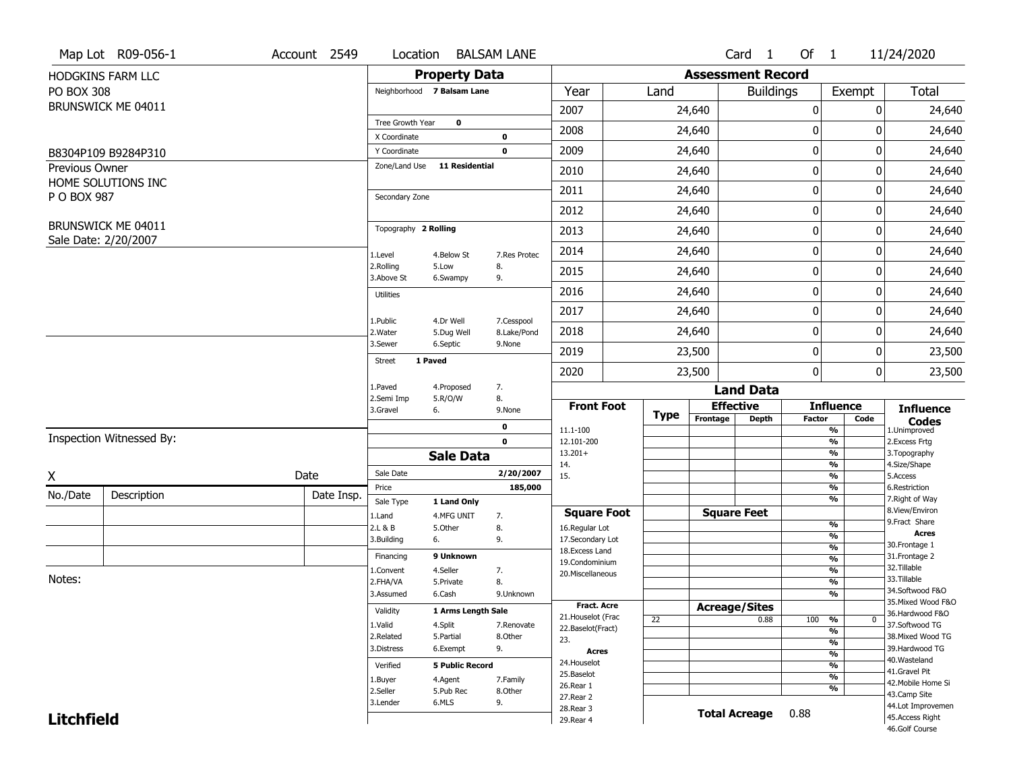|                   | Map Lot R09-056-1                          | Account 2549 | Location                      |                        | <b>BALSAM LANE</b> |                          |      |                          | Card 1               | Of $1$        |                                | 11/24/2020                        |
|-------------------|--------------------------------------------|--------------|-------------------------------|------------------------|--------------------|--------------------------|------|--------------------------|----------------------|---------------|--------------------------------|-----------------------------------|
|                   | HODGKINS FARM LLC                          |              |                               | <b>Property Data</b>   |                    |                          |      | <b>Assessment Record</b> |                      |               |                                |                                   |
| <b>PO BOX 308</b> |                                            |              | Neighborhood 7 Balsam Lane    |                        |                    | Year                     | Land |                          | <b>Buildings</b>     |               | Exempt                         | <b>Total</b>                      |
|                   | BRUNSWICK ME 04011                         |              |                               |                        |                    | 2007                     |      | 24,640                   |                      | 0             | 0                              | 24,640                            |
|                   |                                            |              | Tree Growth Year              | $\bf{0}$               |                    | 2008                     |      | 24,640                   |                      | 0             | 0                              | 24,640                            |
|                   |                                            |              | X Coordinate                  |                        | 0                  |                          |      |                          |                      |               |                                |                                   |
|                   | B8304P109 B9284P310                        |              | Y Coordinate<br>Zone/Land Use | <b>11 Residential</b>  | $\mathbf 0$        | 2009                     |      | 24,640                   |                      | 0             | 0                              | 24,640                            |
| Previous Owner    | HOME SOLUTIONS INC                         |              |                               |                        |                    | 2010                     |      | 24,640                   |                      | $\pmb{0}$     | 0                              | 24,640                            |
| P O BOX 987       |                                            |              | Secondary Zone                |                        |                    | 2011                     |      | 24,640                   |                      | 0             | 0                              | 24,640                            |
|                   |                                            |              |                               |                        |                    | 2012                     |      | 24,640                   |                      | 0             | 0                              | 24,640                            |
|                   | BRUNSWICK ME 04011<br>Sale Date: 2/20/2007 |              | Topography 2 Rolling          |                        |                    | 2013                     |      | 24,640                   |                      | 0             | 0                              | 24,640                            |
|                   |                                            |              | 1.Level                       | 4.Below St             | 7.Res Protec       | 2014                     |      | 24,640                   |                      | 0             | 0                              | 24,640                            |
|                   |                                            |              | 2.Rolling<br>3.Above St       | 5.Low<br>6.Swampy      | 8.<br>9.           | 2015                     |      | 24,640                   |                      | 0             | 0                              | 24,640                            |
|                   |                                            |              | <b>Utilities</b>              |                        |                    | 2016                     |      | 24,640                   |                      | 0             | 0                              | 24,640                            |
|                   |                                            |              | 1.Public                      | 4.Dr Well              | 7.Cesspool         | 2017                     |      | 24,640                   |                      | 0             | 0                              | 24,640                            |
|                   |                                            |              | 2. Water                      | 5.Dug Well             | 8.Lake/Pond        | 2018                     |      | 24,640                   |                      | 0             | 0                              | 24,640                            |
|                   |                                            |              | 3.Sewer                       | 6.Septic               | 9.None             | 2019                     |      | 23,500                   |                      | 0             | 0                              | 23,500                            |
|                   |                                            |              | 1 Paved<br><b>Street</b>      |                        |                    | 2020                     |      | 23,500                   |                      | 0             | 0                              | 23,500                            |
|                   |                                            |              | 1.Paved                       | 4.Proposed             | 7.                 |                          |      |                          | <b>Land Data</b>     |               |                                |                                   |
|                   |                                            |              | 2.Semi Imp<br>3.Gravel        | 5.R/O/W<br>6.          | 8.<br>9.None       | <b>Front Foot</b>        |      | <b>Effective</b>         |                      |               | <b>Influence</b>               | <b>Influence</b>                  |
|                   |                                            |              |                               |                        | 0                  | 11.1-100                 | Type | Frontage                 | <b>Depth</b>         | <b>Factor</b> | Code<br>$\frac{9}{6}$          | <b>Codes</b><br>1.Unimproved      |
|                   | Inspection Witnessed By:                   |              |                               |                        | $\mathbf 0$        | 12.101-200               |      |                          |                      |               | $\frac{9}{6}$                  | 2.Excess Frtg                     |
|                   |                                            |              |                               | <b>Sale Data</b>       |                    | $13.201+$<br>14.         |      |                          |                      |               | $\frac{9}{6}$<br>$\frac{9}{6}$ | 3. Topography<br>4.Size/Shape     |
| X                 |                                            | Date         | Sale Date                     |                        | 2/20/2007          | 15.                      |      |                          |                      |               | $\frac{9}{6}$                  | 5.Access                          |
| No./Date          | Description                                | Date Insp.   | Price                         |                        | 185,000            |                          |      |                          |                      |               | $\frac{9}{6}$                  | 6.Restriction                     |
|                   |                                            |              | Sale Type                     | 1 Land Only            |                    | <b>Square Foot</b>       |      | <b>Square Feet</b>       |                      |               | $\frac{9}{6}$                  | 7. Right of Way<br>8.View/Environ |
|                   |                                            |              | 1.Land<br>2.L & B             | 4.MFG UNIT<br>5.Other  | 7.<br>8.           | 16.Regular Lot           |      |                          |                      |               | $\frac{9}{6}$                  | 9.Fract Share                     |
|                   |                                            |              | 3.Building                    | 6.                     | 9.                 | 17.Secondary Lot         |      |                          |                      |               | $\frac{9}{6}$                  | <b>Acres</b>                      |
|                   |                                            |              | Financing                     | 9 Unknown              |                    | 18.Excess Land           |      |                          |                      |               | $\frac{9}{6}$<br>$\frac{9}{6}$ | 30. Frontage 1<br>31. Frontage 2  |
|                   |                                            |              | 1.Convent                     | 4.Seller               | 7.                 | 19.Condominium           |      |                          |                      |               | $\frac{9}{6}$                  | 32. Tillable                      |
| Notes:            |                                            |              | 2.FHA/VA                      | 5.Private              | 8.                 | 20.Miscellaneous         |      |                          |                      |               | $\frac{9}{6}$                  | 33.Tillable                       |
|                   |                                            |              | 3.Assumed                     | 6.Cash                 | 9.Unknown          |                          |      |                          |                      |               | $\frac{9}{6}$                  | 34.Softwood F&O                   |
|                   |                                            |              | Validity                      | 1 Arms Length Sale     |                    | <b>Fract. Acre</b>       |      | <b>Acreage/Sites</b>     |                      |               |                                | 35. Mixed Wood F&O                |
|                   |                                            |              |                               |                        |                    | 21. Houselot (Frac       | 22   |                          | 0.88                 | 100           | %<br>$\mathbf{0}$              | 36.Hardwood F&O                   |
|                   |                                            |              | 1.Valid                       | 4.Split                | 7.Renovate         | 22.Baselot(Fract)        |      |                          |                      |               | $\frac{9}{6}$                  | 37.Softwood TG                    |
|                   |                                            |              | 2.Related                     | 5.Partial              | 8.Other            | 23.                      |      |                          |                      |               | $\frac{9}{6}$                  | 38. Mixed Wood TG                 |
|                   |                                            |              | 3.Distress                    | 6.Exempt               | 9.                 | <b>Acres</b>             |      |                          |                      |               | $\frac{9}{6}$                  | 39.Hardwood TG<br>40. Wasteland   |
|                   |                                            |              | Verified                      | <b>5 Public Record</b> |                    | 24. Houselot             |      |                          |                      |               | $\frac{9}{6}$                  | 41.Gravel Pit                     |
|                   |                                            |              | 1.Buyer                       | 4.Agent                | 7.Family           | 25.Baselot               |      |                          |                      |               | $\frac{9}{6}$                  | 42. Mobile Home Si                |
|                   |                                            |              | 2.Seller                      | 5.Pub Rec              | 8.Other            | 26.Rear 1<br>27.Rear 2   |      |                          |                      |               | $\frac{9}{6}$                  | 43.Camp Site                      |
|                   |                                            |              | 3.Lender                      |                        |                    |                          |      |                          |                      |               |                                |                                   |
|                   |                                            |              |                               | 6.MLS                  | 9.                 |                          |      |                          |                      |               |                                | 44.Lot Improvemen                 |
| <b>Litchfield</b> |                                            |              |                               |                        |                    | 28. Rear 3<br>29. Rear 4 |      |                          | <b>Total Acreage</b> | 0.88          |                                | 45.Access Right<br>46.Golf Course |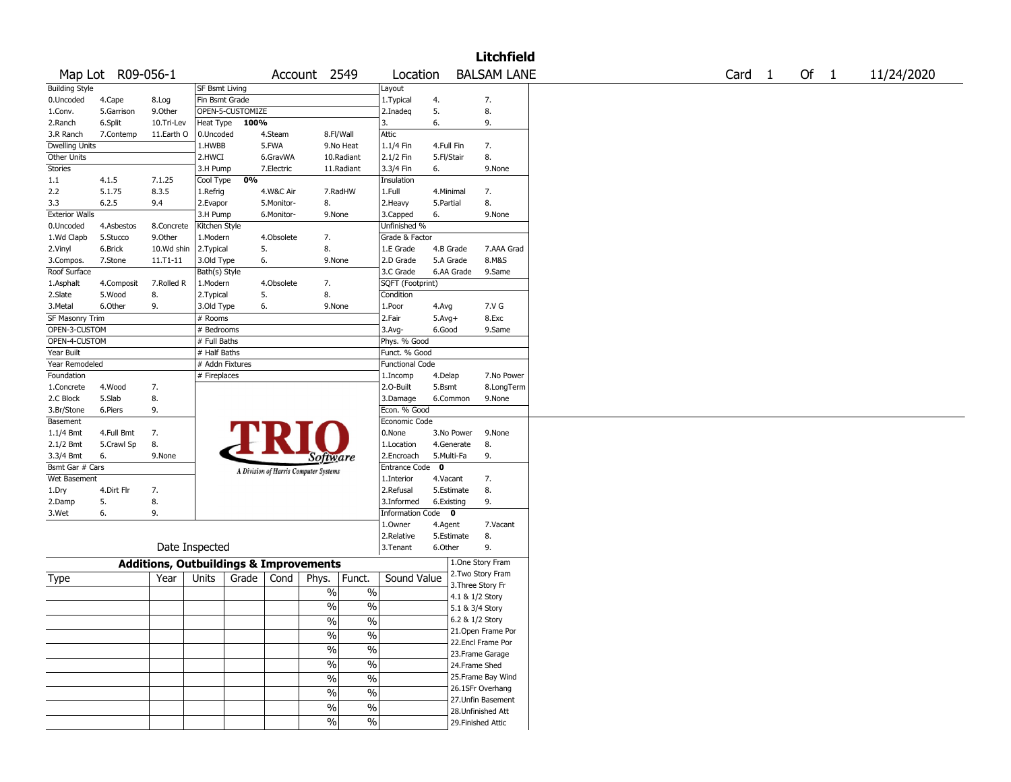|                       |                   |                                                   |                       |       |            |                                       |               |                        |              |                 | <b>Litchfield</b>  |        |        |            |
|-----------------------|-------------------|---------------------------------------------------|-----------------------|-------|------------|---------------------------------------|---------------|------------------------|--------------|-----------------|--------------------|--------|--------|------------|
|                       | Map Lot R09-056-1 |                                                   |                       |       |            | Account 2549                          |               | Location               |              |                 | <b>BALSAM LANE</b> | Card 1 | Of $1$ | 11/24/2020 |
| <b>Building Style</b> |                   |                                                   | <b>SF Bsmt Living</b> |       |            |                                       |               | Layout                 |              |                 |                    |        |        |            |
| 0.Uncoded             | 4.Cape            | 8.Log                                             | Fin Bsmt Grade        |       |            |                                       |               | 1. Typical             | 4.           |                 | 7.                 |        |        |            |
| 1.Conv.               | 5.Garrison        | 9.0ther                                           | OPEN-5-CUSTOMIZE      |       |            |                                       |               | 2.Inadeq               | 5.           |                 | 8.                 |        |        |            |
| 2.Ranch               | 6.Split           | 10.Tri-Lev                                        | Heat Type             | 100%  |            |                                       |               | 3.                     | 6.           |                 | 9.                 |        |        |            |
| 3.R Ranch             | 7.Contemp         | 11.Earth O                                        | 0.Uncoded             |       | 4.Steam    | 8.Fl/Wall                             |               | Attic                  |              |                 |                    |        |        |            |
| Dwelling Units        |                   |                                                   | 1.HWBB                |       | 5.FWA      |                                       | 9.No Heat     | 1.1/4 Fin              | 4.Full Fin   |                 | 7.                 |        |        |            |
| Other Units           |                   |                                                   | 2.HWCI                |       | 6.GravWA   |                                       | 10.Radiant    | 2.1/2 Fin              | 5.Fl/Stair   |                 | 8.                 |        |        |            |
| <b>Stories</b>        |                   |                                                   | 3.H Pump              |       | 7.Electric |                                       | 11.Radiant    | 3.3/4 Fin              | 6.           |                 | 9.None             |        |        |            |
| 1.1                   | 4.1.5             | 7.1.25                                            |                       | 0%    |            |                                       |               | Insulation             |              |                 |                    |        |        |            |
|                       |                   |                                                   | Cool Type             |       |            |                                       |               |                        |              |                 |                    |        |        |            |
| 2.2                   | 5.1.75            | 8.3.5                                             | 1.Refrig              |       | 4.W&C Air  | 7.RadHW                               |               | 1.Full                 | 4.Minimal    |                 | 7.                 |        |        |            |
| 3.3                   | 6.2.5             | 9.4                                               | 2.Evapor              |       | 5.Monitor- | 8.                                    |               | 2.Heavy                | 5.Partial    |                 | 8.                 |        |        |            |
| <b>Exterior Walls</b> |                   |                                                   | 3.H Pump              |       | 6.Monitor- | 9.None                                |               | 3.Capped               | 6.           |                 | 9.None             |        |        |            |
| 0.Uncoded             | 4.Asbestos        | 8.Concrete                                        | Kitchen Style         |       |            |                                       |               | Unfinished %           |              |                 |                    |        |        |            |
| 1.Wd Clapb            | 5.Stucco          | 9.Other                                           | 1.Modern              |       | 4.Obsolete | 7.                                    |               | Grade & Factor         |              |                 |                    |        |        |            |
| 2.Vinyl               | 6.Brick           | 10.Wd shin                                        | 2.Typical             | 5.    |            | 8.                                    |               | 1.E Grade              | 4.B Grade    |                 | 7.AAA Grad         |        |        |            |
| 3.Compos.             | 7.Stone           | 11.T1-11                                          | 3.Old Type            | 6.    |            | 9.None                                |               | 2.D Grade              | 5.A Grade    |                 | 8.M&S              |        |        |            |
| Roof Surface          |                   |                                                   | Bath(s) Style         |       |            |                                       |               | 3.C Grade              | 6.AA Grade   |                 | 9.Same             |        |        |            |
| 1.Asphalt             | 4.Composit        | 7.Rolled R                                        | 1.Modern              |       | 4.Obsolete | 7.                                    |               | SQFT (Footprint)       |              |                 |                    |        |        |            |
| 2.Slate               | 5.Wood            | 8.                                                | 2. Typical            | 5.    |            | 8.                                    |               | Condition              |              |                 |                    |        |        |            |
| 3.Metal               | 6.Other           | 9.                                                | 3.Old Type            | 6.    |            | 9.None                                |               | 1.Poor                 | 4.Avg        |                 | 7.V G              |        |        |            |
| SF Masonry Trim       |                   |                                                   | # Rooms               |       |            |                                       |               | 2.Fair                 | $5.$ Avg $+$ |                 | 8.Exc              |        |        |            |
| OPEN-3-CUSTOM         |                   |                                                   | # Bedrooms            |       |            |                                       |               | $3.$ Avg-              | 6.Good       |                 | 9.Same             |        |        |            |
| OPEN-4-CUSTOM         |                   |                                                   |                       |       |            |                                       |               |                        |              |                 |                    |        |        |            |
|                       |                   |                                                   | # Full Baths          |       |            |                                       |               | Phys. % Good           |              |                 |                    |        |        |            |
| Year Built            |                   |                                                   | # Half Baths          |       |            |                                       |               | Funct. % Good          |              |                 |                    |        |        |            |
| Year Remodeled        |                   |                                                   | # Addn Fixtures       |       |            |                                       |               | <b>Functional Code</b> |              |                 |                    |        |        |            |
| Foundation            |                   |                                                   | # Fireplaces          |       |            |                                       |               | 1.Incomp               | 4.Delap      |                 | 7.No Power         |        |        |            |
| 1.Concrete            | 4.Wood            | 7.                                                |                       |       |            |                                       |               | 2.0-Built              | 5.Bsmt       |                 | 8.LongTerm         |        |        |            |
| 2.C Block             | 5.Slab            | 8.                                                |                       |       |            |                                       |               | 3.Damage               | 6.Common     |                 | 9.None             |        |        |            |
| 3.Br/Stone            | 6.Piers           | 9.                                                |                       |       |            |                                       |               | Econ. % Good           |              |                 |                    |        |        |            |
| Basement              |                   |                                                   |                       |       |            |                                       |               | Economic Code          |              |                 |                    |        |        |            |
| 1.1/4 Bmt             | 4.Full Bmt        | 7.                                                |                       |       |            |                                       |               | 0.None                 | 3.No Power   |                 | 9.None             |        |        |            |
| 2.1/2 Bmt             | 5.Crawl Sp        | 8.                                                |                       |       |            |                                       |               | 1.Location             | 4.Generate   |                 | 8.                 |        |        |            |
| 3.3/4 Bmt             | 6.                | 9.None                                            |                       |       |            | Software                              |               | 2.Encroach             | 5.Multi-Fa   |                 | 9.                 |        |        |            |
| Bsmt Gar # Cars       |                   |                                                   |                       |       |            |                                       |               | Entrance Code          | $\mathbf{o}$ |                 |                    |        |        |            |
| Wet Basement          |                   |                                                   |                       |       |            | A Division of Harris Computer Systems |               | 1.Interior             | 4.Vacant     |                 | 7.                 |        |        |            |
| 1.Dry                 | 4.Dirt Flr        | 7.                                                |                       |       |            |                                       |               | 2.Refusal              | 5.Estimate   |                 | 8.                 |        |        |            |
|                       | 5.                | 8.                                                |                       |       |            |                                       |               | 3.Informed             | 6.Existing   |                 | 9.                 |        |        |            |
| 2.Damp                |                   |                                                   |                       |       |            |                                       |               |                        |              |                 |                    |        |        |            |
| 3.Wet                 | 6.                | 9.                                                |                       |       |            |                                       |               | Information Code 0     |              |                 |                    |        |        |            |
|                       |                   |                                                   |                       |       |            |                                       |               | 1.Owner                | 4.Agent      |                 | 7.Vacant           |        |        |            |
|                       |                   |                                                   |                       |       |            |                                       |               | 2.Relative             | 5.Estimate   |                 | 8.                 |        |        |            |
|                       |                   | Date Inspected                                    |                       |       |            |                                       |               | 3. Tenant              | 6.Other      |                 | 9.                 |        |        |            |
|                       |                   | <b>Additions, Outbuildings &amp; Improvements</b> |                       |       |            |                                       |               |                        |              |                 | 1.One Story Fram   |        |        |            |
|                       |                   |                                                   |                       |       |            |                                       |               |                        |              |                 | 2.Two Story Fram   |        |        |            |
| Type                  |                   | Year                                              | Units                 | Grade | Cond       | Phys.                                 | Funct.        | Sound Value            |              |                 | 3. Three Story Fr  |        |        |            |
|                       |                   |                                                   |                       |       |            | $\%$                                  | $\%$          |                        |              | 4.1 & 1/2 Story |                    |        |        |            |
|                       |                   |                                                   |                       |       |            | $\%$                                  | %             |                        |              | 5.1 & 3/4 Story |                    |        |        |            |
|                       |                   |                                                   |                       |       |            |                                       |               |                        |              | 6.2 & 1/2 Story |                    |        |        |            |
|                       |                   |                                                   |                       |       |            | $\frac{1}{2}$                         | $\%$          |                        |              |                 |                    |        |        |            |
|                       |                   |                                                   |                       |       |            | $\frac{1}{2}$                         | $\frac{1}{2}$ |                        |              |                 | 21. Open Frame Por |        |        |            |
|                       |                   |                                                   |                       |       |            | $\frac{1}{2}$                         | $\frac{0}{6}$ |                        |              |                 | 22.Encl Frame Por  |        |        |            |
|                       |                   |                                                   |                       |       |            |                                       |               |                        |              |                 | 23. Frame Garage   |        |        |            |
|                       |                   |                                                   |                       |       |            | $\frac{1}{2}$                         | $\frac{0}{6}$ |                        |              | 24.Frame Shed   |                    |        |        |            |
|                       |                   |                                                   |                       |       |            | $\frac{1}{2}$                         | $\frac{0}{6}$ |                        |              |                 | 25.Frame Bay Wind  |        |        |            |
|                       |                   |                                                   |                       |       |            | $\%$                                  | $\frac{1}{2}$ |                        |              |                 | 26.1SFr Overhang   |        |        |            |
|                       |                   |                                                   |                       |       |            |                                       |               |                        |              |                 | 27.Unfin Basement  |        |        |            |
|                       |                   |                                                   |                       |       |            | $\%$                                  | $\frac{1}{2}$ |                        |              |                 | 28.Unfinished Att  |        |        |            |
|                       |                   |                                                   |                       |       |            | $\frac{1}{2}$                         | $\frac{1}{2}$ |                        |              |                 | 29. Finished Attic |        |        |            |
|                       |                   |                                                   |                       |       |            |                                       |               |                        |              |                 |                    |        |        |            |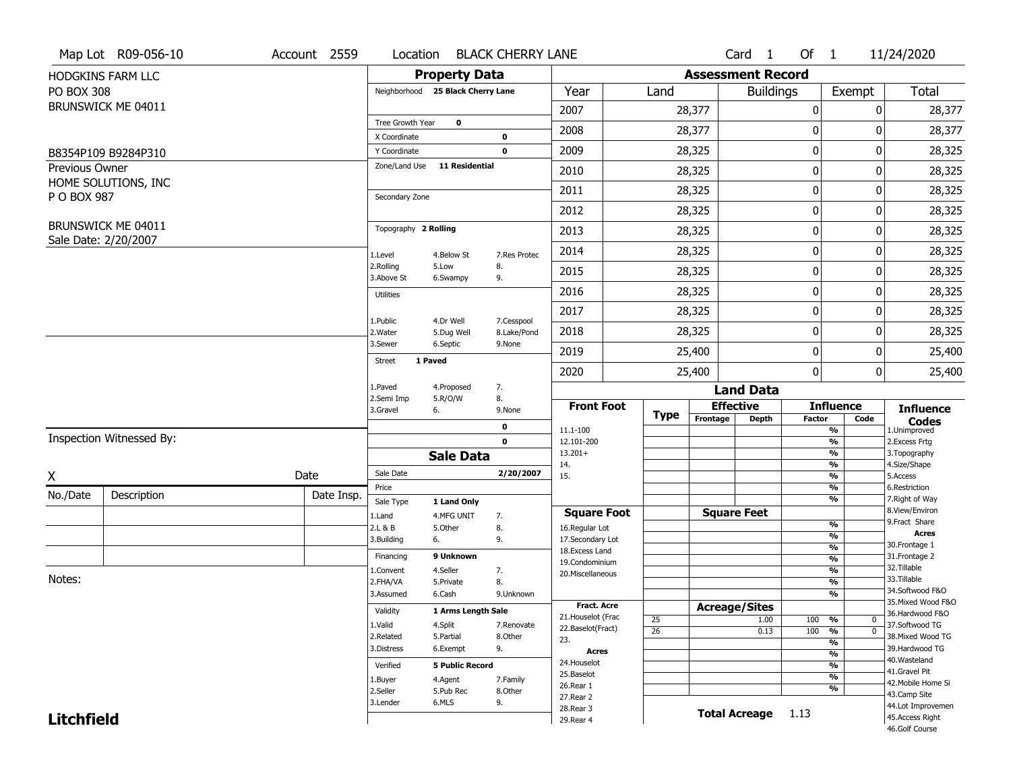|                   | Map Lot R09-056-10       | Account 2559 | Location                      |                                   | <b>BLACK CHERRY LANE</b>  |                                         |                 |                          | Card 1               | Of $1$        |                                | 11/24/2020                            |
|-------------------|--------------------------|--------------|-------------------------------|-----------------------------------|---------------------------|-----------------------------------------|-----------------|--------------------------|----------------------|---------------|--------------------------------|---------------------------------------|
|                   | HODGKINS FARM LLC        |              |                               | <b>Property Data</b>              |                           |                                         |                 | <b>Assessment Record</b> |                      |               |                                |                                       |
| <b>PO BOX 308</b> |                          |              |                               | Neighborhood 25 Black Cherry Lane |                           | Year                                    | Land            |                          | <b>Buildings</b>     |               | Exempt                         | <b>Total</b>                          |
|                   | BRUNSWICK ME 04011       |              |                               |                                   |                           | 2007                                    |                 | 28,377                   |                      | 0             | 0                              | 28,377                                |
|                   |                          |              | Tree Growth Year              | $\mathbf 0$                       |                           | 2008                                    |                 | 28,377                   |                      | 0             | 0                              | 28,377                                |
|                   |                          |              | X Coordinate                  |                                   | 0<br>$\mathbf 0$          | 2009                                    |                 |                          |                      | 0             | 0                              |                                       |
| Previous Owner    | B8354P109 B9284P310      |              | Y Coordinate<br>Zone/Land Use | <b>11 Residential</b>             |                           |                                         |                 | 28,325                   |                      |               |                                | 28,325                                |
|                   | HOME SOLUTIONS, INC      |              |                               |                                   |                           | 2010                                    |                 | 28,325                   |                      | 0             | 0                              | 28,325                                |
| P O BOX 987       |                          |              | Secondary Zone                |                                   |                           | 2011                                    |                 | 28,325                   |                      | 0             | 0                              | 28,325                                |
|                   |                          |              |                               |                                   |                           | 2012                                    |                 | 28,325                   |                      | 0             | 0                              | 28,325                                |
|                   | BRUNSWICK ME 04011       |              | Topography 2 Rolling          |                                   |                           | 2013                                    |                 | 28,325                   |                      | 0             | 0                              | 28,325                                |
|                   | Sale Date: 2/20/2007     |              | 1.Level                       | 4.Below St                        | 7.Res Protec              | 2014                                    |                 | 28,325                   |                      | 0             | 0                              | 28,325                                |
|                   |                          |              | 2.Rolling<br>3.Above St       | 5.Low<br>6.Swampy                 | 8.<br>9.                  | 2015                                    |                 | 28,325                   |                      | 0             | 0                              | 28,325                                |
|                   |                          |              | <b>Utilities</b>              |                                   |                           | 2016                                    |                 | 28,325                   |                      | 0             | 0                              | 28,325                                |
|                   |                          |              |                               |                                   |                           | 2017                                    |                 | 28,325                   |                      | 0             | 0                              | 28,325                                |
|                   |                          |              | 1.Public<br>2. Water          | 4.Dr Well<br>5.Dug Well           | 7.Cesspool<br>8.Lake/Pond | 2018                                    |                 | 28,325                   |                      | 0             | 0                              | 28,325                                |
|                   |                          |              | 3.Sewer                       | 6.Septic                          | 9.None                    | 2019                                    |                 | 25,400                   |                      | 0             | 0                              | 25,400                                |
|                   |                          |              | <b>Street</b>                 | 1 Paved                           |                           | 2020                                    |                 | 25,400                   |                      | 0             | $\mathbf{0}$                   | 25,400                                |
|                   |                          |              | 1.Paved                       | 4.Proposed                        | 7.                        |                                         |                 |                          | <b>Land Data</b>     |               |                                |                                       |
|                   |                          |              | 2.Semi Imp<br>3.Gravel        | 5.R/O/W<br>6.                     | 8.<br>9.None              | <b>Front Foot</b>                       |                 | <b>Effective</b>         |                      |               | <b>Influence</b>               | <b>Influence</b>                      |
|                   |                          |              |                               |                                   | 0                         | 11.1-100                                | <b>Type</b>     | Frontage                 | <b>Depth</b>         | <b>Factor</b> | Code<br>$\frac{9}{6}$          | <b>Codes</b><br>1.Unimproved          |
|                   | Inspection Witnessed By: |              |                               |                                   | $\mathbf{0}$              | 12.101-200                              |                 |                          |                      |               | $\frac{9}{6}$                  | 2. Excess Frtg                        |
|                   |                          |              |                               | <b>Sale Data</b>                  |                           | $13.201+$<br>14.                        |                 |                          |                      |               | %<br>$\frac{9}{6}$             | 3. Topography<br>4.Size/Shape         |
| X                 |                          | Date         | Sale Date                     |                                   | 2/20/2007                 | 15.                                     |                 |                          |                      |               | $\frac{9}{6}$                  | 5.Access                              |
| No./Date          | Description              | Date Insp.   | Price                         |                                   |                           |                                         |                 |                          |                      |               | %                              | 6.Restriction                         |
|                   |                          |              | Sale Type                     | 1 Land Only                       |                           | <b>Square Foot</b>                      |                 | <b>Square Feet</b>       |                      |               | %                              | 7. Right of Way<br>8.View/Environ     |
|                   |                          |              | 1.Land<br>2.L & B             | 4.MFG UNIT<br>5.0ther             | 7.<br>8.                  | 16.Regular Lot                          |                 |                          |                      |               | $\frac{9}{6}$                  | 9.Fract Share                         |
|                   |                          |              | 3.Building                    | 6.                                | 9.                        | 17.Secondary Lot                        |                 |                          |                      |               | $\frac{9}{6}$                  | Acres<br>30. Frontage 1               |
|                   |                          |              | Financing                     | 9 Unknown                         |                           | 18.Excess Land                          |                 |                          |                      |               | $\frac{9}{6}$<br>$\frac{9}{6}$ | 31. Frontage 2                        |
|                   |                          |              | 1.Convent                     | 4.Seller                          | 7.                        | 19.Condominium<br>20.Miscellaneous      |                 |                          |                      |               | $\frac{9}{6}$                  | 32.Tillable                           |
| Notes:            |                          |              | 2.FHA/VA                      | 5.Private                         | 8.                        |                                         |                 |                          |                      |               | $\frac{9}{6}$                  | 33.Tillable                           |
|                   |                          |              | 3.Assumed                     | 6.Cash                            | 9.Unknown                 |                                         |                 |                          |                      |               | $\frac{9}{6}$                  | 34.Softwood F&O                       |
|                   |                          |              | Validity                      | 1 Arms Length Sale                |                           | <b>Fract. Acre</b>                      |                 | <b>Acreage/Sites</b>     |                      |               |                                | 35. Mixed Wood F&O<br>36.Hardwood F&O |
|                   |                          |              | 1.Valid                       | 4.Split                           | 7.Renovate                | 21. Houselot (Frac<br>22.Baselot(Fract) | 25              |                          | 1.00                 | 100           | %<br>0                         | 37.Softwood TG                        |
|                   |                          |              | 2.Related                     | 5.Partial                         | 8.Other                   | 23.                                     | $\overline{26}$ |                          | 0.13                 | 100           | $\overline{0}$<br>%            | 38. Mixed Wood TG                     |
|                   |                          |              | 3.Distress                    | 6.Exempt                          | 9.                        | Acres                                   |                 |                          |                      |               | $\frac{9}{6}$<br>$\frac{9}{6}$ | 39.Hardwood TG                        |
|                   |                          |              | Verified                      | <b>5 Public Record</b>            |                           | 24. Houselot                            |                 |                          |                      |               | $\frac{9}{6}$                  | 40. Wasteland                         |
|                   |                          |              | 1.Buyer                       | 4.Agent                           | 7.Family                  | 25.Baselot                              |                 |                          |                      |               | $\frac{9}{6}$                  | 41.Gravel Pit                         |
|                   |                          |              | 2.Seller                      | 5.Pub Rec                         | 8.Other                   | 26.Rear 1                               |                 |                          |                      |               | $\frac{9}{6}$                  | 42. Mobile Home Si                    |
|                   |                          |              |                               |                                   |                           |                                         |                 |                          |                      |               |                                | 43.Camp Site                          |
|                   |                          |              | 3.Lender                      | 6.MLS                             | 9.                        | 27. Rear 2                              |                 |                          |                      |               |                                |                                       |
| <b>Litchfield</b> |                          |              |                               |                                   |                           | 28. Rear 3<br>29. Rear 4                |                 |                          | <b>Total Acreage</b> | 1.13          |                                | 44.Lot Improvemen<br>45.Access Right  |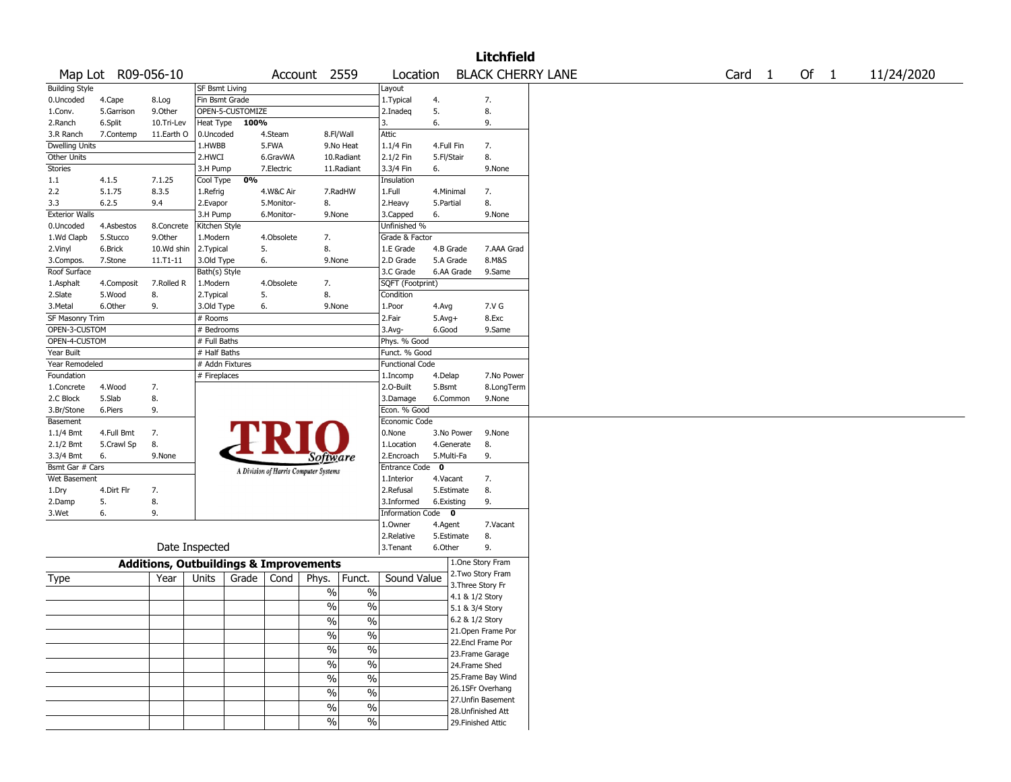|                       |                    |                                                   |                 |                  |            |                                       |                          |                        |            |                 | <b>Litchfield</b>                     |                   |        |            |
|-----------------------|--------------------|---------------------------------------------------|-----------------|------------------|------------|---------------------------------------|--------------------------|------------------------|------------|-----------------|---------------------------------------|-------------------|--------|------------|
|                       | Map Lot R09-056-10 |                                                   |                 |                  |            | Account 2559                          |                          | Location               |            |                 | <b>BLACK CHERRY LANE</b>              | Card <sub>1</sub> | Of $1$ | 11/24/2020 |
| <b>Building Style</b> |                    |                                                   | SF Bsmt Living  |                  |            |                                       |                          | Layout                 |            |                 |                                       |                   |        |            |
| 0.Uncoded             | 4.Cape             | 8.Log                                             | Fin Bsmt Grade  |                  |            |                                       |                          | 1. Typical             | 4.         |                 | 7.                                    |                   |        |            |
| 1.Conv.               | 5.Garrison         | 9.Other                                           |                 | OPEN-5-CUSTOMIZE |            |                                       |                          | 2.Inadeq               | 5.         |                 | 8.                                    |                   |        |            |
| 2.Ranch               | 6.Split            | 10.Tri-Lev                                        | Heat Type       | 100%             |            |                                       |                          | 3.                     | 6.         |                 | 9.                                    |                   |        |            |
| 3.R Ranch             | 7.Contemp          | 11.Earth O                                        | 0.Uncoded       |                  | 4.Steam    | 8.Fl/Wall                             |                          | Attic                  |            |                 |                                       |                   |        |            |
| Dwelling Units        |                    |                                                   | 1.HWBB          |                  | 5.FWA      |                                       | 9.No Heat                | 1.1/4 Fin              | 4.Full Fin |                 | 7.                                    |                   |        |            |
| Other Units           |                    |                                                   | 2.HWCI          |                  | 6.GravWA   |                                       | 10.Radiant               | 2.1/2 Fin              | 5.Fl/Stair |                 | 8.                                    |                   |        |            |
| <b>Stories</b>        |                    |                                                   | 3.H Pump        |                  | 7.Electric |                                       | 11.Radiant               | 3.3/4 Fin              | 6.         |                 | 9.None                                |                   |        |            |
| 1.1                   | 4.1.5              | 7.1.25                                            | Cool Type       | 0%               |            |                                       |                          | Insulation             |            |                 |                                       |                   |        |            |
| 2.2                   | 5.1.75             | 8.3.5                                             | 1.Refrig        |                  | 4.W&C Air  |                                       | 7.RadHW                  | 1.Full                 | 4.Minimal  |                 | 7.                                    |                   |        |            |
| 3.3                   | 6.2.5              | 9.4                                               | 2.Evapor        |                  | 5.Monitor- | 8.                                    |                          | 2.Heavy                | 5.Partial  |                 | 8.                                    |                   |        |            |
| <b>Exterior Walls</b> |                    |                                                   | 3.H Pump        |                  | 6.Monitor- | 9.None                                |                          | 3.Capped               | 6.         |                 | 9.None                                |                   |        |            |
| 0.Uncoded             | 4.Asbestos         | 8.Concrete                                        | Kitchen Style   |                  |            |                                       |                          | Unfinished %           |            |                 |                                       |                   |        |            |
| 1.Wd Clapb            | 5.Stucco           | 9.Other                                           | 1.Modern        |                  | 4.Obsolete | 7.                                    |                          | Grade & Factor         |            |                 |                                       |                   |        |            |
| 2.Vinyl               | 6.Brick            | 10.Wd shin                                        | 2.Typical       |                  | 5.         | 8.                                    |                          | 1.E Grade              | 4.B Grade  |                 | 7.AAA Grad                            |                   |        |            |
| 3.Compos.             | 7.Stone            | 11.T1-11                                          | 3.Old Type      |                  | 6.         | 9.None                                |                          | 2.D Grade              | 5.A Grade  |                 | 8.M&S                                 |                   |        |            |
| Roof Surface          |                    |                                                   | Bath(s) Style   |                  |            |                                       |                          | 3.C Grade              | 6.AA Grade |                 | 9.Same                                |                   |        |            |
| 1.Asphalt             | 4.Composit         | 7.Rolled R                                        | 1.Modern        |                  | 4.Obsolete | 7.                                    |                          | SQFT (Footprint)       |            |                 |                                       |                   |        |            |
| 2.Slate               | 5.Wood             | 8.                                                | 2. Typical      |                  | 5.         | 8.                                    |                          | Condition              |            |                 |                                       |                   |        |            |
| 3.Metal               | 6.Other            | 9.                                                | 3.Old Type      |                  | 6.         | 9.None                                |                          | 1.Poor                 | 4.Avg      |                 | 7.V G                                 |                   |        |            |
| SF Masonry Trim       |                    |                                                   | # Rooms         |                  |            |                                       |                          | 2.Fair                 | $5.Avg+$   |                 | 8.Exc                                 |                   |        |            |
| OPEN-3-CUSTOM         |                    |                                                   | # Bedrooms      |                  |            |                                       |                          | 3.Avg-                 | 6.Good     |                 | 9.Same                                |                   |        |            |
| OPEN-4-CUSTOM         |                    |                                                   | # Full Baths    |                  |            |                                       |                          | Phys. % Good           |            |                 |                                       |                   |        |            |
| Year Built            |                    |                                                   | # Half Baths    |                  |            |                                       |                          | Funct. % Good          |            |                 |                                       |                   |        |            |
| Year Remodeled        |                    |                                                   | # Addn Fixtures |                  |            |                                       |                          | <b>Functional Code</b> |            |                 |                                       |                   |        |            |
| Foundation            |                    |                                                   | # Fireplaces    |                  |            |                                       |                          | 1.Incomp               | 4.Delap    |                 | 7.No Power                            |                   |        |            |
| 1.Concrete            | 4.Wood             | 7.                                                |                 |                  |            |                                       |                          | 2.O-Built              | 5.Bsmt     |                 | 8.LongTerm                            |                   |        |            |
| 2.C Block             | 5.Slab             | 8.                                                |                 |                  |            |                                       |                          | 3.Damage               | 6.Common   |                 | 9.None                                |                   |        |            |
| 3.Br/Stone            | 6.Piers            | 9.                                                |                 |                  |            |                                       |                          | Econ. % Good           |            |                 |                                       |                   |        |            |
| Basement              |                    |                                                   |                 |                  |            |                                       |                          | Economic Code          |            |                 |                                       |                   |        |            |
| 1.1/4 Bmt             | 4.Full Bmt         | 7.                                                |                 |                  |            |                                       |                          | 0.None                 | 3.No Power |                 | 9.None                                |                   |        |            |
| 2.1/2 Bmt             | 5.Crawl Sp         | 8.                                                |                 |                  |            |                                       |                          | 1.Location             | 4.Generate |                 | 8.                                    |                   |        |            |
| 3.3/4 Bmt             | 6.                 | 9.None                                            |                 |                  |            | Software                              |                          | 2.Encroach             | 5.Multi-Fa |                 | 9.                                    |                   |        |            |
| Bsmt Gar # Cars       |                    |                                                   |                 |                  |            | A Division of Harris Computer Systems |                          | Entrance Code 0        |            |                 |                                       |                   |        |            |
| Wet Basement          |                    |                                                   |                 |                  |            |                                       |                          | 1.Interior             | 4.Vacant   |                 | 7.                                    |                   |        |            |
| 1.Dry                 | 4.Dirt Flr         | 7.                                                |                 |                  |            |                                       |                          | 2.Refusal              | 5.Estimate |                 | 8.                                    |                   |        |            |
| 2.Damp                | 5.                 | 8.                                                |                 |                  |            |                                       |                          | 3.Informed             | 6.Existing |                 | 9.                                    |                   |        |            |
| 3.Wet                 | 6.                 | 9.                                                |                 |                  |            |                                       |                          | Information Code 0     |            |                 |                                       |                   |        |            |
|                       |                    |                                                   |                 |                  |            |                                       |                          | 1.Owner                | 4.Agent    |                 | 7.Vacant                              |                   |        |            |
|                       |                    |                                                   |                 |                  |            |                                       |                          | 2.Relative             | 5.Estimate |                 | 8.                                    |                   |        |            |
|                       |                    |                                                   | Date Inspected  |                  |            |                                       |                          | 3.Tenant               | 6.Other    |                 | 9.                                    |                   |        |            |
|                       |                    | <b>Additions, Outbuildings &amp; Improvements</b> |                 |                  |            |                                       |                          |                        |            |                 | 1.One Story Fram                      |                   |        |            |
| Type                  |                    | Year                                              | Units           | Grade            | Cond       | Phys.                                 | Funct.                   | Sound Value            |            |                 | 2. Two Story Fram                     |                   |        |            |
|                       |                    |                                                   |                 |                  |            | $\%$                                  | $\%$                     |                        |            |                 | 3. Three Story Fr                     |                   |        |            |
|                       |                    |                                                   |                 |                  |            |                                       | $\%$                     |                        |            | 4.1 & 1/2 Story |                                       |                   |        |            |
|                       |                    |                                                   |                 |                  |            | $\%$                                  |                          |                        |            | 5.1 & 3/4 Story |                                       |                   |        |            |
|                       |                    |                                                   |                 |                  |            | $\frac{0}{0}$                         | $\frac{0}{0}$            |                        |            | 6.2 & 1/2 Story |                                       |                   |        |            |
|                       |                    |                                                   |                 |                  |            | $\sqrt{2}$                            | $\%$                     |                        |            |                 | 21. Open Frame Por                    |                   |        |            |
|                       |                    |                                                   |                 |                  |            | $\frac{9}{6}$                         | $\overline{\frac{0}{6}}$ |                        |            |                 | 22.Encl Frame Por                     |                   |        |            |
|                       |                    |                                                   |                 |                  |            | $\sqrt{6}$                            | $\overline{\frac{0}{0}}$ |                        |            |                 | 23. Frame Garage                      |                   |        |            |
|                       |                    |                                                   |                 |                  |            |                                       |                          |                        |            |                 | 24.Frame Shed                         |                   |        |            |
|                       |                    |                                                   |                 |                  |            | $\sqrt{6}$                            | $\overline{\frac{0}{6}}$ |                        |            |                 | 25.Frame Bay Wind                     |                   |        |            |
|                       |                    |                                                   |                 |                  |            | $\sqrt{6}$                            | $\%$                     |                        |            |                 | 26.1SFr Overhang<br>27.Unfin Basement |                   |        |            |
|                       |                    |                                                   |                 |                  |            | %                                     | $\frac{0}{0}$            |                        |            |                 |                                       |                   |        |            |
|                       |                    |                                                   |                 |                  |            | $\sqrt{6}$                            | $\%$                     |                        |            |                 | 28. Unfinished Att                    |                   |        |            |
|                       |                    |                                                   |                 |                  |            |                                       |                          |                        |            |                 | 29. Finished Attic                    |                   |        |            |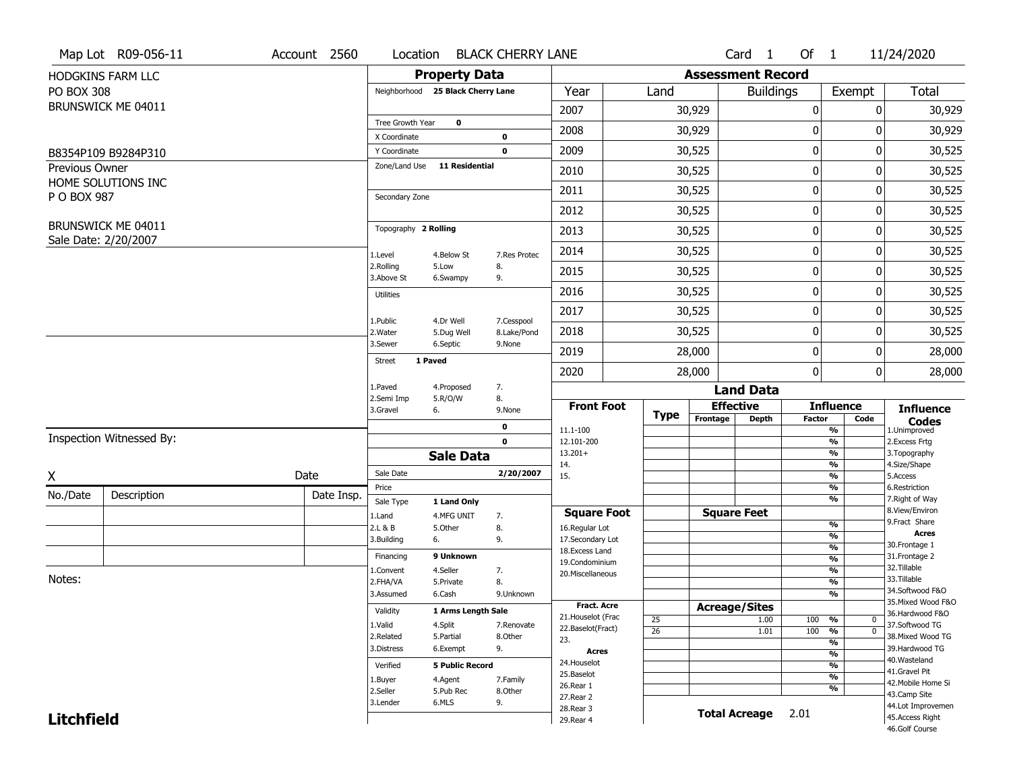|                   | Map Lot R09-056-11       | Account 2560 | Location                      |                                   | <b>BLACK CHERRY LANE</b>  |                                         |                 |                          | Card <sub>1</sub>    | Of $1$        |                                | 11/24/2020                            |
|-------------------|--------------------------|--------------|-------------------------------|-----------------------------------|---------------------------|-----------------------------------------|-----------------|--------------------------|----------------------|---------------|--------------------------------|---------------------------------------|
|                   | HODGKINS FARM LLC        |              |                               | <b>Property Data</b>              |                           |                                         |                 | <b>Assessment Record</b> |                      |               |                                |                                       |
| <b>PO BOX 308</b> |                          |              |                               | Neighborhood 25 Black Cherry Lane |                           | Year                                    | Land            |                          | <b>Buildings</b>     |               | Exempt                         | <b>Total</b>                          |
|                   | BRUNSWICK ME 04011       |              |                               |                                   |                           | 2007                                    |                 | 30,929                   |                      | 0             | 0                              | 30,929                                |
|                   |                          |              | Tree Growth Year              | $\mathbf 0$                       |                           | 2008                                    |                 | 30,929                   |                      | 0             | 0                              | 30,929                                |
|                   |                          |              | X Coordinate                  |                                   | 0<br>$\mathbf 0$          | 2009                                    |                 |                          |                      | 0             | 0                              |                                       |
| Previous Owner    | B8354P109 B9284P310      |              | Y Coordinate<br>Zone/Land Use | <b>11 Residential</b>             |                           |                                         |                 | 30,525                   |                      |               |                                | 30,525                                |
|                   | HOME SOLUTIONS INC       |              |                               |                                   |                           | 2010                                    |                 | 30,525                   |                      | 0             | 0                              | 30,525                                |
| P O BOX 987       |                          |              | Secondary Zone                |                                   |                           | 2011                                    |                 | 30,525                   |                      | 0             | 0                              | 30,525                                |
|                   |                          |              |                               |                                   |                           | 2012                                    |                 | 30,525                   |                      | 0             | 0                              | 30,525                                |
|                   | BRUNSWICK ME 04011       |              | Topography 2 Rolling          |                                   |                           | 2013                                    |                 | 30,525                   |                      | 0             | 0                              | 30,525                                |
|                   | Sale Date: 2/20/2007     |              | 1.Level                       | 4.Below St                        | 7.Res Protec              | 2014                                    |                 | 30,525                   |                      | 0             | 0                              | 30,525                                |
|                   |                          |              | 2.Rolling<br>3.Above St       | 5.Low<br>6.Swampy                 | 8.<br>9.                  | 2015                                    |                 | 30,525                   |                      | 0             | 0                              | 30,525                                |
|                   |                          |              | <b>Utilities</b>              |                                   |                           | 2016                                    |                 | 30,525                   |                      | 0             | 0                              | 30,525                                |
|                   |                          |              |                               |                                   |                           | 2017                                    |                 | 30,525                   |                      | 0             | 0                              | 30,525                                |
|                   |                          |              | 1.Public<br>2. Water          | 4.Dr Well<br>5.Dug Well           | 7.Cesspool<br>8.Lake/Pond | 2018                                    |                 | 30,525                   |                      | 0             | 0                              | 30,525                                |
|                   |                          |              | 3.Sewer                       | 6.Septic                          | 9.None                    | 2019                                    |                 | 28,000                   |                      | 0             | 0                              | 28,000                                |
|                   |                          |              | <b>Street</b>                 | 1 Paved                           |                           | 2020                                    |                 | 28,000                   |                      | 0             | $\mathbf{0}$                   | 28,000                                |
|                   |                          |              | 1.Paved                       | 4.Proposed                        | 7.                        |                                         |                 |                          | <b>Land Data</b>     |               |                                |                                       |
|                   |                          |              | 2.Semi Imp<br>3.Gravel        | 5.R/O/W<br>6.                     | 8.<br>9.None              | <b>Front Foot</b>                       |                 | <b>Effective</b>         |                      |               | <b>Influence</b>               | <b>Influence</b>                      |
|                   |                          |              |                               |                                   | 0                         | 11.1-100                                | <b>Type</b>     | Frontage                 | <b>Depth</b>         | <b>Factor</b> | Code<br>$\frac{9}{6}$          | <b>Codes</b><br>1.Unimproved          |
|                   | Inspection Witnessed By: |              |                               |                                   | $\mathbf 0$               | 12.101-200                              |                 |                          |                      |               | $\frac{9}{6}$                  | 2. Excess Frtg                        |
|                   |                          |              |                               | <b>Sale Data</b>                  |                           | $13.201+$                               |                 |                          |                      |               | $\frac{9}{6}$<br>$\frac{9}{6}$ | 3. Topography<br>4.Size/Shape         |
| X                 |                          | Date         | Sale Date                     |                                   | 2/20/2007                 | 14.<br>15.                              |                 |                          |                      |               | $\frac{9}{6}$                  | 5.Access                              |
| No./Date          | Description              | Date Insp.   | Price                         |                                   |                           |                                         |                 |                          |                      |               | %                              | 6.Restriction                         |
|                   |                          |              | Sale Type                     | 1 Land Only                       |                           | <b>Square Foot</b>                      |                 | <b>Square Feet</b>       |                      |               | %                              | 7. Right of Way<br>8.View/Environ     |
|                   |                          |              | 1.Land<br>2.L & B             | 4.MFG UNIT<br>5.0ther             | 7.<br>8.                  | 16.Regular Lot                          |                 |                          |                      |               | $\frac{9}{6}$                  | 9.Fract Share                         |
|                   |                          |              | 3.Building                    | 6.                                | 9.                        | 17.Secondary Lot                        |                 |                          |                      |               | $\frac{9}{6}$                  | Acres<br>30. Frontage 1               |
|                   |                          |              | Financing                     | 9 Unknown                         |                           | 18.Excess Land                          |                 |                          |                      |               | $\frac{9}{6}$<br>$\frac{9}{6}$ | 31. Frontage 2                        |
|                   |                          |              | 1.Convent                     | 4.Seller                          | 7.                        | 19.Condominium<br>20.Miscellaneous      |                 |                          |                      |               | $\frac{9}{6}$                  | 32.Tillable                           |
| Notes:            |                          |              | 2.FHA/VA                      | 5.Private                         | 8.                        |                                         |                 |                          |                      |               | $\frac{9}{6}$                  | 33.Tillable                           |
|                   |                          |              | 3.Assumed                     | 6.Cash                            | 9.Unknown                 |                                         |                 |                          |                      |               | $\frac{9}{6}$                  | 34.Softwood F&O                       |
|                   |                          |              | Validity                      | 1 Arms Length Sale                |                           | <b>Fract. Acre</b>                      |                 | <b>Acreage/Sites</b>     |                      |               |                                | 35. Mixed Wood F&O<br>36.Hardwood F&O |
|                   |                          |              | 1.Valid                       | 4.Split                           | 7.Renovate                | 21. Houselot (Frac<br>22.Baselot(Fract) | 25              |                          | 1.00                 | 100           | %<br>0                         | 37.Softwood TG                        |
|                   |                          |              | 2.Related                     | 5.Partial                         | 8.Other                   | 23.                                     | $\overline{26}$ |                          | 1.01                 | 100           | $\overline{0}$<br>%            | 38. Mixed Wood TG                     |
|                   |                          |              | 3.Distress                    | 6.Exempt                          | 9.                        | Acres                                   |                 |                          |                      |               | $\frac{9}{6}$<br>$\frac{9}{6}$ | 39.Hardwood TG                        |
|                   |                          |              | Verified                      | <b>5 Public Record</b>            |                           | 24. Houselot                            |                 |                          |                      |               | $\frac{9}{6}$                  | 40. Wasteland                         |
|                   |                          |              | 1.Buyer                       | 4.Agent                           | 7.Family                  | 25.Baselot                              |                 |                          |                      |               | $\frac{9}{6}$                  | 41.Gravel Pit                         |
|                   |                          |              | 2.Seller                      | 5.Pub Rec                         | 8.Other                   | 26.Rear 1                               |                 |                          |                      |               | $\frac{9}{6}$                  | 42. Mobile Home Si<br>43.Camp Site    |
|                   |                          |              | 3.Lender                      | 6.MLS                             | 9.                        | 27. Rear 2                              |                 |                          |                      |               |                                | 44.Lot Improvemen                     |
|                   |                          |              |                               |                                   |                           |                                         |                 |                          |                      |               |                                |                                       |
| <b>Litchfield</b> |                          |              |                               |                                   |                           | 28. Rear 3<br>29. Rear 4                |                 |                          | <b>Total Acreage</b> | 2.01          |                                | 45.Access Right                       |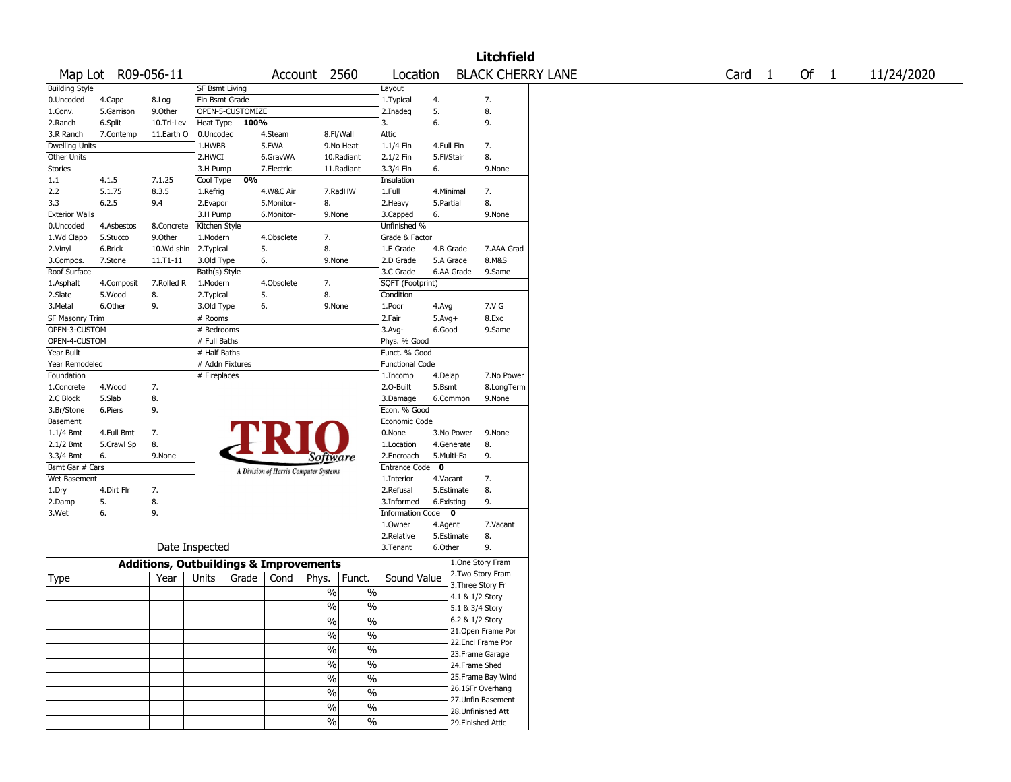|                       |                    |                                                   |                 |                  |            |                                       |                          |                        |              |            | <b>Litchfield</b>                       |  |                   |        |            |
|-----------------------|--------------------|---------------------------------------------------|-----------------|------------------|------------|---------------------------------------|--------------------------|------------------------|--------------|------------|-----------------------------------------|--|-------------------|--------|------------|
|                       | Map Lot R09-056-11 |                                                   |                 |                  |            | Account 2560                          |                          | Location               |              |            | <b>BLACK CHERRY LANE</b>                |  | Card <sub>1</sub> | Of $1$ | 11/24/2020 |
| <b>Building Style</b> |                    |                                                   | SF Bsmt Living  |                  |            |                                       |                          | Layout                 |              |            |                                         |  |                   |        |            |
| 0.Uncoded             | 4.Cape             | 8.Log                                             | Fin Bsmt Grade  |                  |            |                                       |                          | 1. Typical             | 4.           |            | 7.                                      |  |                   |        |            |
| 1.Conv.               | 5.Garrison         | 9.0ther                                           |                 | OPEN-5-CUSTOMIZE |            |                                       |                          | 2.Inadeq               | 5.           |            | 8.                                      |  |                   |        |            |
| 2.Ranch               | 6.Split            | 10.Tri-Lev                                        | Heat Type       | 100%             |            |                                       |                          | 3.                     | 6.           |            | 9.                                      |  |                   |        |            |
| 3.R Ranch             | 7.Contemp          | 11.Earth O                                        | 0.Uncoded       |                  | 4.Steam    | 8.Fl/Wall                             |                          | Attic                  |              |            |                                         |  |                   |        |            |
| <b>Dwelling Units</b> |                    |                                                   | 1.HWBB          |                  | 5.FWA      |                                       | 9.No Heat                | 1.1/4 Fin              | 4.Full Fin   |            | 7.                                      |  |                   |        |            |
| Other Units           |                    |                                                   | 2.HWCI          |                  | 6.GravWA   |                                       | 10.Radiant               | 2.1/2 Fin              | 5.Fl/Stair   |            | 8.                                      |  |                   |        |            |
| Stories               |                    |                                                   | 3.H Pump        |                  | 7.Electric |                                       | 11.Radiant               | 3.3/4 Fin              | 6.           |            | 9.None                                  |  |                   |        |            |
| 1.1                   | 4.1.5              | 7.1.25                                            | Cool Type       | 0%               |            |                                       |                          | Insulation             |              |            |                                         |  |                   |        |            |
| 2.2                   | 5.1.75             | 8.3.5                                             | 1.Refrig        |                  | 4.W&C Air  |                                       | 7.RadHW                  | 1.Full                 | 4.Minimal    |            | 7.                                      |  |                   |        |            |
| 3.3                   | 6.2.5              | 9.4                                               | 2.Evapor        |                  | 5.Monitor- | 8.                                    |                          | 2.Heavy                | 5.Partial    |            | 8.                                      |  |                   |        |            |
| <b>Exterior Walls</b> |                    |                                                   | 3.H Pump        |                  | 6.Monitor- | 9.None                                |                          | 3.Capped               | 6.           |            | 9.None                                  |  |                   |        |            |
| 0.Uncoded             | 4.Asbestos         | 8.Concrete                                        | Kitchen Style   |                  |            |                                       |                          | Unfinished %           |              |            |                                         |  |                   |        |            |
| 1.Wd Clapb            | 5.Stucco           | 9.0ther                                           | 1.Modern        |                  | 4.Obsolete | 7.                                    |                          | Grade & Factor         |              |            |                                         |  |                   |        |            |
| 2.Vinyl               | 6.Brick            | 10.Wd shin                                        | 2. Typical      | 5.               |            | 8.                                    |                          | 1.E Grade              | 4.B Grade    |            | 7.AAA Grad                              |  |                   |        |            |
| 3.Compos.             | 7.Stone            | 11.T1-11                                          | 3.Old Type      | 6.               |            | 9.None                                |                          | 2.D Grade              | 5.A Grade    |            | 8.M&S                                   |  |                   |        |            |
| Roof Surface          |                    |                                                   | Bath(s) Style   |                  |            |                                       |                          | 3.C Grade              |              | 6.AA Grade | 9.Same                                  |  |                   |        |            |
| 1.Asphalt             | 4.Composit         | 7.Rolled R                                        | 1.Modern        |                  | 4.Obsolete | 7.                                    |                          | SQFT (Footprint)       |              |            |                                         |  |                   |        |            |
| 2.Slate               | 5.Wood             | 8.                                                | 2. Typical      | 5.               |            | 8.                                    |                          | Condition              |              |            |                                         |  |                   |        |            |
| 3.Metal               | 6.Other            | 9.                                                | 3.Old Type      |                  | 6.         | 9.None                                |                          | 1.Poor                 | 4.Avg        |            | 7.V G                                   |  |                   |        |            |
| SF Masonry Trim       |                    |                                                   | # Rooms         |                  |            |                                       |                          | 2.Fair                 | $5.$ Avg $+$ |            | 8.Exc                                   |  |                   |        |            |
| OPEN-3-CUSTOM         |                    |                                                   | # Bedrooms      |                  |            |                                       |                          | 3.Avg-                 | 6.Good       |            | 9.Same                                  |  |                   |        |            |
| OPEN-4-CUSTOM         |                    |                                                   | # Full Baths    |                  |            |                                       |                          | Phys. % Good           |              |            |                                         |  |                   |        |            |
| Year Built            |                    |                                                   | # Half Baths    |                  |            |                                       |                          | Funct. % Good          |              |            |                                         |  |                   |        |            |
| Year Remodeled        |                    |                                                   | # Addn Fixtures |                  |            |                                       |                          | <b>Functional Code</b> |              |            |                                         |  |                   |        |            |
| Foundation            |                    |                                                   | # Fireplaces    |                  |            |                                       |                          | 1.Incomp               | 4.Delap      |            | 7.No Power                              |  |                   |        |            |
| 1.Concrete            | 4.Wood             | 7.                                                |                 |                  |            |                                       |                          | 2.O-Built              | 5.Bsmt       |            | 8.LongTerm                              |  |                   |        |            |
| 2.C Block             | 5.Slab             | 8.                                                |                 |                  |            |                                       |                          | 3.Damage               |              | 6.Common   | 9.None                                  |  |                   |        |            |
| 3.Br/Stone            | 6.Piers            | 9.                                                |                 |                  |            |                                       |                          | Econ. % Good           |              |            |                                         |  |                   |        |            |
| Basement              |                    |                                                   |                 |                  |            |                                       |                          | Economic Code          |              |            |                                         |  |                   |        |            |
| 1.1/4 Bmt             | 4.Full Bmt         | 7.                                                |                 |                  |            |                                       |                          | 0.None                 |              | 3.No Power | 9.None                                  |  |                   |        |            |
| 2.1/2 Bmt             | 5.Crawl Sp         | 8.                                                |                 |                  |            |                                       |                          | 1.Location             |              | 4.Generate | 8.                                      |  |                   |        |            |
| 3.3/4 Bmt             | 6.                 | 9.None                                            |                 |                  |            | Software                              |                          | 2.Encroach             | 5.Multi-Fa   |            | 9.                                      |  |                   |        |            |
| Bsmt Gar # Cars       |                    |                                                   |                 |                  |            |                                       |                          | Entrance Code          | $\mathbf 0$  |            |                                         |  |                   |        |            |
| Wet Basement          |                    |                                                   |                 |                  |            | A Division of Harris Computer Systems |                          | 1.Interior             | 4.Vacant     |            | 7.                                      |  |                   |        |            |
| 1.Dry                 | 4.Dirt Flr         | 7.                                                |                 |                  |            |                                       |                          | 2.Refusal              |              | 5.Estimate | 8.                                      |  |                   |        |            |
| 2.Damp                | 5.                 | 8.                                                |                 |                  |            |                                       |                          | 3.Informed             | 6.Existing   |            | 9.                                      |  |                   |        |            |
| 3.Wet                 | 6.                 | 9.                                                |                 |                  |            |                                       |                          | Information Code 0     |              |            |                                         |  |                   |        |            |
|                       |                    |                                                   |                 |                  |            |                                       |                          | 1.Owner                | 4.Agent      |            | 7.Vacant                                |  |                   |        |            |
|                       |                    |                                                   |                 |                  |            |                                       |                          | 2.Relative             | 5.Estimate   |            | 8.                                      |  |                   |        |            |
|                       |                    |                                                   | Date Inspected  |                  |            |                                       |                          | 3.Tenant               | 6.Other      |            | 9.                                      |  |                   |        |            |
|                       |                    | <b>Additions, Outbuildings &amp; Improvements</b> |                 |                  |            |                                       |                          |                        |              |            | 1.One Story Fram                        |  |                   |        |            |
|                       |                    | Year                                              | Units           | Grade            | Cond       |                                       | Funct.                   | Sound Value            |              |            | 2. Two Story Fram                       |  |                   |        |            |
| Type                  |                    |                                                   |                 |                  |            | Phys.                                 |                          |                        |              |            | 3. Three Story Fr                       |  |                   |        |            |
|                       |                    |                                                   |                 |                  |            | %                                     | $\%$                     |                        |              |            | 4.1 & 1/2 Story                         |  |                   |        |            |
|                       |                    |                                                   |                 |                  |            | %                                     | $\%$                     |                        |              |            | 5.1 & 3/4 Story                         |  |                   |        |            |
|                       |                    |                                                   |                 |                  |            | $\frac{0}{0}$                         | $\%$                     |                        |              |            | 6.2 & 1/2 Story                         |  |                   |        |            |
|                       |                    |                                                   |                 |                  |            |                                       |                          |                        |              |            | 21. Open Frame Por                      |  |                   |        |            |
|                       |                    |                                                   |                 |                  |            | $\sqrt{2}$                            | $\frac{0}{0}$            |                        |              |            | 22.Encl Frame Por                       |  |                   |        |            |
|                       |                    |                                                   |                 |                  |            | $\frac{0}{6}$                         | $\overline{\frac{0}{6}}$ |                        |              |            | 23. Frame Garage                        |  |                   |        |            |
|                       |                    |                                                   |                 |                  |            | $\sqrt{6}$                            | $\frac{1}{2}$            |                        |              |            | 24.Frame Shed                           |  |                   |        |            |
|                       |                    |                                                   |                 |                  |            |                                       |                          |                        |              |            | 25. Frame Bay Wind                      |  |                   |        |            |
|                       |                    |                                                   |                 |                  |            |                                       |                          |                        |              |            |                                         |  |                   |        |            |
|                       |                    |                                                   |                 |                  |            | $\sqrt{6}$                            | $\overline{\frac{0}{6}}$ |                        |              |            |                                         |  |                   |        |            |
|                       |                    |                                                   |                 |                  |            | $\%$                                  | $\%$                     |                        |              |            | 26.1SFr Overhang                        |  |                   |        |            |
|                       |                    |                                                   |                 |                  |            | $\sqrt{6}$<br>$\frac{9}{6}$           | $\sqrt{6}$<br>$\sqrt{6}$ |                        |              |            | 27.Unfin Basement<br>28. Unfinished Att |  |                   |        |            |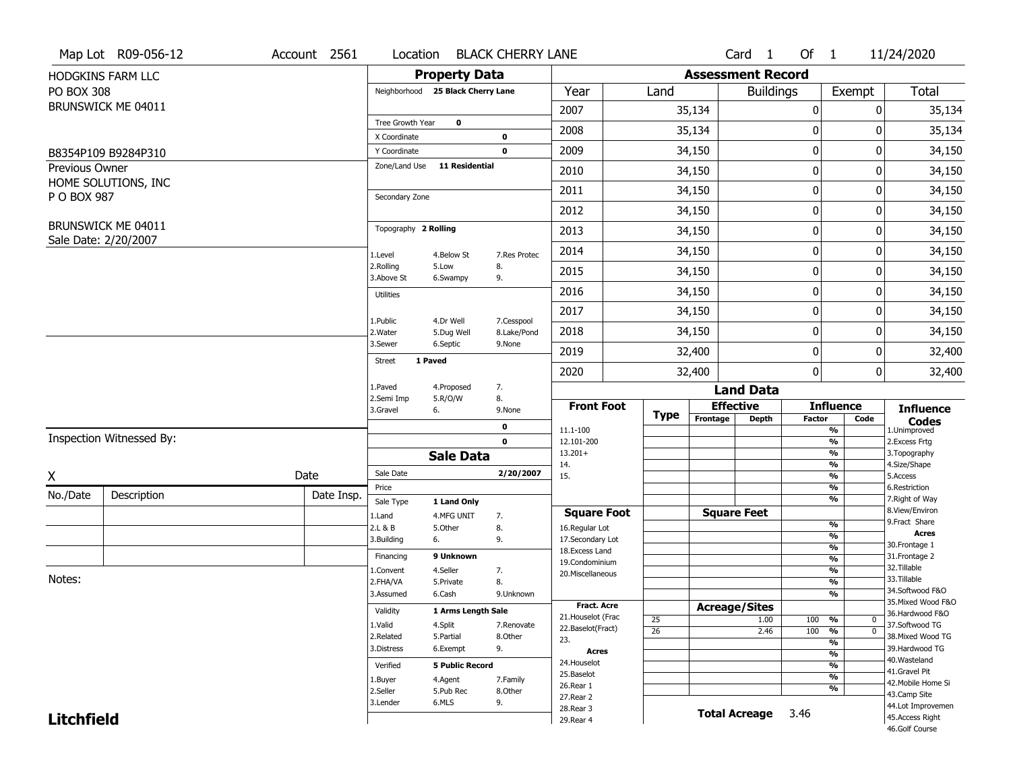|                   | Map Lot R09-056-12       | Account 2561 | Location                      |                                   | <b>BLACK CHERRY LANE</b>  |                                         |                 |                          | Card <sub>1</sub>    | Of $1$        |                                | 11/24/2020                            |
|-------------------|--------------------------|--------------|-------------------------------|-----------------------------------|---------------------------|-----------------------------------------|-----------------|--------------------------|----------------------|---------------|--------------------------------|---------------------------------------|
|                   | HODGKINS FARM LLC        |              |                               | <b>Property Data</b>              |                           |                                         |                 | <b>Assessment Record</b> |                      |               |                                |                                       |
| <b>PO BOX 308</b> |                          |              |                               | Neighborhood 25 Black Cherry Lane |                           | Year                                    | Land            |                          | <b>Buildings</b>     |               | Exempt                         | <b>Total</b>                          |
|                   | BRUNSWICK ME 04011       |              |                               |                                   |                           | 2007                                    |                 | 35,134                   |                      | 0             | 0                              | 35,134                                |
|                   |                          |              | Tree Growth Year              | $\mathbf 0$                       |                           | 2008                                    |                 | 35,134                   |                      | 0             | 0                              | 35,134                                |
|                   |                          |              | X Coordinate                  |                                   | 0<br>$\mathbf 0$          | 2009                                    |                 | 34,150                   |                      | 0             | 0                              |                                       |
| Previous Owner    | B8354P109 B9284P310      |              | Y Coordinate<br>Zone/Land Use | <b>11 Residential</b>             |                           |                                         |                 |                          |                      |               |                                | 34,150                                |
|                   | HOME SOLUTIONS, INC      |              |                               |                                   |                           | 2010                                    |                 | 34,150                   |                      | 0             | 0                              | 34,150                                |
| P O BOX 987       |                          |              | Secondary Zone                |                                   |                           | 2011                                    |                 | 34,150                   |                      | 0             | 0                              | 34,150                                |
|                   |                          |              |                               |                                   |                           | 2012                                    |                 | 34,150                   |                      | 0             | 0                              | 34,150                                |
|                   | BRUNSWICK ME 04011       |              | Topography 2 Rolling          |                                   |                           | 2013                                    |                 | 34,150                   |                      | 0             | 0                              | 34,150                                |
|                   | Sale Date: 2/20/2007     |              | 1.Level                       | 4.Below St                        | 7.Res Protec              | 2014                                    |                 | 34,150                   |                      | 0             | 0                              | 34,150                                |
|                   |                          |              | 2.Rolling<br>3.Above St       | 5.Low<br>6.Swampy                 | 8.<br>9.                  | 2015                                    |                 | 34,150                   |                      | 0             | 0                              | 34,150                                |
|                   |                          |              | <b>Utilities</b>              |                                   |                           | 2016                                    |                 | 34,150                   |                      | 0             | 0                              | 34,150                                |
|                   |                          |              |                               |                                   |                           | 2017                                    |                 | 34,150                   |                      | 0             | 0                              | 34,150                                |
|                   |                          |              | 1.Public<br>2. Water          | 4.Dr Well<br>5.Dug Well           | 7.Cesspool<br>8.Lake/Pond | 2018                                    |                 | 34,150                   |                      | 0             | 0                              | 34,150                                |
|                   |                          |              | 3.Sewer                       | 6.Septic                          | 9.None                    | 2019                                    |                 | 32,400                   |                      | 0             | 0                              | 32,400                                |
|                   |                          |              | <b>Street</b>                 | 1 Paved                           |                           | 2020                                    |                 | 32,400                   |                      | 0             | $\mathbf{0}$                   | 32,400                                |
|                   |                          |              | 1.Paved                       | 4.Proposed                        | 7.                        |                                         |                 |                          | <b>Land Data</b>     |               |                                |                                       |
|                   |                          |              | 2.Semi Imp<br>3.Gravel        | 5.R/O/W<br>6.                     | 8.<br>9.None              | <b>Front Foot</b>                       |                 | <b>Effective</b>         |                      |               | <b>Influence</b>               | <b>Influence</b>                      |
|                   |                          |              |                               |                                   | 0                         | 11.1-100                                | <b>Type</b>     | Frontage                 | <b>Depth</b>         | <b>Factor</b> | Code<br>$\frac{9}{6}$          | <b>Codes</b><br>1.Unimproved          |
|                   | Inspection Witnessed By: |              |                               |                                   | $\mathbf 0$               | 12.101-200                              |                 |                          |                      |               | $\frac{9}{6}$                  | 2. Excess Frtg                        |
|                   |                          |              |                               | <b>Sale Data</b>                  |                           | $13.201+$<br>14.                        |                 |                          |                      |               | $\frac{9}{6}$<br>$\frac{9}{6}$ | 3. Topography<br>4.Size/Shape         |
| X                 |                          | Date         | Sale Date                     |                                   | 2/20/2007                 | 15.                                     |                 |                          |                      |               | $\frac{9}{6}$                  | 5.Access                              |
| No./Date          | Description              | Date Insp.   | Price                         |                                   |                           |                                         |                 |                          |                      |               | $\frac{9}{6}$                  | 6.Restriction                         |
|                   |                          |              | Sale Type                     | 1 Land Only                       |                           | <b>Square Foot</b>                      |                 | <b>Square Feet</b>       |                      |               | %                              | 7. Right of Way<br>8.View/Environ     |
|                   |                          |              | 1.Land<br>2.L & B             | 4.MFG UNIT<br>5.0ther             | 7.<br>8.                  | 16.Regular Lot                          |                 |                          |                      |               | $\frac{9}{6}$                  | 9.Fract Share                         |
|                   |                          |              | 3.Building                    | 6.                                | 9.                        | 17.Secondary Lot                        |                 |                          |                      |               | $\frac{9}{6}$                  | Acres<br>30. Frontage 1               |
|                   |                          |              | Financing                     | 9 Unknown                         |                           | 18.Excess Land                          |                 |                          |                      |               | $\frac{9}{6}$<br>$\frac{9}{6}$ | 31. Frontage 2                        |
|                   |                          |              | 1.Convent                     | 4.Seller                          | 7.                        | 19.Condominium<br>20.Miscellaneous      |                 |                          |                      |               | $\frac{9}{6}$                  | 32.Tillable                           |
| Notes:            |                          |              | 2.FHA/VA                      | 5.Private                         | 8.                        |                                         |                 |                          |                      |               | $\frac{9}{6}$                  | 33.Tillable                           |
|                   |                          |              | 3.Assumed                     | 6.Cash                            | 9.Unknown                 |                                         |                 |                          |                      |               | $\frac{9}{6}$                  | 34.Softwood F&O                       |
|                   |                          |              | Validity                      | 1 Arms Length Sale                |                           | <b>Fract. Acre</b>                      |                 | <b>Acreage/Sites</b>     |                      |               |                                | 35. Mixed Wood F&O<br>36.Hardwood F&O |
|                   |                          |              | 1.Valid                       | 4.Split                           | 7.Renovate                | 21. Houselot (Frac<br>22.Baselot(Fract) | 25              |                          | 1.00                 | 100           | %<br>0                         | 37.Softwood TG                        |
|                   |                          |              | 2.Related                     | 5.Partial                         | 8.Other                   | 23.                                     | $\overline{26}$ |                          | 2.46                 | 100           | $\overline{0}$<br>%            | 38. Mixed Wood TG                     |
|                   |                          |              | 3.Distress                    | 6.Exempt                          | 9.                        | Acres                                   |                 |                          |                      |               | $\frac{9}{6}$<br>$\frac{9}{6}$ | 39.Hardwood TG                        |
|                   |                          |              | Verified                      | <b>5 Public Record</b>            |                           | 24. Houselot                            |                 |                          |                      |               | $\frac{9}{6}$                  | 40. Wasteland                         |
|                   |                          |              | 1.Buyer                       | 4.Agent                           | 7.Family                  | 25.Baselot                              |                 |                          |                      |               | $\frac{9}{6}$                  | 41.Gravel Pit                         |
|                   |                          |              | 2.Seller                      | 5.Pub Rec                         | 8.Other                   | 26.Rear 1                               |                 |                          |                      |               | $\frac{9}{6}$                  | 42. Mobile Home Si                    |
|                   |                          |              | 3.Lender                      | 6.MLS                             | 9.                        | 27. Rear 2                              |                 |                          |                      |               |                                | 43.Camp Site<br>44.Lot Improvemen     |
|                   |                          |              |                               |                                   |                           |                                         |                 |                          |                      |               |                                |                                       |
| <b>Litchfield</b> |                          |              |                               |                                   |                           | 28. Rear 3<br>29. Rear 4                |                 |                          | <b>Total Acreage</b> | 3.46          |                                | 45.Access Right                       |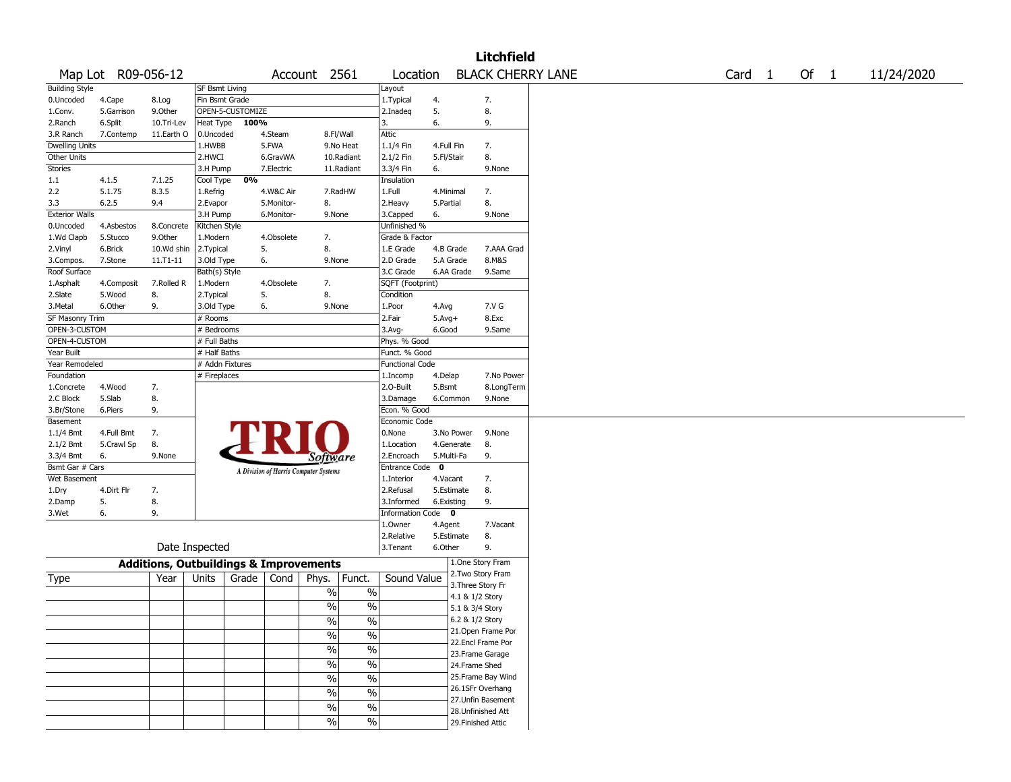|                       |                    |                                                   |                 |                  |            |                                       |                          |                        |            |                 | <b>Litchfield</b>  |                          |        |        |            |
|-----------------------|--------------------|---------------------------------------------------|-----------------|------------------|------------|---------------------------------------|--------------------------|------------------------|------------|-----------------|--------------------|--------------------------|--------|--------|------------|
|                       | Map Lot R09-056-12 |                                                   |                 |                  |            | Account 2561                          |                          | Location               |            |                 |                    | <b>BLACK CHERRY LANE</b> | Card 1 | Of $1$ | 11/24/2020 |
| <b>Building Style</b> |                    |                                                   | SF Bsmt Living  |                  |            |                                       |                          | Layout                 |            |                 |                    |                          |        |        |            |
| 0.Uncoded             | 4.Cape             | 8.Log                                             | Fin Bsmt Grade  |                  |            |                                       |                          | 1. Typical             | 4.         |                 | 7.                 |                          |        |        |            |
| 1.Conv.               | 5.Garrison         | 9.Other                                           |                 | OPEN-5-CUSTOMIZE |            |                                       |                          | 2.Inadeg               | 5.         |                 | 8.                 |                          |        |        |            |
| 2.Ranch               | 6.Split            | 10.Tri-Lev                                        | Heat Type       | 100%             |            |                                       |                          | 3.                     | 6.         |                 | 9.                 |                          |        |        |            |
| 3.R Ranch             | 7.Contemp          | 11.Earth O                                        | 0.Uncoded       |                  | 4.Steam    | 8.Fl/Wall                             |                          | Attic                  |            |                 |                    |                          |        |        |            |
| <b>Dwelling Units</b> |                    |                                                   | 1.HWBB          |                  | 5.FWA      |                                       | 9.No Heat                | 1.1/4 Fin              | 4.Full Fin |                 | 7.                 |                          |        |        |            |
| Other Units           |                    |                                                   | 2.HWCI          |                  | 6.GravWA   |                                       | 10.Radiant               | 2.1/2 Fin              | 5.Fl/Stair |                 | 8.                 |                          |        |        |            |
| Stories               |                    |                                                   | 3.H Pump        |                  | 7.Electric |                                       | 11.Radiant               | 3.3/4 Fin              | 6.         |                 | 9.None             |                          |        |        |            |
| 1.1                   | 4.1.5              | 7.1.25                                            | Cool Type       | 0%               |            |                                       |                          | Insulation             |            |                 |                    |                          |        |        |            |
| 2.2                   | 5.1.75             | 8.3.5                                             | 1.Refrig        |                  | 4.W&C Air  |                                       | 7.RadHW                  | 1.Full                 | 4.Minimal  |                 | 7.                 |                          |        |        |            |
| 3.3                   | 6.2.5              | 9.4                                               | 2.Evapor        |                  | 5.Monitor- | 8.                                    |                          | 2.Heavy                | 5.Partial  |                 | 8.                 |                          |        |        |            |
| <b>Exterior Walls</b> |                    |                                                   | 3.H Pump        |                  | 6.Monitor- | 9.None                                |                          | 3.Capped               | 6.         |                 | 9.None             |                          |        |        |            |
| 0.Uncoded             | 4.Asbestos         | 8.Concrete                                        | Kitchen Style   |                  |            |                                       |                          | Unfinished %           |            |                 |                    |                          |        |        |            |
| 1.Wd Clapb            | 5.Stucco           | 9.Other                                           | 1.Modern        |                  | 4.Obsolete | 7.                                    |                          | Grade & Factor         |            |                 |                    |                          |        |        |            |
| 2.Vinyl               | 6.Brick            | 10.Wd shin                                        | 2. Typical      | 5.               |            | 8.                                    |                          | 1.E Grade              | 4.B Grade  |                 | 7.AAA Grad         |                          |        |        |            |
| 3.Compos.             | 7.Stone            | 11.T1-11                                          | 3.Old Type      | 6.               |            | 9.None                                |                          | 2.D Grade              | 5.A Grade  |                 | 8.M&S              |                          |        |        |            |
| Roof Surface          |                    |                                                   | Bath(s) Style   |                  |            |                                       |                          | 3.C Grade              |            | 6.AA Grade      | 9.Same             |                          |        |        |            |
| 1.Asphalt             | 4.Composit         | 7.Rolled R                                        | 1.Modern        |                  | 4.Obsolete | 7.                                    |                          | SQFT (Footprint)       |            |                 |                    |                          |        |        |            |
| 2.Slate               | 5.Wood             | 8.                                                | 2. Typical      | 5.               |            | 8.                                    |                          | Condition              |            |                 |                    |                          |        |        |            |
| 3.Metal               | 6.Other            | 9.                                                | 3.Old Type      | 6.               |            | 9.None                                |                          | 1.Poor                 | 4.Avg      |                 | 7.V G              |                          |        |        |            |
| SF Masonry Trim       |                    |                                                   | # Rooms         |                  |            |                                       |                          | 2.Fair                 | $5.Avg+$   |                 | 8.Exc              |                          |        |        |            |
| OPEN-3-CUSTOM         |                    |                                                   | # Bedrooms      |                  |            |                                       |                          | 3.Avg-                 | 6.Good     |                 | 9.Same             |                          |        |        |            |
| OPEN-4-CUSTOM         |                    |                                                   | # Full Baths    |                  |            |                                       |                          | Phys. % Good           |            |                 |                    |                          |        |        |            |
| Year Built            |                    |                                                   | # Half Baths    |                  |            |                                       |                          | Funct. % Good          |            |                 |                    |                          |        |        |            |
| Year Remodeled        |                    |                                                   | # Addn Fixtures |                  |            |                                       |                          | <b>Functional Code</b> |            |                 |                    |                          |        |        |            |
| Foundation            |                    |                                                   | # Fireplaces    |                  |            |                                       |                          | 1.Incomp               | 4.Delap    |                 | 7.No Power         |                          |        |        |            |
| 1.Concrete            | 4.Wood             | 7.                                                |                 |                  |            |                                       |                          | 2.O-Built              | 5.Bsmt     |                 | 8.LongTerm         |                          |        |        |            |
| 2.C Block             | 5.Slab             | 8.                                                |                 |                  |            |                                       |                          | 3.Damage               | 6.Common   |                 | 9.None             |                          |        |        |            |
| 3.Br/Stone            | 6.Piers            | 9.                                                |                 |                  |            |                                       |                          | Econ. % Good           |            |                 |                    |                          |        |        |            |
| Basement              |                    |                                                   |                 |                  |            |                                       |                          | Economic Code          |            |                 |                    |                          |        |        |            |
| $1.1/4$ Bmt           | 4.Full Bmt         | 7.                                                |                 |                  |            |                                       |                          | 0.None                 |            | 3.No Power      | 9.None             |                          |        |        |            |
| 2.1/2 Bmt             | 5.Crawl Sp         | 8.                                                |                 |                  |            |                                       |                          | 1.Location             | 4.Generate |                 | 8.                 |                          |        |        |            |
| 3.3/4 Bmt             | 6.                 | 9.None                                            |                 |                  |            | Software                              |                          | 2.Encroach             | 5.Multi-Fa |                 | 9.                 |                          |        |        |            |
| Bsmt Gar # Cars       |                    |                                                   |                 |                  |            |                                       |                          | Entrance Code          | 0          |                 |                    |                          |        |        |            |
| Wet Basement          |                    |                                                   |                 |                  |            | A Division of Harris Computer Systems |                          | 1.Interior             | 4.Vacant   |                 | 7.                 |                          |        |        |            |
| 1.Dry                 | 4.Dirt Flr         | 7.                                                |                 |                  |            |                                       |                          | 2.Refusal              | 5.Estimate |                 | 8.                 |                          |        |        |            |
| 2.Damp                | 5.                 | 8.                                                |                 |                  |            |                                       |                          | 3.Informed             | 6.Existing |                 | 9.                 |                          |        |        |            |
| 3.Wet                 | 6.                 | 9.                                                |                 |                  |            |                                       |                          | Information Code       | $\bullet$  |                 |                    |                          |        |        |            |
|                       |                    |                                                   |                 |                  |            |                                       |                          | 1.Owner                | 4.Agent    |                 | 7.Vacant           |                          |        |        |            |
|                       |                    |                                                   |                 |                  |            |                                       |                          | 2.Relative             | 5.Estimate |                 | 8.                 |                          |        |        |            |
|                       |                    |                                                   | Date Inspected  |                  |            |                                       |                          | 3. Tenant              | 6.Other    |                 | 9.                 |                          |        |        |            |
|                       |                    | <b>Additions, Outbuildings &amp; Improvements</b> |                 |                  |            |                                       |                          |                        |            |                 | 1.One Story Fram   |                          |        |        |            |
| Type                  |                    | Year                                              | Units           | Grade            | Cond       | Phys.                                 | Funct.                   | Sound Value            |            |                 | 2. Two Story Fram  |                          |        |        |            |
|                       |                    |                                                   |                 |                  |            |                                       |                          |                        |            |                 | 3. Three Story Fr  |                          |        |        |            |
|                       |                    |                                                   |                 |                  |            | $\%$                                  | $\%$                     |                        |            | 4.1 & 1/2 Story |                    |                          |        |        |            |
|                       |                    |                                                   |                 |                  |            | %                                     | $\%$                     |                        |            | 5.1 & 3/4 Story |                    |                          |        |        |            |
|                       |                    |                                                   |                 |                  |            | $\%$                                  | $\%$                     |                        |            | 6.2 & 1/2 Story |                    |                          |        |        |            |
|                       |                    |                                                   |                 |                  |            | $\sqrt{6}$                            | $\%$                     |                        |            |                 | 21. Open Frame Por |                          |        |        |            |
|                       |                    |                                                   |                 |                  |            |                                       |                          |                        |            |                 | 22.Encl Frame Por  |                          |        |        |            |
|                       |                    |                                                   |                 |                  |            | $\frac{1}{2}$                         | $\overline{\frac{0}{6}}$ |                        |            |                 | 23. Frame Garage   |                          |        |        |            |
|                       |                    |                                                   |                 |                  |            | $\sqrt{6}$                            | $\overline{\frac{0}{6}}$ |                        |            | 24.Frame Shed   |                    |                          |        |        |            |
|                       |                    |                                                   |                 |                  |            | $\frac{1}{2}$                         | $\overline{\frac{0}{6}}$ |                        |            |                 | 25. Frame Bay Wind |                          |        |        |            |
|                       |                    |                                                   |                 |                  |            | $\sqrt{6}$                            | $\%$                     |                        |            |                 | 26.1SFr Overhang   |                          |        |        |            |
|                       |                    |                                                   |                 |                  |            |                                       |                          |                        |            |                 | 27.Unfin Basement  |                          |        |        |            |
|                       |                    |                                                   |                 |                  |            | $\sqrt{6}$                            | $\%$                     |                        |            |                 | 28. Unfinished Att |                          |        |        |            |
|                       |                    |                                                   |                 |                  |            | $\sqrt{6}$                            | $\%$                     |                        |            |                 | 29. Finished Attic |                          |        |        |            |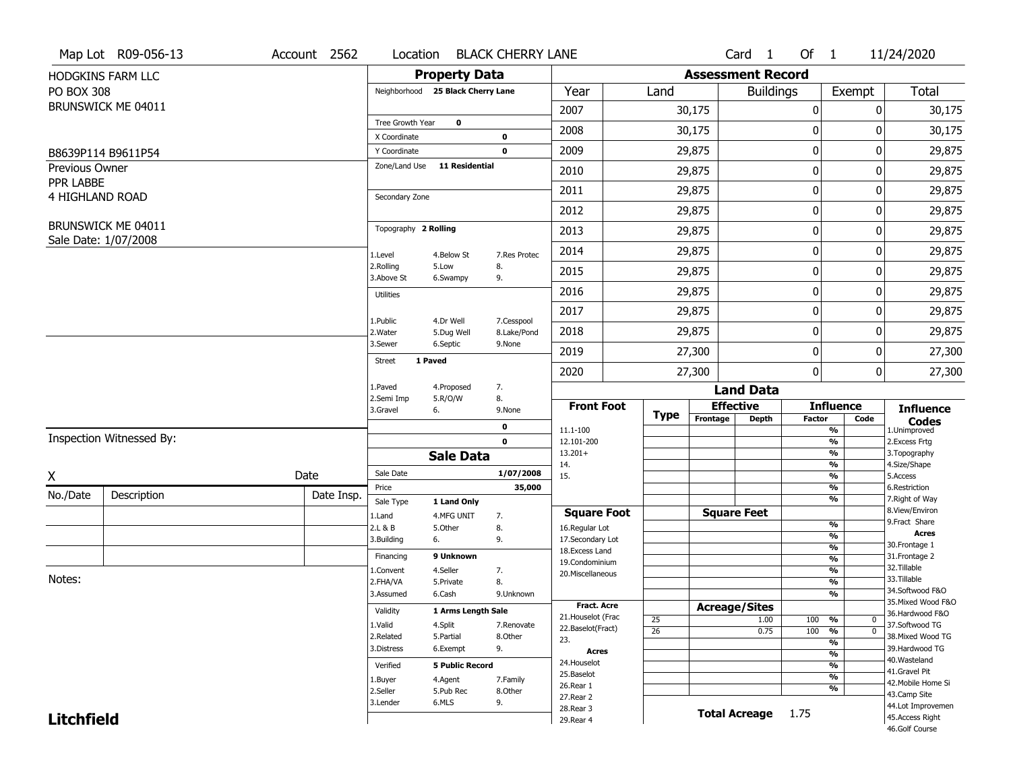|                             | Map Lot R09-056-13                         | Account 2562 | Location                |                                   | <b>BLACK CHERRY LANE</b>  |                     |                 |                          | Card <sub>1</sub>    | Of $1$        |                                | 11/24/2020                        |
|-----------------------------|--------------------------------------------|--------------|-------------------------|-----------------------------------|---------------------------|---------------------|-----------------|--------------------------|----------------------|---------------|--------------------------------|-----------------------------------|
|                             | HODGKINS FARM LLC                          |              |                         | <b>Property Data</b>              |                           |                     |                 | <b>Assessment Record</b> |                      |               |                                |                                   |
| <b>PO BOX 308</b>           |                                            |              |                         | Neighborhood 25 Black Cherry Lane |                           | Year                | Land            |                          | <b>Buildings</b>     |               | Exempt                         | <b>Total</b>                      |
|                             | BRUNSWICK ME 04011                         |              |                         |                                   |                           | 2007                |                 | 30,175                   |                      | 0             | 0                              | 30,175                            |
|                             |                                            |              | Tree Growth Year        | $\mathbf 0$                       |                           | 2008                |                 | 30,175                   |                      | 0             | 0                              | 30,175                            |
|                             |                                            |              | X Coordinate            |                                   | 0                         |                     |                 |                          |                      |               |                                |                                   |
|                             | B8639P114 B9611P54                         |              | Y Coordinate            |                                   | $\mathbf 0$               | 2009                |                 | 29,875                   |                      | 0             | 0                              | 29,875                            |
| Previous Owner<br>PPR LABBE |                                            |              | Zone/Land Use           | <b>11 Residential</b>             |                           | 2010                |                 | 29,875                   |                      | 0             | $\Omega$                       | 29,875                            |
| 4 HIGHLAND ROAD             |                                            |              | Secondary Zone          |                                   |                           | 2011                |                 | 29,875                   |                      | 0             | 0                              | 29,875                            |
|                             |                                            |              |                         |                                   |                           | 2012                |                 | 29,875                   |                      | 0             | 0                              | 29,875                            |
|                             | BRUNSWICK ME 04011<br>Sale Date: 1/07/2008 |              | Topography 2 Rolling    |                                   |                           | 2013                |                 | 29,875                   |                      | 0             | 0                              | 29,875                            |
|                             |                                            |              | 1.Level                 | 4.Below St                        | 7.Res Protec              | 2014                |                 | 29,875                   |                      | 0             | 0                              | 29,875                            |
|                             |                                            |              | 2.Rolling<br>3.Above St | 5.Low<br>6.Swampy                 | 8.<br>9.                  | 2015                |                 | 29,875                   |                      | 0             | 0                              | 29,875                            |
|                             |                                            |              | <b>Utilities</b>        |                                   |                           | 2016                |                 | 29,875                   |                      | 0             | 0                              | 29,875                            |
|                             |                                            |              |                         |                                   |                           | 2017                |                 | 29,875                   |                      | 0             | 0                              | 29,875                            |
|                             |                                            |              | 1.Public<br>2. Water    | 4.Dr Well<br>5.Dug Well           | 7.Cesspool<br>8.Lake/Pond | 2018                |                 | 29,875                   |                      | 0             | 0                              | 29,875                            |
|                             |                                            |              | 3.Sewer                 | 6.Septic                          | 9.None                    | 2019                |                 | 27,300                   |                      | 0             | 0                              | 27,300                            |
|                             |                                            |              | Street                  | 1 Paved                           |                           | 2020                |                 | 27,300                   |                      | 0             | 0                              | 27,300                            |
|                             |                                            |              | 1.Paved                 | 4.Proposed                        | 7.                        |                     |                 |                          | <b>Land Data</b>     |               |                                |                                   |
|                             |                                            |              | 2.Semi Imp<br>3.Gravel  | 5.R/O/W<br>6.                     | 8.<br>9.None              | <b>Front Foot</b>   | <b>Type</b>     | <b>Effective</b>         |                      |               | <b>Influence</b>               | <b>Influence</b>                  |
|                             |                                            |              |                         |                                   | 0                         | 11.1-100            |                 | Frontage                 | <b>Depth</b>         | <b>Factor</b> | Code<br>%                      | <b>Codes</b><br>1.Unimproved      |
|                             | Inspection Witnessed By:                   |              |                         |                                   | $\mathbf 0$               | 12.101-200          |                 |                          |                      |               | $\frac{9}{6}$                  | 2.Excess Frtg                     |
|                             |                                            |              |                         | <b>Sale Data</b>                  |                           | $13.201+$<br>14.    |                 |                          |                      |               | %<br>%                         | 3. Topography<br>4.Size/Shape     |
| X                           |                                            | Date         | Sale Date               |                                   | 1/07/2008                 | 15.                 |                 |                          |                      |               | $\frac{9}{6}$                  | 5.Access                          |
| No./Date                    | Description                                | Date Insp.   | Price                   |                                   | 35,000                    |                     |                 |                          |                      |               | %                              | 6.Restriction                     |
|                             |                                            |              | Sale Type               | 1 Land Only                       |                           | <b>Square Foot</b>  |                 | <b>Square Feet</b>       |                      |               | %                              | 7. Right of Way<br>8.View/Environ |
|                             |                                            |              | 1.Land<br>2.L & B       | 4.MFG UNIT<br>5.Other             | 7.<br>8.                  | 16.Regular Lot      |                 |                          |                      |               | $\frac{9}{6}$                  | 9. Fract Share                    |
|                             |                                            |              | 3.Building              | 6.                                | 9.                        | 17.Secondary Lot    |                 |                          |                      |               | $\frac{9}{6}$                  | <b>Acres</b>                      |
|                             |                                            |              | Financing               | 9 Unknown                         |                           | 18. Excess Land     |                 |                          |                      |               | $\frac{9}{6}$                  | 30. Frontage 1<br>31. Frontage 2  |
|                             |                                            |              | 1.Convent               | 4.Seller                          | 7.                        | 19.Condominium      |                 |                          |                      |               | $\frac{9}{6}$<br>$\frac{9}{6}$ | 32.Tillable                       |
| Notes:                      |                                            |              | 2.FHA/VA                | 5.Private                         | 8.                        | 20.Miscellaneous    |                 |                          |                      |               | $\frac{9}{6}$                  | 33.Tillable                       |
|                             |                                            |              | 3.Assumed               | 6.Cash                            | 9.Unknown                 |                     |                 |                          |                      |               | $\overline{\frac{9}{6}}$       | 34.Softwood F&O                   |
|                             |                                            |              | Validity                | 1 Arms Length Sale                |                           | <b>Fract, Acre</b>  |                 | <b>Acreage/Sites</b>     |                      |               |                                | 35. Mixed Wood F&O                |
|                             |                                            |              | 1.Valid                 | 4.Split                           | 7.Renovate                | 21. Houselot (Frac  | 25              |                          | 1.00                 | 100           | %<br>0                         | 36.Hardwood F&O<br>37.Softwood TG |
|                             |                                            |              | 2.Related               | 5.Partial                         | 8.Other                   | 22.Baselot(Fract)   | $\overline{26}$ |                          | 0.75                 | 100           | $\overline{0}$<br>%            | 38. Mixed Wood TG                 |
|                             |                                            |              | 3.Distress              | 6.Exempt                          | 9.                        | 23.<br><b>Acres</b> |                 |                          |                      |               | $\frac{9}{6}$                  | 39.Hardwood TG                    |
|                             |                                            |              |                         |                                   |                           | 24. Houselot        |                 |                          |                      |               | $\frac{9}{6}$                  | 40. Wasteland                     |
|                             |                                            |              | Verified                | <b>5 Public Record</b>            |                           | 25.Baselot          |                 |                          |                      |               | $\frac{9}{6}$<br>$\frac{9}{6}$ | 41.Gravel Pit                     |
|                             |                                            |              | 1.Buyer                 | 4.Agent                           | 7.Family                  | 26.Rear 1           |                 |                          |                      |               | $\frac{9}{6}$                  | 42. Mobile Home Si                |
|                             |                                            |              | 2.Seller                | 5.Pub Rec                         | 8.Other                   | 27.Rear 2           |                 |                          |                      |               |                                | 43.Camp Site                      |
|                             |                                            |              | 3.Lender                | 6.MLS                             | 9.                        | 28. Rear 3          |                 |                          | <b>Total Acreage</b> | 1.75          |                                | 44.Lot Improvemen                 |
| <b>Litchfield</b>           |                                            |              |                         |                                   |                           | 29. Rear 4          |                 |                          |                      |               |                                | 45.Access Right<br>46.Golf Course |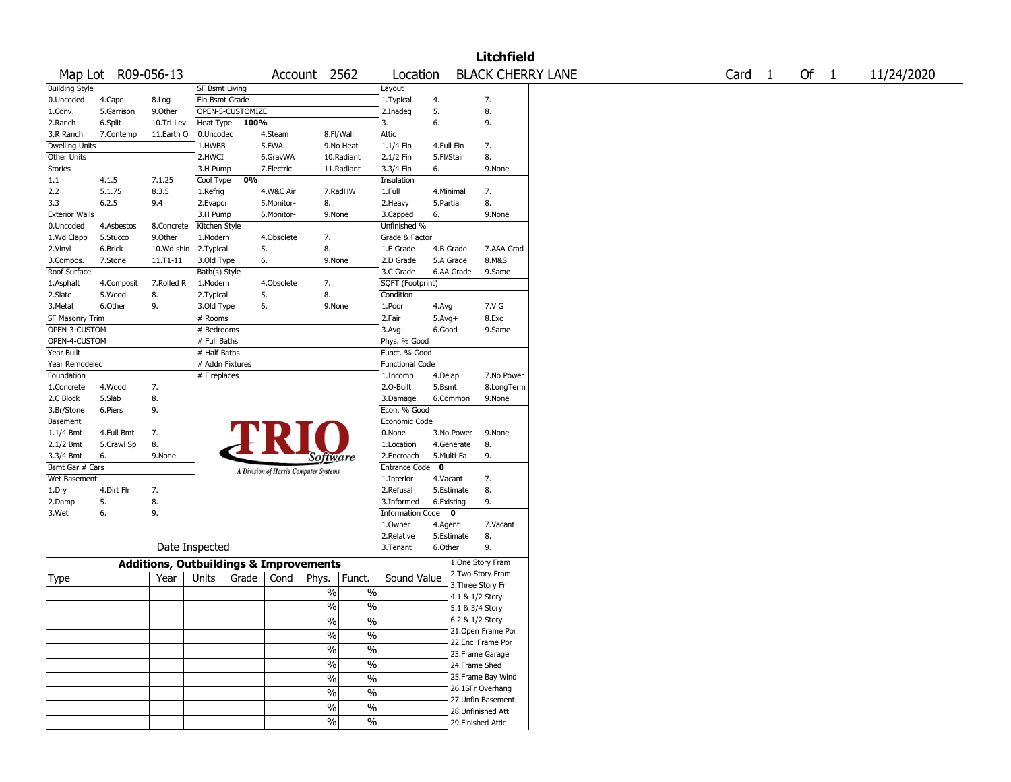|                       |                    |                                                   |                       |                  |            |                                       |                          |                        |             |                 | <b>Litchfield</b>  |                          |  |        |        |            |
|-----------------------|--------------------|---------------------------------------------------|-----------------------|------------------|------------|---------------------------------------|--------------------------|------------------------|-------------|-----------------|--------------------|--------------------------|--|--------|--------|------------|
|                       | Map Lot R09-056-13 |                                                   |                       |                  |            | Account 2562                          |                          | Location               |             |                 |                    | <b>BLACK CHERRY LANE</b> |  | Card 1 | Of $1$ | 11/24/2020 |
| <b>Building Style</b> |                    |                                                   | <b>SF Bsmt Living</b> |                  |            |                                       |                          | Layout                 |             |                 |                    |                          |  |        |        |            |
| 0.Uncoded             | 4.Cape             | 8.Log                                             | Fin Bsmt Grade        |                  |            |                                       |                          | 1. Typical             | 4.          |                 | 7.                 |                          |  |        |        |            |
| 1.Conv.               | 5.Garrison         | 9.Other                                           |                       | OPEN-5-CUSTOMIZE |            |                                       |                          | 2.Inadeg               | 5.          |                 | 8.                 |                          |  |        |        |            |
| 2.Ranch               | 6.Split            | 10.Tri-Lev                                        | Heat Type             | 100%             |            |                                       |                          | 3.                     | 6.          |                 | 9.                 |                          |  |        |        |            |
| 3.R Ranch             | 7.Contemp          | 11.Earth O                                        | 0.Uncoded             |                  | 4.Steam    |                                       | 8.Fl/Wall                | Attic                  |             |                 |                    |                          |  |        |        |            |
| <b>Dwelling Units</b> |                    |                                                   | 1.HWBB                |                  | 5.FWA      |                                       | 9.No Heat                | 1.1/4 Fin              | 4.Full Fin  |                 | 7.                 |                          |  |        |        |            |
| Other Units           |                    |                                                   | 2.HWCI                |                  | 6.GravWA   |                                       | 10.Radiant               | 2.1/2 Fin              | 5.Fl/Stair  |                 | 8.                 |                          |  |        |        |            |
| <b>Stories</b>        |                    |                                                   | 3.H Pump              |                  | 7.Electric |                                       | 11.Radiant               | 3.3/4 Fin              | 6.          |                 | 9.None             |                          |  |        |        |            |
|                       |                    |                                                   |                       |                  |            |                                       |                          |                        |             |                 |                    |                          |  |        |        |            |
| 1.1                   | 4.1.5              | 7.1.25                                            | Cool Type             | 0%               |            |                                       |                          | Insulation             |             |                 |                    |                          |  |        |        |            |
| 2.2                   | 5.1.75             | 8.3.5                                             | 1.Refrig              |                  | 4.W&C Air  |                                       | 7.RadHW                  | 1.Full                 | 4.Minimal   |                 | 7.                 |                          |  |        |        |            |
| 3.3                   | 6.2.5              | 9.4                                               | 2.Evapor              |                  | 5.Monitor- | 8.                                    |                          | 2. Heavy               | 5.Partial   |                 | 8.                 |                          |  |        |        |            |
| <b>Exterior Walls</b> |                    |                                                   | 3.H Pump              |                  | 6.Monitor- | 9.None                                |                          | 3.Capped               | 6.          |                 | 9.None             |                          |  |        |        |            |
| 0.Uncoded             | 4.Asbestos         | 8.Concrete                                        | Kitchen Style         |                  |            |                                       |                          | Unfinished %           |             |                 |                    |                          |  |        |        |            |
| 1.Wd Clapb            | 5.Stucco           | 9.0ther                                           | 1.Modern              |                  | 4.Obsolete | 7.                                    |                          | Grade & Factor         |             |                 |                    |                          |  |        |        |            |
| 2.Vinyl               | 6.Brick            | 10.Wd shin                                        | 2.Typical             | 5.               |            | 8.                                    |                          | 1.E Grade              | 4.B Grade   |                 | 7.AAA Grad         |                          |  |        |        |            |
| 3.Compos.             | 7.Stone            | 11.T1-11                                          | 3.Old Type            | 6.               |            | 9.None                                |                          | 2.D Grade              | 5.A Grade   |                 | 8.M&S              |                          |  |        |        |            |
| Roof Surface          |                    |                                                   | Bath(s) Style         |                  |            |                                       |                          | 3.C Grade              |             | 6.AA Grade      | 9.Same             |                          |  |        |        |            |
| 1.Asphalt             | 4.Composit         | 7.Rolled R                                        | 1.Modern              |                  | 4.Obsolete | 7.                                    |                          | SQFT (Footprint)       |             |                 |                    |                          |  |        |        |            |
| 2.Slate               | 5.Wood             | 8.                                                | 2.Typical             | 5.               |            | 8.                                    |                          | Condition              |             |                 |                    |                          |  |        |        |            |
| 3.Metal               | 6.Other            | 9.                                                | 3.Old Type            | 6.               |            | 9.None                                |                          | 1.Poor                 | 4.Avg       |                 | 7.V G              |                          |  |        |        |            |
| SF Masonry Trim       |                    |                                                   | # Rooms               |                  |            |                                       |                          | 2.Fair                 | $5.Avg+$    |                 | 8.Exc              |                          |  |        |        |            |
| OPEN-3-CUSTOM         |                    |                                                   | # Bedrooms            |                  |            |                                       |                          | 3.Avg-                 | 6.Good      |                 | 9.Same             |                          |  |        |        |            |
| OPEN-4-CUSTOM         |                    |                                                   | # Full Baths          |                  |            |                                       |                          | Phys. % Good           |             |                 |                    |                          |  |        |        |            |
| Year Built            |                    |                                                   | # Half Baths          |                  |            |                                       |                          | Funct. % Good          |             |                 |                    |                          |  |        |        |            |
|                       |                    |                                                   | # Addn Fixtures       |                  |            |                                       |                          |                        |             |                 |                    |                          |  |        |        |            |
| Year Remodeled        |                    |                                                   |                       |                  |            |                                       |                          | <b>Functional Code</b> |             |                 |                    |                          |  |        |        |            |
| Foundation            |                    |                                                   | # Fireplaces          |                  |            |                                       |                          | 1.Incomp               | 4.Delap     |                 | 7.No Power         |                          |  |        |        |            |
| 1.Concrete            | 4.Wood             | 7.                                                |                       |                  |            |                                       |                          | 2.O-Built              | 5.Bsmt      |                 | 8.LongTerm         |                          |  |        |        |            |
| 2.C Block             | 5.Slab             | 8.                                                |                       |                  |            |                                       |                          | 3.Damage               |             | 6.Common        | 9.None             |                          |  |        |        |            |
| 3.Br/Stone            | 6.Piers            | 9.                                                |                       |                  |            |                                       |                          | Econ. % Good           |             |                 |                    |                          |  |        |        |            |
| Basement              |                    |                                                   |                       |                  |            |                                       |                          | Economic Code          |             |                 |                    |                          |  |        |        |            |
| $1.1/4$ Bmt           | 4.Full Bmt         | 7.                                                |                       |                  |            |                                       |                          | 0.None                 |             | 3.No Power      | 9.None             |                          |  |        |        |            |
| 2.1/2 Bmt             | 5.Crawl Sp         | 8.                                                |                       |                  |            |                                       |                          | 1.Location             |             | 4.Generate      | 8.                 |                          |  |        |        |            |
| 3.3/4 Bmt             | 6.                 | 9.None                                            |                       |                  |            | <i>Software</i>                       |                          | 2.Encroach             | 5.Multi-Fa  |                 | 9.                 |                          |  |        |        |            |
| Bsmt Gar # Cars       |                    |                                                   |                       |                  |            | A Division of Harris Computer Systems |                          | <b>Entrance Code</b>   | $\mathbf 0$ |                 |                    |                          |  |        |        |            |
| Wet Basement          |                    |                                                   |                       |                  |            |                                       |                          | 1.Interior             | 4.Vacant    |                 | 7.                 |                          |  |        |        |            |
| 1.Dry                 | 4.Dirt Flr         | 7.                                                |                       |                  |            |                                       |                          | 2.Refusal              | 5.Estimate  |                 | 8.                 |                          |  |        |        |            |
| 2.Damp                | 5.                 | 8.                                                |                       |                  |            |                                       |                          | 3.Informed             | 6.Existing  |                 | 9.                 |                          |  |        |        |            |
| 3.Wet                 | 6.                 | 9.                                                |                       |                  |            |                                       |                          | Information Code 0     |             |                 |                    |                          |  |        |        |            |
|                       |                    |                                                   |                       |                  |            |                                       |                          | 1.0wner                | 4.Agent     |                 | 7.Vacant           |                          |  |        |        |            |
|                       |                    |                                                   |                       |                  |            |                                       |                          | 2.Relative             | 5.Estimate  |                 | 8.                 |                          |  |        |        |            |
|                       |                    |                                                   | Date Inspected        |                  |            |                                       |                          | 3.Tenant               | 6.Other     |                 | 9.                 |                          |  |        |        |            |
|                       |                    |                                                   |                       |                  |            |                                       |                          |                        |             |                 | 1.One Story Fram   |                          |  |        |        |            |
|                       |                    | <b>Additions, Outbuildings &amp; Improvements</b> |                       |                  |            |                                       |                          |                        |             |                 | 2. Two Story Fram  |                          |  |        |        |            |
| Type                  |                    | Year                                              | Units                 | Grade            | Cond       | Phys.                                 | Funct.                   | Sound Value            |             |                 | 3. Three Story Fr  |                          |  |        |        |            |
|                       |                    |                                                   |                       |                  |            | $\%$                                  | $\%$                     |                        |             | 4.1 & 1/2 Story |                    |                          |  |        |        |            |
|                       |                    |                                                   |                       |                  |            | $\%$                                  | $\%$                     |                        |             | 5.1 & 3/4 Story |                    |                          |  |        |        |            |
|                       |                    |                                                   |                       |                  |            |                                       |                          |                        |             | 6.2 & 1/2 Story |                    |                          |  |        |        |            |
|                       |                    |                                                   |                       |                  |            | %                                     | $\%$                     |                        |             |                 | 21. Open Frame Por |                          |  |        |        |            |
|                       |                    |                                                   |                       |                  |            | $\frac{1}{2}$                         | $\frac{0}{0}$            |                        |             |                 | 22.Encl Frame Por  |                          |  |        |        |            |
|                       |                    |                                                   |                       |                  |            | $\sqrt{9/6}$                          | $\overline{\frac{0}{6}}$ |                        |             |                 |                    |                          |  |        |        |            |
|                       |                    |                                                   |                       |                  |            |                                       |                          |                        |             |                 | 23. Frame Garage   |                          |  |        |        |            |
|                       |                    |                                                   |                       |                  |            | $\frac{1}{2}$                         | $\overline{\frac{0}{6}}$ |                        |             | 24.Frame Shed   |                    |                          |  |        |        |            |
|                       |                    |                                                   |                       |                  |            | $\sqrt{6}$                            | $\%$                     |                        |             |                 | 25.Frame Bay Wind  |                          |  |        |        |            |
|                       |                    |                                                   |                       |                  |            | $\frac{1}{2}$                         | $\%$                     |                        |             |                 | 26.1SFr Overhang   |                          |  |        |        |            |
|                       |                    |                                                   |                       |                  |            |                                       |                          |                        |             |                 | 27.Unfin Basement  |                          |  |        |        |            |
|                       |                    |                                                   |                       |                  |            | $\sqrt{6}$                            | $\%$                     |                        |             |                 | 28.Unfinished Att  |                          |  |        |        |            |
|                       |                    |                                                   |                       |                  |            | $\sqrt{6}$                            | $\%$                     |                        |             |                 | 29. Finished Attic |                          |  |        |        |            |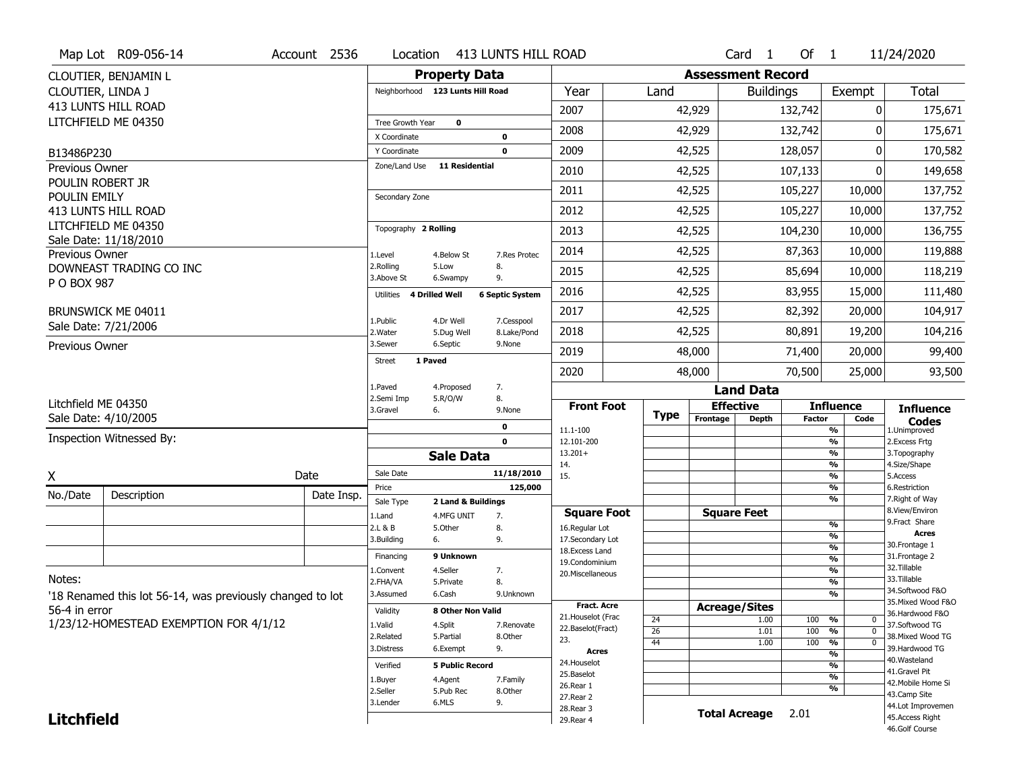|                          | Map Lot R09-056-14                                        | Account 2536 | Location                                |                                  | 413 LUNTS HILL ROAD          |                                      |                 |                          | Card <sub>1</sub>  | Of $1$        |                                           | 11/24/2020                           |
|--------------------------|-----------------------------------------------------------|--------------|-----------------------------------------|----------------------------------|------------------------------|--------------------------------------|-----------------|--------------------------|--------------------|---------------|-------------------------------------------|--------------------------------------|
|                          | CLOUTIER, BENJAMIN L                                      |              |                                         | <b>Property Data</b>             |                              |                                      |                 | <b>Assessment Record</b> |                    |               |                                           |                                      |
| CLOUTIER, LINDA J        |                                                           |              |                                         | Neighborhood 123 Lunts Hill Road |                              | Year                                 | Land            |                          | <b>Buildings</b>   |               | Exempt                                    | <b>Total</b>                         |
|                          | 413 LUNTS HILL ROAD                                       |              |                                         |                                  |                              | 2007                                 |                 | 42,929                   |                    | 132,742       | 0                                         | 175,671                              |
|                          | LITCHFIELD ME 04350                                       |              | <b>Tree Growth Year</b><br>X Coordinate | $\mathbf 0$                      | $\bf{0}$                     | 2008                                 |                 | 42,929                   |                    | 132,742       | 0                                         | 175,671                              |
| B13486P230               |                                                           |              | Y Coordinate                            |                                  | $\mathbf 0$                  | 2009                                 |                 | 42,525                   |                    | 128,057       | $\Omega$                                  | 170,582                              |
| Previous Owner           |                                                           |              | Zone/Land Use                           | <b>11 Residential</b>            |                              | 2010                                 |                 | 42,525                   |                    | 107,133       | $\Omega$                                  | 149,658                              |
| POULIN ROBERT JR         |                                                           |              |                                         |                                  |                              | 2011                                 |                 | 42,525                   |                    | 105,227       | 10,000                                    | 137,752                              |
| POULIN EMILY             | 413 LUNTS HILL ROAD                                       |              | Secondary Zone                          |                                  |                              | 2012                                 |                 | 42,525                   |                    | 105,227       | 10,000                                    | 137,752                              |
|                          | LITCHFIELD ME 04350                                       |              | Topography 2 Rolling                    |                                  |                              | 2013                                 |                 | 42,525                   |                    | 104,230       | 10,000                                    | 136,755                              |
| Previous Owner           | Sale Date: 11/18/2010                                     |              | 1.Level                                 | 4.Below St                       | 7.Res Protec                 | 2014                                 |                 | 42,525                   |                    | 87,363        | 10,000                                    | 119,888                              |
|                          | DOWNEAST TRADING CO INC                                   |              | 2.Rolling                               | 5.Low                            | 8.                           | 2015                                 |                 | 42,525                   |                    | 85,694        | 10,000                                    | 118,219                              |
| P O BOX 987              |                                                           |              | 3.Above St<br>Utilities 4 Drilled Well  | 6.Swampy                         | 9.<br><b>6 Septic System</b> | 2016                                 |                 | 42,525                   |                    | 83,955        | 15,000                                    | 111,480                              |
|                          | BRUNSWICK ME 04011                                        |              |                                         |                                  |                              | 2017                                 |                 | 42,525                   |                    | 82,392        | 20,000                                    | 104,917                              |
|                          | Sale Date: 7/21/2006                                      |              | 1.Public<br>2. Water                    | 4.Dr Well<br>5.Dug Well          | 7.Cesspool<br>8.Lake/Pond    | 2018                                 |                 | 42,525                   |                    | 80,891        | 19,200                                    | 104,216                              |
| Previous Owner           |                                                           |              | 3.Sewer                                 | 6.Septic                         | 9.None                       | 2019                                 |                 | 48,000                   |                    | 71,400        | 20,000                                    | 99,400                               |
|                          |                                                           |              | <b>Street</b>                           | 1 Paved                          |                              | 2020                                 |                 | 48,000                   |                    | 70,500        | 25,000                                    | 93,500                               |
|                          |                                                           |              | 1.Paved                                 | 4.Proposed                       | 7.                           |                                      |                 |                          | <b>Land Data</b>   |               |                                           |                                      |
| Litchfield ME 04350      |                                                           |              | 2.Semi Imp                              | 5.R/O/W                          | 8.                           | <b>Front Foot</b>                    |                 | <b>Effective</b>         |                    |               | <b>Influence</b>                          |                                      |
|                          | Sale Date: 4/10/2005                                      |              | 3.Gravel                                | 6.                               | 9.None                       |                                      | <b>Type</b>     | Frontage                 | Depth              | <b>Factor</b> | Code                                      | <b>Influence</b>                     |
| Inspection Witnessed By: |                                                           |              |                                         |                                  |                              |                                      |                 |                          |                    |               |                                           | <b>Codes</b>                         |
|                          |                                                           |              |                                         |                                  | $\bf{0}$                     | 11.1-100                             |                 |                          |                    |               | $\frac{9}{6}$                             | 1.Unimproved                         |
|                          |                                                           |              |                                         |                                  | $\mathbf 0$                  | 12.101-200<br>$13.201+$              |                 |                          |                    |               | $\overline{\frac{9}{6}}$<br>$\frac{9}{6}$ | 2.Excess Frtg<br>3. Topography       |
|                          |                                                           |              | Sale Date                               | <b>Sale Data</b>                 | 11/18/2010                   | 14.<br>15.                           |                 |                          |                    |               | $\overline{\frac{9}{6}}$<br>$\frac{9}{6}$ | 4.Size/Shape<br>5.Access             |
| X                        |                                                           | Date         | Price                                   |                                  | 125,000                      |                                      |                 |                          |                    |               | $\overline{\frac{9}{6}}$                  | 6.Restriction                        |
| No./Date                 | Description                                               | Date Insp.   | Sale Type                               | 2 Land & Buildings               |                              |                                      |                 |                          |                    |               | $\frac{9}{6}$                             | 7. Right of Way<br>8.View/Environ    |
|                          |                                                           |              | 1.Land<br>2.L & B                       | 4.MFG UNIT<br>5.Other            | 7.<br>8.                     | <b>Square Foot</b><br>16.Regular Lot |                 |                          | <b>Square Feet</b> |               | %                                         | 9.Fract Share                        |
|                          |                                                           |              | 3.Building                              | 6.                               | 9.                           | 17.Secondary Lot                     |                 |                          |                    |               | %                                         | <b>Acres</b>                         |
|                          |                                                           |              | Financing                               | 9 Unknown                        |                              | 18. Excess Land                      |                 |                          |                    |               | %                                         | 30. Frontage 1<br>31. Frontage 2     |
|                          |                                                           |              | 1.Convent                               | 4.Seller                         | 7.                           | 19.Condominium                       |                 |                          |                    |               | $\frac{9}{6}$<br>%                        | 32. Tillable                         |
| Notes:                   |                                                           |              | 2.FHA/VA                                | 5.Private                        | 8.                           | 20.Miscellaneous                     |                 |                          |                    |               | %                                         | 33.Tillable                          |
|                          | '18 Renamed this lot 56-14, was previously changed to lot |              | 3.Assumed                               | 6.Cash                           | 9.Unknown                    |                                      |                 |                          |                    |               | %                                         | 34.Softwood F&O                      |
|                          |                                                           |              | Validity                                | 8 Other Non Valid                |                              | <b>Fract. Acre</b>                   |                 | <b>Acreage/Sites</b>     |                    |               |                                           | 35. Mixed Wood F&O                   |
| 56-4 in error            |                                                           |              |                                         |                                  |                              | 21.Houselot (Frac                    | 24              |                          | 1.00               | 100           | %<br>0                                    | 36.Hardwood F&O                      |
|                          | 1/23/12-HOMESTEAD EXEMPTION FOR 4/1/12                    |              | 1.Valid<br>2.Related                    | 4.Split<br>5.Partial             | 7.Renovate<br>8.Other        | 22.Baselot(Fract)                    | $\overline{26}$ |                          | 1.01               | 100           | $\frac{9}{6}$<br>$\Omega$                 | 37.Softwood TG<br>38. Mixed Wood TG  |
|                          |                                                           |              | 3.Distress                              | 6.Exempt                         | 9.                           | 23.                                  | 44              |                          | 1.00               | 100           | %<br>$\Omega$                             | 39.Hardwood TG                       |
|                          |                                                           |              |                                         |                                  |                              | <b>Acres</b><br>24. Houselot         |                 |                          |                    |               | %                                         | 40. Wasteland                        |
|                          |                                                           |              | Verified                                | <b>5 Public Record</b>           |                              | 25.Baselot                           |                 |                          |                    |               | %<br>%                                    | 41.Gravel Pit                        |
|                          |                                                           |              | 1.Buyer                                 | 4.Agent                          | 7.Family                     | 26.Rear 1                            |                 |                          |                    |               | %                                         | 42. Mobile Home Si                   |
|                          |                                                           |              | 2.Seller<br>3.Lender                    | 5.Pub Rec<br>6.MLS               | 8.Other<br>9.                | 27. Rear 2                           |                 |                          |                    |               |                                           | 43.Camp Site                         |
| <b>Litchfield</b>        |                                                           |              |                                         |                                  |                              | 28. Rear 3<br>29. Rear 4             |                 | <b>Total Acreage</b>     |                    | 2.01          |                                           | 44.Lot Improvemen<br>45.Access Right |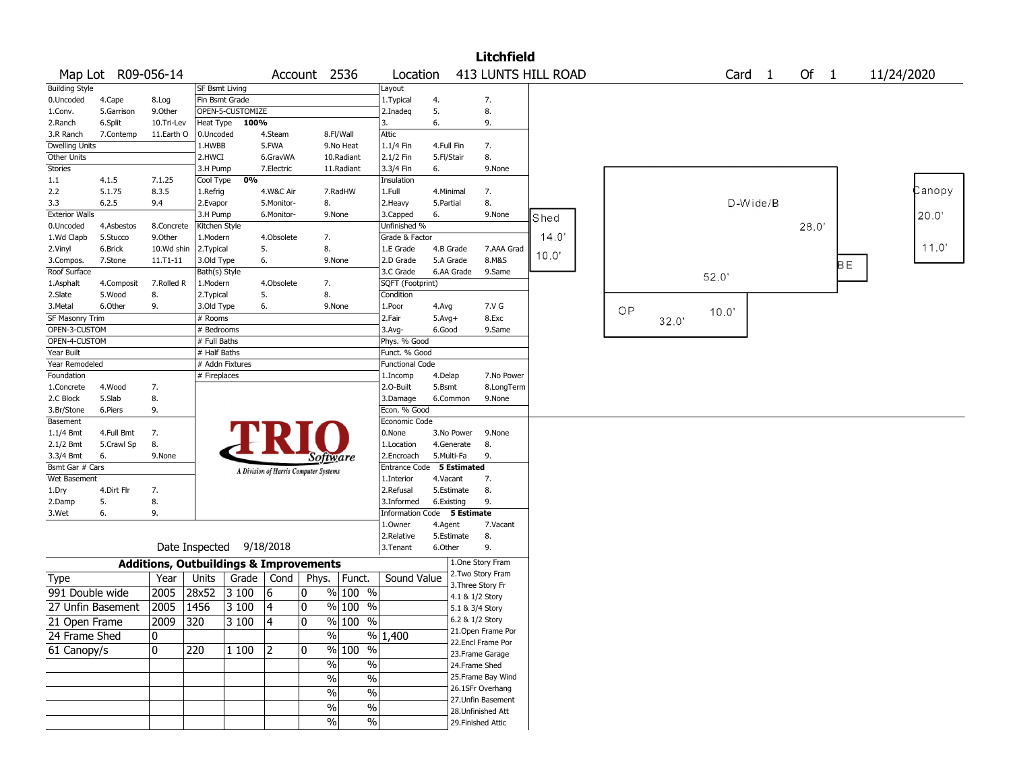|                       |                    |                                                   |                |                  |            |                                       |                      |                             |            |                    | <b>Litchfield</b>                      |       |     |       |       |                   |        |     |            |        |
|-----------------------|--------------------|---------------------------------------------------|----------------|------------------|------------|---------------------------------------|----------------------|-----------------------------|------------|--------------------|----------------------------------------|-------|-----|-------|-------|-------------------|--------|-----|------------|--------|
|                       | Map Lot R09-056-14 |                                                   |                |                  |            | Account 2536                          |                      | Location                    |            |                    | 413 LUNTS HILL ROAD                    |       |     |       |       | Card <sub>1</sub> | Of $1$ |     | 11/24/2020 |        |
| <b>Building Style</b> |                    |                                                   | SF Bsmt Living |                  |            |                                       |                      | Layout                      |            |                    |                                        |       |     |       |       |                   |        |     |            |        |
| 0.Uncoded             | 4.Cape             | 8.Log                                             |                | Fin Bsmt Grade   |            |                                       |                      | 1. Typical                  | 4.         |                    | 7.                                     |       |     |       |       |                   |        |     |            |        |
| 1.Conv.               | 5.Garrison         | 9.0ther                                           |                | OPEN-5-CUSTOMIZE |            |                                       |                      | 2.Inadeg                    | 5.         |                    | 8.                                     |       |     |       |       |                   |        |     |            |        |
| 2.Ranch               | 6.Split            | 10.Tri-Lev                                        |                | Heat Type 100%   |            |                                       |                      | 3.                          | 6.         |                    | 9.                                     |       |     |       |       |                   |        |     |            |        |
| 3.R Ranch             | 7.Contemp          | 11.Earth O                                        | 0.Uncoded      |                  | 4.Steam    |                                       | 8.Fl/Wall            | Attic                       |            |                    |                                        |       |     |       |       |                   |        |     |            |        |
| <b>Dwelling Units</b> |                    |                                                   | 1.HWBB         |                  | 5.FWA      |                                       | 9.No Heat            | 1.1/4 Fin                   | 4.Full Fin |                    | 7.                                     |       |     |       |       |                   |        |     |            |        |
| Other Units           |                    |                                                   | 2.HWCI         |                  | 6.GravWA   |                                       | 10.Radiant           | 2.1/2 Fin                   | 5.Fl/Stair |                    | 8.                                     |       |     |       |       |                   |        |     |            |        |
| <b>Stories</b>        |                    |                                                   | 3.H Pump       |                  | 7.Electric |                                       | 11.Radiant           | 3.3/4 Fin                   | 6.         |                    | 9.None                                 |       |     |       |       |                   |        |     |            |        |
| 1.1                   | 4.1.5              | 7.1.25                                            | Cool Type      | 0%               |            |                                       |                      | Insulation                  |            |                    |                                        |       |     |       |       |                   |        |     |            |        |
| 2.2                   | 5.1.75             | 8.3.5                                             | 1.Refrig       |                  | 4.W&C Air  |                                       | 7.RadHW              | 1.Full                      | 4.Minimal  |                    | 7.                                     |       |     |       |       |                   |        |     |            | Canopy |
| 3.3                   | 6.2.5              | 9.4                                               | 2.Evapor       |                  | 5.Monitor- | 8.                                    |                      | 2.Heavy                     | 5.Partial  |                    | 8.                                     |       |     |       |       | D-Wide/B          |        |     |            |        |
| <b>Exterior Walls</b> |                    |                                                   | 3.H Pump       |                  | 6.Monitor- |                                       | 9.None               | 3.Capped                    | 6.         |                    | 9.None                                 | Shed  |     |       |       |                   |        |     |            | 20.0'  |
| 0.Uncoded             | 4.Asbestos         | 8.Concrete                                        | Kitchen Style  |                  |            |                                       |                      | Unfinished %                |            |                    |                                        |       |     |       |       |                   | 28.0   |     |            |        |
| 1.Wd Clapb            | 5.Stucco           | 9.0ther                                           | 1.Modern       |                  | 4.Obsolete | 7.                                    |                      | Grade & Factor              |            |                    |                                        | 14.0' |     |       |       |                   |        |     |            |        |
| 2.Vinyl               | 6.Brick            | 10.Wd shin                                        | 2. Typical     |                  | 5.         | 8.                                    |                      | 1.E Grade                   |            | 4.B Grade          | 7.AAA Grad                             | 10.0' |     |       |       |                   |        |     |            | 11.0'  |
| 3.Compos.             | 7.Stone            | $11. T1 - 11$                                     | 3.Old Type     |                  | 6.         |                                       | 9.None               | 2.D Grade                   |            | 5.A Grade          | 8.M&S                                  |       |     |       |       |                   |        | BE. |            |        |
| Roof Surface          |                    |                                                   | Bath(s) Style  |                  |            |                                       |                      | 3.C Grade                   |            | 6.AA Grade         | 9.Same                                 |       |     |       | 52.0' |                   |        |     |            |        |
| 1.Asphalt             | 4.Composit         | 7.Rolled R                                        | 1.Modern       |                  | 4.Obsolete | 7.                                    |                      | SQFT (Footprint)            |            |                    |                                        |       |     |       |       |                   |        |     |            |        |
| 2.Slate               | 5.Wood             | 8.                                                | 2. Typical     |                  | 5.         | 8.                                    |                      | Condition                   |            |                    |                                        |       |     |       |       |                   |        |     |            |        |
| 3.Metal               | 6.Other            | 9.                                                | 3.Old Type     |                  | 6.         |                                       | 9.None               | 1.Poor                      | 4.Avg      |                    | 7.V G                                  |       | OP. |       | 10.0  |                   |        |     |            |        |
| SF Masonry Trim       |                    |                                                   | # Rooms        |                  |            |                                       |                      | 2.Fair                      | $5.Avg+$   |                    | 8.Exc                                  |       |     | 32.0' |       |                   |        |     |            |        |
| OPEN-3-CUSTOM         |                    |                                                   | # Bedrooms     |                  |            |                                       |                      | 3.Avg-                      | 6.Good     |                    | 9.Same                                 |       |     |       |       |                   |        |     |            |        |
| OPEN-4-CUSTOM         |                    |                                                   | # Full Baths   |                  |            |                                       |                      | Phys. % Good                |            |                    |                                        |       |     |       |       |                   |        |     |            |        |
| Year Built            |                    |                                                   | # Half Baths   |                  |            |                                       |                      | Funct. % Good               |            |                    |                                        |       |     |       |       |                   |        |     |            |        |
| Year Remodeled        |                    |                                                   |                | # Addn Fixtures  |            |                                       |                      | <b>Functional Code</b>      |            |                    |                                        |       |     |       |       |                   |        |     |            |        |
| Foundation            |                    |                                                   | # Fireplaces   |                  |            |                                       |                      | 1.Incomp                    | 4.Delap    |                    | 7.No Power                             |       |     |       |       |                   |        |     |            |        |
| 1.Concrete            | 4.Wood             | 7.                                                |                |                  |            |                                       |                      | 2.O-Built                   | 5.Bsmt     |                    | 8.LongTerm                             |       |     |       |       |                   |        |     |            |        |
| 2.C Block             | 5.Slab             | 8.                                                |                |                  |            |                                       |                      | 3.Damage                    |            | 6.Common           | 9.None                                 |       |     |       |       |                   |        |     |            |        |
| 3.Br/Stone            | 6.Piers            | 9.                                                |                |                  |            |                                       |                      | Econ. % Good                |            |                    |                                        |       |     |       |       |                   |        |     |            |        |
| Basement              |                    |                                                   |                |                  |            |                                       |                      | Economic Code               |            |                    |                                        |       |     |       |       |                   |        |     |            |        |
| 1.1/4 Bmt             | 4.Full Bmt         | 7.                                                |                |                  |            |                                       |                      | 0.None                      |            | 3.No Power         | 9.None                                 |       |     |       |       |                   |        |     |            |        |
| 2.1/2 Bmt             | 5.Crawl Sp         | 8.                                                |                |                  |            |                                       |                      | 1.Location                  |            | 4.Generate         | 8.                                     |       |     |       |       |                   |        |     |            |        |
| 3.3/4 Bmt             | 6.                 | 9.None                                            |                |                  |            | Software                              |                      | 2.Encroach                  | 5.Multi-Fa |                    | 9.                                     |       |     |       |       |                   |        |     |            |        |
| Bsmt Gar # Cars       |                    |                                                   |                |                  |            | A Division of Harris Computer Systems |                      | Entrance Code               |            | <b>5 Estimated</b> |                                        |       |     |       |       |                   |        |     |            |        |
| Wet Basement          |                    |                                                   |                |                  |            |                                       |                      | 1.Interior                  | 4.Vacant   |                    | 7.                                     |       |     |       |       |                   |        |     |            |        |
| 1.Dry                 | 4.Dirt Flr         | 7.                                                |                |                  |            |                                       |                      | 2.Refusal                   |            | 5.Estimate         | 8.                                     |       |     |       |       |                   |        |     |            |        |
| 2.Damp                | 5.                 | 8.                                                |                |                  |            |                                       |                      | 3.Informed                  | 6.Existing |                    | 9.                                     |       |     |       |       |                   |        |     |            |        |
| 3.Wet                 | 6.                 | 9.                                                |                |                  |            |                                       |                      | Information Code 5 Estimate |            |                    |                                        |       |     |       |       |                   |        |     |            |        |
|                       |                    |                                                   |                |                  |            |                                       |                      | 1.0wner                     | 4.Agent    |                    | 7.Vacant                               |       |     |       |       |                   |        |     |            |        |
|                       |                    |                                                   |                |                  |            |                                       |                      | 2.Relative                  |            | 5.Estimate         | 8.                                     |       |     |       |       |                   |        |     |            |        |
|                       |                    |                                                   | Date Inspected |                  | 9/18/2018  |                                       |                      | 3.Tenant                    | 6.Other    |                    | 9.                                     |       |     |       |       |                   |        |     |            |        |
|                       |                    | <b>Additions, Outbuildings &amp; Improvements</b> |                |                  |            |                                       |                      |                             |            |                    | 1.One Story Fram                       |       |     |       |       |                   |        |     |            |        |
| <b>Type</b>           |                    | Year                                              | Units          | Grade            | Cond       |                                       | Phys.   Funct.       | Sound Value                 |            |                    | 2. Two Story Fram                      |       |     |       |       |                   |        |     |            |        |
| 991 Double wide       |                    | 2005                                              | 28x52          | 3 100            | 16         | 10                                    | $%100$ %             |                             |            |                    | 3. Three Story Fr                      |       |     |       |       |                   |        |     |            |        |
|                       | 27 Unfin Basement  | 2005                                              | 1456           | 3 100            | 4          | 10                                    | % 100 %              |                             |            | 4.1 & 1/2 Story    |                                        |       |     |       |       |                   |        |     |            |        |
|                       |                    |                                                   |                |                  |            |                                       |                      |                             |            | 5.1 & 3/4 Story    |                                        |       |     |       |       |                   |        |     |            |        |
| 21 Open Frame         |                    | 2009                                              | 320            | 3 100            | 4          | 0                                     | % 100 %              |                             |            | 6.2 & 1/2 Story    |                                        |       |     |       |       |                   |        |     |            |        |
| 24 Frame Shed         |                    | 0                                                 |                |                  |            | $\%$                                  |                      | % 1,400                     |            |                    | 21.Open Frame Por<br>22.Encl Frame Por |       |     |       |       |                   |        |     |            |        |
| 61 Canopy/s           |                    | 0                                                 | 220            | 1 100            | 2          | 10.                                   | $\sqrt{20}$ 100<br>% |                             |            |                    | 23.Frame Garage                        |       |     |       |       |                   |        |     |            |        |
|                       |                    |                                                   |                |                  |            | $\sqrt{6}$                            | %                    |                             |            | 24.Frame Shed      |                                        |       |     |       |       |                   |        |     |            |        |
|                       |                    |                                                   |                |                  |            |                                       |                      |                             |            |                    | 25. Frame Bay Wind                     |       |     |       |       |                   |        |     |            |        |
|                       |                    |                                                   |                |                  |            | $\frac{0}{6}$                         | $\frac{0}{6}$        |                             |            |                    | 26.1SFr Overhang                       |       |     |       |       |                   |        |     |            |        |
|                       |                    |                                                   |                |                  |            | $\sqrt{6}$                            | $\sqrt{6}$           |                             |            |                    | 27.Unfin Basement                      |       |     |       |       |                   |        |     |            |        |
|                       |                    |                                                   |                |                  |            | $\sqrt{6}$                            | $\sqrt{6}$           |                             |            |                    | 28.Unfinished Att                      |       |     |       |       |                   |        |     |            |        |
|                       |                    |                                                   |                |                  |            | $\sqrt{6}$                            | $\sqrt{6}$           |                             |            |                    | 29. Finished Attic                     |       |     |       |       |                   |        |     |            |        |
|                       |                    |                                                   |                |                  |            |                                       |                      |                             |            |                    |                                        |       |     |       |       |                   |        |     |            |        |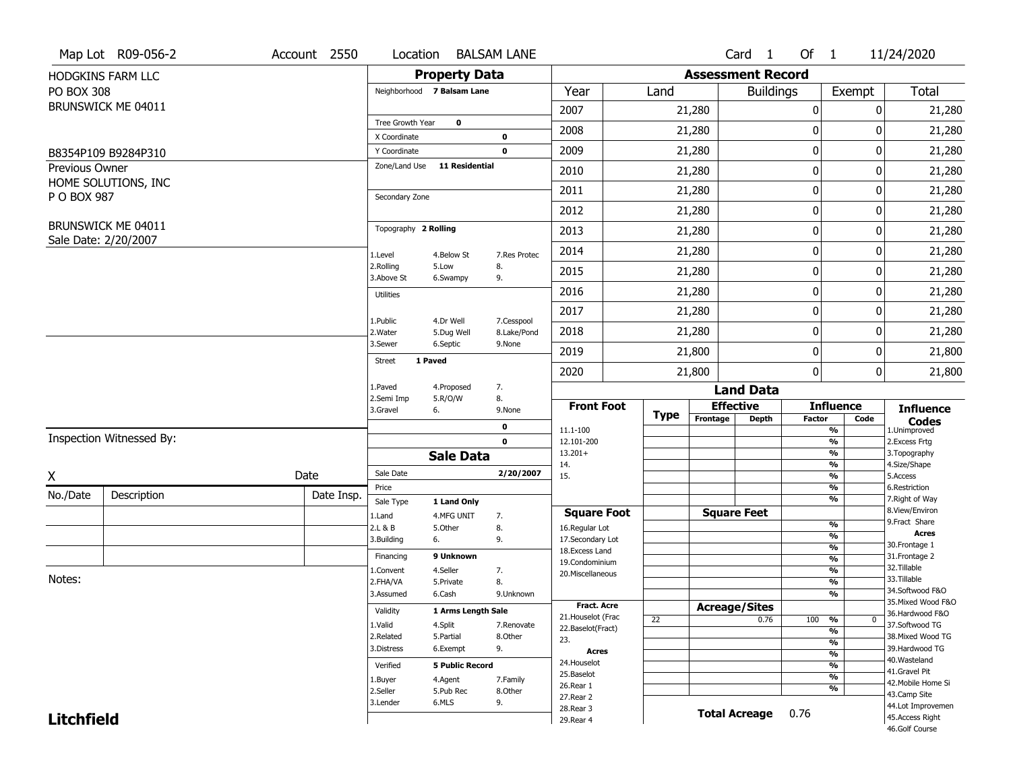|                   | Map Lot R09-056-2                          | Account 2550 | Location                      |                           | <b>BALSAM LANE</b>    |                                    |      |                          | Card 1               | Of $1$        |                                | 11/24/2020                          |
|-------------------|--------------------------------------------|--------------|-------------------------------|---------------------------|-----------------------|------------------------------------|------|--------------------------|----------------------|---------------|--------------------------------|-------------------------------------|
|                   | HODGKINS FARM LLC                          |              |                               | <b>Property Data</b>      |                       |                                    |      | <b>Assessment Record</b> |                      |               |                                |                                     |
| <b>PO BOX 308</b> |                                            |              | Neighborhood 7 Balsam Lane    |                           |                       | Year                               | Land |                          | <b>Buildings</b>     |               | Exempt                         | <b>Total</b>                        |
|                   | BRUNSWICK ME 04011                         |              |                               |                           |                       | 2007                               |      | 21,280                   |                      | 0             | 0                              | 21,280                              |
|                   |                                            |              | Tree Growth Year              | $\bf{0}$                  |                       | 2008                               |      | 21,280                   |                      | 0             | 0                              | 21,280                              |
|                   |                                            |              | X Coordinate                  |                           | 0                     |                                    |      |                          |                      |               |                                |                                     |
|                   | B8354P109 B9284P310                        |              | Y Coordinate<br>Zone/Land Use | <b>11 Residential</b>     | $\mathbf 0$           | 2009                               |      | 21,280                   |                      | 0             | 0                              | 21,280                              |
| Previous Owner    | HOME SOLUTIONS, INC                        |              |                               |                           |                       | 2010                               |      | 21,280                   |                      | 0             | 0                              | 21,280                              |
| P O BOX 987       |                                            |              | Secondary Zone                |                           |                       | 2011                               |      | 21,280                   |                      | 0             | 0                              | 21,280                              |
|                   |                                            |              |                               |                           |                       | 2012                               |      | 21,280                   |                      | 0             | 0                              | 21,280                              |
|                   | BRUNSWICK ME 04011<br>Sale Date: 2/20/2007 |              | Topography 2 Rolling          |                           |                       | 2013                               |      | 21,280                   |                      | 0             | 0                              | 21,280                              |
|                   |                                            |              | 1.Level                       | 4.Below St                | 7.Res Protec          | 2014                               |      | 21,280                   |                      | 0             | 0                              | 21,280                              |
|                   |                                            |              | 2.Rolling<br>3.Above St       | 5.Low<br>6.Swampy         | 8.<br>9.              | 2015                               |      | 21,280                   |                      | 0             | 0                              | 21,280                              |
|                   |                                            |              | <b>Utilities</b>              |                           |                       | 2016                               |      | 21,280                   |                      | 0             | 0                              | 21,280                              |
|                   |                                            |              | 1.Public                      | 4.Dr Well                 | 7.Cesspool            | 2017                               |      | 21,280                   |                      | 0             | 0                              | 21,280                              |
|                   |                                            |              | 2. Water                      | 5.Dug Well                | 8.Lake/Pond           | 2018                               |      | 21,280                   |                      | 0             | 0                              | 21,280                              |
|                   |                                            |              | 3.Sewer                       | 6.Septic                  | 9.None                | 2019                               |      | 21,800                   |                      | 0             | 0                              | 21,800                              |
|                   |                                            |              | 1 Paved<br><b>Street</b>      |                           |                       | 2020                               |      | 21,800                   |                      | 0             | 0                              | 21,800                              |
|                   |                                            |              | 1.Paved                       | 4.Proposed                | 7.                    |                                    |      |                          | <b>Land Data</b>     |               |                                |                                     |
|                   |                                            |              | 2.Semi Imp<br>3.Gravel        | 5.R/O/W<br>6.             | 8.<br>9.None          | <b>Front Foot</b>                  |      | <b>Effective</b>         |                      |               | <b>Influence</b>               | <b>Influence</b>                    |
|                   |                                            |              |                               |                           | 0                     | 11.1-100                           | Type | Frontage                 | <b>Depth</b>         | <b>Factor</b> | Code<br>$\frac{9}{6}$          | <b>Codes</b><br>1.Unimproved        |
|                   | Inspection Witnessed By:                   |              |                               |                           | $\mathbf 0$           | 12.101-200                         |      |                          |                      |               | $\frac{9}{6}$                  | 2.Excess Frtg                       |
|                   |                                            |              |                               | <b>Sale Data</b>          |                       | $13.201+$<br>14.                   |      |                          |                      |               | $\frac{9}{6}$<br>$\frac{9}{6}$ | 3. Topography<br>4.Size/Shape       |
| X                 |                                            | Date         | Sale Date                     |                           | 2/20/2007             | 15.                                |      |                          |                      |               | $\frac{9}{6}$                  | 5.Access                            |
| No./Date          | Description                                | Date Insp.   | Price                         |                           |                       |                                    |      |                          |                      |               | $\frac{9}{6}$<br>$\frac{9}{6}$ | 6.Restriction<br>7. Right of Way    |
|                   |                                            |              | Sale Type<br>1.Land           | 1 Land Only<br>4.MFG UNIT | 7.                    | <b>Square Foot</b>                 |      | <b>Square Feet</b>       |                      |               |                                | 8.View/Environ                      |
|                   |                                            |              | 2.L & B                       | 5.Other                   | 8.                    | 16.Regular Lot                     |      |                          |                      |               | $\frac{9}{6}$                  | 9.Fract Share                       |
|                   |                                            |              | 3.Building                    | 6.                        | 9.                    | 17.Secondary Lot                   |      |                          |                      |               | $\frac{9}{6}$                  | <b>Acres</b><br>30. Frontage 1      |
|                   |                                            |              | Financing                     | 9 Unknown                 |                       | 18. Excess Land                    |      |                          |                      |               | $\frac{9}{6}$<br>$\frac{9}{6}$ | 31. Frontage 2                      |
|                   |                                            |              | 1.Convent                     | 4.Seller                  | 7.                    | 19.Condominium<br>20.Miscellaneous |      |                          |                      |               | $\frac{9}{6}$                  | 32. Tillable                        |
| Notes:            |                                            |              | 2.FHA/VA                      | 5.Private                 | 8.                    |                                    |      |                          |                      |               | $\frac{9}{6}$                  | 33.Tillable                         |
|                   |                                            |              | 3.Assumed                     | 6.Cash                    | 9.Unknown             |                                    |      |                          |                      |               | $\frac{9}{6}$                  | 34.Softwood F&O                     |
|                   |                                            |              | Validity                      | 1 Arms Length Sale        |                       | <b>Fract. Acre</b>                 |      | <b>Acreage/Sites</b>     |                      |               |                                | 35. Mixed Wood F&O                  |
|                   |                                            |              |                               |                           |                       | 21. Houselot (Frac                 | 22   |                          | 0.76                 | 100           | %<br>$\mathbf{0}$              | 36.Hardwood F&O                     |
|                   |                                            |              | 1.Valid<br>2.Related          | 4.Split<br>5.Partial      | 7.Renovate<br>8.Other | 22.Baselot(Fract)                  |      |                          |                      |               | $\frac{9}{6}$                  | 37.Softwood TG<br>38. Mixed Wood TG |
|                   |                                            |              | 3.Distress                    | 6.Exempt                  | 9.                    | 23.                                |      |                          |                      |               | $\frac{9}{6}$                  | 39.Hardwood TG                      |
|                   |                                            |              |                               |                           |                       | <b>Acres</b>                       |      |                          |                      |               | $\frac{9}{6}$                  | 40. Wasteland                       |
|                   |                                            |              | Verified                      | <b>5 Public Record</b>    |                       | 24. Houselot                       |      |                          |                      |               | $\frac{9}{6}$                  | 41.Gravel Pit                       |
|                   |                                            |              | 1.Buyer                       | 4.Agent                   | 7.Family              | 25.Baselot<br>26.Rear 1            |      |                          |                      |               | $\frac{9}{6}$                  | 42. Mobile Home Si                  |
|                   |                                            |              | 2.Seller                      | 5.Pub Rec                 | 8.Other               | 27.Rear 2                          |      |                          |                      |               | $\frac{9}{6}$                  | 43.Camp Site                        |
|                   |                                            |              | 3.Lender                      |                           |                       |                                    |      |                          |                      |               |                                |                                     |
|                   |                                            |              |                               | 6.MLS                     | 9.                    | 28. Rear 3                         |      |                          |                      |               |                                | 44.Lot Improvemen                   |
| <b>Litchfield</b> |                                            |              |                               |                           |                       | 29. Rear 4                         |      |                          | <b>Total Acreage</b> | 0.76          |                                | 45. Access Right<br>46.Golf Course  |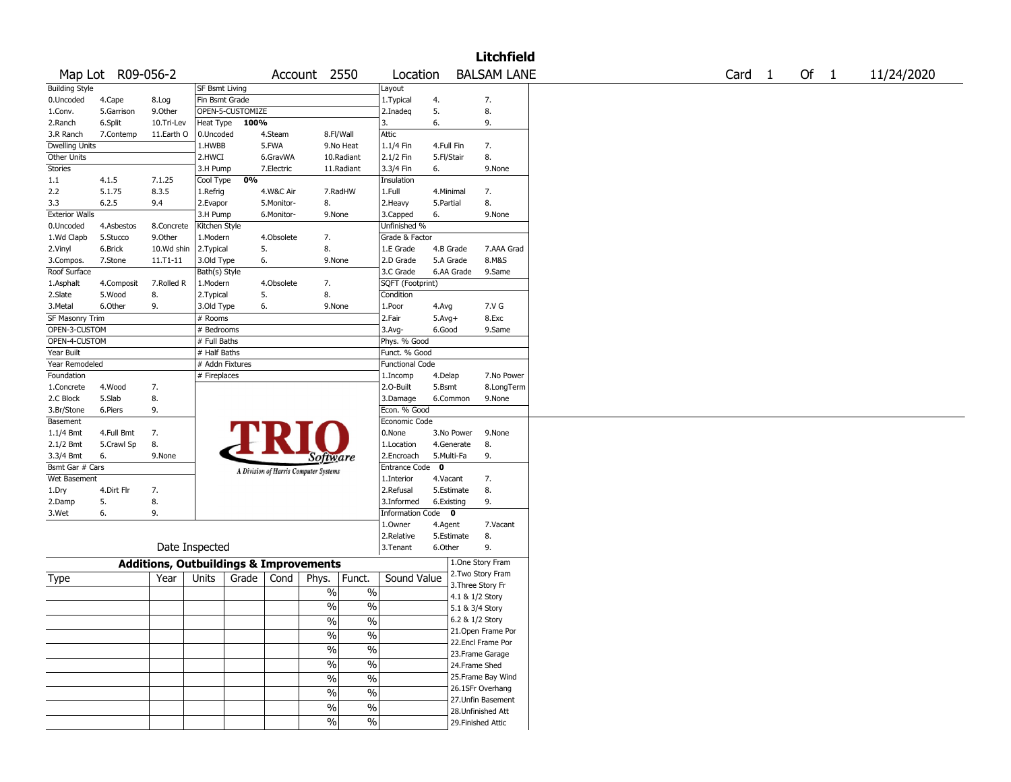|                       |                   |                |                                                   |                                       |                          |                          |                        |             |                    | <b>Litchfield</b>  |        |        |            |
|-----------------------|-------------------|----------------|---------------------------------------------------|---------------------------------------|--------------------------|--------------------------|------------------------|-------------|--------------------|--------------------|--------|--------|------------|
|                       | Map Lot R09-056-2 |                |                                                   |                                       | Account 2550             |                          | Location               |             |                    | <b>BALSAM LANE</b> | Card 1 | Of $1$ | 11/24/2020 |
| <b>Building Style</b> |                   |                | <b>SF Bsmt Living</b>                             |                                       |                          |                          | Layout                 |             |                    |                    |        |        |            |
| 0.Uncoded             | 4.Cape            | 8.Log          | Fin Bsmt Grade                                    |                                       |                          |                          | 1. Typical             | 4.          |                    | 7.                 |        |        |            |
| 1.Conv.               | 5.Garrison        | 9.0ther        | OPEN-5-CUSTOMIZE                                  |                                       |                          |                          | 2.Inadeq               | 5.          |                    | 8.                 |        |        |            |
| 2.Ranch               | 6.Split           | 10.Tri-Lev     | Heat Type                                         | 100%                                  |                          |                          | 3.                     | 6.          |                    | 9.                 |        |        |            |
| 3.R Ranch             | 7.Contemp         | 11.Earth O     | 0.Uncoded                                         | 4.Steam                               | 8.Fl/Wall                |                          | Attic                  |             |                    |                    |        |        |            |
| Dwelling Units        |                   |                | 1.HWBB                                            | 5.FWA                                 |                          | 9.No Heat                | 1.1/4 Fin              | 4.Full Fin  |                    | 7.                 |        |        |            |
| Other Units           |                   |                | 2.HWCI                                            | 6.GravWA                              |                          | 10.Radiant               | 2.1/2 Fin              | 5.Fl/Stair  |                    | 8.                 |        |        |            |
| <b>Stories</b>        |                   |                | 3.H Pump                                          | 7.Electric                            |                          | 11.Radiant               | 3.3/4 Fin              | 6.          |                    | 9.None             |        |        |            |
| 1.1                   | 4.1.5             | 7.1.25         | Cool Type                                         | 0%                                    |                          |                          | Insulation             |             |                    |                    |        |        |            |
| 2.2                   | 5.1.75            | 8.3.5          | 1.Refrig                                          | 4.W&C Air                             |                          | 7.RadHW                  | 1.Full                 | 4.Minimal   |                    | 7.                 |        |        |            |
| 3.3                   | 6.2.5             | 9.4            | 2.Evapor                                          | 5.Monitor-                            | 8.                       |                          | 2. Heavy               | 5.Partial   |                    | 8.                 |        |        |            |
| <b>Exterior Walls</b> |                   |                | 3.H Pump                                          | 6.Monitor-                            | 9.None                   |                          | 3.Capped               | 6.          |                    | 9.None             |        |        |            |
| 0.Uncoded             | 4.Asbestos        | 8.Concrete     | Kitchen Style                                     |                                       |                          |                          | Unfinished %           |             |                    |                    |        |        |            |
| 1.Wd Clapb            | 5.Stucco          | 9.Other        | 1.Modern                                          | 4.Obsolete                            | 7.                       |                          | Grade & Factor         |             |                    |                    |        |        |            |
| 2.Vinyl               | 6.Brick           | 10.Wd shin     | 2.Typical                                         | 5.                                    | 8.                       |                          | 1.E Grade              | 4.B Grade   |                    | 7.AAA Grad         |        |        |            |
| 3.Compos.             | 7.Stone           | 11.T1-11       | 3.Old Type                                        | 6.                                    | 9.None                   |                          | 2.D Grade              | 5.A Grade   |                    | 8.M&S              |        |        |            |
| Roof Surface          |                   |                | Bath(s) Style                                     |                                       |                          |                          | 3.C Grade              | 6.AA Grade  |                    | 9.Same             |        |        |            |
| 1.Asphalt             | 4.Composit        | 7.Rolled R     | 1.Modern                                          | 4.Obsolete                            | 7.                       |                          | SQFT (Footprint)       |             |                    |                    |        |        |            |
| 2.Slate               | 5.Wood            | 8.             | 2. Typical                                        | 5.                                    | 8.                       |                          | Condition              |             |                    |                    |        |        |            |
| 3.Metal               | 6.Other           | 9.             | 3.Old Type                                        | 6.                                    | 9.None                   |                          | 1.Poor                 | 4.Avg       |                    | 7.V G              |        |        |            |
| SF Masonry Trim       |                   |                | # Rooms                                           |                                       |                          |                          | 2.Fair                 | $5.Avg+$    |                    | 8.Exc              |        |        |            |
| OPEN-3-CUSTOM         |                   |                | # Bedrooms                                        |                                       |                          |                          | 3.Avg-                 | 6.Good      |                    | 9.Same             |        |        |            |
| OPEN-4-CUSTOM         |                   |                | # Full Baths                                      |                                       |                          |                          | Phys. % Good           |             |                    |                    |        |        |            |
| Year Built            |                   |                | # Half Baths                                      |                                       |                          |                          | Funct. % Good          |             |                    |                    |        |        |            |
| Year Remodeled        |                   |                | # Addn Fixtures                                   |                                       |                          |                          | <b>Functional Code</b> |             |                    |                    |        |        |            |
| Foundation            |                   |                | # Fireplaces                                      |                                       |                          |                          | 1.Incomp               | 4.Delap     |                    | 7.No Power         |        |        |            |
| 1.Concrete            | 4.Wood            | 7.             |                                                   |                                       |                          |                          | 2.0-Built              | 5.Bsmt      |                    | 8.LongTerm         |        |        |            |
| 2.C Block             | 5.Slab            | 8.             |                                                   |                                       |                          |                          | 3.Damage               | 6.Common    |                    | 9.None             |        |        |            |
| 3.Br/Stone            | 6.Piers           | 9.             |                                                   |                                       |                          |                          | Econ. % Good           |             |                    |                    |        |        |            |
| Basement              |                   |                |                                                   |                                       |                          |                          | Economic Code          |             |                    |                    |        |        |            |
| 1.1/4 Bmt             | 4.Full Bmt        | 7.             |                                                   |                                       |                          |                          | 0.None                 | 3.No Power  |                    | 9.None             |        |        |            |
| 2.1/2 Bmt             | 5.Crawl Sp        | 8.             |                                                   |                                       |                          |                          | 1.Location             | 4.Generate  |                    | 8.                 |        |        |            |
| 3.3/4 Bmt             | 6.                | 9.None         |                                                   |                                       | Software                 |                          | 2.Encroach             | 5.Multi-Fa  |                    | 9.                 |        |        |            |
| Bsmt Gar # Cars       |                   |                |                                                   | A Division of Harris Computer Systems |                          |                          | <b>Entrance Code</b>   | $\mathbf 0$ |                    |                    |        |        |            |
| Wet Basement          |                   |                |                                                   |                                       |                          |                          | 1.Interior             | 4.Vacant    |                    | 7.                 |        |        |            |
| 1.Dry                 | 4.Dirt Flr        | 7.             |                                                   |                                       |                          |                          | 2.Refusal              | 5.Estimate  |                    | 8.                 |        |        |            |
| 2.Damp                | 5.                | 8.             |                                                   |                                       |                          |                          | 3.Informed             | 6.Existing  |                    | 9.                 |        |        |            |
| 3.Wet                 | 6.                | 9.             |                                                   |                                       |                          |                          | Information Code 0     |             |                    |                    |        |        |            |
|                       |                   |                |                                                   |                                       |                          |                          | 1.Owner                | 4.Agent     |                    | 7.Vacant           |        |        |            |
|                       |                   |                |                                                   |                                       |                          |                          | 2.Relative             | 5.Estimate  |                    | 8.                 |        |        |            |
|                       |                   | Date Inspected |                                                   |                                       |                          |                          | 3. Tenant              | 6.Other     |                    | 9.                 |        |        |            |
|                       |                   |                | <b>Additions, Outbuildings &amp; Improvements</b> |                                       |                          |                          |                        |             |                    | 1.One Story Fram   |        |        |            |
| Type                  |                   | Year           | Units<br>Grade                                    | Cond                                  | Phys.                    | Funct.                   | Sound Value            |             |                    | 2.Two Story Fram   |        |        |            |
|                       |                   |                |                                                   |                                       |                          |                          |                        |             | 3. Three Story Fr  |                    |        |        |            |
|                       |                   |                |                                                   |                                       | $\%$                     | $\%$                     |                        |             | 4.1 & 1/2 Story    |                    |        |        |            |
|                       |                   |                |                                                   |                                       | $\%$                     | $\%$                     |                        |             | 5.1 & 3/4 Story    |                    |        |        |            |
|                       |                   |                |                                                   |                                       | $\sqrt{6}$               | $\frac{1}{2}$            |                        |             | 6.2 & 1/2 Story    |                    |        |        |            |
|                       |                   |                |                                                   |                                       | $\sqrt{6}$               | $\overline{\frac{0}{0}}$ |                        |             |                    | 21.Open Frame Por  |        |        |            |
|                       |                   |                |                                                   |                                       | $\sqrt{2}$               | $\frac{0}{6}$            |                        |             |                    | 22.Encl Frame Por  |        |        |            |
|                       |                   |                |                                                   |                                       |                          |                          |                        |             |                    | 23. Frame Garage   |        |        |            |
|                       |                   |                |                                                   |                                       | $\overline{\frac{0}{0}}$ | $\frac{0}{6}$            |                        |             | 24.Frame Shed      |                    |        |        |            |
|                       |                   |                |                                                   |                                       | $\frac{0}{6}$            | $\frac{0}{6}$            |                        |             |                    | 25. Frame Bay Wind |        |        |            |
|                       |                   |                |                                                   |                                       | $\sqrt{6}$               | $\frac{1}{2}$            |                        |             |                    | 26.1SFr Overhang   |        |        |            |
|                       |                   |                |                                                   |                                       | $\sqrt{6}$               | $\frac{1}{2}$            |                        |             |                    | 27. Unfin Basement |        |        |            |
|                       |                   |                |                                                   |                                       | $\frac{1}{2}$            |                          |                        |             |                    | 28. Unfinished Att |        |        |            |
|                       |                   |                |                                                   |                                       |                          | $\frac{1}{2}$            |                        |             | 29. Finished Attic |                    |        |        |            |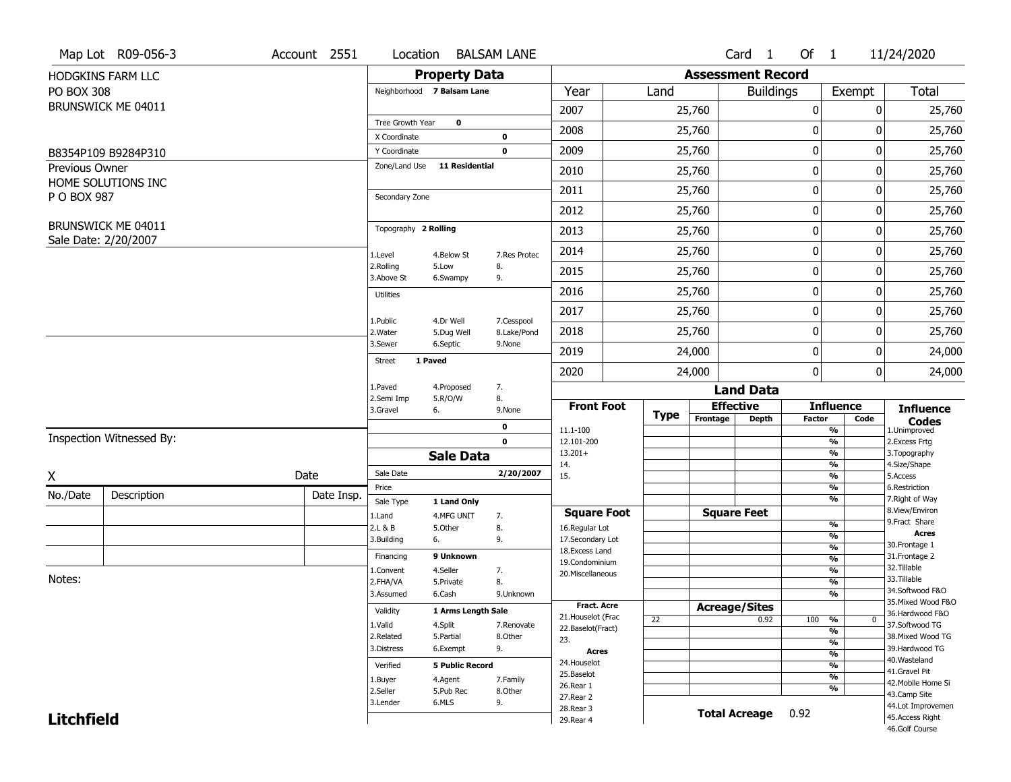|                   | Map Lot R09-056-3                          | Account 2551 | Location                      |                           | <b>BALSAM LANE</b> |                                         |      |                          | Card 1           | Of $1$        |                                | 11/24/2020                            |
|-------------------|--------------------------------------------|--------------|-------------------------------|---------------------------|--------------------|-----------------------------------------|------|--------------------------|------------------|---------------|--------------------------------|---------------------------------------|
|                   | HODGKINS FARM LLC                          |              |                               | <b>Property Data</b>      |                    |                                         |      | <b>Assessment Record</b> |                  |               |                                |                                       |
| <b>PO BOX 308</b> |                                            |              | Neighborhood 7 Balsam Lane    |                           |                    | Year                                    | Land |                          | <b>Buildings</b> |               | Exempt                         | <b>Total</b>                          |
|                   | BRUNSWICK ME 04011                         |              |                               |                           |                    | 2007                                    |      | 25,760                   |                  | 0             | 0                              | 25,760                                |
|                   |                                            |              | Tree Growth Year              | $\bf{0}$                  |                    | 2008                                    |      | 25,760                   |                  | 0             | 0                              | 25,760                                |
|                   |                                            |              | X Coordinate                  |                           | 0                  |                                         |      |                          |                  |               |                                |                                       |
|                   | B8354P109 B9284P310                        |              | Y Coordinate<br>Zone/Land Use | <b>11 Residential</b>     | $\mathbf 0$        | 2009                                    |      | 25,760                   |                  | 0             | 0                              | 25,760                                |
| Previous Owner    | HOME SOLUTIONS INC                         |              |                               |                           |                    | 2010                                    |      | 25,760                   |                  | $\pmb{0}$     | 0                              | 25,760                                |
| P O BOX 987       |                                            |              | Secondary Zone                |                           |                    | 2011                                    |      | 25,760                   |                  | 0             | 0                              | 25,760                                |
|                   |                                            |              |                               |                           |                    | 2012                                    |      | 25,760                   |                  | 0             | 0                              | 25,760                                |
|                   | BRUNSWICK ME 04011<br>Sale Date: 2/20/2007 |              | Topography 2 Rolling          |                           |                    | 2013                                    |      | 25,760                   |                  | 0             | 0                              | 25,760                                |
|                   |                                            |              | 1.Level                       | 4.Below St                | 7.Res Protec       | 2014                                    |      | 25,760                   |                  | 0             | 0                              | 25,760                                |
|                   |                                            |              | 2.Rolling<br>3.Above St       | 5.Low<br>6.Swampy         | 8.<br>9.           | 2015                                    |      | 25,760                   |                  | 0             | 0                              | 25,760                                |
|                   |                                            |              | <b>Utilities</b>              |                           |                    | 2016                                    |      | 25,760                   |                  | 0             | 0                              | 25,760                                |
|                   |                                            |              | 1.Public                      | 4.Dr Well                 | 7.Cesspool         | 2017                                    |      | 25,760                   |                  | 0             | 0                              | 25,760                                |
|                   |                                            |              | 2. Water                      | 5.Dug Well                | 8.Lake/Pond        | 2018                                    |      | 25,760                   |                  | 0             | 0                              | 25,760                                |
|                   |                                            |              | 3.Sewer                       | 6.Septic                  | 9.None             | 2019                                    |      | 24,000                   |                  | 0             | 0                              | 24,000                                |
|                   |                                            |              | 1 Paved<br><b>Street</b>      |                           |                    | 2020                                    |      | 24,000                   |                  | 0             | 0                              | 24,000                                |
|                   |                                            |              | 1.Paved                       | 4.Proposed                | 7.                 |                                         |      |                          | <b>Land Data</b> |               |                                |                                       |
|                   |                                            |              | 2.Semi Imp<br>3.Gravel        | 5.R/O/W<br>6.             | 8.<br>9.None       | <b>Front Foot</b>                       |      | <b>Effective</b>         |                  |               | <b>Influence</b>               | <b>Influence</b>                      |
|                   |                                            |              |                               |                           | 0                  | 11.1-100                                | Type | Frontage                 | <b>Depth</b>     | <b>Factor</b> | Code<br>$\frac{9}{6}$          | <b>Codes</b><br>1.Unimproved          |
|                   | Inspection Witnessed By:                   |              |                               |                           | $\mathbf 0$        | 12.101-200                              |      |                          |                  |               | $\frac{9}{6}$                  | 2.Excess Frtg                         |
|                   |                                            |              |                               | <b>Sale Data</b>          |                    | $13.201+$<br>14.                        |      |                          |                  |               | $\frac{9}{6}$<br>$\frac{9}{6}$ | 3. Topography<br>4.Size/Shape         |
| X                 |                                            | Date         | Sale Date                     |                           | 2/20/2007          | 15.                                     |      |                          |                  |               | $\frac{9}{6}$                  | 5.Access                              |
| No./Date          | Description                                | Date Insp.   | Price                         |                           |                    |                                         |      |                          |                  |               | $\frac{9}{6}$<br>$\frac{9}{6}$ | 6.Restriction<br>7. Right of Way      |
|                   |                                            |              | Sale Type<br>1.Land           | 1 Land Only<br>4.MFG UNIT | 7.                 | <b>Square Foot</b>                      |      | <b>Square Feet</b>       |                  |               |                                | 8.View/Environ                        |
|                   |                                            |              | 2.L & B                       | 5.Other                   | 8.                 | 16.Regular Lot                          |      |                          |                  |               | $\frac{9}{6}$                  | 9.Fract Share                         |
|                   |                                            |              | 3.Building                    | 6.                        | 9.                 | 17.Secondary Lot                        |      |                          |                  |               | $\frac{9}{6}$<br>$\frac{9}{6}$ | <b>Acres</b><br>30. Frontage 1        |
|                   |                                            |              | Financing                     | 9 Unknown                 |                    | 18.Excess Land<br>19.Condominium        |      |                          |                  |               | $\frac{9}{6}$                  | 31. Frontage 2                        |
|                   |                                            |              | 1.Convent                     | 4.Seller                  | 7.                 | 20.Miscellaneous                        |      |                          |                  |               | $\frac{9}{6}$                  | 32. Tillable                          |
| Notes:            |                                            |              | 2.FHA/VA                      | 5.Private                 | 8.                 |                                         |      |                          |                  |               | $\frac{9}{6}$                  | 33.Tillable                           |
|                   |                                            |              | 3.Assumed                     | 6.Cash                    | 9.Unknown          |                                         |      |                          |                  |               | $\frac{9}{6}$                  | 34.Softwood F&O<br>35. Mixed Wood F&O |
|                   |                                            |              | Validity                      | 1 Arms Length Sale        |                    | <b>Fract. Acre</b>                      |      | <b>Acreage/Sites</b>     |                  |               |                                | 36.Hardwood F&O                       |
|                   |                                            |              | 1.Valid                       | 4.Split                   | 7.Renovate         | 21. Houselot (Frac<br>22.Baselot(Fract) | 22   |                          | 0.92             | 100           | %<br>$\mathbf{0}$              | 37.Softwood TG                        |
|                   |                                            |              | 2.Related                     | 5.Partial                 | 8.Other            | 23.                                     |      |                          |                  |               | $\frac{9}{6}$<br>$\frac{9}{6}$ | 38. Mixed Wood TG                     |
|                   |                                            |              | 3.Distress                    | 6.Exempt                  | 9.                 | <b>Acres</b>                            |      |                          |                  |               | $\frac{9}{6}$                  | 39.Hardwood TG                        |
|                   |                                            |              | Verified                      | <b>5 Public Record</b>    |                    | 24. Houselot                            |      |                          |                  |               | $\frac{9}{6}$                  | 40. Wasteland                         |
|                   |                                            |              | 1.Buyer                       | 4.Agent                   | 7.Family           | 25.Baselot                              |      |                          |                  |               | $\frac{9}{6}$                  | 41.Gravel Pit                         |
|                   |                                            |              | 2.Seller                      | 5.Pub Rec                 | 8.Other            | 26.Rear 1                               |      |                          |                  |               | $\frac{9}{6}$                  | 42. Mobile Home Si<br>43.Camp Site    |
|                   |                                            |              |                               |                           |                    |                                         |      |                          |                  |               |                                |                                       |
|                   |                                            |              | 3.Lender                      | 6.MLS                     | 9.                 | 27.Rear 2                               |      |                          |                  |               |                                |                                       |
| <b>Litchfield</b> |                                            |              |                               |                           |                    | 28. Rear 3<br>29. Rear 4                |      | <b>Total Acreage</b>     |                  | 0.92          |                                | 44.Lot Improvemen<br>45. Access Right |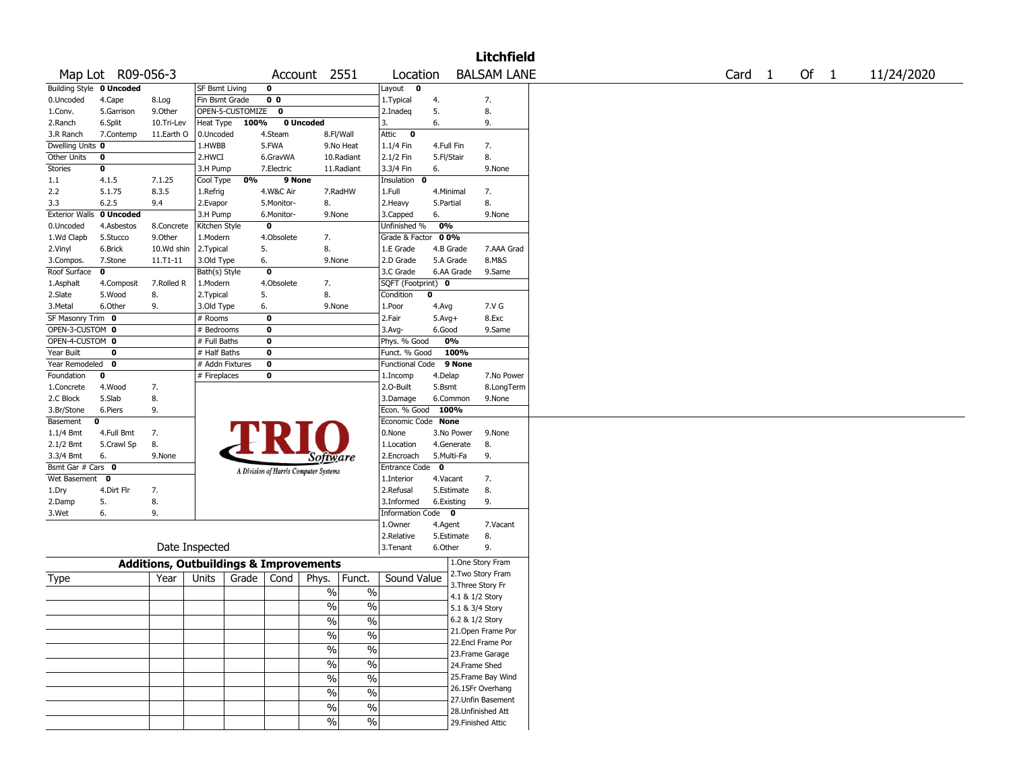|                                    |                          |                                                   |                       |       |                                       |                 |               |                         |              |                 | <b>Litchfield</b>  |  |  |  |                   |  |      |            |
|------------------------------------|--------------------------|---------------------------------------------------|-----------------------|-------|---------------------------------------|-----------------|---------------|-------------------------|--------------|-----------------|--------------------|--|--|--|-------------------|--|------|------------|
|                                    | Map Lot R09-056-3        |                                                   |                       |       |                                       | Account 2551    |               | Location                |              |                 | <b>BALSAM LANE</b> |  |  |  | Card <sub>1</sub> |  | Of 1 | 11/24/2020 |
|                                    | Building Style 0 Uncoded |                                                   | <b>SF Bsmt Living</b> |       | $\mathbf 0$                           |                 |               | Layout<br>$\mathbf{o}$  |              |                 |                    |  |  |  |                   |  |      |            |
| 0.Uncoded                          | 4.Cape                   | 8.Log                                             | Fin Bsmt Grade        |       | 0 <sub>0</sub>                        |                 |               | 1. Typical              | 4.           |                 | 7.                 |  |  |  |                   |  |      |            |
| 1.Conv.                            | 5.Garrison               | 9.0ther                                           | OPEN-5-CUSTOMIZE      |       | $\mathbf 0$                           |                 |               | 2.Inadeg                | 5.           |                 | 8.                 |  |  |  |                   |  |      |            |
| 2.Ranch                            | 6.Split                  | 10.Tri-Lev                                        | Heat Type             | 100%  |                                       | 0 Uncoded       |               | 3.                      | 6.           |                 | 9.                 |  |  |  |                   |  |      |            |
| 3.R Ranch                          | 7.Contemp                | 11.Earth O                                        | 0.Uncoded             |       | 4.Steam                               |                 | 8.Fl/Wall     | Attic<br>$\bullet$      |              |                 |                    |  |  |  |                   |  |      |            |
| Dwelling Units 0                   |                          |                                                   | 1.HWBB                |       | 5.FWA                                 |                 | 9.No Heat     | 1.1/4 Fin               | 4.Full Fin   |                 | 7.                 |  |  |  |                   |  |      |            |
| Other Units                        | 0                        |                                                   | 2.HWCI                |       | 6.GravWA                              |                 | 10.Radiant    | 2.1/2 Fin               | 5.Fl/Stair   |                 | 8.                 |  |  |  |                   |  |      |            |
| Stories                            | 0                        |                                                   | 3.H Pump              |       | 7.Electric                            |                 | 11.Radiant    | 3.3/4 Fin               | 6.           |                 | 9.None             |  |  |  |                   |  |      |            |
| 1.1                                | 4.1.5                    | 7.1.25                                            | Cool Type             | 0%    | 9 None                                |                 |               | Insulation 0            |              |                 |                    |  |  |  |                   |  |      |            |
| 2.2                                | 5.1.75                   | 8.3.5                                             | 1.Refrig              |       | 4.W&C Air                             |                 | 7.RadHW       | 1.Full                  | 4.Minimal    |                 | 7.                 |  |  |  |                   |  |      |            |
| 3.3                                | 6.2.5                    | 9.4                                               | 2.Evapor              |       | 5.Monitor-                            | 8.              |               | 2. Heavy                | 5.Partial    |                 | 8.                 |  |  |  |                   |  |      |            |
| <b>Exterior Walls</b>              | 0 Uncoded                |                                                   | 3.H Pump              |       | 6.Monitor-                            | 9.None          |               | 3.Capped                | 6.           |                 | 9.None             |  |  |  |                   |  |      |            |
| 0.Uncoded                          | 4.Asbestos               | 8.Concrete                                        | Kitchen Style         |       | $\mathbf 0$                           |                 |               | Unfinished %            | 0%           |                 |                    |  |  |  |                   |  |      |            |
| 1.Wd Clapb                         | 5.Stucco                 | 9.Other                                           | 1.Modern              |       | 4.Obsolete                            | 7.              |               | Grade & Factor 00%      |              |                 |                    |  |  |  |                   |  |      |            |
| 2.Vinyl                            | 6.Brick                  | 10.Wd shin                                        | 2.Typical             |       | 5.                                    | 8.              |               | 1.E Grade               | 4.B Grade    |                 | 7.AAA Grad         |  |  |  |                   |  |      |            |
| 3.Compos.                          | 7.Stone                  | 11.T1-11                                          | 3.Old Type            |       | 6.                                    | 9.None          |               | 2.D Grade               | 5.A Grade    |                 | 8.M&S              |  |  |  |                   |  |      |            |
| Roof Surface                       | $\mathbf 0$              |                                                   | Bath(s) Style         |       | $\mathbf 0$                           |                 |               | 3.C Grade               |              | 6.AA Grade      | 9.Same             |  |  |  |                   |  |      |            |
| 1.Asphalt                          | 4.Composit               | 7.Rolled R                                        | 1.Modern              |       | 4.Obsolete                            | 7.              |               | SQFT (Footprint) 0      |              |                 |                    |  |  |  |                   |  |      |            |
| 2.Slate                            | 5.Wood                   | 8.                                                | 2. Typical            |       | 5.                                    | 8.              |               | Condition               | 0            |                 |                    |  |  |  |                   |  |      |            |
| 3.Metal                            | 6.Other                  | 9.                                                |                       |       |                                       | 9.None          |               | 1.Poor                  |              |                 | 7.V G              |  |  |  |                   |  |      |            |
| SF Masonry Trim 0                  |                          |                                                   | 3.Old Type            |       | 6.<br>$\mathbf 0$                     |                 |               |                         | 4.Avg        |                 |                    |  |  |  |                   |  |      |            |
|                                    |                          |                                                   | # Rooms               |       |                                       |                 |               | 2.Fair                  | $5.$ Avg $+$ |                 | 8.Exc              |  |  |  |                   |  |      |            |
| OPEN-3-CUSTOM 0<br>OPEN-4-CUSTOM 0 |                          |                                                   | # Bedrooms            |       | 0                                     |                 |               | $3.$ Avg-               | 6.Good       |                 | 9.Same             |  |  |  |                   |  |      |            |
|                                    |                          |                                                   | # Full Baths          |       | $\mathbf 0$                           |                 |               | Phys. % Good            |              | 0%              |                    |  |  |  |                   |  |      |            |
| Year Built                         | 0                        |                                                   | # Half Baths          |       | $\mathbf 0$                           |                 |               | Funct. % Good           |              | 100%            |                    |  |  |  |                   |  |      |            |
| Year Remodeled 0                   |                          |                                                   | # Addn Fixtures       |       | $\mathbf 0$                           |                 |               | <b>Functional Code</b>  |              | 9 None          |                    |  |  |  |                   |  |      |            |
| Foundation                         | 0                        |                                                   | # Fireplaces          |       | 0                                     |                 |               | 1.Incomp                | 4.Delap      |                 | 7.No Power         |  |  |  |                   |  |      |            |
| 1.Concrete                         | 4.Wood                   | 7.                                                |                       |       |                                       |                 |               | 2.0-Built               | 5.Bsmt       |                 | 8.LongTerm         |  |  |  |                   |  |      |            |
| 2.C Block                          | 5.Slab                   | 8.                                                |                       |       |                                       |                 |               | 3.Damage                |              | 6.Common        | 9.None             |  |  |  |                   |  |      |            |
| 3.Br/Stone                         | 6.Piers                  | 9.                                                |                       |       |                                       |                 |               | Econ. % Good 100%       |              |                 |                    |  |  |  |                   |  |      |            |
| Basement                           | 0                        |                                                   |                       |       |                                       |                 |               | Economic Code None      |              |                 |                    |  |  |  |                   |  |      |            |
| 1.1/4 Bmt                          | 4.Full Bmt               | 7.                                                |                       |       |                                       |                 |               | 0.None                  |              | 3.No Power      | 9.None             |  |  |  |                   |  |      |            |
| 2.1/2 Bmt                          | 5.Crawl Sp               | 8.                                                |                       |       |                                       |                 |               | 1.Location              |              | 4.Generate      | 8.                 |  |  |  |                   |  |      |            |
| 3.3/4 Bmt                          | 6.                       | 9.None                                            |                       |       |                                       | <i>Software</i> |               | 2.Encroach              | 5.Multi-Fa   |                 | 9.                 |  |  |  |                   |  |      |            |
| Bsmt Gar # Cars 0                  |                          |                                                   |                       |       | A Division of Harris Computer Systems |                 |               | Entrance Code           | $\mathbf 0$  |                 |                    |  |  |  |                   |  |      |            |
| Wet Basement 0                     |                          |                                                   |                       |       |                                       |                 |               | 1.Interior              | 4.Vacant     |                 | 7.                 |  |  |  |                   |  |      |            |
| 1.Dry                              | 4.Dirt Flr               | 7.                                                |                       |       |                                       |                 |               | 2.Refusal               |              | 5.Estimate      | 8.                 |  |  |  |                   |  |      |            |
| 2.Damp                             | 5.                       | 8.                                                |                       |       |                                       |                 |               | 3.Informed              | 6.Existing   |                 | 9.                 |  |  |  |                   |  |      |            |
| 3.Wet                              | 6.                       | 9.                                                |                       |       |                                       |                 |               | <b>Information Code</b> |              | $\mathbf{o}$    |                    |  |  |  |                   |  |      |            |
|                                    |                          |                                                   |                       |       |                                       |                 |               | 1.Owner                 | 4.Agent      |                 | 7.Vacant           |  |  |  |                   |  |      |            |
|                                    |                          |                                                   |                       |       |                                       |                 |               | 2.Relative              |              | 5.Estimate      | 8.                 |  |  |  |                   |  |      |            |
|                                    |                          |                                                   | Date Inspected        |       |                                       |                 |               | 3.Tenant                | 6.Other      |                 | 9.                 |  |  |  |                   |  |      |            |
|                                    |                          | <b>Additions, Outbuildings &amp; Improvements</b> |                       |       |                                       |                 |               |                         |              |                 | 1.One Story Fram   |  |  |  |                   |  |      |            |
|                                    |                          |                                                   |                       |       |                                       |                 |               | Sound Value             |              |                 | 2. Two Story Fram  |  |  |  |                   |  |      |            |
| Type                               |                          | Year                                              | Units                 | Grade | Cond                                  | Phys.           | Funct.        |                         |              |                 | 3. Three Story Fr  |  |  |  |                   |  |      |            |
|                                    |                          |                                                   |                       |       |                                       | $\%$            | $\%$          |                         |              | 4.1 & 1/2 Story |                    |  |  |  |                   |  |      |            |
|                                    |                          |                                                   |                       |       |                                       | $\%$            | $\frac{0}{0}$ |                         |              | 5.1 & 3/4 Story |                    |  |  |  |                   |  |      |            |
|                                    |                          |                                                   |                       |       |                                       | $\%$            | $\sqrt{20}$   |                         |              |                 | 6.2 & 1/2 Story    |  |  |  |                   |  |      |            |
|                                    |                          |                                                   |                       |       |                                       |                 |               |                         |              |                 | 21. Open Frame Por |  |  |  |                   |  |      |            |
|                                    |                          |                                                   |                       |       |                                       | $\%$            | $\frac{9}{6}$ |                         |              |                 | 22.Encl Frame Por  |  |  |  |                   |  |      |            |
|                                    |                          |                                                   |                       |       |                                       | $\%$            | $\frac{9}{6}$ |                         |              |                 | 23. Frame Garage   |  |  |  |                   |  |      |            |
|                                    |                          |                                                   |                       |       |                                       | $\%$            | $\frac{1}{2}$ |                         |              |                 | 24.Frame Shed      |  |  |  |                   |  |      |            |
|                                    |                          |                                                   |                       |       |                                       |                 |               |                         |              |                 |                    |  |  |  |                   |  |      |            |
|                                    |                          |                                                   |                       |       |                                       | $\%$            | $\frac{1}{2}$ |                         |              |                 | 25. Frame Bay Wind |  |  |  |                   |  |      |            |
|                                    |                          |                                                   |                       |       |                                       | $\%$            | $\sqrt{6}$    |                         |              |                 | 26.1SFr Overhang   |  |  |  |                   |  |      |            |
|                                    |                          |                                                   |                       |       |                                       | $\%$            | $\frac{1}{2}$ |                         |              |                 | 27.Unfin Basement  |  |  |  |                   |  |      |            |
|                                    |                          |                                                   |                       |       |                                       |                 |               |                         |              |                 | 28. Unfinished Att |  |  |  |                   |  |      |            |
|                                    |                          |                                                   |                       |       |                                       | $\%$            | $\sqrt{6}$    |                         |              |                 | 29. Finished Attic |  |  |  |                   |  |      |            |
|                                    |                          |                                                   |                       |       |                                       |                 |               |                         |              |                 |                    |  |  |  |                   |  |      |            |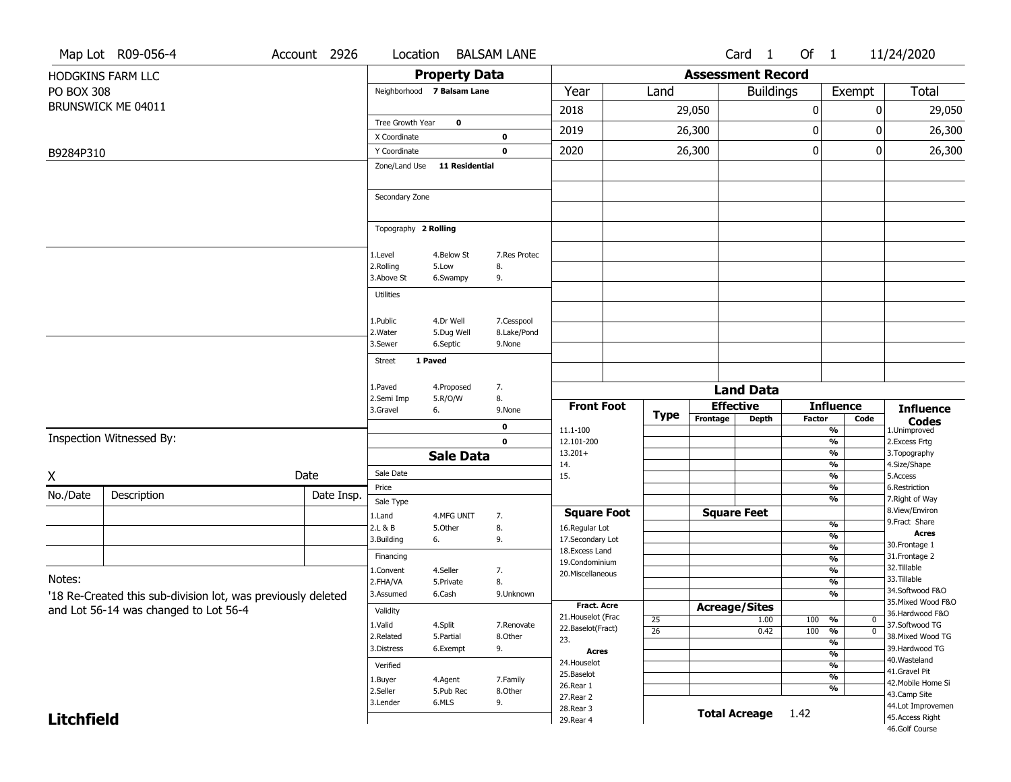| Total<br>29,050<br>26,300           |
|-------------------------------------|
|                                     |
|                                     |
|                                     |
|                                     |
|                                     |
| 26,300                              |
|                                     |
|                                     |
|                                     |
|                                     |
|                                     |
|                                     |
|                                     |
|                                     |
|                                     |
|                                     |
| <b>Influence</b><br><b>Codes</b>    |
| 1.Unimproved                        |
| 2. Excess Frtg<br>3. Topography     |
| 4.Size/Shape                        |
| 5.Access                            |
| 6.Restriction<br>7. Right of Way    |
| 8.View/Environ                      |
| 9. Fract Share<br><b>Acres</b>      |
| 30. Frontage 1                      |
| 31. Frontage 2                      |
| 32. Tillable                        |
| 33.Tillable<br>34.Softwood F&O      |
| 35. Mixed Wood F&O                  |
| 36.Hardwood F&O                     |
| 37.Softwood TG<br>38. Mixed Wood TG |
| 39.Hardwood TG                      |
| 40. Wasteland                       |
| 41.Gravel Pit                       |
| 42. Mobile Home Si<br>43.Camp Site  |
| 44.Lot Improvemen                   |
| 45.Access Right<br>46.Golf Course   |
|                                     |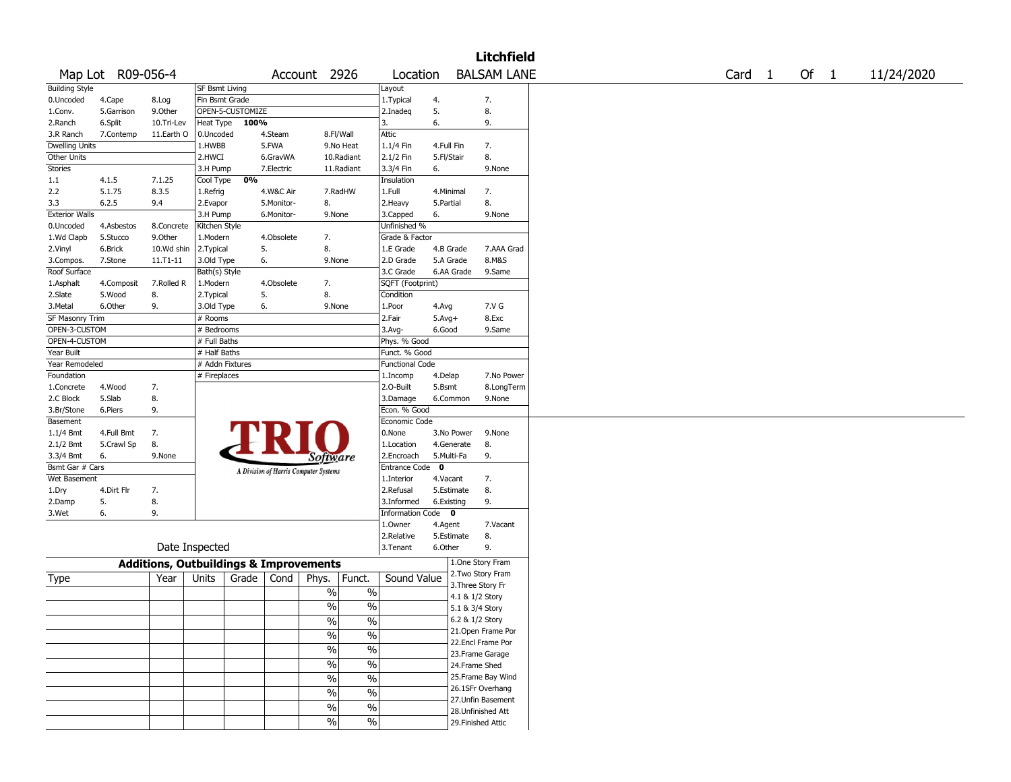|                       |                   |            |                       |                                                   |                          |                          |                        |             |                    | <b>Litchfield</b>  |        |        |            |
|-----------------------|-------------------|------------|-----------------------|---------------------------------------------------|--------------------------|--------------------------|------------------------|-------------|--------------------|--------------------|--------|--------|------------|
|                       | Map Lot R09-056-4 |            |                       |                                                   | Account 2926             |                          | Location               |             |                    | <b>BALSAM LANE</b> | Card 1 | Of $1$ | 11/24/2020 |
| <b>Building Style</b> |                   |            | <b>SF Bsmt Living</b> |                                                   |                          |                          | Layout                 |             |                    |                    |        |        |            |
| 0.Uncoded             | 4.Cape            | 8.Log      | Fin Bsmt Grade        |                                                   |                          |                          | 1. Typical             | 4.          |                    | 7.                 |        |        |            |
| 1.Conv.               | 5.Garrison        | 9.0ther    | OPEN-5-CUSTOMIZE      |                                                   |                          |                          | 2.Inadeq               | 5.          |                    | 8.                 |        |        |            |
| 2.Ranch               | 6.Split           | 10.Tri-Lev | Heat Type             | 100%                                              |                          |                          | 3.                     | 6.          |                    | 9.                 |        |        |            |
| 3.R Ranch             | 7.Contemp         | 11.Earth O | 0.Uncoded             | 4.Steam                                           | 8.Fl/Wall                |                          | Attic                  |             |                    |                    |        |        |            |
| Dwelling Units        |                   |            | 1.HWBB                | 5.FWA                                             |                          | 9.No Heat                | 1.1/4 Fin              | 4.Full Fin  |                    | 7.                 |        |        |            |
| Other Units           |                   |            | 2.HWCI                | 6.GravWA                                          |                          | 10.Radiant               | 2.1/2 Fin              | 5.Fl/Stair  |                    | 8.                 |        |        |            |
| <b>Stories</b>        |                   |            | 3.H Pump              | 7.Electric                                        |                          | 11.Radiant               | 3.3/4 Fin              | 6.          |                    | 9.None             |        |        |            |
| 1.1                   | 4.1.5             | 7.1.25     | Cool Type             | 0%                                                |                          |                          | Insulation             |             |                    |                    |        |        |            |
| 2.2                   | 5.1.75            | 8.3.5      | 1.Refrig              | 4.W&C Air                                         |                          | 7.RadHW                  | 1.Full                 | 4.Minimal   |                    | 7.                 |        |        |            |
| 3.3                   | 6.2.5             | 9.4        | 2.Evapor              | 5.Monitor-                                        | 8.                       |                          | 2. Heavy               | 5.Partial   |                    | 8.                 |        |        |            |
| <b>Exterior Walls</b> |                   |            | 3.H Pump              | 6.Monitor-                                        | 9.None                   |                          | 3.Capped               | 6.          |                    | 9.None             |        |        |            |
| 0.Uncoded             | 4.Asbestos        | 8.Concrete | Kitchen Style         |                                                   |                          |                          | Unfinished %           |             |                    |                    |        |        |            |
|                       |                   |            |                       | 4.Obsolete                                        |                          |                          | Grade & Factor         |             |                    |                    |        |        |            |
| 1.Wd Clapb            | 5.Stucco          | 9.Other    | 1.Modern              |                                                   | 7.<br>8.                 |                          |                        |             |                    |                    |        |        |            |
| 2.Vinyl               | 6.Brick           | 10.Wd shin | 2.Typical             | 5.                                                |                          |                          | 1.E Grade              | 4.B Grade   |                    | 7.AAA Grad         |        |        |            |
| 3.Compos.             | 7.Stone           | 11.T1-11   | 3.Old Type            | 6.                                                | 9.None                   |                          | 2.D Grade              | 5.A Grade   |                    | 8.M&S              |        |        |            |
| Roof Surface          |                   |            | Bath(s) Style         |                                                   |                          |                          | 3.C Grade              | 6.AA Grade  |                    | 9.Same             |        |        |            |
| 1.Asphalt             | 4.Composit        | 7.Rolled R | 1.Modern              | 4.Obsolete                                        | 7.                       |                          | SQFT (Footprint)       |             |                    |                    |        |        |            |
| 2.Slate               | 5.Wood            | 8.         | 2. Typical            | 5.                                                | 8.                       |                          | Condition              |             |                    |                    |        |        |            |
| 3.Metal               | 6.Other           | 9.         | 3.Old Type            | 6.                                                | 9.None                   |                          | 1.Poor                 | 4.Avg       |                    | 7.V G              |        |        |            |
| SF Masonry Trim       |                   |            | # Rooms               |                                                   |                          |                          | 2.Fair                 | $5.Avg+$    |                    | 8.Exc              |        |        |            |
| OPEN-3-CUSTOM         |                   |            | # Bedrooms            |                                                   |                          |                          | 3.Avg-                 | 6.Good      |                    | 9.Same             |        |        |            |
| OPEN-4-CUSTOM         |                   |            | # Full Baths          |                                                   |                          |                          | Phys. % Good           |             |                    |                    |        |        |            |
| Year Built            |                   |            | # Half Baths          |                                                   |                          |                          | Funct. % Good          |             |                    |                    |        |        |            |
| Year Remodeled        |                   |            | # Addn Fixtures       |                                                   |                          |                          | <b>Functional Code</b> |             |                    |                    |        |        |            |
| Foundation            |                   |            | # Fireplaces          |                                                   |                          |                          | 1.Incomp               | 4.Delap     |                    | 7.No Power         |        |        |            |
| 1.Concrete            | 4.Wood            | 7.         |                       |                                                   |                          |                          | 2.0-Built              | 5.Bsmt      |                    | 8.LongTerm         |        |        |            |
| 2.C Block             | 5.Slab            | 8.         |                       |                                                   |                          |                          | 3.Damage               | 6.Common    |                    | 9.None             |        |        |            |
| 3.Br/Stone            | 6.Piers           | 9.         |                       |                                                   |                          |                          | Econ. % Good           |             |                    |                    |        |        |            |
| Basement              |                   |            |                       |                                                   |                          |                          | Economic Code          |             |                    |                    |        |        |            |
| 1.1/4 Bmt             | 4.Full Bmt        | 7.         |                       |                                                   |                          |                          | 0.None                 | 3.No Power  |                    | 9.None             |        |        |            |
| 2.1/2 Bmt             | 5.Crawl Sp        | 8.         |                       |                                                   |                          |                          | 1.Location             | 4.Generate  |                    | 8.                 |        |        |            |
| 3.3/4 Bmt             | 6.                | 9.None     |                       |                                                   | Software                 |                          | 2.Encroach             | 5.Multi-Fa  |                    | 9.                 |        |        |            |
| Bsmt Gar # Cars       |                   |            |                       | A Division of Harris Computer Systems             |                          |                          | <b>Entrance Code</b>   | $\mathbf 0$ |                    |                    |        |        |            |
| Wet Basement          |                   |            |                       |                                                   |                          |                          | 1.Interior             | 4.Vacant    |                    | 7.                 |        |        |            |
| 1.Dry                 | 4.Dirt Flr        | 7.         |                       |                                                   |                          |                          | 2.Refusal              | 5.Estimate  |                    | 8.                 |        |        |            |
| 2.Damp                | 5.                | 8.         |                       |                                                   |                          |                          | 3.Informed             | 6.Existing  |                    | 9.                 |        |        |            |
| 3.Wet                 | 6.                | 9.         |                       |                                                   |                          |                          | Information Code 0     |             |                    |                    |        |        |            |
|                       |                   |            |                       |                                                   |                          |                          | 1.Owner                | 4.Agent     |                    | 7.Vacant           |        |        |            |
|                       |                   |            |                       |                                                   |                          |                          | 2.Relative             | 5.Estimate  |                    | 8.                 |        |        |            |
|                       |                   |            | Date Inspected        |                                                   |                          |                          | 3. Tenant              | 6.Other     |                    | 9.                 |        |        |            |
|                       |                   |            |                       |                                                   |                          |                          |                        |             |                    |                    |        |        |            |
|                       |                   |            |                       | <b>Additions, Outbuildings &amp; Improvements</b> |                          |                          |                        |             |                    | 1.One Story Fram   |        |        |            |
| Type                  |                   | Year       | Units                 | Grade<br>Cond                                     | Phys.                    | Funct.                   | Sound Value            |             |                    | 2.Two Story Fram   |        |        |            |
|                       |                   |            |                       |                                                   | $\%$                     | $\%$                     |                        |             | 3. Three Story Fr  |                    |        |        |            |
|                       |                   |            |                       |                                                   |                          |                          |                        |             | 4.1 & 1/2 Story    |                    |        |        |            |
|                       |                   |            |                       |                                                   | $\%$                     | $\%$                     |                        |             | 5.1 & 3/4 Story    |                    |        |        |            |
|                       |                   |            |                       |                                                   | $\sqrt{6}$               | $\frac{1}{2}$            |                        |             | 6.2 & 1/2 Story    |                    |        |        |            |
|                       |                   |            |                       |                                                   | $\sqrt{6}$               | $\overline{\frac{0}{0}}$ |                        |             |                    | 21.Open Frame Por  |        |        |            |
|                       |                   |            |                       |                                                   | $\sqrt{6}$               | $\frac{0}{6}$            |                        |             |                    | 22.Encl Frame Por  |        |        |            |
|                       |                   |            |                       |                                                   |                          |                          |                        |             |                    | 23. Frame Garage   |        |        |            |
|                       |                   |            |                       |                                                   | $\overline{\frac{0}{0}}$ | $\frac{0}{6}$            |                        |             | 24.Frame Shed      |                    |        |        |            |
|                       |                   |            |                       |                                                   | $\frac{0}{6}$            | $\frac{0}{6}$            |                        |             |                    | 25. Frame Bay Wind |        |        |            |
|                       |                   |            |                       |                                                   | $\sqrt{6}$               | $\frac{1}{2}$            |                        |             |                    | 26.1SFr Overhang   |        |        |            |
|                       |                   |            |                       |                                                   |                          |                          |                        |             |                    | 27. Unfin Basement |        |        |            |
|                       |                   |            |                       |                                                   | $\sqrt{6}$               | $\frac{1}{2}$            |                        |             |                    | 28. Unfinished Att |        |        |            |
|                       |                   |            |                       |                                                   | $\frac{1}{2}$            | $\frac{1}{2}$            |                        |             | 29. Finished Attic |                    |        |        |            |
|                       |                   |            |                       |                                                   |                          |                          |                        |             |                    |                    |        |        |            |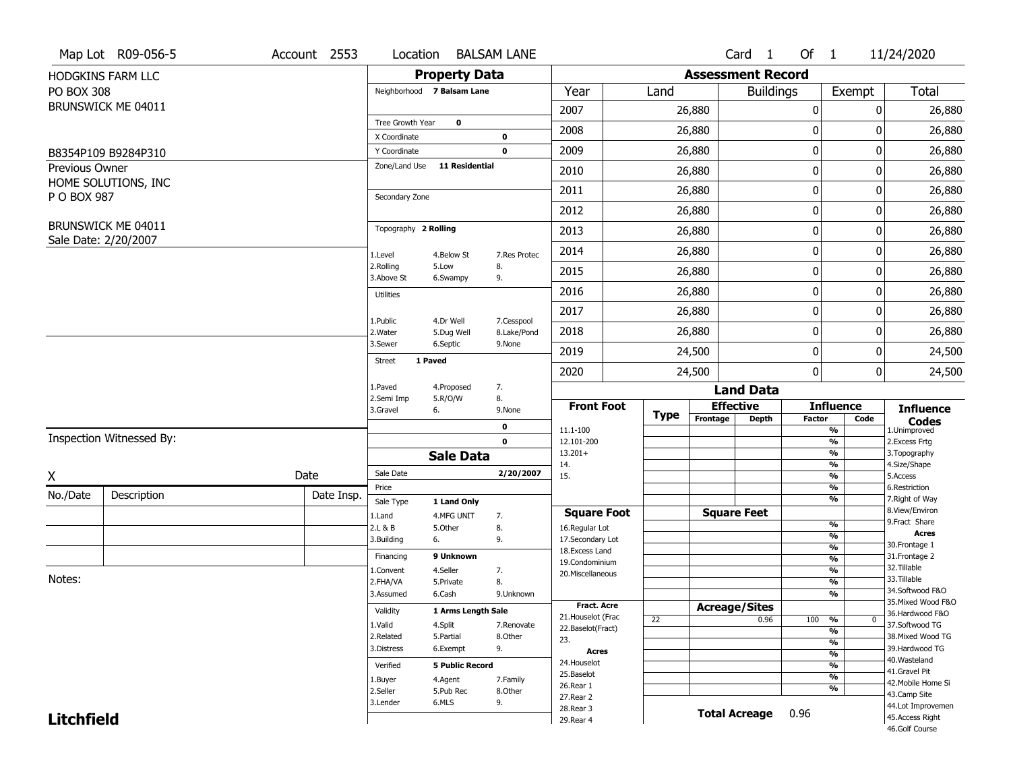|                   | Map Lot R09-056-5                          | Account 2553 | Location                      |                           | <b>BALSAM LANE</b>    |                                    |      |                          | Card 1           | Of $1$        |                                | 11/24/2020                          |
|-------------------|--------------------------------------------|--------------|-------------------------------|---------------------------|-----------------------|------------------------------------|------|--------------------------|------------------|---------------|--------------------------------|-------------------------------------|
|                   | HODGKINS FARM LLC                          |              |                               | <b>Property Data</b>      |                       |                                    |      | <b>Assessment Record</b> |                  |               |                                |                                     |
| <b>PO BOX 308</b> |                                            |              | Neighborhood 7 Balsam Lane    |                           |                       | Year                               | Land |                          | <b>Buildings</b> |               | Exempt                         | <b>Total</b>                        |
|                   | BRUNSWICK ME 04011                         |              |                               |                           |                       | 2007                               |      | 26,880                   |                  | 0             | 0                              | 26,880                              |
|                   |                                            |              | Tree Growth Year              | $\bf{0}$                  |                       | 2008                               |      | 26,880                   |                  | 0             | 0                              | 26,880                              |
|                   |                                            |              | X Coordinate                  |                           | 0                     |                                    |      |                          |                  |               |                                |                                     |
|                   | B8354P109 B9284P310                        |              | Y Coordinate<br>Zone/Land Use | <b>11 Residential</b>     | $\mathbf 0$           | 2009                               |      | 26,880                   |                  | 0             | 0                              | 26,880                              |
| Previous Owner    | HOME SOLUTIONS, INC                        |              |                               |                           |                       | 2010                               |      | 26,880                   |                  | 0             | 0                              | 26,880                              |
| P O BOX 987       |                                            |              | Secondary Zone                |                           |                       | 2011                               |      | 26,880                   |                  | 0             | 0                              | 26,880                              |
|                   |                                            |              |                               |                           |                       | 2012                               |      | 26,880                   |                  | 0             | 0                              | 26,880                              |
|                   | BRUNSWICK ME 04011<br>Sale Date: 2/20/2007 |              | Topography 2 Rolling          |                           |                       | 2013                               |      | 26,880                   |                  | 0             | 0                              | 26,880                              |
|                   |                                            |              | 1.Level                       | 4.Below St                | 7.Res Protec          | 2014                               |      | 26,880                   |                  | 0             | 0                              | 26,880                              |
|                   |                                            |              | 2.Rolling<br>3.Above St       | 5.Low<br>6.Swampy         | 8.<br>9.              | 2015                               |      | 26,880                   |                  | 0             | 0                              | 26,880                              |
|                   |                                            |              | <b>Utilities</b>              |                           |                       | 2016                               |      | 26,880                   |                  | 0             | 0                              | 26,880                              |
|                   |                                            |              | 1.Public                      | 4.Dr Well                 | 7.Cesspool            | 2017                               |      | 26,880                   |                  | 0             | 0                              | 26,880                              |
|                   |                                            |              | 2. Water                      | 5.Dug Well                | 8.Lake/Pond           | 2018                               |      | 26,880                   |                  | 0             | 0                              | 26,880                              |
|                   |                                            |              | 3.Sewer                       | 6.Septic                  | 9.None                | 2019                               |      | 24,500                   |                  | 0             | 0                              | 24,500                              |
|                   |                                            |              | 1 Paved<br><b>Street</b>      |                           |                       | 2020                               |      | 24,500                   |                  | 0             | 0                              | 24,500                              |
|                   |                                            |              | 1.Paved                       | 4.Proposed                | 7.                    |                                    |      |                          | <b>Land Data</b> |               |                                |                                     |
|                   |                                            |              | 2.Semi Imp<br>3.Gravel        | 5.R/O/W<br>6.             | 8.<br>9.None          | <b>Front Foot</b>                  |      | <b>Effective</b>         |                  |               | <b>Influence</b>               | <b>Influence</b>                    |
|                   |                                            |              |                               |                           | 0                     | 11.1-100                           | Type | Frontage                 | <b>Depth</b>     | <b>Factor</b> | Code<br>$\frac{9}{6}$          | <b>Codes</b><br>1.Unimproved        |
|                   | Inspection Witnessed By:                   |              |                               |                           | $\mathbf 0$           | 12.101-200                         |      |                          |                  |               | $\frac{9}{6}$                  | 2. Excess Frtg                      |
|                   |                                            |              |                               | <b>Sale Data</b>          |                       | $13.201+$<br>14.                   |      |                          |                  |               | $\frac{9}{6}$<br>$\frac{9}{6}$ | 3. Topography<br>4.Size/Shape       |
| X                 |                                            | Date         | Sale Date                     |                           | 2/20/2007             | 15.                                |      |                          |                  |               | $\frac{9}{6}$                  | 5.Access                            |
| No./Date          | Description                                | Date Insp.   | Price                         |                           |                       |                                    |      |                          |                  |               | $\frac{9}{6}$<br>$\frac{9}{6}$ | 6.Restriction<br>7. Right of Way    |
|                   |                                            |              | Sale Type<br>1.Land           | 1 Land Only<br>4.MFG UNIT | 7.                    | <b>Square Foot</b>                 |      | <b>Square Feet</b>       |                  |               |                                | 8.View/Environ                      |
|                   |                                            |              | 2.L & B                       | 5.Other                   | 8.                    | 16.Regular Lot                     |      |                          |                  |               | $\frac{9}{6}$                  | 9.Fract Share                       |
|                   |                                            |              | 3.Building                    | 6.                        | 9.                    | 17.Secondary Lot                   |      |                          |                  |               | $\frac{9}{6}$                  | <b>Acres</b><br>30. Frontage 1      |
|                   |                                            |              | Financing                     | 9 Unknown                 |                       | 18. Excess Land                    |      |                          |                  |               | $\frac{9}{6}$<br>$\frac{9}{6}$ | 31. Frontage 2                      |
|                   |                                            |              | 1.Convent                     | 4.Seller                  | 7.                    | 19.Condominium<br>20.Miscellaneous |      |                          |                  |               | $\frac{9}{6}$                  | 32. Tillable                        |
| Notes:            |                                            |              | 2.FHA/VA                      | 5.Private                 | 8.                    |                                    |      |                          |                  |               | $\frac{9}{6}$                  | 33.Tillable                         |
|                   |                                            |              | 3.Assumed                     | 6.Cash                    | 9.Unknown             |                                    |      |                          |                  |               | $\frac{9}{6}$                  | 34.Softwood F&O                     |
|                   |                                            |              | Validity                      | 1 Arms Length Sale        |                       | <b>Fract. Acre</b>                 |      | <b>Acreage/Sites</b>     |                  |               |                                | 35. Mixed Wood F&O                  |
|                   |                                            |              |                               |                           |                       | 21. Houselot (Frac                 | 22   |                          | 0.96             | 100           | %<br>$\mathbf{0}$              | 36.Hardwood F&O                     |
|                   |                                            |              | 1.Valid<br>2.Related          | 4.Split<br>5.Partial      | 7.Renovate<br>8.Other | 22.Baselot(Fract)                  |      |                          |                  |               | $\frac{9}{6}$                  | 37.Softwood TG<br>38. Mixed Wood TG |
|                   |                                            |              | 3.Distress                    | 6.Exempt                  | 9.                    | 23.                                |      |                          |                  |               | $\frac{9}{6}$                  | 39.Hardwood TG                      |
|                   |                                            |              |                               |                           |                       | <b>Acres</b>                       |      |                          |                  |               | $\frac{9}{6}$                  | 40. Wasteland                       |
|                   |                                            |              | Verified                      | <b>5 Public Record</b>    |                       | 24. Houselot                       |      |                          |                  |               | $\frac{9}{6}$                  | 41.Gravel Pit                       |
|                   |                                            |              | 1.Buyer                       | 4.Agent                   | 7.Family              | 25.Baselot<br>26.Rear 1            |      |                          |                  |               | $\frac{9}{6}$                  | 42. Mobile Home Si                  |
|                   |                                            |              | 2.Seller                      | 5.Pub Rec                 | 8.Other               | 27. Rear 2                         |      |                          |                  |               | $\frac{9}{6}$                  | 43.Camp Site                        |
|                   |                                            |              | 3.Lender                      | 6.MLS                     | 9.                    |                                    |      |                          |                  |               |                                | 44.Lot Improvemen                   |
|                   |                                            |              |                               |                           |                       | 28. Rear 3                         |      |                          |                  |               |                                |                                     |
| <b>Litchfield</b> |                                            |              |                               |                           |                       | 29. Rear 4                         |      | <b>Total Acreage</b>     |                  | 0.96          |                                | 45.Access Right<br>46.Golf Course   |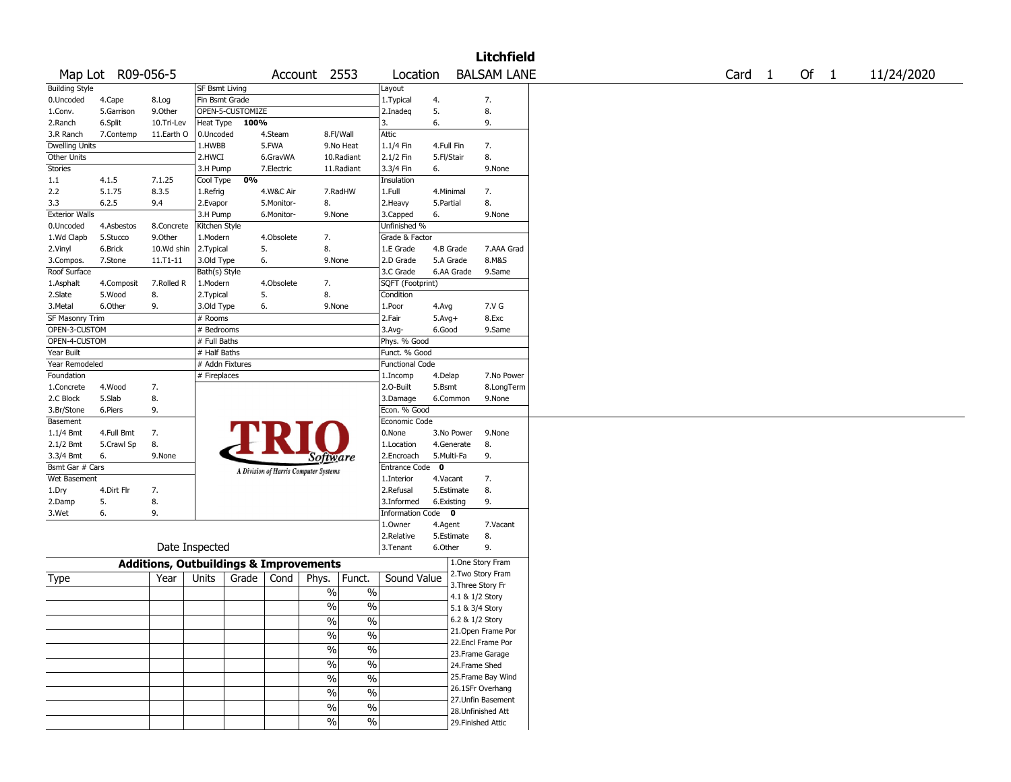|                       |                   |                |                                                   |                                       |                          |                          |             |                   | <b>Litchfield</b>  |        |        |            |
|-----------------------|-------------------|----------------|---------------------------------------------------|---------------------------------------|--------------------------|--------------------------|-------------|-------------------|--------------------|--------|--------|------------|
|                       | Map Lot R09-056-5 |                |                                                   |                                       | Account 2553             | Location                 |             |                   | <b>BALSAM LANE</b> | Card 1 | Of $1$ | 11/24/2020 |
| <b>Building Style</b> |                   |                | <b>SF Bsmt Living</b>                             |                                       |                          | Layout                   |             |                   |                    |        |        |            |
| 0.Uncoded             | 4.Cape            | 8.Log          | Fin Bsmt Grade                                    |                                       |                          | 1. Typical               | 4.          |                   | 7.                 |        |        |            |
| 1.Conv.               | 5.Garrison        | 9.0ther        | OPEN-5-CUSTOMIZE                                  |                                       |                          | 2.Inadeq                 | 5.          |                   | 8.                 |        |        |            |
| 2.Ranch               | 6.Split           | 10.Tri-Lev     | Heat Type                                         | 100%                                  |                          | 3.                       | 6.          |                   | 9.                 |        |        |            |
| 3.R Ranch             | 7.Contemp         | 11.Earth O     | 0.Uncoded                                         | 4.Steam                               | 8.Fl/Wall                | Attic                    |             |                   |                    |        |        |            |
| Dwelling Units        |                   |                | 1.HWBB                                            | 5.FWA                                 | 9.No Heat                | 1.1/4 Fin                | 4.Full Fin  |                   | 7.                 |        |        |            |
| Other Units           |                   |                | 2.HWCI                                            | 6.GravWA                              | 10.Radiant               | 2.1/2 Fin                | 5.Fl/Stair  |                   | 8.                 |        |        |            |
| <b>Stories</b>        |                   |                | 3.H Pump                                          | 7.Electric                            | 11.Radiant               | 3.3/4 Fin                | 6.          |                   | 9.None             |        |        |            |
| 1.1                   | 4.1.5             | 7.1.25         | Cool Type                                         | 0%                                    |                          | Insulation               |             |                   |                    |        |        |            |
| 2.2                   | 5.1.75            | 8.3.5          | 1.Refrig                                          | 4.W&C Air                             | 7.RadHW                  | 1.Full                   | 4.Minimal   |                   | 7.                 |        |        |            |
| 3.3                   | 6.2.5             | 9.4            | 2.Evapor                                          | 5.Monitor-                            | 8.                       | 2. Heavy                 | 5.Partial   |                   | 8.                 |        |        |            |
| <b>Exterior Walls</b> |                   |                | 3.H Pump                                          | 6.Monitor-                            | 9.None                   | 3.Capped                 | 6.          |                   | 9.None             |        |        |            |
| 0.Uncoded             | 4.Asbestos        | 8.Concrete     | Kitchen Style                                     |                                       |                          | Unfinished %             |             |                   |                    |        |        |            |
| 1.Wd Clapb            | 5.Stucco          | 9.Other        | 1.Modern                                          | 4.Obsolete                            | 7.                       | Grade & Factor           |             |                   |                    |        |        |            |
| 2.Vinyl               | 6.Brick           | 10.Wd shin     | 2.Typical                                         | 5.                                    | 8.                       | 1.E Grade                |             | 4.B Grade         | 7.AAA Grad         |        |        |            |
| 3.Compos.             | 7.Stone           | 11.T1-11       | 3.Old Type                                        | 6.                                    | 9.None                   | 2.D Grade                |             | 5.A Grade         | 8.M&S              |        |        |            |
| Roof Surface          |                   |                | Bath(s) Style                                     |                                       |                          | 3.C Grade                |             | 6.AA Grade        | 9.Same             |        |        |            |
| 1.Asphalt             | 4.Composit        | 7.Rolled R     | 1.Modern                                          | 4.Obsolete                            | 7.                       | SQFT (Footprint)         |             |                   |                    |        |        |            |
| 2.Slate               | 5.Wood            | 8.             | 2. Typical                                        | 5.                                    | 8.                       | Condition                |             |                   |                    |        |        |            |
| 3.Metal               | 6.Other           | 9.             | 3.Old Type                                        | 6.                                    | 9.None                   | 1.Poor                   | 4.Avg       |                   | 7.V G              |        |        |            |
| SF Masonry Trim       |                   |                | # Rooms                                           |                                       |                          | 2.Fair                   | $5.Avg+$    |                   | 8.Exc              |        |        |            |
| OPEN-3-CUSTOM         |                   |                | # Bedrooms                                        |                                       |                          | 3.Avg-                   | 6.Good      |                   | 9.Same             |        |        |            |
| OPEN-4-CUSTOM         |                   |                | # Full Baths                                      |                                       |                          | Phys. % Good             |             |                   |                    |        |        |            |
| Year Built            |                   |                | # Half Baths                                      |                                       |                          | Funct. % Good            |             |                   |                    |        |        |            |
| Year Remodeled        |                   |                | # Addn Fixtures                                   |                                       |                          | <b>Functional Code</b>   |             |                   |                    |        |        |            |
| Foundation            |                   |                | # Fireplaces                                      |                                       |                          | 1.Incomp                 | 4.Delap     |                   | 7.No Power         |        |        |            |
| 1.Concrete            | 4.Wood            | 7.             |                                                   |                                       |                          | 2.0-Built                | 5.Bsmt      |                   | 8.LongTerm         |        |        |            |
| 2.C Block             | 5.Slab            | 8.             |                                                   |                                       |                          | 3.Damage                 |             | 6.Common          | 9.None             |        |        |            |
| 3.Br/Stone            | 6.Piers           | 9.             |                                                   |                                       |                          | Econ. % Good             |             |                   |                    |        |        |            |
| Basement              |                   |                |                                                   |                                       |                          | Economic Code            |             |                   |                    |        |        |            |
| 1.1/4 Bmt             | 4.Full Bmt        | 7.             |                                                   |                                       |                          | 0.None                   |             | 3.No Power        | 9.None             |        |        |            |
| 2.1/2 Bmt             | 5.Crawl Sp        | 8.             |                                                   |                                       |                          | 1.Location               |             | 4.Generate        | 8.                 |        |        |            |
| 3.3/4 Bmt             | 6.                | 9.None         |                                                   |                                       |                          | 2.Encroach               | 5.Multi-Fa  |                   | 9.                 |        |        |            |
| Bsmt Gar # Cars       |                   |                |                                                   |                                       | Software                 | <b>Entrance Code</b>     | $\mathbf 0$ |                   |                    |        |        |            |
| Wet Basement          |                   |                |                                                   | A Division of Harris Computer Systems |                          | 1.Interior               | 4.Vacant    |                   | 7.                 |        |        |            |
|                       |                   |                |                                                   |                                       |                          | 2.Refusal                |             |                   |                    |        |        |            |
| 1.Dry                 | 4.Dirt Flr        | 7.             |                                                   |                                       |                          |                          |             | 5.Estimate        | 8.                 |        |        |            |
| 2.Damp                | 5.                | 8.<br>9.       |                                                   |                                       |                          | 3.Informed               | 6.Existing  |                   | 9.                 |        |        |            |
| 3.Wet                 | 6.                |                |                                                   |                                       |                          | Information Code 0       |             |                   |                    |        |        |            |
|                       |                   |                |                                                   |                                       |                          | 1.Owner                  | 4.Agent     |                   | 7.Vacant           |        |        |            |
|                       |                   | Date Inspected |                                                   |                                       |                          | 2.Relative               |             | 5.Estimate        | 8.                 |        |        |            |
|                       |                   |                |                                                   |                                       |                          | 3. Tenant                | 6.Other     |                   | 9.                 |        |        |            |
|                       |                   |                | <b>Additions, Outbuildings &amp; Improvements</b> |                                       |                          |                          |             |                   | 1.One Story Fram   |        |        |            |
| Type                  |                   | Year           | Units<br>Grade                                    | Cond                                  | Phys.<br>Funct.          | Sound Value              |             |                   | 2.Two Story Fram   |        |        |            |
|                       |                   |                |                                                   |                                       |                          |                          |             | 3. Three Story Fr |                    |        |        |            |
|                       |                   |                |                                                   |                                       | $\%$                     | $\%$                     |             | 4.1 & 1/2 Story   |                    |        |        |            |
|                       |                   |                |                                                   |                                       | $\%$                     | $\%$                     |             | 5.1 & 3/4 Story   |                    |        |        |            |
|                       |                   |                |                                                   |                                       | $\sqrt{6}$               | $\frac{1}{2}$            |             | 6.2 & 1/2 Story   |                    |        |        |            |
|                       |                   |                |                                                   |                                       | $\sqrt{6}$               | $\overline{\frac{0}{0}}$ |             |                   | 21.Open Frame Por  |        |        |            |
|                       |                   |                |                                                   |                                       |                          |                          |             |                   | 22.Encl Frame Por  |        |        |            |
|                       |                   |                |                                                   |                                       | $\sqrt{6}$               | $\frac{0}{6}$            |             |                   | 23. Frame Garage   |        |        |            |
|                       |                   |                |                                                   |                                       | $\overline{\frac{0}{0}}$ | $\frac{0}{6}$            |             | 24.Frame Shed     |                    |        |        |            |
|                       |                   |                |                                                   |                                       | $\frac{0}{6}$            | $\frac{0}{6}$            |             |                   | 25. Frame Bay Wind |        |        |            |
|                       |                   |                |                                                   |                                       |                          |                          |             |                   | 26.1SFr Overhang   |        |        |            |
|                       |                   |                |                                                   |                                       | $\sqrt{6}$               | $\frac{1}{2}$            |             |                   | 27.Unfin Basement  |        |        |            |
|                       |                   |                |                                                   |                                       | $\sqrt{6}$               | $\frac{1}{2}$            |             |                   | 28. Unfinished Att |        |        |            |
|                       |                   |                |                                                   |                                       | $\frac{1}{2}$            | $\frac{1}{2}$            |             |                   | 29. Finished Attic |        |        |            |
|                       |                   |                |                                                   |                                       |                          |                          |             |                   |                    |        |        |            |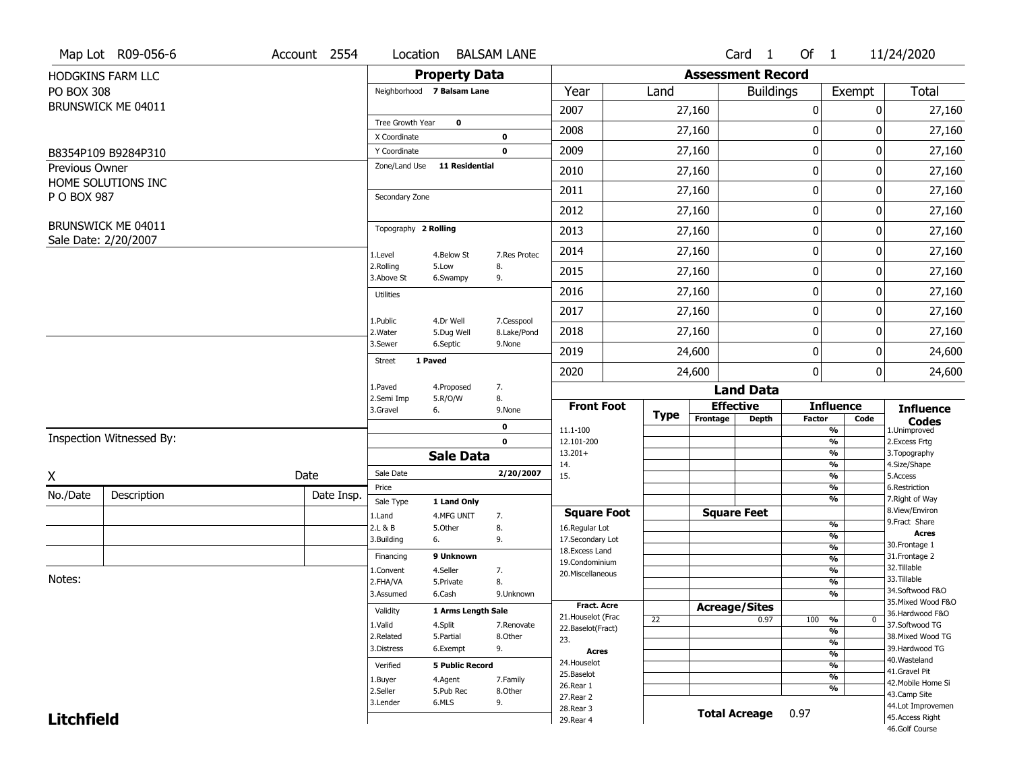|                   | Map Lot R09-056-6                          | Account 2554 | Location                      |                           | <b>BALSAM LANE</b> |                                         |      |                          | Card 1               | Of $1$        |                                | 11/24/2020                            |
|-------------------|--------------------------------------------|--------------|-------------------------------|---------------------------|--------------------|-----------------------------------------|------|--------------------------|----------------------|---------------|--------------------------------|---------------------------------------|
|                   | HODGKINS FARM LLC                          |              |                               | <b>Property Data</b>      |                    |                                         |      | <b>Assessment Record</b> |                      |               |                                |                                       |
| <b>PO BOX 308</b> |                                            |              | Neighborhood 7 Balsam Lane    |                           |                    | Year                                    | Land |                          | <b>Buildings</b>     |               | Exempt                         | <b>Total</b>                          |
|                   | BRUNSWICK ME 04011                         |              |                               |                           |                    | 2007                                    |      | 27,160                   |                      | 0             | 0                              | 27,160                                |
|                   |                                            |              | Tree Growth Year              | $\bf{0}$                  |                    | 2008                                    |      | 27,160                   |                      | 0             | 0                              | 27,160                                |
|                   |                                            |              | X Coordinate                  |                           | 0                  |                                         |      |                          |                      |               |                                |                                       |
|                   | B8354P109 B9284P310                        |              | Y Coordinate<br>Zone/Land Use | <b>11 Residential</b>     | $\mathbf 0$        | 2009                                    |      | 27,160                   |                      | 0             | 0                              | 27,160                                |
| Previous Owner    | HOME SOLUTIONS INC                         |              |                               |                           |                    | 2010                                    |      | 27,160                   |                      | 0             | 0                              | 27,160                                |
| P O BOX 987       |                                            |              | Secondary Zone                |                           |                    | 2011                                    |      | 27,160                   |                      | 0             | 0                              | 27,160                                |
|                   |                                            |              |                               |                           |                    | 2012                                    |      | 27,160                   |                      | 0             | 0                              | 27,160                                |
|                   | BRUNSWICK ME 04011<br>Sale Date: 2/20/2007 |              | Topography 2 Rolling          |                           |                    | 2013                                    |      | 27,160                   |                      | 0             | 0                              | 27,160                                |
|                   |                                            |              | 1.Level                       | 4.Below St                | 7.Res Protec       | 2014                                    |      | 27,160                   |                      | 0             | 0                              | 27,160                                |
|                   |                                            |              | 2.Rolling<br>3.Above St       | 5.Low<br>6.Swampy         | 8.<br>9.           | 2015                                    |      | 27,160                   |                      | 0             | 0                              | 27,160                                |
|                   |                                            |              | <b>Utilities</b>              |                           |                    | 2016                                    |      | 27,160                   |                      | 0             | 0                              | 27,160                                |
|                   |                                            |              | 1.Public                      | 4.Dr Well                 | 7.Cesspool         | 2017                                    |      | 27,160                   |                      | 0             | 0                              | 27,160                                |
|                   |                                            |              | 2. Water                      | 5.Dug Well                | 8.Lake/Pond        | 2018                                    |      | 27,160                   |                      | 0             | 0                              | 27,160                                |
|                   |                                            |              | 3.Sewer                       | 6.Septic                  | 9.None             | 2019                                    |      | 24,600                   |                      | 0             | 0                              | 24,600                                |
|                   |                                            |              | 1 Paved<br><b>Street</b>      |                           |                    | 2020                                    |      | 24,600                   |                      | 0             | 0                              | 24,600                                |
|                   |                                            |              | 1.Paved                       | 4.Proposed                | 7.                 |                                         |      |                          | <b>Land Data</b>     |               |                                |                                       |
|                   |                                            |              | 2.Semi Imp<br>3.Gravel        | 5.R/O/W<br>6.             | 8.<br>9.None       | <b>Front Foot</b>                       |      | <b>Effective</b>         |                      |               | <b>Influence</b>               | <b>Influence</b>                      |
|                   |                                            |              |                               |                           | 0                  | 11.1-100                                | Type | Frontage                 | <b>Depth</b>         | <b>Factor</b> | Code<br>$\frac{9}{6}$          | <b>Codes</b><br>1.Unimproved          |
|                   | Inspection Witnessed By:                   |              |                               |                           | $\mathbf 0$        | 12.101-200                              |      |                          |                      |               | $\frac{9}{6}$                  | 2.Excess Frtg                         |
|                   |                                            |              |                               | <b>Sale Data</b>          |                    | $13.201+$<br>14.                        |      |                          |                      |               | $\frac{9}{6}$<br>$\frac{9}{6}$ | 3. Topography<br>4.Size/Shape         |
| X                 |                                            | Date         | Sale Date                     |                           | 2/20/2007          | 15.                                     |      |                          |                      |               | $\frac{9}{6}$                  | 5.Access                              |
| No./Date          | Description                                | Date Insp.   | Price                         |                           |                    |                                         |      |                          |                      |               | $\frac{9}{6}$<br>$\frac{9}{6}$ | 6.Restriction<br>7. Right of Way      |
|                   |                                            |              | Sale Type<br>1.Land           | 1 Land Only<br>4.MFG UNIT | 7.                 | <b>Square Foot</b>                      |      | <b>Square Feet</b>       |                      |               |                                | 8.View/Environ                        |
|                   |                                            |              | 2.L & B                       | 5.Other                   | 8.                 | 16.Regular Lot                          |      |                          |                      |               | $\frac{9}{6}$                  | 9.Fract Share                         |
|                   |                                            |              | 3.Building                    | 6.                        | 9.                 | 17.Secondary Lot                        |      |                          |                      |               | $\frac{9}{6}$<br>$\frac{9}{6}$ | <b>Acres</b><br>30. Frontage 1        |
|                   |                                            |              | Financing                     | 9 Unknown                 |                    | 18. Excess Land<br>19.Condominium       |      |                          |                      |               | $\frac{9}{6}$                  | 31. Frontage 2                        |
|                   |                                            |              | 1.Convent                     | 4.Seller                  | 7.                 | 20.Miscellaneous                        |      |                          |                      |               | $\frac{9}{6}$                  | 32. Tillable                          |
| Notes:            |                                            |              | 2.FHA/VA                      | 5.Private                 | 8.                 |                                         |      |                          |                      |               | $\frac{9}{6}$                  | 33.Tillable                           |
|                   |                                            |              | 3.Assumed                     | 6.Cash                    | 9.Unknown          |                                         |      |                          |                      |               | $\frac{9}{6}$                  | 34.Softwood F&O<br>35. Mixed Wood F&O |
|                   |                                            |              | Validity                      | 1 Arms Length Sale        |                    | <b>Fract. Acre</b>                      |      | <b>Acreage/Sites</b>     |                      |               |                                | 36.Hardwood F&O                       |
|                   |                                            |              | 1.Valid                       | 4.Split                   | 7.Renovate         | 21. Houselot (Frac<br>22.Baselot(Fract) | 22   |                          | 0.97                 | 100           | %<br>$\mathbf{0}$              | 37.Softwood TG                        |
|                   |                                            |              | 2.Related                     | 5.Partial                 | 8.Other            | 23.                                     |      |                          |                      |               | $\frac{9}{6}$<br>$\frac{9}{6}$ | 38. Mixed Wood TG                     |
|                   |                                            |              | 3.Distress                    | 6.Exempt                  | 9.                 | <b>Acres</b>                            |      |                          |                      |               | $\frac{9}{6}$                  | 39.Hardwood TG                        |
|                   |                                            |              | Verified                      | <b>5 Public Record</b>    |                    | 24. Houselot                            |      |                          |                      |               | $\frac{9}{6}$                  | 40. Wasteland                         |
|                   |                                            |              | 1.Buyer                       | 4.Agent                   | 7.Family           | 25.Baselot                              |      |                          |                      |               | $\frac{9}{6}$                  | 41.Gravel Pit                         |
|                   |                                            |              | 2.Seller                      | 5.Pub Rec                 | 8.Other            | 26.Rear 1                               |      |                          |                      |               | $\frac{9}{6}$                  | 42. Mobile Home Si<br>43.Camp Site    |
|                   |                                            |              | 3.Lender                      | 6.MLS                     | 9.                 | 27. Rear 2                              |      |                          |                      |               |                                | 44.Lot Improvemen                     |
| <b>Litchfield</b> |                                            |              |                               |                           |                    |                                         |      |                          |                      |               |                                |                                       |
|                   |                                            |              |                               |                           |                    | 28. Rear 3<br>29. Rear 4                |      |                          | <b>Total Acreage</b> | 0.97          |                                | 45. Access Right                      |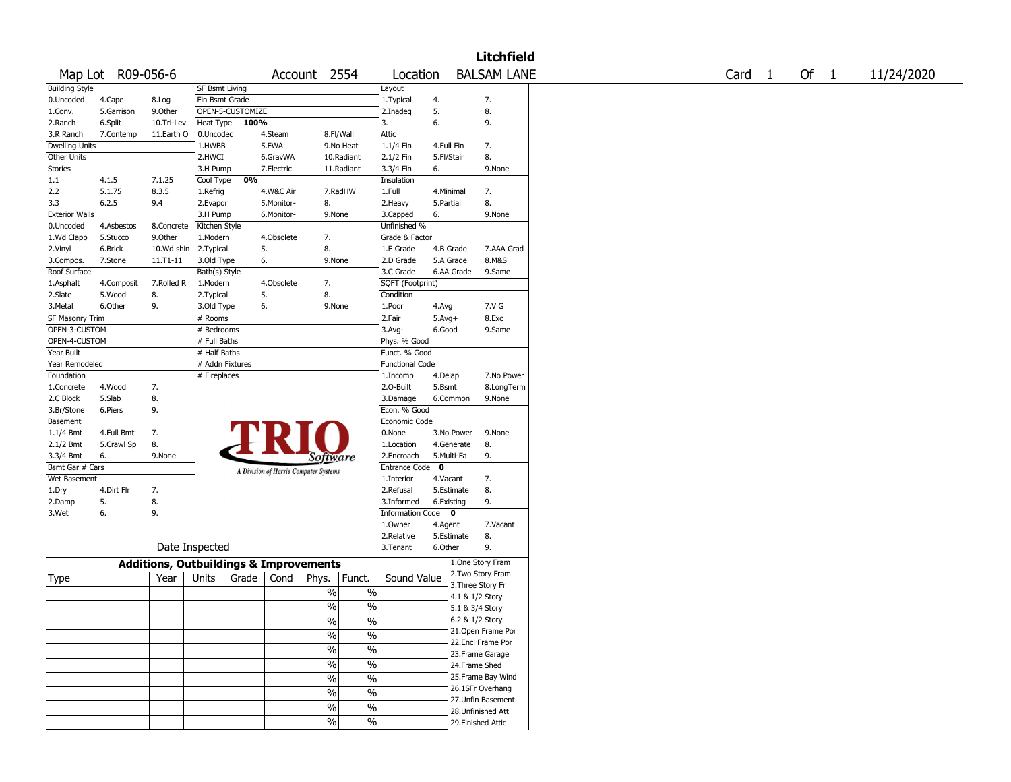|                       |                   |                                                   |                       |       |            |                                       |               |                        |              |                 | <b>Litchfield</b>  |        |        |            |
|-----------------------|-------------------|---------------------------------------------------|-----------------------|-------|------------|---------------------------------------|---------------|------------------------|--------------|-----------------|--------------------|--------|--------|------------|
|                       | Map Lot R09-056-6 |                                                   |                       |       |            | Account 2554                          |               | Location               |              |                 | <b>BALSAM LANE</b> | Card 1 | Of $1$ | 11/24/2020 |
| <b>Building Style</b> |                   |                                                   | <b>SF Bsmt Living</b> |       |            |                                       |               | Layout                 |              |                 |                    |        |        |            |
| 0.Uncoded             | 4.Cape            | 8.Log                                             | Fin Bsmt Grade        |       |            |                                       |               | 1. Typical             | 4.           |                 | 7.                 |        |        |            |
| 1.Conv.               | 5.Garrison        | 9.0ther                                           | OPEN-5-CUSTOMIZE      |       |            |                                       |               | 2.Inadeq               | 5.           |                 | 8.                 |        |        |            |
| 2.Ranch               | 6.Split           | 10.Tri-Lev                                        | Heat Type             | 100%  |            |                                       |               | 3.                     | 6.           |                 | 9.                 |        |        |            |
| 3.R Ranch             | 7.Contemp         | 11.Earth O                                        | 0.Uncoded             |       | 4.Steam    | 8.Fl/Wall                             |               | Attic                  |              |                 |                    |        |        |            |
| Dwelling Units        |                   |                                                   | 1.HWBB                |       | 5.FWA      |                                       | 9.No Heat     | 1.1/4 Fin              | 4.Full Fin   |                 | 7.                 |        |        |            |
| Other Units           |                   |                                                   | 2.HWCI                |       | 6.GravWA   |                                       | 10.Radiant    | 2.1/2 Fin              | 5.Fl/Stair   |                 | 8.                 |        |        |            |
| <b>Stories</b>        |                   |                                                   | 3.H Pump              |       | 7.Electric |                                       | 11.Radiant    | 3.3/4 Fin              | 6.           |                 | 9.None             |        |        |            |
| 1.1                   | 4.1.5             | 7.1.25                                            |                       | 0%    |            |                                       |               | Insulation             |              |                 |                    |        |        |            |
|                       |                   |                                                   | Cool Type             |       |            |                                       |               |                        |              |                 |                    |        |        |            |
| 2.2                   | 5.1.75            | 8.3.5                                             | 1.Refrig              |       | 4.W&C Air  |                                       | 7.RadHW       | 1.Full                 | 4.Minimal    |                 | 7.                 |        |        |            |
| 3.3                   | 6.2.5             | 9.4                                               | 2.Evapor              |       | 5.Monitor- | 8.                                    |               | 2.Heavy                | 5.Partial    |                 | 8.                 |        |        |            |
| <b>Exterior Walls</b> |                   |                                                   | 3.H Pump              |       | 6.Monitor- | 9.None                                |               | 3.Capped               | 6.           |                 | 9.None             |        |        |            |
| 0.Uncoded             | 4.Asbestos        | 8.Concrete                                        | Kitchen Style         |       |            |                                       |               | Unfinished %           |              |                 |                    |        |        |            |
| 1.Wd Clapb            | 5.Stucco          | 9.Other                                           | 1.Modern              |       | 4.Obsolete | 7.                                    |               | Grade & Factor         |              |                 |                    |        |        |            |
| 2.Vinyl               | 6.Brick           | 10.Wd shin                                        | 2.Typical             | 5.    |            | 8.                                    |               | 1.E Grade              | 4.B Grade    |                 | 7.AAA Grad         |        |        |            |
| 3.Compos.             | 7.Stone           | 11.T1-11                                          | 3.Old Type            | 6.    |            | 9.None                                |               | 2.D Grade              | 5.A Grade    |                 | 8.M&S              |        |        |            |
| Roof Surface          |                   |                                                   | Bath(s) Style         |       |            |                                       |               | 3.C Grade              | 6.AA Grade   |                 | 9.Same             |        |        |            |
| 1.Asphalt             | 4.Composit        | 7.Rolled R                                        | 1.Modern              |       | 4.Obsolete | 7.                                    |               | SQFT (Footprint)       |              |                 |                    |        |        |            |
| 2.Slate               | 5.Wood            | 8.                                                | 2. Typical            | 5.    |            | 8.                                    |               | Condition              |              |                 |                    |        |        |            |
| 3.Metal               | 6.Other           | 9.                                                | 3.Old Type            | 6.    |            | 9.None                                |               | 1.Poor                 | 4.Avg        |                 | 7.V G              |        |        |            |
| SF Masonry Trim       |                   |                                                   | # Rooms               |       |            |                                       |               | 2.Fair                 | $5.$ Avg $+$ |                 | 8.Exc              |        |        |            |
| OPEN-3-CUSTOM         |                   |                                                   | # Bedrooms            |       |            |                                       |               | $3.$ Avg-              | 6.Good       |                 | 9.Same             |        |        |            |
| OPEN-4-CUSTOM         |                   |                                                   | # Full Baths          |       |            |                                       |               | Phys. % Good           |              |                 |                    |        |        |            |
| Year Built            |                   |                                                   | # Half Baths          |       |            |                                       |               | Funct. % Good          |              |                 |                    |        |        |            |
| Year Remodeled        |                   |                                                   | # Addn Fixtures       |       |            |                                       |               | <b>Functional Code</b> |              |                 |                    |        |        |            |
| Foundation            |                   |                                                   |                       |       |            |                                       |               |                        |              |                 | 7.No Power         |        |        |            |
|                       |                   |                                                   | # Fireplaces          |       |            |                                       |               | 1.Incomp               | 4.Delap      |                 |                    |        |        |            |
| 1.Concrete            | 4.Wood            | 7.                                                |                       |       |            |                                       |               | 2.0-Built              | 5.Bsmt       |                 | 8.LongTerm         |        |        |            |
| 2.C Block             | 5.Slab            | 8.                                                |                       |       |            |                                       |               | 3.Damage               | 6.Common     |                 | 9.None             |        |        |            |
| 3.Br/Stone            | 6.Piers           | 9.                                                |                       |       |            |                                       |               | Econ. % Good           |              |                 |                    |        |        |            |
| Basement              |                   |                                                   |                       |       |            |                                       |               | Economic Code          |              |                 |                    |        |        |            |
| 1.1/4 Bmt             | 4.Full Bmt        | 7.                                                |                       |       |            |                                       |               | 0.None                 | 3.No Power   |                 | 9.None             |        |        |            |
| 2.1/2 Bmt             | 5.Crawl Sp        | 8.                                                |                       |       |            |                                       |               | 1.Location             | 4.Generate   |                 | 8.                 |        |        |            |
| 3.3/4 Bmt             | 6.                | 9.None                                            |                       |       |            | Software                              |               | 2.Encroach             | 5.Multi-Fa   |                 | 9.                 |        |        |            |
| Bsmt Gar # Cars       |                   |                                                   |                       |       |            | A Division of Harris Computer Systems |               | Entrance Code          | $\mathbf{o}$ |                 |                    |        |        |            |
| Wet Basement          |                   |                                                   |                       |       |            |                                       |               | 1.Interior             | 4.Vacant     |                 | 7.                 |        |        |            |
| 1.Dry                 | 4.Dirt Flr        | 7.                                                |                       |       |            |                                       |               | 2.Refusal              | 5.Estimate   |                 | 8.                 |        |        |            |
| 2.Damp                | 5.                | 8.                                                |                       |       |            |                                       |               | 3.Informed             | 6.Existing   |                 | 9.                 |        |        |            |
| 3.Wet                 | 6.                | 9.                                                |                       |       |            |                                       |               | Information Code 0     |              |                 |                    |        |        |            |
|                       |                   |                                                   |                       |       |            |                                       |               | 1.Owner                | 4.Agent      |                 | 7.Vacant           |        |        |            |
|                       |                   |                                                   |                       |       |            |                                       |               | 2.Relative             | 5.Estimate   |                 | 8.                 |        |        |            |
|                       |                   | Date Inspected                                    |                       |       |            |                                       |               | 3. Tenant              | 6.Other      |                 | 9.                 |        |        |            |
|                       |                   |                                                   |                       |       |            |                                       |               |                        |              |                 |                    |        |        |            |
|                       |                   | <b>Additions, Outbuildings &amp; Improvements</b> |                       |       |            |                                       |               |                        |              |                 | 1.One Story Fram   |        |        |            |
| Type                  |                   | Year                                              | Units                 | Grade | Cond       | Phys.                                 | Funct.        | Sound Value            |              |                 | 2.Two Story Fram   |        |        |            |
|                       |                   |                                                   |                       |       |            | $\%$                                  | $\%$          |                        |              |                 | 3. Three Story Fr  |        |        |            |
|                       |                   |                                                   |                       |       |            |                                       |               |                        |              | 4.1 & 1/2 Story |                    |        |        |            |
|                       |                   |                                                   |                       |       |            | $\%$                                  | %             |                        |              | 5.1 & 3/4 Story |                    |        |        |            |
|                       |                   |                                                   |                       |       |            | $\frac{1}{2}$                         | $\%$          |                        |              | 6.2 & 1/2 Story |                    |        |        |            |
|                       |                   |                                                   |                       |       |            | $\frac{1}{2}$                         | $\frac{1}{2}$ |                        |              |                 | 21. Open Frame Por |        |        |            |
|                       |                   |                                                   |                       |       |            |                                       |               |                        |              |                 | 22.Encl Frame Por  |        |        |            |
|                       |                   |                                                   |                       |       |            | $\frac{1}{2}$                         | $\frac{0}{6}$ |                        |              |                 | 23. Frame Garage   |        |        |            |
|                       |                   |                                                   |                       |       |            | $\frac{1}{2}$                         | $\frac{0}{6}$ |                        |              | 24.Frame Shed   |                    |        |        |            |
|                       |                   |                                                   |                       |       |            | $\frac{1}{2}$                         | $\frac{0}{6}$ |                        |              |                 | 25.Frame Bay Wind  |        |        |            |
|                       |                   |                                                   |                       |       |            |                                       |               |                        |              |                 | 26.1SFr Overhang   |        |        |            |
|                       |                   |                                                   |                       |       |            | $\%$                                  | $\frac{1}{2}$ |                        |              |                 | 27.Unfin Basement  |        |        |            |
|                       |                   |                                                   |                       |       |            | $\%$                                  | $\frac{1}{2}$ |                        |              |                 | 28.Unfinished Att  |        |        |            |
|                       |                   |                                                   |                       |       |            | $\frac{1}{2}$                         | $\frac{1}{2}$ |                        |              |                 |                    |        |        |            |
|                       |                   |                                                   |                       |       |            |                                       |               |                        |              |                 | 29. Finished Attic |        |        |            |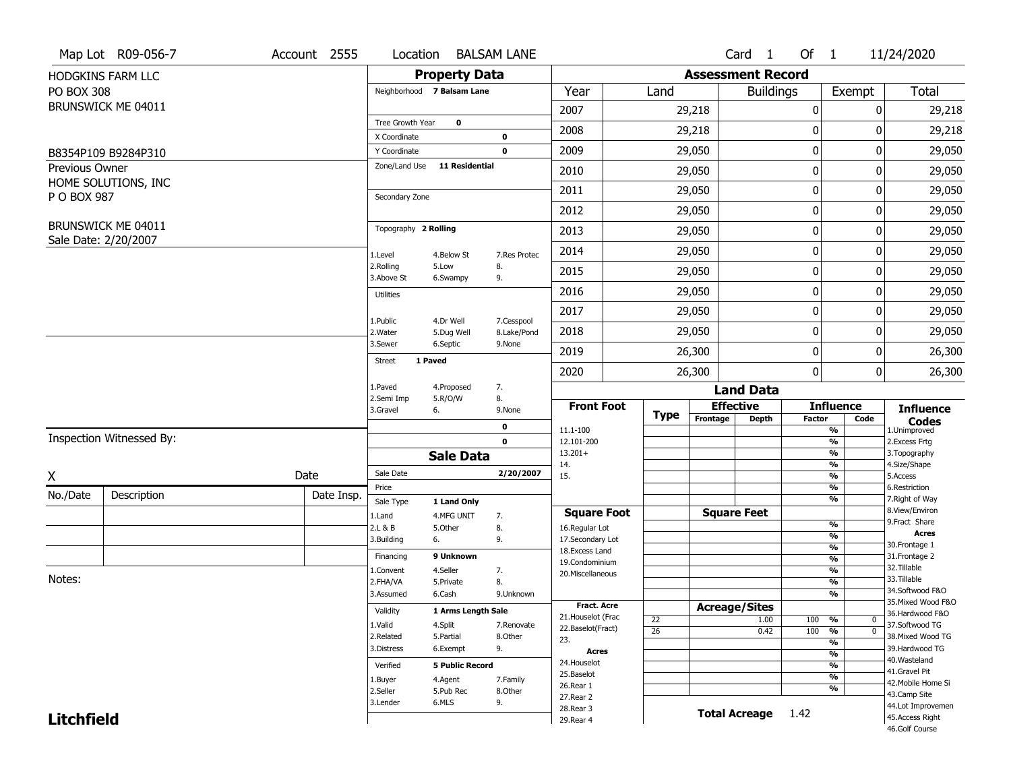|                   | Map Lot R09-056-7                          | Account 2555 | Location                      |                         | <b>BALSAM LANE</b>        |                          |                 |                          | Card 1           | Of 1          |                                           | 11/24/2020                          |
|-------------------|--------------------------------------------|--------------|-------------------------------|-------------------------|---------------------------|--------------------------|-----------------|--------------------------|------------------|---------------|-------------------------------------------|-------------------------------------|
|                   | HODGKINS FARM LLC                          |              |                               | <b>Property Data</b>    |                           |                          |                 | <b>Assessment Record</b> |                  |               |                                           |                                     |
| <b>PO BOX 308</b> |                                            |              | Neighborhood 7 Balsam Lane    |                         |                           | Year                     | Land            |                          | <b>Buildings</b> |               | Exempt                                    | <b>Total</b>                        |
|                   | BRUNSWICK ME 04011                         |              |                               |                         |                           | 2007                     |                 | 29,218                   |                  | 0             | 0                                         | 29,218                              |
|                   |                                            |              | Tree Growth Year              | 0                       |                           | 2008                     |                 | 29,218                   |                  | 0             | 0                                         | 29,218                              |
|                   |                                            |              | X Coordinate                  |                         | 0                         |                          |                 |                          |                  |               |                                           |                                     |
|                   | B8354P109 B9284P310                        |              | Y Coordinate<br>Zone/Land Use | <b>11 Residential</b>   | $\mathbf 0$               | 2009                     |                 | 29,050                   |                  | 0             | 0                                         | 29,050                              |
| Previous Owner    | HOME SOLUTIONS, INC                        |              |                               |                         |                           | 2010                     |                 | 29,050                   |                  | 0             | 0                                         | 29,050                              |
| P O BOX 987       |                                            |              | Secondary Zone                |                         |                           | 2011                     |                 | 29,050                   |                  | 0             | 0                                         | 29,050                              |
|                   |                                            |              |                               |                         |                           | 2012                     |                 | 29,050                   |                  | 0             | 0                                         | 29,050                              |
|                   | BRUNSWICK ME 04011<br>Sale Date: 2/20/2007 |              | Topography 2 Rolling          |                         |                           | 2013                     |                 | 29,050                   |                  | 0             | 0                                         | 29,050                              |
|                   |                                            |              | 1.Level                       | 4.Below St              | 7.Res Protec              | 2014                     |                 | 29,050                   |                  | $\pmb{0}$     | 0                                         | 29,050                              |
|                   |                                            |              | 2.Rolling<br>3.Above St       | 5.Low<br>6.Swampy       | 8.<br>9.                  | 2015                     |                 | 29,050                   |                  | 0             | 0                                         | 29,050                              |
|                   |                                            |              | <b>Utilities</b>              |                         |                           | 2016                     |                 | 29,050                   |                  | $\mathbf 0$   | 0                                         | 29,050                              |
|                   |                                            |              |                               |                         |                           | 2017                     |                 | 29,050                   |                  | 0             | 0                                         | 29,050                              |
|                   |                                            |              | 1.Public<br>2. Water          | 4.Dr Well<br>5.Dug Well | 7.Cesspool<br>8.Lake/Pond | 2018                     |                 | 29,050                   |                  | $\mathbf 0$   | 0                                         | 29,050                              |
|                   |                                            |              | 3.Sewer                       | 6.Septic                | 9.None                    | 2019                     |                 | 26,300                   |                  | 0             | 0                                         | 26,300                              |
|                   |                                            |              | Street<br>1 Paved             |                         |                           | 2020                     |                 | 26,300                   |                  | $\mathbf{0}$  | 0                                         | 26,300                              |
|                   |                                            |              | 1.Paved                       | 4.Proposed              | 7.                        |                          |                 |                          | <b>Land Data</b> |               |                                           |                                     |
|                   |                                            |              | 2.Semi Imp<br>3.Gravel        | 5.R/O/W<br>6.           | 8.<br>9.None              | <b>Front Foot</b>        |                 | <b>Effective</b>         |                  |               | <b>Influence</b>                          | <b>Influence</b>                    |
|                   |                                            |              |                               |                         | 0                         | 11.1-100                 | Type            | Frontage                 | <b>Depth</b>     | <b>Factor</b> | Code<br>$\overline{\frac{9}{6}}$          | <b>Codes</b><br>1.Unimproved        |
|                   | Inspection Witnessed By:                   |              |                               |                         | $\mathbf 0$               | 12.101-200               |                 |                          |                  |               | $\frac{9}{6}$                             | 2.Excess Frtg                       |
|                   |                                            |              |                               | <b>Sale Data</b>        |                           | $13.201+$<br>14.         |                 |                          |                  |               | $\overline{\frac{9}{6}}$<br>$\frac{9}{6}$ | 3. Topography<br>4.Size/Shape       |
| X                 |                                            | Date         | Sale Date                     |                         | 2/20/2007                 | 15.                      |                 |                          |                  |               | $\frac{9}{6}$                             | 5.Access                            |
| No./Date          | Description                                | Date Insp.   | Price                         |                         |                           |                          |                 |                          |                  |               | $\frac{9}{6}$<br>$\frac{9}{6}$            | 6.Restriction<br>7. Right of Way    |
|                   |                                            |              | Sale Type                     | 1 Land Only             |                           | <b>Square Foot</b>       |                 | <b>Square Feet</b>       |                  |               |                                           | 8.View/Environ                      |
|                   |                                            |              | 1.Land<br>2.L & B             | 4.MFG UNIT<br>5.Other   | 7.<br>8.                  | 16.Regular Lot           |                 |                          |                  |               | $\frac{9}{6}$                             | 9. Fract Share                      |
|                   |                                            |              | 3.Building                    | 6.                      | 9.                        | 17.Secondary Lot         |                 |                          |                  |               | $\frac{9}{6}$                             | <b>Acres</b>                        |
|                   |                                            |              | Financing                     | 9 Unknown               |                           | 18.Excess Land           |                 |                          |                  |               | $\frac{9}{6}$<br>$\frac{9}{6}$            | 30. Frontage 1<br>31. Frontage 2    |
|                   |                                            |              | 1.Convent                     | 4.Seller                | 7.                        | 19.Condominium           |                 |                          |                  |               | $\frac{9}{6}$                             | 32.Tillable                         |
| Notes:            |                                            |              | 2.FHA/VA                      | 5.Private               | 8.                        | 20.Miscellaneous         |                 |                          |                  |               | $\frac{9}{6}$                             | 33.Tillable                         |
|                   |                                            |              | 3.Assumed                     | 6.Cash                  | 9.Unknown                 |                          |                 |                          |                  |               | $\frac{9}{6}$                             | 34.Softwood F&O                     |
|                   |                                            |              | Validity                      | 1 Arms Length Sale      |                           | <b>Fract. Acre</b>       |                 | <b>Acreage/Sites</b>     |                  |               |                                           | 35. Mixed Wood F&O                  |
|                   |                                            |              |                               |                         |                           | 21. Houselot (Frac       | 22              |                          | 1.00             | 100 %         | $\mathbf{0}$                              | 36.Hardwood F&O                     |
|                   |                                            |              | 1.Valid                       | 4.Split                 | 7.Renovate                | 22.Baselot(Fract)        | $\overline{26}$ |                          | 0.42             | 100           | $\overline{0}$<br>%                       | 37.Softwood TG                      |
|                   |                                            |              | 2.Related                     | 5.Partial               | 8.Other                   | 23.                      |                 |                          |                  |               | $\overline{\frac{9}{6}}$                  | 38. Mixed Wood TG<br>39.Hardwood TG |
|                   |                                            |              | 3.Distress                    | 6.Exempt                | 9.                        | Acres                    |                 |                          |                  |               | $\frac{9}{6}$                             | 40. Wasteland                       |
|                   |                                            |              | Verified                      | <b>5 Public Record</b>  |                           | 24. Houselot             |                 |                          |                  |               | $\overline{\frac{9}{6}}$                  | 41.Gravel Pit                       |
|                   |                                            |              | 1.Buyer                       | 4.Agent                 | 7.Family                  | 25.Baselot               |                 |                          |                  |               | $\overline{\frac{9}{6}}$                  | 42. Mobile Home Si                  |
|                   |                                            |              | 2.Seller                      | 5.Pub Rec               | 8.Other                   | 26.Rear 1                |                 |                          |                  |               | %                                         | 43.Camp Site                        |
|                   |                                            |              |                               |                         |                           |                          |                 |                          |                  |               |                                           |                                     |
|                   |                                            |              | 3.Lender                      | 6.MLS                   | 9.                        | 27. Rear 2               |                 |                          |                  |               |                                           | 44.Lot Improvemen                   |
| <b>Litchfield</b> |                                            |              |                               |                         |                           | 28. Rear 3<br>29. Rear 4 |                 | <b>Total Acreage</b>     |                  | 1.42          |                                           | 45.Access Right<br>46.Golf Course   |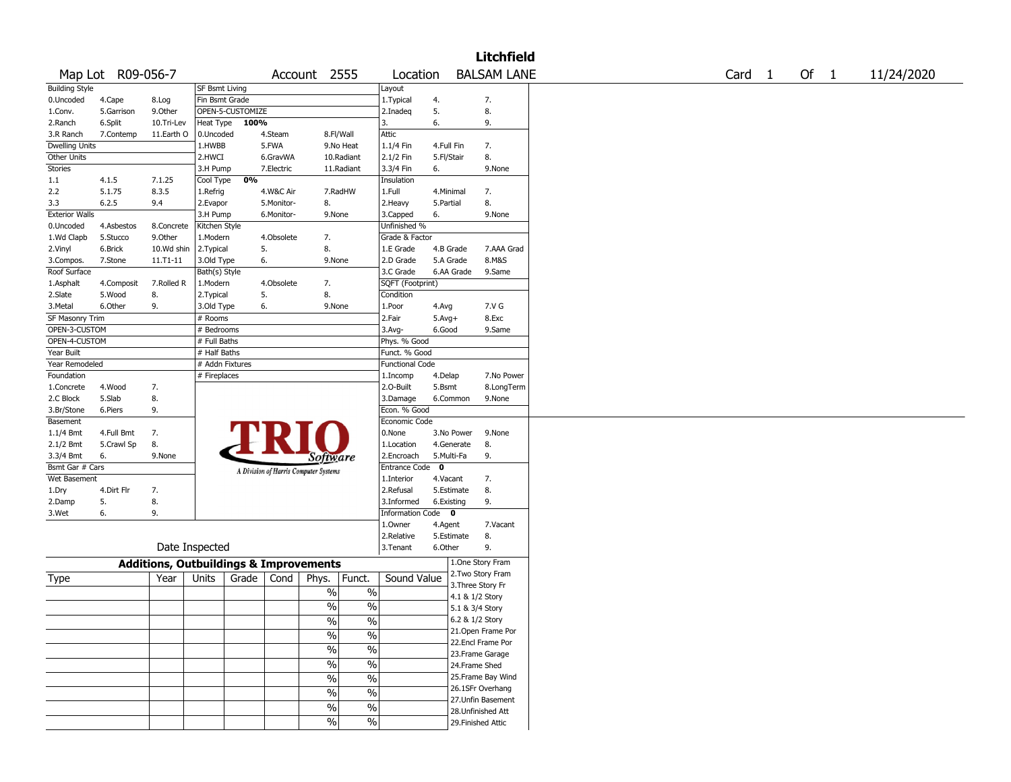|                       |                   |                                                   |                       |                  |            |                                       |               |                        |            |                 | <b>Litchfield</b>  |        |      |            |
|-----------------------|-------------------|---------------------------------------------------|-----------------------|------------------|------------|---------------------------------------|---------------|------------------------|------------|-----------------|--------------------|--------|------|------------|
|                       | Map Lot R09-056-7 |                                                   |                       |                  |            | Account 2555                          |               | Location               |            |                 | <b>BALSAM LANE</b> | Card 1 | Of 1 | 11/24/2020 |
| <b>Building Style</b> |                   |                                                   | <b>SF Bsmt Living</b> |                  |            |                                       |               | Layout                 |            |                 |                    |        |      |            |
| 0.Uncoded             | 4.Cape            | 8.Log                                             | Fin Bsmt Grade        |                  |            |                                       |               | 1.Typical              | 4.         |                 | 7.                 |        |      |            |
| 1.Conv.               | 5.Garrison        | 9.0ther                                           |                       | OPEN-5-CUSTOMIZE |            |                                       |               | 2.Inadeq               | 5.         |                 | 8.                 |        |      |            |
| 2.Ranch               | 6.Split           | 10.Tri-Lev                                        | Heat Type             | 100%             |            |                                       |               | 3.                     | 6.         |                 | 9.                 |        |      |            |
| 3.R Ranch             | 7.Contemp         | 11.Earth O                                        | 0.Uncoded             |                  | 4.Steam    | 8.Fl/Wall                             |               | Attic                  |            |                 |                    |        |      |            |
| <b>Dwelling Units</b> |                   |                                                   | 1.HWBB                |                  | 5.FWA      |                                       | 9.No Heat     | 1.1/4 Fin              | 4.Full Fin |                 | 7.                 |        |      |            |
| Other Units           |                   |                                                   | 2.HWCI                |                  | 6.GravWA   |                                       | 10.Radiant    | 2.1/2 Fin              | 5.Fl/Stair |                 | 8.                 |        |      |            |
| Stories               |                   |                                                   | 3.H Pump              |                  | 7.Electric |                                       | 11.Radiant    | 3.3/4 Fin              | 6.         |                 | 9.None             |        |      |            |
| 1.1                   | 4.1.5             | 7.1.25                                            | Cool Type             | 0%               |            |                                       |               | Insulation             |            |                 |                    |        |      |            |
| 2.2                   | 5.1.75            | 8.3.5                                             | 1.Refrig              |                  | 4.W&C Air  |                                       | 7.RadHW       | 1.Full                 | 4.Minimal  |                 | 7.                 |        |      |            |
| 3.3                   | 6.2.5             | 9.4                                               | 2.Evapor              |                  | 5.Monitor- | 8.                                    |               | 2.Heavy                | 5.Partial  |                 | 8.                 |        |      |            |
| <b>Exterior Walls</b> |                   |                                                   | 3.H Pump              |                  | 6.Monitor- | 9.None                                |               | 3.Capped               | 6.         |                 | 9.None             |        |      |            |
| 0.Uncoded             | 4.Asbestos        | 8.Concrete                                        | Kitchen Style         |                  |            |                                       |               | Unfinished %           |            |                 |                    |        |      |            |
| 1.Wd Clapb            | 5.Stucco          | 9.0ther                                           | 1.Modern              |                  | 4.Obsolete | 7.                                    |               | Grade & Factor         |            |                 |                    |        |      |            |
| 2.Vinyl               | 6.Brick           | 10.Wd shin                                        | 2.Typical             |                  | 5.         | 8.                                    |               | 1.E Grade              |            | 4.B Grade       | 7.AAA Grad         |        |      |            |
| 3.Compos.             | 7.Stone           | 11.T1-11                                          | 3.Old Type            |                  | 6.         | 9.None                                |               | 2.D Grade              |            | 5.A Grade       | 8.M&S              |        |      |            |
| Roof Surface          |                   |                                                   | Bath(s) Style         |                  |            |                                       |               | 3.C Grade              |            | 6.AA Grade      | 9.Same             |        |      |            |
| 1.Asphalt             | 4.Composit        | 7.Rolled R                                        | 1.Modern              |                  | 4.Obsolete | 7.                                    |               | SQFT (Footprint)       |            |                 |                    |        |      |            |
| 2.Slate               | 5.Wood            | 8.                                                | 2. Typical            |                  | 5.         | 8.                                    |               | Condition              |            |                 |                    |        |      |            |
| 3.Metal               | 6.Other           | 9.                                                | 3.Old Type            |                  | 6.         | 9.None                                |               | 1.Poor                 | 4.Avg      |                 | 7.V G              |        |      |            |
| SF Masonry Trim       |                   |                                                   | # Rooms               |                  |            |                                       |               | 2.Fair                 | $5.Avg+$   |                 | 8.Exc              |        |      |            |
| OPEN-3-CUSTOM         |                   |                                                   | # Bedrooms            |                  |            |                                       |               | 3.Avg-                 | 6.Good     |                 | 9.Same             |        |      |            |
| OPEN-4-CUSTOM         |                   |                                                   | # Full Baths          |                  |            |                                       |               | Phys. % Good           |            |                 |                    |        |      |            |
| Year Built            |                   |                                                   | # Half Baths          |                  |            |                                       |               | Funct. % Good          |            |                 |                    |        |      |            |
| Year Remodeled        |                   |                                                   | # Addn Fixtures       |                  |            |                                       |               | <b>Functional Code</b> |            |                 |                    |        |      |            |
| Foundation            |                   |                                                   | # Fireplaces          |                  |            |                                       |               | 1.Incomp               | 4.Delap    |                 | 7.No Power         |        |      |            |
| 1.Concrete            | 4.Wood            | 7.                                                |                       |                  |            |                                       |               | 2.0-Built              | 5.Bsmt     |                 | 8.LongTerm         |        |      |            |
| 2.C Block             | 5.Slab            | 8.                                                |                       |                  |            |                                       |               | 3.Damage               |            | 6.Common        | 9.None             |        |      |            |
| 3.Br/Stone            | 6.Piers           | 9.                                                |                       |                  |            |                                       |               | Econ. % Good           |            |                 |                    |        |      |            |
| Basement              |                   |                                                   |                       |                  |            |                                       |               | Economic Code          |            |                 |                    |        |      |            |
| 1.1/4 Bmt             | 4.Full Bmt        | 7.                                                |                       |                  |            |                                       |               | 0.None                 |            | 3.No Power      | 9.None             |        |      |            |
| 2.1/2 Bmt             | 5.Crawl Sp        | 8.                                                |                       |                  |            |                                       |               | 1.Location             |            | 4.Generate      | 8.                 |        |      |            |
| 3.3/4 Bmt             | 6.                | 9.None                                            |                       |                  |            | Software                              |               | 2.Encroach             |            | 5.Multi-Fa      | 9.                 |        |      |            |
| Bsmt Gar # Cars       |                   |                                                   |                       |                  |            |                                       |               | Entrance Code 0        |            |                 |                    |        |      |            |
| Wet Basement          |                   |                                                   |                       |                  |            | A Division of Harris Computer Systems |               | 1.Interior             | 4.Vacant   |                 | 7.                 |        |      |            |
| 1.Dry                 | 4.Dirt Flr        | 7.                                                |                       |                  |            |                                       |               | 2.Refusal              |            | 5.Estimate      | 8.                 |        |      |            |
| 2.Damp                | 5.                | 8.                                                |                       |                  |            |                                       |               | 3.Informed             | 6.Existing |                 | 9.                 |        |      |            |
| 3.Wet                 | 6.                | 9.                                                |                       |                  |            |                                       |               | Information Code 0     |            |                 |                    |        |      |            |
|                       |                   |                                                   |                       |                  |            |                                       |               | 1.Owner                | 4.Agent    |                 | 7.Vacant           |        |      |            |
|                       |                   |                                                   |                       |                  |            |                                       |               | 2.Relative             |            | 5.Estimate      | 8.                 |        |      |            |
|                       |                   | Date Inspected                                    |                       |                  |            |                                       |               | 3. Tenant              | 6.Other    |                 | 9.                 |        |      |            |
|                       |                   |                                                   |                       |                  |            |                                       |               |                        |            |                 |                    |        |      |            |
|                       |                   | <b>Additions, Outbuildings &amp; Improvements</b> |                       |                  |            |                                       |               |                        |            |                 | 1.One Story Fram   |        |      |            |
| <b>Type</b>           |                   | Year                                              | Units                 | Grade            | Cond       | Phys.                                 | Funct.        | Sound Value            |            |                 | 2. Two Story Fram  |        |      |            |
|                       |                   |                                                   |                       |                  |            | $\%$                                  | $\%$          |                        |            |                 | 3. Three Story Fr  |        |      |            |
|                       |                   |                                                   |                       |                  |            |                                       |               |                        |            | 4.1 & 1/2 Story |                    |        |      |            |
|                       |                   |                                                   |                       |                  |            | $\frac{1}{2}$                         | $\frac{0}{0}$ |                        |            | 5.1 & 3/4 Story |                    |        |      |            |
|                       |                   |                                                   |                       |                  |            | %                                     | %             |                        |            | 6.2 & 1/2 Story |                    |        |      |            |
|                       |                   |                                                   |                       |                  |            | $\frac{0}{6}$                         | $\sqrt{20}$   |                        |            |                 | 21. Open Frame Por |        |      |            |
|                       |                   |                                                   |                       |                  |            | $\frac{1}{2}$                         | $\frac{0}{6}$ |                        |            |                 | 22.Encl Frame Por  |        |      |            |
|                       |                   |                                                   |                       |                  |            |                                       |               |                        |            |                 | 23. Frame Garage   |        |      |            |
|                       |                   |                                                   |                       |                  |            | $\frac{1}{2}$                         | $\frac{9}{6}$ |                        |            | 24.Frame Shed   |                    |        |      |            |
|                       |                   |                                                   |                       |                  |            | $\frac{1}{2}$                         | $\frac{0}{6}$ |                        |            |                 | 25. Frame Bay Wind |        |      |            |
|                       |                   |                                                   |                       |                  |            | $\frac{0}{0}$                         | $\frac{1}{2}$ |                        |            |                 | 26.1SFr Overhang   |        |      |            |
|                       |                   |                                                   |                       |                  |            |                                       |               |                        |            |                 | 27. Unfin Basement |        |      |            |
|                       |                   |                                                   |                       |                  |            | $\%$                                  | $\frac{1}{2}$ |                        |            |                 | 28. Unfinished Att |        |      |            |
|                       |                   |                                                   |                       |                  |            | $\%$                                  | $\sqrt{6}$    |                        |            |                 | 29. Finished Attic |        |      |            |
|                       |                   |                                                   |                       |                  |            |                                       |               |                        |            |                 |                    |        |      |            |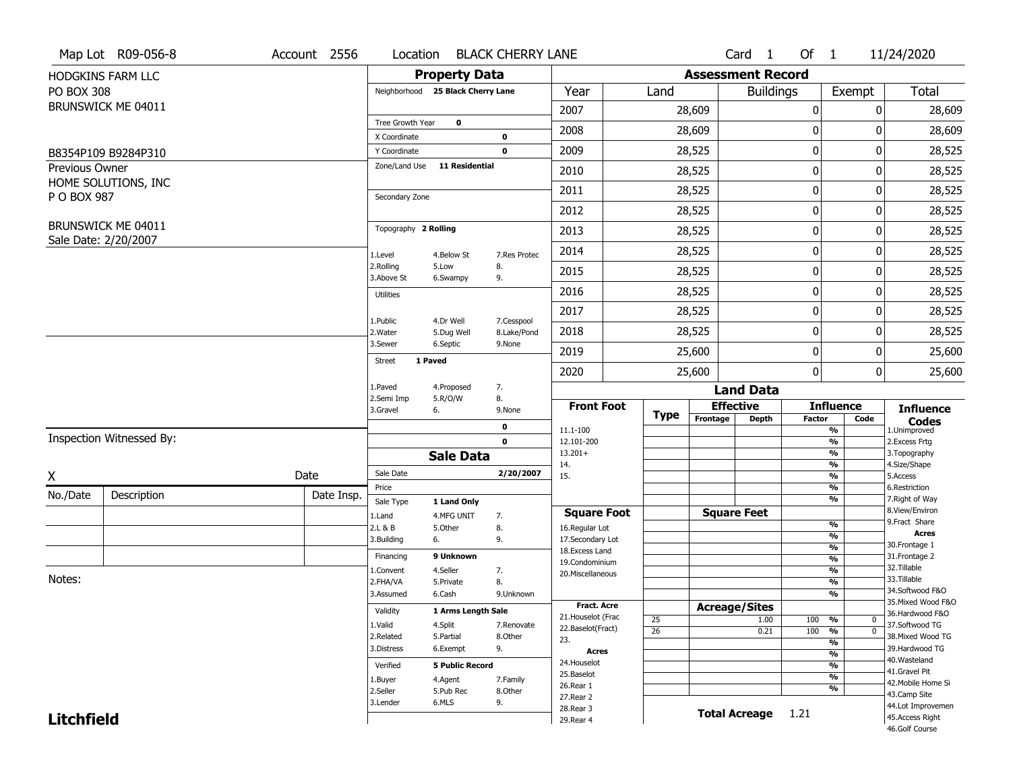|                   | Map Lot R09-056-8        | Account 2556 | Location                |                                   | <b>BLACK CHERRY LANE</b>  |                                      |                 |                          | Card <sub>1</sub>    | Of $1$      |                                           | 11/24/2020                           |
|-------------------|--------------------------|--------------|-------------------------|-----------------------------------|---------------------------|--------------------------------------|-----------------|--------------------------|----------------------|-------------|-------------------------------------------|--------------------------------------|
|                   | <b>HODGKINS FARM LLC</b> |              |                         | <b>Property Data</b>              |                           |                                      |                 | <b>Assessment Record</b> |                      |             |                                           |                                      |
| <b>PO BOX 308</b> |                          |              |                         | Neighborhood 25 Black Cherry Lane |                           | Year                                 | Land            |                          | <b>Buildings</b>     |             | Exempt                                    | <b>Total</b>                         |
|                   | BRUNSWICK ME 04011       |              |                         |                                   |                           | 2007                                 |                 | 28,609                   |                      | 0           | 0                                         | 28,609                               |
|                   |                          |              | Tree Growth Year        | $\mathbf 0$                       |                           | 2008                                 |                 | 28,609                   |                      | 0           | 0                                         | 28,609                               |
|                   |                          |              | X Coordinate            |                                   | 0                         |                                      |                 |                          |                      |             |                                           |                                      |
|                   | B8354P109 B9284P310      |              | Y Coordinate            |                                   | $\mathbf 0$               | 2009                                 |                 | 28,525                   |                      | $\pmb{0}$   | 0                                         | 28,525                               |
| Previous Owner    |                          |              | Zone/Land Use           | 11 Residential                    |                           | 2010                                 |                 | 28,525                   |                      | 0           | 0                                         | 28,525                               |
| P O BOX 987       | HOME SOLUTIONS, INC      |              | Secondary Zone          |                                   |                           | 2011                                 |                 | 28,525                   |                      | $\mathbf 0$ | 0                                         | 28,525                               |
|                   |                          |              |                         |                                   |                           | 2012                                 |                 | 28,525                   |                      | 0           | 0                                         | 28,525                               |
|                   | BRUNSWICK ME 04011       |              | Topography 2 Rolling    |                                   |                           | 2013                                 |                 | 28,525                   |                      | $\pmb{0}$   | 0                                         | 28,525                               |
|                   | Sale Date: 2/20/2007     |              | 1.Level                 | 4.Below St                        | 7.Res Protec              | 2014                                 |                 | 28,525                   |                      | 0           | 0                                         | 28,525                               |
|                   |                          |              | 2.Rolling<br>3.Above St | 5.Low<br>6.Swampy                 | 8.<br>9.                  | 2015                                 |                 | 28,525                   |                      | 0           | 0                                         | 28,525                               |
|                   |                          |              | <b>Utilities</b>        |                                   |                           | 2016                                 |                 | 28,525                   |                      | $\pmb{0}$   | 0                                         | 28,525                               |
|                   |                          |              |                         |                                   |                           | 2017                                 |                 | 28,525                   |                      | $\pmb{0}$   | 0                                         | 28,525                               |
|                   |                          |              | 1.Public<br>2. Water    | 4.Dr Well<br>5.Dug Well           | 7.Cesspool<br>8.Lake/Pond | 2018                                 |                 | 28,525                   |                      | 0           | 0                                         | 28,525                               |
|                   |                          |              | 3.Sewer                 | 6.Septic                          | 9.None                    | 2019                                 |                 | 25,600                   |                      | $\mathbf 0$ | 0                                         | 25,600                               |
|                   |                          |              | <b>Street</b>           | 1 Paved                           |                           | 2020                                 |                 | 25,600                   |                      | 0           | $\overline{0}$                            | 25,600                               |
|                   |                          |              | 1.Paved                 | 4.Proposed                        | 7.                        |                                      |                 |                          | <b>Land Data</b>     |             |                                           |                                      |
|                   |                          |              | 2.Semi Imp<br>3.Gravel  | 5.R/O/W<br>6.                     | 8.<br>9.None              | <b>Front Foot</b>                    |                 |                          | <b>Effective</b>     |             | <b>Influence</b>                          | <b>Influence</b>                     |
|                   |                          |              |                         |                                   | 0                         | 11.1-100                             | <b>Type</b>     | Frontage                 | <b>Depth</b>         | Factor      | Code<br>%                                 | <b>Codes</b><br>1.Unimproved         |
|                   | Inspection Witnessed By: |              |                         |                                   | $\mathbf 0$               | 12.101-200                           |                 |                          |                      |             | $\overline{\frac{9}{6}}$                  | 2. Excess Frtg                       |
|                   |                          |              |                         | <b>Sale Data</b>                  |                           | $13.201+$<br>14.                     |                 |                          |                      |             | %<br>%                                    | 3. Topography<br>4.Size/Shape        |
| X                 |                          | Date         | Sale Date               |                                   | 2/20/2007                 | 15.                                  |                 |                          |                      |             | $\frac{9}{6}$                             | 5.Access                             |
| No./Date          | Description              | Date Insp.   | Price                   |                                   |                           |                                      |                 |                          |                      |             | %                                         | 6.Restriction                        |
|                   |                          |              | Sale Type               | 1 Land Only                       |                           |                                      |                 |                          | <b>Square Feet</b>   |             | %                                         | 7. Right of Way<br>8.View/Environ    |
|                   |                          |              | 1.Land<br>2.L & B       | 4.MFG UNIT<br>5.Other             | 7.<br>8.                  | <b>Square Foot</b><br>16.Regular Lot |                 |                          |                      |             | $\frac{9}{6}$                             | 9. Fract Share                       |
|                   |                          |              | 3.Building              | 6.                                | 9.                        | 17.Secondary Lot                     |                 |                          |                      |             | $\overline{\frac{9}{6}}$                  | <b>Acres</b>                         |
|                   |                          |              | Financing               | 9 Unknown                         |                           | 18. Excess Land                      |                 |                          |                      |             | $\frac{9}{6}$                             | 30.Frontage 1<br>31. Frontage 2      |
|                   |                          |              |                         |                                   |                           | 19.Condominium                       |                 |                          |                      |             | $\overline{\frac{9}{6}}$                  | 32.Tillable                          |
| Notes:            |                          |              | 1.Convent<br>2.FHA/VA   | 4.Seller<br>5.Private             | 7.<br>8.                  | 20.Miscellaneous                     |                 |                          |                      |             | $\frac{9}{6}$<br>$\overline{\frac{9}{6}}$ | 33.Tillable                          |
|                   |                          |              | 3.Assumed               | 6.Cash                            | 9.Unknown                 |                                      |                 |                          |                      |             | %                                         | 34.Softwood F&O                      |
|                   |                          |              |                         |                                   |                           | <b>Fract. Acre</b>                   |                 |                          | <b>Acreage/Sites</b> |             |                                           | 35. Mixed Wood F&O                   |
|                   |                          |              | Validity                | 1 Arms Length Sale                |                           | 21. Houselot (Frac                   | 25              |                          | 1.00                 | 100         | %<br>0                                    | 36.Hardwood F&O                      |
|                   |                          |              | 1.Valid                 | 4.Split                           | 7.Renovate                | 22.Baselot(Fract)                    | $\overline{26}$ |                          | 0.21                 | 100         | $\overline{0}$<br>$\frac{9}{6}$           | 37.Softwood TG                       |
|                   |                          |              | 2.Related               | 5.Partial                         | 8.Other                   | 23.                                  |                 |                          |                      |             | %                                         | 38. Mixed Wood TG                    |
|                   |                          |              | 3.Distress              | 6.Exempt                          | 9.                        | <b>Acres</b>                         |                 |                          |                      |             | $\frac{9}{6}$                             | 39.Hardwood TG                       |
|                   |                          |              | Verified                | <b>5 Public Record</b>            |                           | 24. Houselot                         |                 |                          |                      |             | %                                         | 40. Wasteland                        |
|                   |                          |              |                         |                                   |                           |                                      |                 |                          |                      |             | $\frac{9}{6}$                             | 41.Gravel Pit                        |
|                   |                          |              |                         |                                   |                           | 25.Baselot                           |                 |                          |                      |             |                                           |                                      |
|                   |                          |              | 1.Buyer                 | 4.Agent                           | 7.Family                  | 26.Rear 1                            |                 |                          |                      |             | %                                         | 42. Mobile Home Si                   |
|                   |                          |              | 2.Seller<br>3.Lender    | 5.Pub Rec<br>6.MLS                | 8.Other<br>9.             | 27.Rear 2                            |                 |                          |                      |             |                                           | 43.Camp Site                         |
| <b>Litchfield</b> |                          |              |                         |                                   |                           | 28.Rear 3<br>29. Rear 4              |                 |                          | <b>Total Acreage</b> | 1.21        |                                           | 44.Lot Improvemen<br>45.Access Right |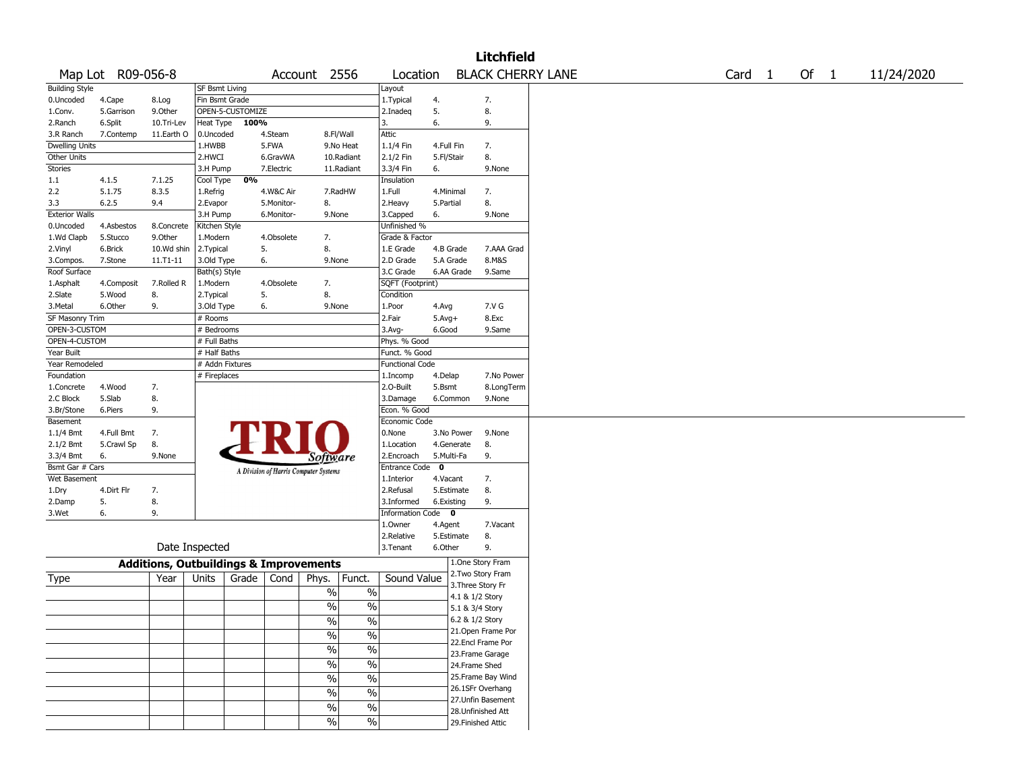|                        |                   |                                                   |                       |                  |            |                                       |                          |                        |            |                 | <b>Litchfield</b>                      |                          |        |        |            |
|------------------------|-------------------|---------------------------------------------------|-----------------------|------------------|------------|---------------------------------------|--------------------------|------------------------|------------|-----------------|----------------------------------------|--------------------------|--------|--------|------------|
|                        | Map Lot R09-056-8 |                                                   |                       |                  |            | Account 2556                          |                          | Location               |            |                 |                                        | <b>BLACK CHERRY LANE</b> | Card 1 | Of $1$ | 11/24/2020 |
| <b>Building Style</b>  |                   |                                                   | <b>SF Bsmt Living</b> |                  |            |                                       |                          | Layout                 |            |                 |                                        |                          |        |        |            |
| 0.Uncoded              | 4.Cape            | 8.Log                                             | Fin Bsmt Grade        |                  |            |                                       |                          | 1. Typical             | 4.         |                 | 7.                                     |                          |        |        |            |
| 1.Conv.                | 5.Garrison        | 9.Other                                           |                       | OPEN-5-CUSTOMIZE |            |                                       |                          | 2.Inadeg               | 5.         |                 | 8.                                     |                          |        |        |            |
| 2.Ranch                | 6.Split           | 10.Tri-Lev                                        | Heat Type             | 100%             |            |                                       |                          | 3.                     | 6.         |                 | 9.                                     |                          |        |        |            |
| 3.R Ranch              | 7.Contemp         | 11.Earth O                                        | 0.Uncoded             |                  | 4.Steam    | 8.Fl/Wall                             |                          | Attic                  |            |                 |                                        |                          |        |        |            |
| <b>Dwelling Units</b>  |                   |                                                   | 1.HWBB                |                  | 5.FWA      |                                       | 9.No Heat                | 1.1/4 Fin              | 4.Full Fin |                 | 7.                                     |                          |        |        |            |
| Other Units            |                   |                                                   | 2.HWCI                |                  | 6.GravWA   |                                       | 10.Radiant               | 2.1/2 Fin              | 5.Fl/Stair |                 | 8.                                     |                          |        |        |            |
| Stories                |                   |                                                   | 3.H Pump              |                  | 7.Electric |                                       | 11.Radiant               | 3.3/4 Fin              | 6.         |                 | 9.None                                 |                          |        |        |            |
| 1.1                    | 4.1.5             | 7.1.25                                            | Cool Type             | 0%               |            |                                       |                          | Insulation             |            |                 |                                        |                          |        |        |            |
| 2.2                    | 5.1.75            | 8.3.5                                             | 1.Refrig              |                  | 4.W&C Air  |                                       | 7.RadHW                  | 1.Full                 | 4.Minimal  |                 | 7.                                     |                          |        |        |            |
| 3.3                    | 6.2.5             | 9.4                                               | 2.Evapor              |                  | 5.Monitor- | 8.                                    |                          | 2. Heavy               | 5.Partial  |                 | 8.                                     |                          |        |        |            |
| <b>Exterior Walls</b>  |                   |                                                   | 3.H Pump              |                  | 6.Monitor- | 9.None                                |                          | 3.Capped               | 6.         |                 | 9.None                                 |                          |        |        |            |
| 0.Uncoded              | 4.Asbestos        | 8.Concrete                                        | Kitchen Style         |                  |            |                                       |                          | Unfinished %           |            |                 |                                        |                          |        |        |            |
| 1.Wd Clapb             | 5.Stucco          | 9.Other                                           | 1.Modern              |                  | 4.Obsolete | 7.                                    |                          | Grade & Factor         |            |                 |                                        |                          |        |        |            |
| 2.Vinyl                | 6.Brick           | 10.Wd shin                                        | 2. Typical            | 5.               |            | 8.                                    |                          | 1.E Grade              | 4.B Grade  |                 | 7.AAA Grad                             |                          |        |        |            |
| 3.Compos.              | 7.Stone           | $11.71 - 11$                                      | 3.Old Type            | 6.               |            | 9.None                                |                          | 2.D Grade              | 5.A Grade  |                 | 8.M&S                                  |                          |        |        |            |
| Roof Surface           |                   |                                                   | Bath(s) Style         |                  |            |                                       |                          | 3.C Grade              |            | 6.AA Grade      | 9.Same                                 |                          |        |        |            |
| 1.Asphalt              | 4.Composit        | 7.Rolled R                                        | 1.Modern              |                  | 4.Obsolete | 7.                                    |                          | SQFT (Footprint)       |            |                 |                                        |                          |        |        |            |
| 2.Slate                | 5.Wood            | 8.                                                | 2. Typical            | 5.               |            | 8.                                    |                          | Condition              |            |                 |                                        |                          |        |        |            |
| 3.Metal                | 6.Other           | 9.                                                | 3.Old Type            | 6.               |            | 9.None                                |                          | 1.Poor                 | 4.Avg      |                 | 7.V G                                  |                          |        |        |            |
| <b>SF Masonry Trim</b> |                   |                                                   | # Rooms               |                  |            |                                       |                          | 2.Fair                 | $5.Avg+$   |                 | 8.Exc                                  |                          |        |        |            |
| OPEN-3-CUSTOM          |                   |                                                   | # Bedrooms            |                  |            |                                       |                          | 3.Avg-                 | 6.Good     |                 | 9.Same                                 |                          |        |        |            |
| OPEN-4-CUSTOM          |                   |                                                   | # Full Baths          |                  |            |                                       |                          | Phys. % Good           |            |                 |                                        |                          |        |        |            |
| Year Built             |                   |                                                   | # Half Baths          |                  |            |                                       |                          | Funct. % Good          |            |                 |                                        |                          |        |        |            |
| Year Remodeled         |                   |                                                   | # Addn Fixtures       |                  |            |                                       |                          | <b>Functional Code</b> |            |                 |                                        |                          |        |        |            |
| Foundation             |                   |                                                   | # Fireplaces          |                  |            |                                       |                          | 1.Incomp               | 4.Delap    |                 | 7.No Power                             |                          |        |        |            |
| 1.Concrete             | 4.Wood            | 7.                                                |                       |                  |            |                                       |                          | 2.O-Built              | 5.Bsmt     |                 | 8.LongTerm                             |                          |        |        |            |
| 2.C Block              | 5.Slab            | 8.                                                |                       |                  |            |                                       |                          | 3.Damage               |            | 6.Common        | 9.None                                 |                          |        |        |            |
| 3.Br/Stone             | 6.Piers           | 9.                                                |                       |                  |            |                                       |                          | Econ. % Good           |            |                 |                                        |                          |        |        |            |
| Basement               |                   |                                                   |                       |                  |            |                                       |                          | Economic Code          |            |                 |                                        |                          |        |        |            |
| $1.1/4$ Bmt            | 4.Full Bmt        | 7.                                                |                       |                  |            |                                       |                          | 0.None                 |            | 3.No Power      | 9.None                                 |                          |        |        |            |
| 2.1/2 Bmt              | 5.Crawl Sp        | 8.                                                |                       |                  |            |                                       |                          | 1.Location             |            | 4.Generate      | 8.                                     |                          |        |        |            |
| 3.3/4 Bmt              | 6.                | 9.None                                            |                       |                  |            | Software                              |                          | 2.Encroach             | 5.Multi-Fa |                 | 9.                                     |                          |        |        |            |
| Bsmt Gar # Cars        |                   |                                                   |                       |                  |            | A Division of Harris Computer Systems |                          | Entrance Code 0        |            |                 |                                        |                          |        |        |            |
| Wet Basement           |                   |                                                   |                       |                  |            |                                       |                          | 1.Interior             | 4.Vacant   |                 | 7.                                     |                          |        |        |            |
| 1.Dry                  | 4.Dirt Flr        | 7.                                                |                       |                  |            |                                       |                          | 2.Refusal              |            | 5.Estimate      | 8.                                     |                          |        |        |            |
| 2.Damp                 | 5.                | 8.                                                |                       |                  |            |                                       |                          | 3.Informed             | 6.Existing |                 | 9.                                     |                          |        |        |            |
| 3.Wet                  | 6.                | 9.                                                |                       |                  |            |                                       |                          | Information Code 0     |            |                 |                                        |                          |        |        |            |
|                        |                   |                                                   |                       |                  |            |                                       |                          | 1.Owner                | 4.Agent    |                 | 7.Vacant                               |                          |        |        |            |
|                        |                   |                                                   |                       |                  |            |                                       |                          | 2.Relative             | 5.Estimate |                 | 8.                                     |                          |        |        |            |
|                        |                   |                                                   | Date Inspected        |                  |            |                                       |                          | 3.Tenant               | 6.Other    |                 | 9.                                     |                          |        |        |            |
|                        |                   | <b>Additions, Outbuildings &amp; Improvements</b> |                       |                  |            |                                       |                          |                        |            |                 | 1.One Story Fram                       |                          |        |        |            |
| Type                   |                   | Year                                              | Units                 | Grade            | Cond       | Phys.                                 | Funct.                   | Sound Value            |            |                 | 2. Two Story Fram<br>3. Three Story Fr |                          |        |        |            |
|                        |                   |                                                   |                       |                  |            | $\%$                                  | $\%$                     |                        |            | 4.1 & 1/2 Story |                                        |                          |        |        |            |
|                        |                   |                                                   |                       |                  |            | $\%$                                  | $\%$                     |                        |            | 5.1 & 3/4 Story |                                        |                          |        |        |            |
|                        |                   |                                                   |                       |                  |            | $\%$                                  | $\frac{0}{0}$            |                        |            | 6.2 & 1/2 Story |                                        |                          |        |        |            |
|                        |                   |                                                   |                       |                  |            |                                       |                          |                        |            |                 | 21. Open Frame Por                     |                          |        |        |            |
|                        |                   |                                                   |                       |                  |            | $\sqrt{6}$                            | $\frac{0}{0}$            |                        |            |                 | 22.Encl Frame Por                      |                          |        |        |            |
|                        |                   |                                                   |                       |                  |            | $\frac{9}{6}$                         | $\overline{\frac{0}{0}}$ |                        |            |                 | 23. Frame Garage                       |                          |        |        |            |
|                        |                   |                                                   |                       |                  |            | $\sqrt{20}$                           | $\overline{\frac{0}{0}}$ |                        |            |                 | 24.Frame Shed                          |                          |        |        |            |
|                        |                   |                                                   |                       |                  |            | $\frac{9}{6}$                         | $\overline{\frac{0}{0}}$ |                        |            |                 | 25. Frame Bay Wind                     |                          |        |        |            |
|                        |                   |                                                   |                       |                  |            |                                       |                          |                        |            |                 | 26.1SFr Overhang                       |                          |        |        |            |
|                        |                   |                                                   |                       |                  |            | $\sqrt{20}$                           | $\%$                     |                        |            |                 | 27.Unfin Basement                      |                          |        |        |            |
|                        |                   |                                                   |                       |                  |            | $\sqrt{20}$                           | $\%$                     |                        |            |                 | 28. Unfinished Att                     |                          |        |        |            |
|                        |                   |                                                   |                       |                  |            | $\sqrt{6}$                            | $\%$                     |                        |            |                 | 29. Finished Attic                     |                          |        |        |            |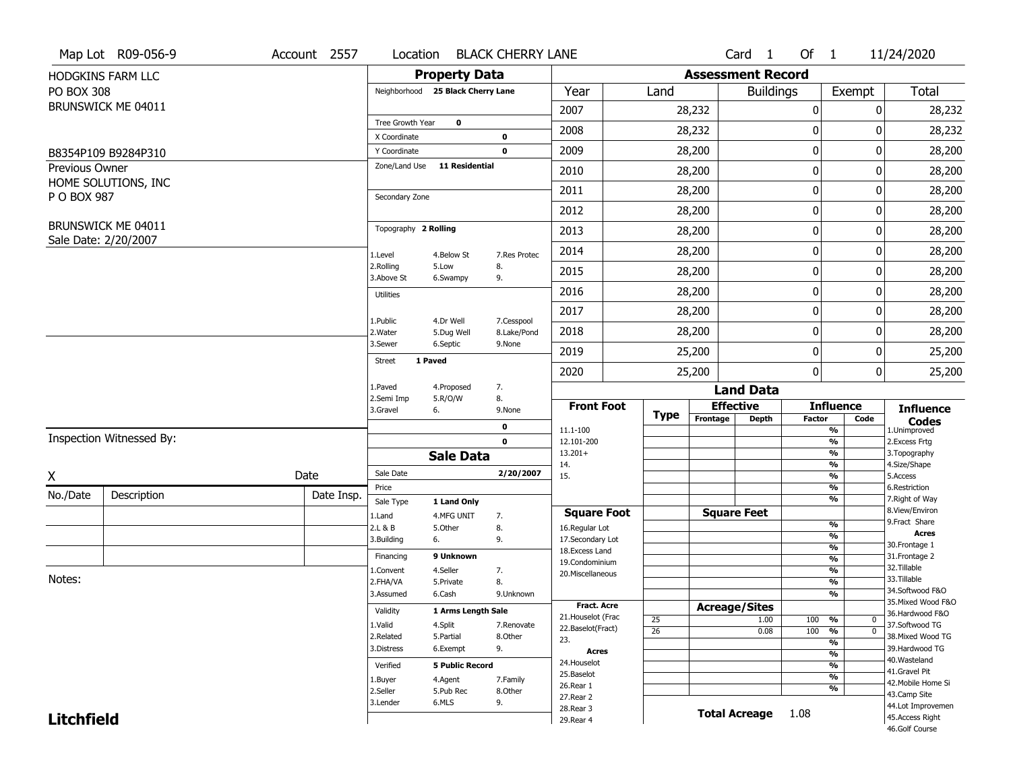|                   | Map Lot R09-056-9        | Account 2557 | Location                      |                                   | <b>BLACK CHERRY LANE</b>  |                         |                 |                          | Card <sub>1</sub> | Of $1$      |                                           | 11/24/2020                          |
|-------------------|--------------------------|--------------|-------------------------------|-----------------------------------|---------------------------|-------------------------|-----------------|--------------------------|-------------------|-------------|-------------------------------------------|-------------------------------------|
|                   | <b>HODGKINS FARM LLC</b> |              |                               | <b>Property Data</b>              |                           |                         |                 | <b>Assessment Record</b> |                   |             |                                           |                                     |
| <b>PO BOX 308</b> |                          |              |                               | Neighborhood 25 Black Cherry Lane |                           | Year                    | Land            |                          | <b>Buildings</b>  |             | Exempt                                    | <b>Total</b>                        |
|                   | BRUNSWICK ME 04011       |              |                               |                                   |                           | 2007                    |                 | 28,232                   |                   | 0           |                                           | 28,232<br>0                         |
|                   |                          |              | Tree Growth Year              | $\mathbf 0$                       |                           | 2008                    |                 | 28,232                   |                   | 0           |                                           | 28,232<br>0                         |
|                   |                          |              | X Coordinate                  |                                   | 0                         |                         |                 |                          |                   |             |                                           |                                     |
|                   | B8354P109 B9284P310      |              | Y Coordinate<br>Zone/Land Use | 11 Residential                    | $\mathbf 0$               | 2009                    |                 | 28,200                   |                   | $\pmb{0}$   |                                           | 0<br>28,200                         |
| Previous Owner    | HOME SOLUTIONS, INC      |              |                               |                                   |                           | 2010                    |                 | 28,200                   |                   | 0           |                                           | 28,200<br>0                         |
| P O BOX 987       |                          |              | Secondary Zone                |                                   |                           | 2011                    |                 | 28,200                   |                   | $\mathbf 0$ |                                           | 28,200<br>0                         |
|                   |                          |              |                               |                                   |                           | 2012                    |                 | 28,200                   |                   | 0           |                                           | 0<br>28,200                         |
|                   | BRUNSWICK ME 04011       |              | Topography 2 Rolling          |                                   |                           | 2013                    |                 | 28,200                   |                   | $\pmb{0}$   |                                           | 28,200<br>0                         |
|                   | Sale Date: 2/20/2007     |              | 1.Level                       | 4.Below St                        | 7.Res Protec              | 2014                    |                 | 28,200                   |                   | 0           |                                           | 0<br>28,200                         |
|                   |                          |              | 2.Rolling<br>3.Above St       | 5.Low<br>6.Swampy                 | 8.<br>9.                  | 2015                    |                 | 28,200                   |                   | 0           |                                           | 28,200<br>0                         |
|                   |                          |              | <b>Utilities</b>              |                                   |                           | 2016                    |                 | 28,200                   |                   | $\pmb{0}$   |                                           | 28,200<br>0                         |
|                   |                          |              |                               |                                   |                           | 2017                    |                 | 28,200                   |                   | $\pmb{0}$   |                                           | 0<br>28,200                         |
|                   |                          |              | 1.Public<br>2. Water          | 4.Dr Well<br>5.Dug Well           | 7.Cesspool<br>8.Lake/Pond | 2018                    |                 | 28,200                   |                   | 0           |                                           | 28,200<br>0                         |
|                   |                          |              | 3.Sewer                       | 6.Septic                          | 9.None                    | 2019                    |                 | 25,200                   |                   | $\mathbf 0$ |                                           | 0<br>25,200                         |
|                   |                          |              | <b>Street</b>                 | 1 Paved                           |                           | 2020                    |                 | 25,200                   |                   | 0           |                                           | $\overline{0}$<br>25,200            |
|                   |                          |              | 1.Paved                       | 4.Proposed                        | 7.                        |                         |                 |                          | <b>Land Data</b>  |             |                                           |                                     |
|                   |                          |              | 2.Semi Imp<br>3.Gravel        | 5.R/O/W<br>6.                     | 8.<br>9.None              | <b>Front Foot</b>       | <b>Type</b>     | <b>Effective</b>         |                   |             | <b>Influence</b>                          | <b>Influence</b>                    |
|                   |                          |              |                               |                                   | 0                         | 11.1-100                |                 | Frontage                 | <b>Depth</b>      | Factor      | Code<br>%                                 | <b>Codes</b><br>1.Unimproved        |
|                   | Inspection Witnessed By: |              |                               |                                   | $\mathbf 0$               | 12.101-200              |                 |                          |                   |             | $\overline{\frac{9}{6}}$                  | 2. Excess Frtg                      |
|                   |                          |              |                               | <b>Sale Data</b>                  |                           | $13.201+$<br>14.        |                 |                          |                   |             | %<br>%                                    | 3. Topography<br>4.Size/Shape       |
| X                 |                          | Date         | Sale Date                     |                                   | 2/20/2007                 | 15.                     |                 |                          |                   |             | $\frac{9}{6}$                             | 5.Access                            |
| No./Date          | Description              | Date Insp.   | Price                         |                                   |                           |                         |                 |                          |                   |             | %<br>%                                    | 6.Restriction<br>7. Right of Way    |
|                   |                          |              | Sale Type                     | 1 Land Only                       |                           | <b>Square Foot</b>      |                 | <b>Square Feet</b>       |                   |             |                                           | 8.View/Environ                      |
|                   |                          |              | 1.Land<br>2.L & B             | 4.MFG UNIT<br>5.Other             | 7.<br>8.                  | 16.Regular Lot          |                 |                          |                   |             | $\frac{9}{6}$                             | 9. Fract Share                      |
|                   |                          |              | 3.Building                    | 6.                                | 9.                        | 17.Secondary Lot        |                 |                          |                   |             | $\overline{\frac{9}{6}}$                  | <b>Acres</b><br>30.Frontage 1       |
|                   |                          |              | Financing                     | 9 Unknown                         |                           | 18. Excess Land         |                 |                          |                   |             | $\frac{9}{6}$<br>$\overline{\frac{9}{6}}$ | 31. Frontage 2                      |
|                   |                          |              | 1.Convent                     | 4.Seller                          | 7.                        | 19.Condominium          |                 |                          |                   |             | $\frac{9}{6}$                             | 32.Tillable                         |
| Notes:            |                          |              | 2.FHA/VA                      | 5.Private                         | 8.                        | 20.Miscellaneous        |                 |                          |                   |             | $\overline{\frac{9}{6}}$                  | 33.Tillable                         |
|                   |                          |              | 3.Assumed                     | 6.Cash                            | 9.Unknown                 |                         |                 |                          |                   |             | %                                         | 34.Softwood F&O                     |
|                   |                          |              | Validity                      | 1 Arms Length Sale                |                           | <b>Fract. Acre</b>      |                 | <b>Acreage/Sites</b>     |                   |             |                                           | 35. Mixed Wood F&O                  |
|                   |                          |              |                               |                                   |                           | 21. Houselot (Frac      | 25              |                          | 1.00              | 100         | %<br>0                                    | 36.Hardwood F&O                     |
|                   |                          |              | 1.Valid<br>2.Related          | 4.Split<br>5.Partial              | 7.Renovate<br>8.Other     | 22.Baselot(Fract)       | $\overline{26}$ |                          | 0.08              | 100         | $\overline{0}$<br>$\frac{9}{6}$           | 37.Softwood TG<br>38. Mixed Wood TG |
|                   |                          |              | 3.Distress                    | 6.Exempt                          | 9.                        | 23.                     |                 |                          |                   |             | %                                         | 39.Hardwood TG                      |
|                   |                          |              |                               |                                   |                           | <b>Acres</b>            |                 |                          |                   |             | $\frac{9}{6}$                             | 40. Wasteland                       |
|                   |                          |              | Verified                      | <b>5 Public Record</b>            |                           | 24. Houselot            |                 |                          |                   |             | %                                         | 41.Gravel Pit                       |
|                   |                          |              | 1.Buyer                       | 4.Agent                           | 7.Family                  | 25.Baselot<br>26.Rear 1 |                 |                          |                   |             | $\frac{9}{6}$                             | 42. Mobile Home Si                  |
|                   |                          |              | 2.Seller                      | 5.Pub Rec                         | 8.Other                   | 27.Rear 2               |                 |                          |                   |             | %                                         | 43.Camp Site                        |
|                   |                          |              | 3.Lender                      | 6.MLS                             | 9.                        |                         |                 |                          |                   |             |                                           |                                     |
|                   |                          |              |                               |                                   |                           | 28.Rear 3               |                 |                          |                   |             |                                           | 44.Lot Improvemen                   |
| <b>Litchfield</b> |                          |              |                               |                                   |                           | 29. Rear 4              |                 | <b>Total Acreage</b>     |                   | 1.08        |                                           | 45.Access Right<br>46.Golf Course   |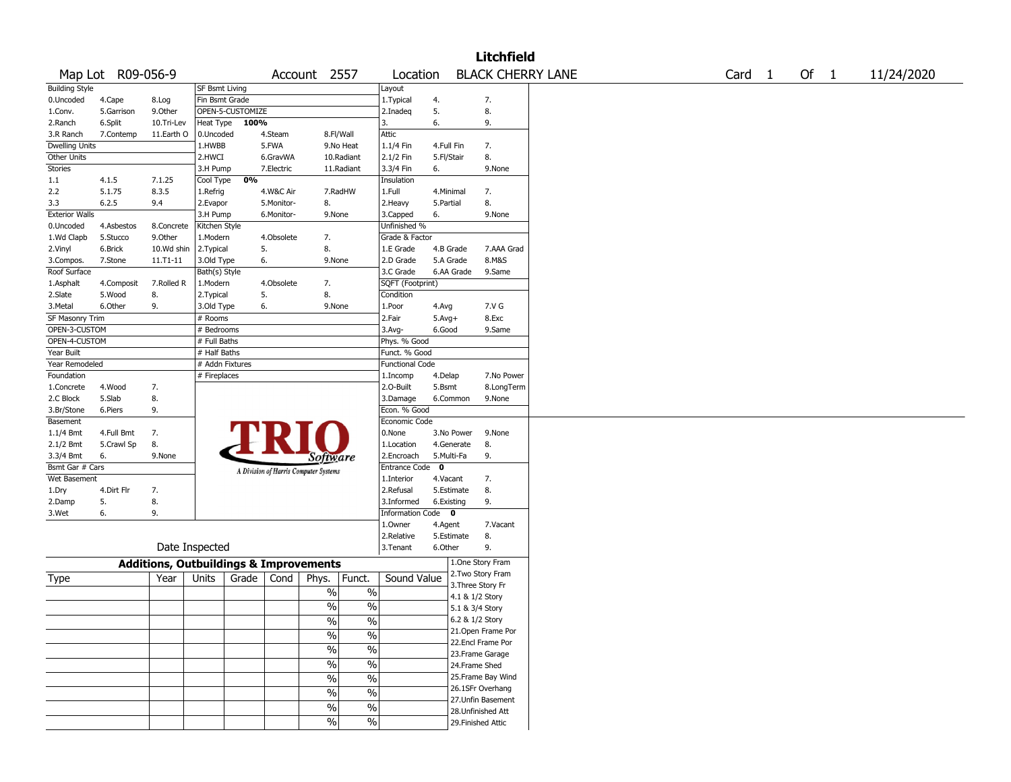|                       |                   |                                                   |                 |                  |            |                                       |                          |                        |             |                 | <b>Litchfield</b>  |                          |                   |        |  |            |
|-----------------------|-------------------|---------------------------------------------------|-----------------|------------------|------------|---------------------------------------|--------------------------|------------------------|-------------|-----------------|--------------------|--------------------------|-------------------|--------|--|------------|
|                       | Map Lot R09-056-9 |                                                   |                 |                  |            | Account 2557                          |                          | Location               |             |                 |                    | <b>BLACK CHERRY LANE</b> | Card <sub>1</sub> | Of $1$ |  | 11/24/2020 |
| <b>Building Style</b> |                   |                                                   | SF Bsmt Living  |                  |            |                                       |                          | Layout                 |             |                 |                    |                          |                   |        |  |            |
| 0.Uncoded             | 4.Cape            | 8.Log                                             | Fin Bsmt Grade  |                  |            |                                       |                          | 1. Typical             | 4.          |                 | 7.                 |                          |                   |        |  |            |
| 1.Conv.               | 5.Garrison        | 9.Other                                           |                 | OPEN-5-CUSTOMIZE |            |                                       |                          | 2.Inadeq               | 5.          |                 | 8.                 |                          |                   |        |  |            |
| 2.Ranch               | 6.Split           | 10.Tri-Lev                                        | Heat Type       | 100%             |            |                                       |                          | 3.                     | 6.          |                 | 9.                 |                          |                   |        |  |            |
| 3.R Ranch             | 7.Contemp         | 11.Earth O                                        | 0.Uncoded       |                  | 4.Steam    | 8.Fl/Wall                             |                          | Attic                  |             |                 |                    |                          |                   |        |  |            |
| Dwelling Units        |                   |                                                   | 1.HWBB          |                  | 5.FWA      |                                       | 9.No Heat                | 1.1/4 Fin              | 4.Full Fin  |                 | 7.                 |                          |                   |        |  |            |
| Other Units           |                   |                                                   | 2.HWCI          |                  | 6.GravWA   |                                       | 10.Radiant               | 2.1/2 Fin              | 5.Fl/Stair  |                 | 8.                 |                          |                   |        |  |            |
| Stories               |                   |                                                   | 3.H Pump        |                  | 7.Electric |                                       | 11.Radiant               | 3.3/4 Fin              | 6.          |                 | 9.None             |                          |                   |        |  |            |
| 1.1                   | 4.1.5             | 7.1.25                                            | Cool Type       | 0%               |            |                                       |                          | Insulation             |             |                 |                    |                          |                   |        |  |            |
| 2.2                   | 5.1.75            | 8.3.5                                             | 1.Refrig        |                  | 4.W&C Air  |                                       | 7.RadHW                  | 1.Full                 | 4.Minimal   |                 | 7.                 |                          |                   |        |  |            |
| 3.3                   | 6.2.5             | 9.4                                               | 2.Evapor        |                  | 5.Monitor- | 8.                                    |                          | 2. Heavy               | 5.Partial   |                 | 8.                 |                          |                   |        |  |            |
| <b>Exterior Walls</b> |                   |                                                   | 3.H Pump        |                  | 6.Monitor- | 9.None                                |                          | 3.Capped               | 6.          |                 | 9.None             |                          |                   |        |  |            |
| 0.Uncoded             | 4.Asbestos        | 8.Concrete                                        | Kitchen Style   |                  |            |                                       |                          | Unfinished %           |             |                 |                    |                          |                   |        |  |            |
| 1.Wd Clapb            | 5.Stucco          | 9.0ther                                           | 1.Modern        |                  | 4.Obsolete | 7.                                    |                          | Grade & Factor         |             |                 |                    |                          |                   |        |  |            |
| 2.Vinyl               | 6.Brick           | 10.Wd shin                                        | 2.Typical       |                  | 5.         | 8.                                    |                          | 1.E Grade              | 4.B Grade   |                 | 7.AAA Grad         |                          |                   |        |  |            |
| 3.Compos.             | 7.Stone           | 11.T1-11                                          | 3.Old Type      |                  | 6.         | 9.None                                |                          | 2.D Grade              | 5.A Grade   |                 | 8.M&S              |                          |                   |        |  |            |
| Roof Surface          |                   |                                                   | Bath(s) Style   |                  |            |                                       |                          | 3.C Grade              |             | 6.AA Grade      | 9.Same             |                          |                   |        |  |            |
| 1.Asphalt             | 4.Composit        | 7.Rolled R                                        | 1.Modern        |                  | 4.Obsolete | 7.                                    |                          | SQFT (Footprint)       |             |                 |                    |                          |                   |        |  |            |
| 2.Slate               | 5.Wood            | 8.                                                | 2. Typical      |                  | 5.         | 8.                                    |                          | Condition              |             |                 |                    |                          |                   |        |  |            |
| 3.Metal               | 6.Other           | 9.                                                | 3.Old Type      |                  | 6.         | 9.None                                |                          | 1.Poor                 | 4.Avg       |                 | 7.V G              |                          |                   |        |  |            |
| SF Masonry Trim       |                   |                                                   | # Rooms         |                  |            |                                       |                          | 2.Fair                 | $5.Avg+$    |                 | 8.Exc              |                          |                   |        |  |            |
| OPEN-3-CUSTOM         |                   |                                                   | # Bedrooms      |                  |            |                                       |                          | 3.Avg-                 | 6.Good      |                 | 9.Same             |                          |                   |        |  |            |
| OPEN-4-CUSTOM         |                   |                                                   | # Full Baths    |                  |            |                                       |                          | Phys. % Good           |             |                 |                    |                          |                   |        |  |            |
| Year Built            |                   |                                                   | # Half Baths    |                  |            |                                       |                          | Funct. % Good          |             |                 |                    |                          |                   |        |  |            |
| Year Remodeled        |                   |                                                   | # Addn Fixtures |                  |            |                                       |                          | <b>Functional Code</b> |             |                 |                    |                          |                   |        |  |            |
| Foundation            |                   |                                                   | # Fireplaces    |                  |            |                                       |                          | 1.Incomp               | 4.Delap     |                 | 7.No Power         |                          |                   |        |  |            |
| 1.Concrete            | 4.Wood            | 7.                                                |                 |                  |            |                                       |                          | 2.0-Built              | 5.Bsmt      |                 | 8.LongTerm         |                          |                   |        |  |            |
| 2.C Block             | 5.Slab            | 8.                                                |                 |                  |            |                                       |                          | 3.Damage               |             | 6.Common        | 9.None             |                          |                   |        |  |            |
| 3.Br/Stone            | 6.Piers           | 9.                                                |                 |                  |            |                                       |                          | Econ. % Good           |             |                 |                    |                          |                   |        |  |            |
| Basement              |                   |                                                   |                 |                  |            |                                       |                          | Economic Code          |             |                 |                    |                          |                   |        |  |            |
| $1.1/4$ Bmt           | 4.Full Bmt        | 7.                                                |                 |                  |            |                                       |                          | 0.None                 |             | 3.No Power      | 9.None             |                          |                   |        |  |            |
| 2.1/2 Bmt             | 5.Crawl Sp        | 8.                                                |                 |                  | FR         |                                       |                          | 1.Location             |             | 4.Generate      | 8.                 |                          |                   |        |  |            |
| 3.3/4 Bmt             | 6.                | 9.None                                            |                 |                  |            |                                       |                          | 2.Encroach             | 5.Multi-Fa  |                 | 9.                 |                          |                   |        |  |            |
| Bsmt Gar # Cars       |                   |                                                   |                 |                  |            | Software                              |                          | <b>Entrance Code</b>   | $\mathbf 0$ |                 |                    |                          |                   |        |  |            |
| Wet Basement          |                   |                                                   |                 |                  |            | A Division of Harris Computer Systems |                          | 1.Interior             | 4.Vacant    |                 | 7.                 |                          |                   |        |  |            |
| 1.Dry                 | 4.Dirt Flr        | 7.                                                |                 |                  |            |                                       |                          | 2.Refusal              |             | 5.Estimate      | 8.                 |                          |                   |        |  |            |
| 2.Damp                | 5.                | 8.                                                |                 |                  |            |                                       |                          | 3.Informed             | 6.Existing  |                 | 9.                 |                          |                   |        |  |            |
|                       | 6.                | 9.                                                |                 |                  |            |                                       |                          | Information Code 0     |             |                 |                    |                          |                   |        |  |            |
| 3.Wet                 |                   |                                                   |                 |                  |            |                                       |                          | 1.Owner                |             |                 | 7.Vacant           |                          |                   |        |  |            |
|                       |                   |                                                   |                 |                  |            |                                       |                          | 2.Relative             | 4.Agent     | 5.Estimate      | 8.                 |                          |                   |        |  |            |
|                       |                   |                                                   | Date Inspected  |                  |            |                                       |                          | 3.Tenant               | 6.Other     |                 | 9.                 |                          |                   |        |  |            |
|                       |                   |                                                   |                 |                  |            |                                       |                          |                        |             |                 |                    |                          |                   |        |  |            |
|                       |                   | <b>Additions, Outbuildings &amp; Improvements</b> |                 |                  |            |                                       |                          |                        |             |                 | 1.One Story Fram   |                          |                   |        |  |            |
| Type                  |                   | Year                                              | Units           | Grade            | Cond       | Phys.                                 | Funct.                   | Sound Value            |             |                 | 2. Two Story Fram  |                          |                   |        |  |            |
|                       |                   |                                                   |                 |                  |            | $\%$                                  | $\%$                     |                        |             |                 | 3. Three Story Fr  |                          |                   |        |  |            |
|                       |                   |                                                   |                 |                  |            |                                       |                          |                        |             | 4.1 & 1/2 Story |                    |                          |                   |        |  |            |
|                       |                   |                                                   |                 |                  |            | %                                     | $\%$                     |                        |             | 5.1 & 3/4 Story |                    |                          |                   |        |  |            |
|                       |                   |                                                   |                 |                  |            | $\%$                                  | $\%$                     |                        |             | 6.2 & 1/2 Story |                    |                          |                   |        |  |            |
|                       |                   |                                                   |                 |                  |            | $\frac{1}{2}$                         | $\frac{0}{0}$            |                        |             |                 | 21. Open Frame Por |                          |                   |        |  |            |
|                       |                   |                                                   |                 |                  |            |                                       |                          |                        |             |                 | 22.Encl Frame Por  |                          |                   |        |  |            |
|                       |                   |                                                   |                 |                  |            | $\frac{9}{6}$                         | $\overline{\frac{0}{0}}$ |                        |             |                 | 23. Frame Garage   |                          |                   |        |  |            |
|                       |                   |                                                   |                 |                  |            | $\frac{9}{6}$                         | $\overline{\frac{0}{0}}$ |                        |             | 24.Frame Shed   |                    |                          |                   |        |  |            |
|                       |                   |                                                   |                 |                  |            | $\sqrt{6}$                            | $\overline{\frac{0}{0}}$ |                        |             |                 | 25. Frame Bay Wind |                          |                   |        |  |            |
|                       |                   |                                                   |                 |                  |            | $\frac{9}{6}$                         | $\overline{\frac{0}{0}}$ |                        |             |                 | 26.1SFr Overhang   |                          |                   |        |  |            |
|                       |                   |                                                   |                 |                  |            |                                       |                          |                        |             |                 | 27. Unfin Basement |                          |                   |        |  |            |
|                       |                   |                                                   |                 |                  |            | $\sqrt{6}$                            | $\overline{\frac{0}{0}}$ |                        |             |                 | 28. Unfinished Att |                          |                   |        |  |            |
|                       |                   |                                                   |                 |                  |            | $\sqrt{6}$                            | $\overline{\frac{0}{6}}$ |                        |             |                 | 29. Finished Attic |                          |                   |        |  |            |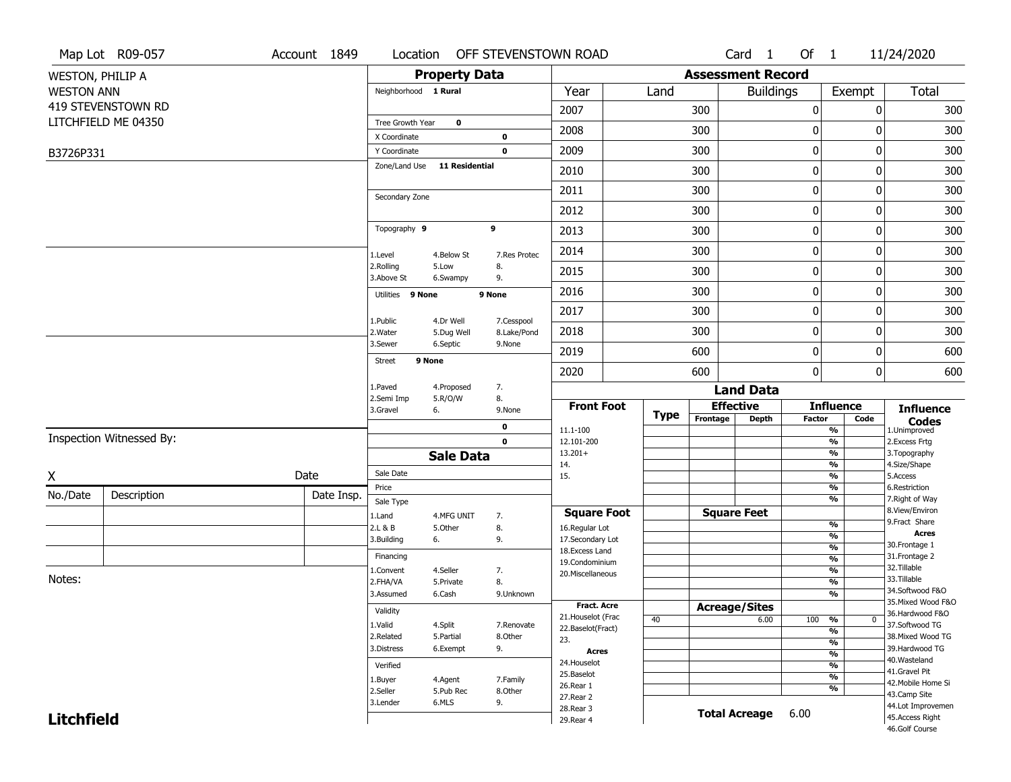|                         | Map Lot R09-057          | Account 1849 | Location                |                         | OFF STEVENSTOWN ROAD      |                                         |      |                      | Card <sub>1</sub>        | Of $1$       |                                           | 11/24/2020                            |
|-------------------------|--------------------------|--------------|-------------------------|-------------------------|---------------------------|-----------------------------------------|------|----------------------|--------------------------|--------------|-------------------------------------------|---------------------------------------|
| <b>WESTON, PHILIP A</b> |                          |              |                         | <b>Property Data</b>    |                           |                                         |      |                      | <b>Assessment Record</b> |              |                                           |                                       |
| <b>WESTON ANN</b>       |                          |              | Neighborhood 1 Rural    |                         |                           | Year                                    | Land |                      | <b>Buildings</b>         |              | Exempt                                    | Total                                 |
|                         | 419 STEVENSTOWN RD       |              |                         |                         |                           | 2007                                    |      | 300                  |                          | 0            |                                           | 0<br>300                              |
|                         | LITCHFIELD ME 04350      |              | Tree Growth Year        | $\bf{0}$                |                           | 2008                                    |      | 300                  |                          | 0            |                                           | 300<br>0                              |
|                         |                          |              | X Coordinate            |                         | 0                         |                                         |      |                      |                          |              |                                           |                                       |
| B3726P331               |                          |              | Y Coordinate            | <b>11 Residential</b>   | $\mathbf 0$               | 2009                                    |      | 300                  |                          | 0            |                                           | 300<br>0                              |
|                         |                          |              | Zone/Land Use           |                         |                           | 2010                                    |      | 300                  |                          | $\pmb{0}$    |                                           | 300<br>0                              |
|                         |                          |              | Secondary Zone          |                         |                           | 2011                                    |      | 300                  |                          | 0            |                                           | 300<br>0                              |
|                         |                          |              |                         |                         |                           | 2012                                    |      | 300                  |                          | 0            |                                           | 300<br>0                              |
|                         |                          |              | Topography 9            |                         | 9                         | 2013                                    |      | 300                  |                          | $\pmb{0}$    |                                           | 300<br>0                              |
|                         |                          |              | 1.Level                 | 4.Below St              | 7.Res Protec              | 2014                                    |      | 300                  |                          | $\pmb{0}$    |                                           | 300<br>0                              |
|                         |                          |              | 2.Rolling<br>3.Above St | 5.Low<br>6.Swampy       | 8.<br>9.                  | 2015                                    |      | 300                  |                          | 0            |                                           | 300<br>0                              |
|                         |                          |              | Utilities 9 None        |                         | 9 None                    | 2016                                    |      | 300                  |                          | $\mathbf 0$  |                                           | 300<br>0                              |
|                         |                          |              |                         |                         |                           | 2017                                    |      | 300                  |                          | 0            |                                           | 300<br>0                              |
|                         |                          |              | 1.Public<br>2. Water    | 4.Dr Well<br>5.Dug Well | 7.Cesspool<br>8.Lake/Pond | 2018                                    |      | 300                  |                          | $\pmb{0}$    |                                           | 300<br>0                              |
|                         |                          |              | 3.Sewer                 | 6.Septic                | 9.None                    | 2019                                    |      | 600                  |                          | $\bf{0}$     |                                           | 600<br>0                              |
|                         |                          |              | 9 None<br><b>Street</b> |                         |                           | 2020                                    |      | 600                  |                          | $\mathbf{0}$ |                                           | 0<br>600                              |
|                         |                          |              | 1.Paved                 | 4.Proposed              | 7.                        |                                         |      |                      | <b>Land Data</b>         |              |                                           |                                       |
|                         |                          |              | 2.Semi Imp<br>3.Gravel  | 5.R/O/W<br>6.           | 8.<br>9.None              | <b>Front Foot</b>                       |      |                      | <b>Effective</b>         |              | <b>Influence</b>                          | <b>Influence</b>                      |
|                         |                          |              |                         |                         | 0                         | 11.1-100                                | Type | Frontage             | Depth                    | Factor       | Code<br>$\frac{9}{6}$                     | <b>Codes</b><br>1.Unimproved          |
|                         | Inspection Witnessed By: |              |                         |                         | $\mathbf 0$               | 12.101-200                              |      |                      |                          |              | $\frac{9}{6}$                             | 2.Excess Frtg                         |
|                         |                          |              |                         | <b>Sale Data</b>        |                           | $13.201+$                               |      |                      |                          |              | $\frac{9}{6}$<br>$\frac{9}{6}$            | 3. Topography<br>4.Size/Shape         |
| X                       |                          | Date         | Sale Date               |                         |                           | 14.<br>15.                              |      |                      |                          |              | $\frac{9}{6}$                             | 5.Access                              |
| No./Date                | Description              | Date Insp.   | Price                   |                         |                           |                                         |      |                      |                          |              | $\frac{9}{6}$                             | 6.Restriction                         |
|                         |                          |              | Sale Type               |                         |                           | <b>Square Foot</b>                      |      |                      | <b>Square Feet</b>       |              | $\frac{9}{6}$                             | 7. Right of Way<br>8.View/Environ     |
|                         |                          |              | 1.Land<br>2.L & B       | 4.MFG UNIT<br>5.Other   | 7.<br>8.                  | 16.Regular Lot                          |      |                      |                          |              | %                                         | 9. Fract Share                        |
|                         |                          |              | 3.Building              | 6.                      | 9.                        | 17.Secondary Lot                        |      |                      |                          |              | $\frac{9}{6}$                             | <b>Acres</b>                          |
|                         |                          |              | Financing               |                         |                           | 18. Excess Land                         |      |                      |                          |              | $\frac{9}{6}$<br>$\overline{\frac{9}{6}}$ | 30. Frontage 1<br>31. Frontage 2      |
|                         |                          |              | 1.Convent               | 4.Seller                | 7.                        | 19.Condominium<br>20.Miscellaneous      |      |                      |                          |              | $\frac{9}{6}$                             | 32.Tillable                           |
| Notes:                  |                          |              | 2.FHA/VA                | 5.Private               | 8.                        |                                         |      |                      |                          |              | $\frac{9}{6}$                             | 33.Tillable                           |
|                         |                          |              | 3.Assumed               | 6.Cash                  | 9.Unknown                 |                                         |      |                      |                          |              | $\frac{9}{6}$                             | 34.Softwood F&O<br>35. Mixed Wood F&O |
|                         |                          |              | Validity                |                         |                           | <b>Fract. Acre</b>                      |      | <b>Acreage/Sites</b> |                          |              |                                           | 36.Hardwood F&O                       |
|                         |                          |              | 1.Valid                 | 4.Split                 | 7.Renovate                | 21. Houselot (Frac<br>22.Baselot(Fract) | 40   |                      | 6.00                     | 100          | %<br>$\mathbf{0}$                         | 37.Softwood TG                        |
|                         |                          |              | 2.Related               | 5.Partial               | 8.Other                   | 23.                                     |      |                      |                          |              | %<br>$\frac{9}{6}$                        | 38. Mixed Wood TG                     |
|                         |                          |              | 3.Distress              | 6.Exempt                | 9.                        | <b>Acres</b>                            |      |                      |                          |              | $\frac{9}{6}$                             | 39.Hardwood TG                        |
|                         |                          |              | Verified                |                         |                           | 24. Houselot                            |      |                      |                          |              | $\frac{9}{6}$                             | 40. Wasteland<br>41.Gravel Pit        |
|                         |                          |              | 1.Buyer                 | 4.Agent                 | 7.Family                  | 25.Baselot                              |      |                      |                          |              | $\frac{9}{6}$                             | 42. Mobile Home Si                    |
|                         |                          |              | 2.Seller                | 5.Pub Rec               | 8.Other                   | 26.Rear 1<br>27.Rear 2                  |      |                      |                          |              | %                                         | 43.Camp Site                          |
|                         |                          |              | 3.Lender                | 6.MLS                   | 9.                        | 28. Rear 3                              |      |                      |                          |              |                                           | 44.Lot Improvemen                     |
| <b>Litchfield</b>       |                          |              |                         |                         |                           | 29. Rear 4                              |      |                      | <b>Total Acreage</b>     | 6.00         |                                           | 45.Access Right                       |
|                         |                          |              |                         |                         |                           |                                         |      |                      |                          |              |                                           | 46.Golf Course                        |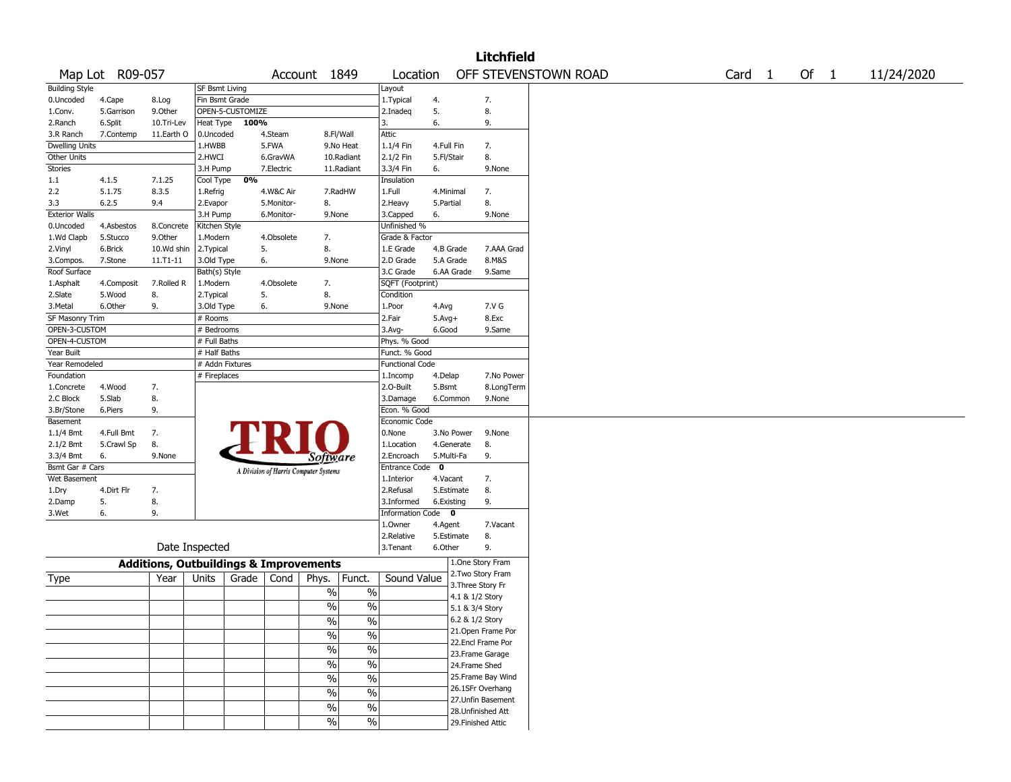|                       |                 |                                                   |                       |                  |            |                                       |                          |                         |                           |                                      | <b>Litchfield</b>  |                      |  |        |        |            |
|-----------------------|-----------------|---------------------------------------------------|-----------------------|------------------|------------|---------------------------------------|--------------------------|-------------------------|---------------------------|--------------------------------------|--------------------|----------------------|--|--------|--------|------------|
|                       | Map Lot R09-057 |                                                   |                       |                  |            | Account 1849                          |                          | Location                |                           |                                      |                    | OFF STEVENSTOWN ROAD |  | Card 1 | Of $1$ | 11/24/2020 |
| <b>Building Style</b> |                 |                                                   | <b>SF Bsmt Living</b> |                  |            |                                       |                          | Layout                  |                           |                                      |                    |                      |  |        |        |            |
| 0.Uncoded             | 4.Cape          | 8.Log                                             | Fin Bsmt Grade        |                  |            |                                       |                          | 1. Typical              | 4.                        |                                      | 7.                 |                      |  |        |        |            |
| 1.Conv.               | 5.Garrison      | 9.Other                                           |                       | OPEN-5-CUSTOMIZE |            |                                       |                          | 2.Inadeq                | 5.                        |                                      | 8.                 |                      |  |        |        |            |
| 2.Ranch               | 6.Split         | 10.Tri-Lev                                        | Heat Type             | 100%             |            |                                       |                          | 3.                      | 6.                        |                                      | 9.                 |                      |  |        |        |            |
| 3.R Ranch             | 7.Contemp       | 11.Earth O                                        | 0.Uncoded             |                  | 4.Steam    |                                       | 8.Fl/Wall                | Attic                   |                           |                                      |                    |                      |  |        |        |            |
| Dwelling Units        |                 |                                                   | 1.HWBB                |                  | 5.FWA      |                                       | 9.No Heat                | 1.1/4 Fin               | 4.Full Fin                |                                      | 7.                 |                      |  |        |        |            |
| Other Units           |                 |                                                   | 2.HWCI                |                  | 6.GravWA   |                                       | 10.Radiant               | 2.1/2 Fin               | 5.Fl/Stair                |                                      | 8.                 |                      |  |        |        |            |
| Stories               |                 |                                                   | 3.H Pump              |                  | 7.Electric |                                       | 11.Radiant               | 3.3/4 Fin               | 6.                        |                                      | 9.None             |                      |  |        |        |            |
| 1.1                   | 4.1.5           | 7.1.25                                            | Cool Type             | 0%               |            |                                       |                          | Insulation              |                           |                                      |                    |                      |  |        |        |            |
| 2.2                   | 5.1.75          | 8.3.5                                             | 1.Refrig              |                  | 4.W&C Air  |                                       | 7.RadHW                  | 1.Full                  | 4.Minimal                 |                                      | 7.                 |                      |  |        |        |            |
| 3.3                   | 6.2.5           | 9.4                                               | 2.Evapor              |                  | 5.Monitor- | 8.                                    |                          | 2. Heavy                | 5.Partial                 |                                      | 8.                 |                      |  |        |        |            |
| <b>Exterior Walls</b> |                 |                                                   | 3.H Pump              |                  | 6.Monitor- | 9.None                                |                          | 3.Capped                | 6.                        |                                      | 9.None             |                      |  |        |        |            |
| 0.Uncoded             | 4.Asbestos      | 8.Concrete                                        | Kitchen Style         |                  |            |                                       |                          | Unfinished %            |                           |                                      |                    |                      |  |        |        |            |
| 1.Wd Clapb            | 5.Stucco        | 9.0ther                                           | 1.Modern              |                  | 4.Obsolete | 7.                                    |                          | Grade & Factor          |                           |                                      |                    |                      |  |        |        |            |
| 2.Vinyl               | 6.Brick         | 10.Wd shin                                        | 2.Typical             |                  | 5.         | 8.                                    |                          | 1.E Grade               | 4.B Grade                 |                                      | 7.AAA Grad         |                      |  |        |        |            |
| 3.Compos.             | 7.Stone         | $11.71 - 11$                                      | 3.Old Type            |                  | 6.         | 9.None                                |                          | 2.D Grade               | 5.A Grade                 |                                      | 8.M&S              |                      |  |        |        |            |
| Roof Surface          |                 |                                                   | Bath(s) Style         |                  |            |                                       |                          | 3.C Grade               | 6.AA Grade                |                                      | 9.Same             |                      |  |        |        |            |
| 1.Asphalt             | 4.Composit      | 7.Rolled R                                        | 1.Modern              |                  | 4.Obsolete | 7.                                    |                          | SQFT (Footprint)        |                           |                                      |                    |                      |  |        |        |            |
| 2.Slate               | 5.Wood          | 8.                                                | 2. Typical            |                  | 5.         | 8.                                    |                          | Condition               |                           |                                      |                    |                      |  |        |        |            |
| 3.Metal               | 6.Other         | 9.                                                | 3.Old Type            |                  | 6.         | 9.None                                |                          | 1.Poor                  | 4.Avg                     |                                      | 7.V G              |                      |  |        |        |            |
| SF Masonry Trim       |                 |                                                   | # Rooms               |                  |            |                                       |                          | 2.Fair                  | $5.Avg+$                  |                                      | 8.Exc              |                      |  |        |        |            |
| OPEN-3-CUSTOM         |                 |                                                   | # Bedrooms            |                  |            |                                       |                          | 3.Avg-                  | 6.Good                    |                                      | 9.Same             |                      |  |        |        |            |
| OPEN-4-CUSTOM         |                 |                                                   | # Full Baths          |                  |            |                                       |                          | Phys. % Good            |                           |                                      |                    |                      |  |        |        |            |
| Year Built            |                 |                                                   | # Half Baths          |                  |            |                                       |                          | Funct. % Good           |                           |                                      |                    |                      |  |        |        |            |
| Year Remodeled        |                 |                                                   | # Addn Fixtures       |                  |            |                                       |                          | <b>Functional Code</b>  |                           |                                      |                    |                      |  |        |        |            |
| Foundation            |                 |                                                   | # Fireplaces          |                  |            |                                       |                          | 1.Incomp                | 4.Delap                   |                                      | 7.No Power         |                      |  |        |        |            |
| 1.Concrete            | 4.Wood          | 7.                                                |                       |                  |            |                                       |                          | 2.0-Built               | 5.Bsmt                    |                                      | 8.LongTerm         |                      |  |        |        |            |
| 2.C Block             | 5.Slab          | 8.                                                |                       |                  |            |                                       |                          | 3.Damage                | 6.Common                  |                                      | 9.None             |                      |  |        |        |            |
| 3.Br/Stone            | 6.Piers         | 9.                                                |                       |                  |            |                                       |                          | Econ. % Good            |                           |                                      |                    |                      |  |        |        |            |
| Basement              |                 |                                                   |                       |                  |            |                                       |                          | Economic Code           |                           |                                      |                    |                      |  |        |        |            |
| 1.1/4 Bmt             | 4.Full Bmt      | 7.                                                |                       |                  | FRI        |                                       |                          | 0.None                  | 3.No Power                |                                      | 9.None             |                      |  |        |        |            |
| 2.1/2 Bmt             | 5.Crawl Sp      | 8.                                                |                       |                  |            |                                       |                          | 1.Location              | 4.Generate                |                                      | 8.                 |                      |  |        |        |            |
| 3.3/4 Bmt             | 6.              | 9.None                                            |                       |                  |            | Software                              |                          | 2.Encroach              | 5.Multi-Fa<br>$\mathbf 0$ |                                      | 9.                 |                      |  |        |        |            |
| Bsmt Gar # Cars       |                 |                                                   |                       |                  |            | A Division of Harris Computer Systems |                          | Entrance Code           |                           |                                      |                    |                      |  |        |        |            |
| Wet Basement          | 4.Dirt Flr      |                                                   |                       |                  |            |                                       |                          | 1.Interior<br>2.Refusal | 4.Vacant<br>5.Estimate    |                                      | 7.<br>8.           |                      |  |        |        |            |
| 1.Dry                 | 5.              | 7.<br>8.                                          |                       |                  |            |                                       |                          | 3.Informed              | 6.Existing                |                                      | 9.                 |                      |  |        |        |            |
| 2.Damp<br>3.Wet       | 6.              | 9.                                                |                       |                  |            |                                       |                          | Information Code 0      |                           |                                      |                    |                      |  |        |        |            |
|                       |                 |                                                   |                       |                  |            |                                       |                          | 1.0wner                 | 4.Agent                   |                                      | 7.Vacant           |                      |  |        |        |            |
|                       |                 |                                                   |                       |                  |            |                                       |                          | 2.Relative              | 5.Estimate                |                                      | 8.                 |                      |  |        |        |            |
|                       |                 | Date Inspected                                    |                       |                  |            |                                       |                          | 3. Tenant               | 6.Other                   |                                      | 9.                 |                      |  |        |        |            |
|                       |                 |                                                   |                       |                  |            |                                       |                          |                         |                           |                                      |                    |                      |  |        |        |            |
|                       |                 | <b>Additions, Outbuildings &amp; Improvements</b> |                       |                  |            |                                       |                          |                         |                           |                                      | 1.One Story Fram   |                      |  |        |        |            |
| Type                  |                 | Year                                              | Units                 | Grade            | Cond       | Phys.                                 | Funct.                   | Sound Value             |                           |                                      | 2. Two Story Fram  |                      |  |        |        |            |
|                       |                 |                                                   |                       |                  |            | $\sqrt{6}$                            | $\%$                     |                         |                           | 3. Three Story Fr<br>4.1 & 1/2 Story |                    |                      |  |        |        |            |
|                       |                 |                                                   |                       |                  |            | $\frac{0}{0}$                         | $\%$                     |                         |                           |                                      |                    |                      |  |        |        |            |
|                       |                 |                                                   |                       |                  |            |                                       |                          |                         |                           | 5.1 & 3/4 Story                      |                    |                      |  |        |        |            |
|                       |                 |                                                   |                       |                  |            | $\%$                                  | $\overline{\frac{0}{6}}$ |                         |                           | 6.2 & 1/2 Story                      | 21.Open Frame Por  |                      |  |        |        |            |
|                       |                 |                                                   |                       |                  |            | $\sqrt{6}$                            | $\overline{\frac{0}{0}}$ |                         |                           |                                      | 22.Encl Frame Por  |                      |  |        |        |            |
|                       |                 |                                                   |                       |                  |            | $\frac{1}{2}$                         | $\overline{\frac{0}{6}}$ |                         |                           |                                      | 23. Frame Garage   |                      |  |        |        |            |
|                       |                 |                                                   |                       |                  |            | $\frac{1}{2}$                         | $\overline{\frac{0}{0}}$ |                         |                           | 24.Frame Shed                        |                    |                      |  |        |        |            |
|                       |                 |                                                   |                       |                  |            |                                       |                          |                         |                           |                                      | 25. Frame Bay Wind |                      |  |        |        |            |
|                       |                 |                                                   |                       |                  |            | $\sqrt{6}$                            | $\overline{\frac{0}{0}}$ |                         |                           |                                      | 26.1SFr Overhang   |                      |  |        |        |            |
|                       |                 |                                                   |                       |                  |            | $\sqrt{6}$                            | $\overline{\frac{0}{0}}$ |                         |                           |                                      | 27.Unfin Basement  |                      |  |        |        |            |
|                       |                 |                                                   |                       |                  |            | $\sqrt{6}$                            | $\overline{\frac{0}{0}}$ |                         |                           |                                      | 28. Unfinished Att |                      |  |        |        |            |
|                       |                 |                                                   |                       |                  |            | %                                     | $\%$                     |                         |                           |                                      | 29. Finished Attic |                      |  |        |        |            |
|                       |                 |                                                   |                       |                  |            |                                       |                          |                         |                           |                                      |                    |                      |  |        |        |            |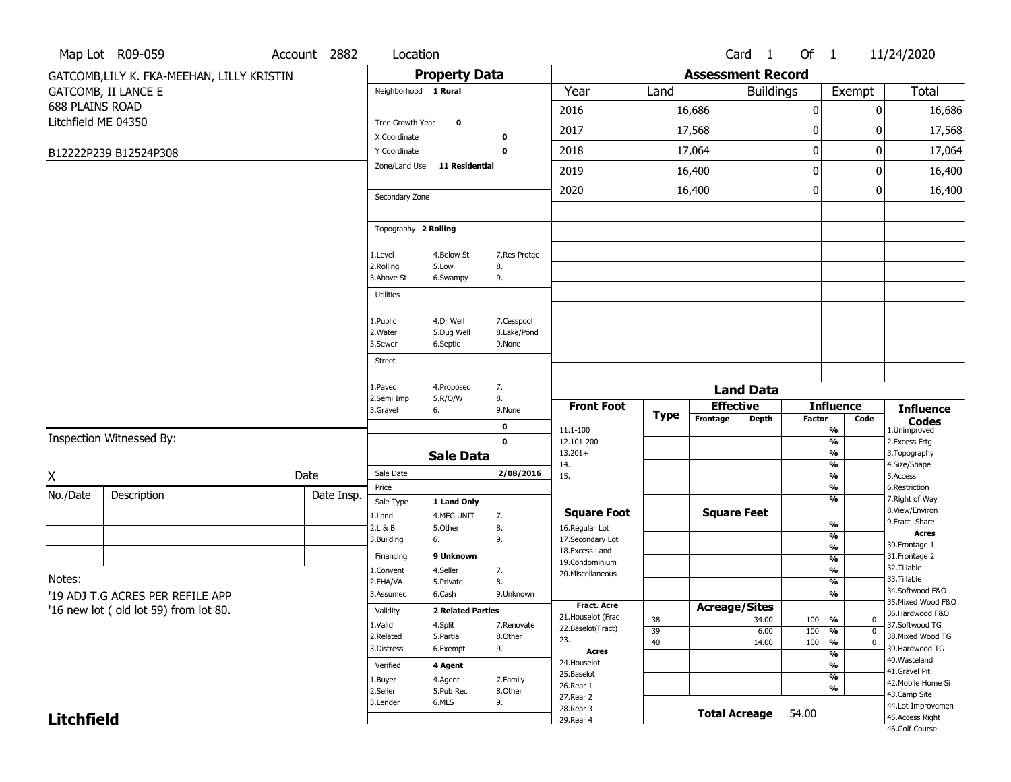|                        | Map Lot R09-059                            | Account 2882 | Location                      |                          |                 |                                  |                 |          | Card <sub>1</sub>        | Of 1             |                          | 11/24/2020                          |
|------------------------|--------------------------------------------|--------------|-------------------------------|--------------------------|-----------------|----------------------------------|-----------------|----------|--------------------------|------------------|--------------------------|-------------------------------------|
|                        | GATCOMB, LILY K. FKA-MEEHAN, LILLY KRISTIN |              |                               | <b>Property Data</b>     |                 |                                  |                 |          | <b>Assessment Record</b> |                  |                          |                                     |
|                        | <b>GATCOMB, II LANCE E</b>                 |              | Neighborhood 1 Rural          |                          |                 | Year                             | Land            |          | <b>Buildings</b>         |                  | Exempt                   | Total                               |
| <b>688 PLAINS ROAD</b> |                                            |              |                               |                          |                 | 2016                             |                 | 16,686   |                          | 0                | 0                        | 16,686                              |
| Litchfield ME 04350    |                                            |              | Tree Growth Year              | $\mathbf 0$              |                 | 2017                             |                 | 17,568   |                          | $\boldsymbol{0}$ | 0                        | 17,568                              |
|                        |                                            |              | X Coordinate                  |                          | $\mathbf 0$     |                                  |                 |          |                          |                  |                          |                                     |
|                        | B12222P239 B12524P308                      |              | Y Coordinate<br>Zone/Land Use | 11 Residential           | $\mathbf 0$     | 2018                             |                 | 17,064   |                          | 0                | 0                        | 17,064                              |
|                        |                                            |              |                               |                          |                 | 2019                             |                 | 16,400   |                          | $\mathbf 0$      | 0                        | 16,400                              |
|                        |                                            |              | Secondary Zone                |                          |                 | 2020                             |                 | 16,400   |                          | 0                | 0                        | 16,400                              |
|                        |                                            |              |                               |                          |                 |                                  |                 |          |                          |                  |                          |                                     |
|                        |                                            |              | Topography 2 Rolling          |                          |                 |                                  |                 |          |                          |                  |                          |                                     |
|                        |                                            |              | 1.Level                       | 4.Below St               | 7.Res Protec    |                                  |                 |          |                          |                  |                          |                                     |
|                        |                                            |              | 2.Rolling                     | 5.Low                    | 8.              |                                  |                 |          |                          |                  |                          |                                     |
|                        |                                            |              | 3.Above St                    | 6.Swampy                 | 9.              |                                  |                 |          |                          |                  |                          |                                     |
|                        |                                            |              | <b>Utilities</b>              |                          |                 |                                  |                 |          |                          |                  |                          |                                     |
|                        |                                            |              | 1.Public                      | 4.Dr Well                | 7.Cesspool      |                                  |                 |          |                          |                  |                          |                                     |
|                        |                                            |              | 2. Water                      | 5.Dug Well               | 8.Lake/Pond     |                                  |                 |          |                          |                  |                          |                                     |
|                        |                                            |              | 3.Sewer                       | 6.Septic                 | 9.None          |                                  |                 |          |                          |                  |                          |                                     |
|                        |                                            |              | <b>Street</b>                 |                          |                 |                                  |                 |          |                          |                  |                          |                                     |
|                        |                                            |              | 1.Paved                       | 4.Proposed               | 7.              |                                  |                 |          | <b>Land Data</b>         |                  |                          |                                     |
|                        |                                            |              | 2.Semi Imp<br>3.Gravel        | 5.R/O/W<br>6.            | 8.<br>9.None    | <b>Front Foot</b>                |                 |          | <b>Effective</b>         |                  | <b>Influence</b>         | <b>Influence</b>                    |
|                        |                                            |              |                               |                          | $\mathbf 0$     |                                  | Type            | Frontage | <b>Depth</b>             | <b>Factor</b>    | Code                     | <b>Codes</b>                        |
|                        | Inspection Witnessed By:                   |              |                               |                          | $\mathbf 0$     | 11.1-100<br>12.101-200           |                 |          |                          |                  | %<br>%                   | 1.Unimproved<br>2.Excess Frtg       |
|                        |                                            |              |                               | <b>Sale Data</b>         |                 | $13.201+$                        |                 |          |                          |                  | %                        | 3. Topography                       |
| X                      |                                            | Date         | Sale Date                     |                          | 2/08/2016       | 14.<br>15.                       |                 |          |                          |                  | %<br>%                   | 4.Size/Shape<br>5.Access            |
| No./Date               | Description                                | Date Insp.   | Price                         |                          |                 |                                  |                 |          |                          |                  | %                        | 6.Restriction                       |
|                        |                                            |              | Sale Type                     | 1 Land Only              |                 | <b>Square Foot</b>               |                 |          | <b>Square Feet</b>       |                  | %                        | 7. Right of Way<br>8.View/Environ   |
|                        |                                            |              | 1.Land<br>2.L & B             | 4.MFG UNIT<br>5.Other    | 7.<br>8.        | 16.Regular Lot                   |                 |          |                          |                  | %                        | 9. Fract Share                      |
|                        |                                            |              | 3.Building                    | 6.                       | 9.              | 17.Secondary Lot                 |                 |          |                          |                  | $\frac{9}{6}$            | <b>Acres</b><br>30. Frontage 1      |
|                        |                                            |              | Financing                     | 9 Unknown                |                 | 18.Excess Land<br>19.Condominium |                 |          |                          |                  | %<br>$\frac{9}{6}$       | 31. Frontage 2                      |
| Notes:                 |                                            |              | 1.Convent                     | 4.Seller                 | 7.              | 20.Miscellaneous                 |                 |          |                          |                  | $\overline{\frac{9}{6}}$ | 32. Tillable<br>33.Tillable         |
|                        | '19 ADJ T.G ACRES PER REFILE APP           |              | 2.FHA/VA<br>3.Assumed         | 5.Private<br>6.Cash      | 8.<br>9.Unknown |                                  |                 |          |                          |                  | %<br>$\frac{9}{6}$       | 34.Softwood F&O                     |
|                        | '16 new lot (old lot 59) from lot 80.      |              |                               | <b>2 Related Parties</b> |                 | Fract. Acre                      |                 |          | <b>Acreage/Sites</b>     |                  |                          | 35. Mixed Wood F&O                  |
|                        |                                            |              | Validity<br>1.Valid           | 4.Split                  | 7.Renovate      | 21. Houselot (Frac               | $\overline{38}$ |          | 34.00                    | $100 - 96$       | $\boldsymbol{0}$         | 36.Hardwood F&O<br>37.Softwood TG   |
|                        |                                            |              | 2.Related                     | 5.Partial                | 8.Other         | 22.Baselot(Fract)<br>23.         | 39              |          | 6.00                     | 100              | %<br>$\mathbf 0$         | 38. Mixed Wood TG                   |
|                        |                                            |              | 3.Distress                    | 6.Exempt                 | 9.              | <b>Acres</b>                     | 40              |          | 14.00                    | 100              | $\overline{0}$<br>%<br>% | 39.Hardwood TG                      |
|                        |                                            |              | Verified                      | 4 Agent                  |                 | 24. Houselot                     |                 |          |                          |                  | %                        | 40. Wasteland                       |
|                        |                                            |              | 1.Buyer                       | 4.Agent                  | 7.Family        | 25.Baselot<br>26.Rear 1          |                 |          |                          |                  | $\overline{\frac{9}{6}}$ | 41.Gravel Pit<br>42. Mobile Home Si |
|                        |                                            |              | 2.Seller                      | 5.Pub Rec                | 8.Other         | 27.Rear 2                        |                 |          |                          |                  | %                        | 43.Camp Site                        |
|                        |                                            |              | 3.Lender                      | 6.MLS                    | 9.              | 28. Rear 3                       |                 |          | <b>Total Acreage</b>     | 54.00            |                          | 44.Lot Improvemen                   |
| <b>Litchfield</b>      |                                            |              |                               |                          |                 | 29. Rear 4                       |                 |          |                          |                  |                          | 45.Access Right<br>46.Golf Course   |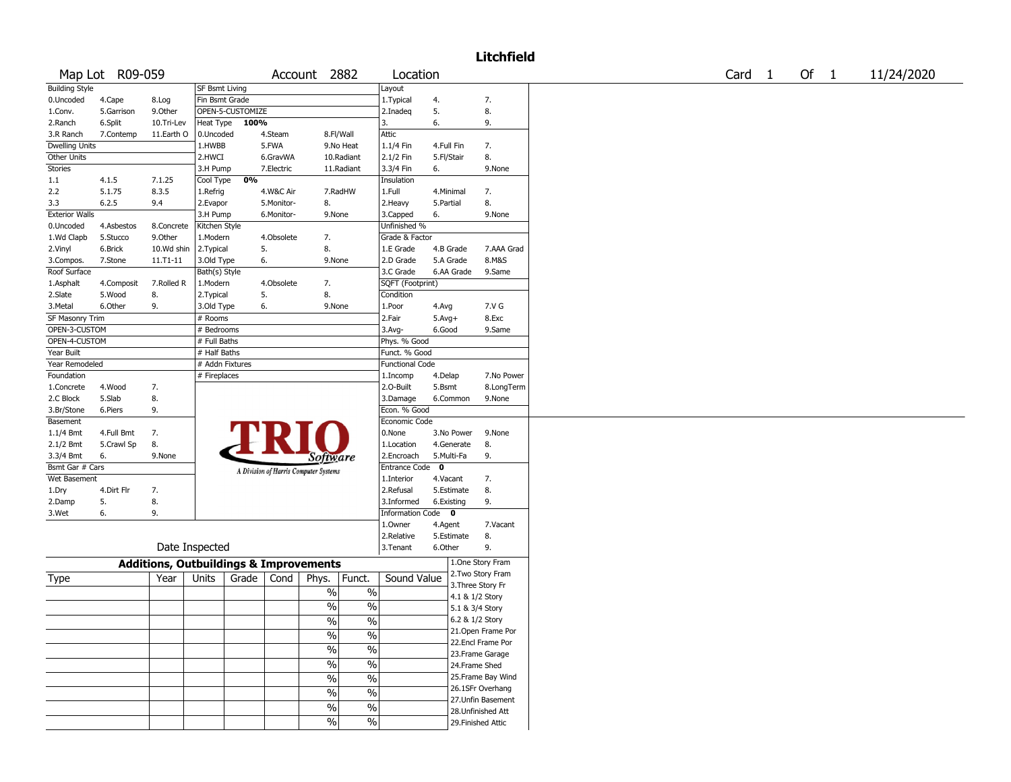## Litchfield

|                         | Map Lot R09-059  |                                                   |                  |           |             | Account 2882                          |                          | Location               |                         |                      | Card | $\mathbf{1}$ | Of | $\mathbf{1}$ | 11/24/2020 |
|-------------------------|------------------|---------------------------------------------------|------------------|-----------|-------------|---------------------------------------|--------------------------|------------------------|-------------------------|----------------------|------|--------------|----|--------------|------------|
| <b>Building Style</b>   |                  |                                                   | SF Bsmt Living   |           |             |                                       |                          | Layout                 |                         |                      |      |              |    |              |            |
| 0.Uncoded               | 4.Cape           | 8.Log                                             | Fin Bsmt Grade   |           |             |                                       |                          | 1. Typical             | 4.                      | 7.                   |      |              |    |              |            |
| 1.Conv.                 | 5.Garrison       | 9.Other                                           | OPEN-5-CUSTOMIZE |           |             |                                       |                          | 2.Inadeq               | 5.                      | 8.                   |      |              |    |              |            |
| 2.Ranch                 | 6.Split          | 10.Tri-Lev                                        | Heat Type 100%   |           |             |                                       |                          | 3.                     | 6.                      | 9.                   |      |              |    |              |            |
| 3.R Ranch               | 7.Contemp        | 11.Earth O                                        | 0.Uncoded        |           | 4.Steam     | 8.Fl/Wall                             |                          | Attic                  |                         |                      |      |              |    |              |            |
| <b>Dwelling Units</b>   |                  |                                                   | 1.HWBB           |           | 5.FWA       | 9.No Heat                             |                          | 1.1/4 Fin              | 4.Full Fin              | 7.                   |      |              |    |              |            |
| Other Units             |                  |                                                   | 2.HWCI           |           | 6.GravWA    |                                       | 10.Radiant               | 2.1/2 Fin              | 5.Fl/Stair              | 8.                   |      |              |    |              |            |
| Stories                 |                  |                                                   | 3.H Pump         |           | 7. Electric |                                       | 11.Radiant               | 3.3/4 Fin              | 6.                      | 9.None               |      |              |    |              |            |
| $1.1\,$                 | 4.1.5            | 7.1.25                                            | Cool Type        | 0%        |             |                                       |                          | Insulation             |                         |                      |      |              |    |              |            |
| 2.2                     | 5.1.75           | 8.3.5                                             | 1.Refrig         |           | 4.W&C Air   | 7.RadHW                               |                          | 1.Full                 | 4.Minimal               | 7.                   |      |              |    |              |            |
| 3.3                     | 6.2.5            | 9.4                                               | 2.Evapor         |           | 5.Monitor-  | 8.                                    |                          | 2. Heavy               | 5.Partial               | 8.                   |      |              |    |              |            |
| <b>Exterior Walls</b>   |                  |                                                   | 3.H Pump         |           | 6.Monitor-  | 9.None                                |                          | 3.Capped               | 6.                      | 9.None               |      |              |    |              |            |
| 0.Uncoded               | 4.Asbestos       | 8.Concrete                                        | Kitchen Style    |           |             |                                       |                          | Unfinished %           |                         |                      |      |              |    |              |            |
| 1.Wd Clapb              | 5.Stucco         | 9.Other                                           | 1.Modern         |           | 4.Obsolete  | 7.                                    |                          | Grade & Factor         |                         |                      |      |              |    |              |            |
| 2.Vinyl                 | 6.Brick          | 10.Wd shin                                        | 2. Typical       |           | 5.          | 8.                                    |                          | 1.E Grade              | 4.B Grade               | 7.AAA Grad           |      |              |    |              |            |
| 3.Compos.               | 7.Stone          | $11. T1 - 11$                                     | 3.Old Type       |           | 6.          | 9.None                                |                          | 2.D Grade              | 5.A Grade               | 8.M&S                |      |              |    |              |            |
| Roof Surface            |                  |                                                   | Bath(s) Style    |           |             |                                       |                          | 3.C Grade              | 6.AA Grade              | 9.Same               |      |              |    |              |            |
| 1.Asphalt               | 4.Composit       | 7.Rolled R                                        | 1.Modern         |           | 4.Obsolete  | 7.                                    |                          | SQFT (Footprint)       |                         |                      |      |              |    |              |            |
| 2.Slate                 | 5.Wood           | 8.                                                | 2.Typical        |           | 5.          | 8.                                    |                          | Condition              |                         |                      |      |              |    |              |            |
| 3.Metal                 | 6.Other          | 9.                                                | 3.Old Type       |           | 6.          | 9.None                                |                          | 1.Poor                 | 4.Avg                   | 7.V G                |      |              |    |              |            |
| <b>SF Masonry Trim</b>  |                  |                                                   | # Rooms          |           |             |                                       |                          | 2.Fair                 | $5.Avg+$                | 8.Exc                |      |              |    |              |            |
| OPEN-3-CUSTOM           |                  |                                                   | # Bedrooms       |           |             |                                       |                          | 3.Avg-                 | 6.Good                  | 9.Same               |      |              |    |              |            |
| OPEN-4-CUSTOM           |                  |                                                   | # Full Baths     |           |             |                                       |                          | Phys. % Good           |                         |                      |      |              |    |              |            |
| Year Built              |                  |                                                   | # Half Baths     |           |             |                                       |                          | Funct. % Good          |                         |                      |      |              |    |              |            |
| Year Remodeled          |                  |                                                   | # Addn Fixtures  |           |             |                                       |                          | <b>Functional Code</b> |                         |                      |      |              |    |              |            |
| Foundation              |                  |                                                   | # Fireplaces     |           |             |                                       |                          | 1.Incomp               | 4.Delap                 | 7.No Power           |      |              |    |              |            |
| 1.Concrete<br>2.C Block | 4.Wood<br>5.Slab | 7.                                                |                  |           |             |                                       |                          | 2.O-Built<br>3.Damage  | 5.Bsmt<br>6.Common      | 8.LongTerm<br>9.None |      |              |    |              |            |
| 3.Br/Stone              | 6.Piers          | 8.<br>9.                                          |                  |           |             |                                       |                          | Econ. % Good           |                         |                      |      |              |    |              |            |
| Basement                |                  |                                                   |                  |           |             |                                       |                          | Economic Code          |                         |                      |      |              |    |              |            |
| 1.1/4 Bmt               | 4.Full Bmt       | 7.                                                |                  |           |             |                                       |                          | 0.None                 | 3.No Power              | 9.None               |      |              |    |              |            |
| 2.1/2 Bmt               | 5.Crawl Sp       | 8.                                                |                  |           |             |                                       |                          | 1.Location             | 4.Generate              | 8.                   |      |              |    |              |            |
| 3.3/4 Bmt               | 6.               | 9.None                                            |                  |           |             | <b>Software</b>                       |                          | 2.Encroach             | 5.Multi-Fa              | 9.                   |      |              |    |              |            |
| Bsmt Gar # Cars         |                  |                                                   |                  |           |             |                                       |                          | Entrance Code          | $\overline{\mathbf{0}}$ |                      |      |              |    |              |            |
| Wet Basement            |                  |                                                   |                  |           |             | A Division of Harris Computer Systems |                          | 1.Interior             | 4.Vacant                | 7.                   |      |              |    |              |            |
| 1.Dry                   | 4.Dirt Flr       | 7.                                                |                  |           |             |                                       |                          | 2.Refusal              | 5.Estimate              | 8.                   |      |              |    |              |            |
| 2.Damp                  | 5.               | 8.                                                |                  |           |             |                                       |                          | 3.Informed             | 6.Existing              | 9.                   |      |              |    |              |            |
| 3.Wet                   | 6.               | 9.                                                |                  |           |             |                                       |                          | Information Code 0     |                         |                      |      |              |    |              |            |
|                         |                  |                                                   |                  |           |             |                                       |                          | 1.Owner                | 4.Agent                 | 7.Vacant             |      |              |    |              |            |
|                         |                  |                                                   |                  |           |             |                                       |                          | 2.Relative             | 5.Estimate              | 8.                   |      |              |    |              |            |
|                         |                  |                                                   | Date Inspected   |           |             |                                       |                          | 3.Tenant               | 6.Other                 | 9.                   |      |              |    |              |            |
|                         |                  | <b>Additions, Outbuildings &amp; Improvements</b> |                  |           |             |                                       |                          |                        |                         | 1.One Story Fram     |      |              |    |              |            |
|                         |                  |                                                   |                  |           |             |                                       |                          |                        |                         | 2. Two Story Fram    |      |              |    |              |            |
| Type                    |                  | Year                                              | Units            | Grade $ $ | Cond        | Phys.                                 | Funct.                   | Sound Value            |                         | 3. Three Story Fr    |      |              |    |              |            |
|                         |                  |                                                   |                  |           |             | $\%$                                  | $\%$                     |                        |                         | 4.1 & 1/2 Story      |      |              |    |              |            |
|                         |                  |                                                   |                  |           |             | $\%$                                  | $\overline{\frac{0}{6}}$ |                        |                         | 5.1 & 3/4 Story      |      |              |    |              |            |
|                         |                  |                                                   |                  |           |             | $\frac{0}{0}$                         | $\overline{\frac{0}{0}}$ |                        |                         | 6.2 & 1/2 Story      |      |              |    |              |            |
|                         |                  |                                                   |                  |           |             |                                       | $\overline{\frac{0}{0}}$ |                        |                         | 21. Open Frame Por   |      |              |    |              |            |
|                         |                  |                                                   |                  |           |             | $\%$                                  |                          |                        |                         | 22.Encl Frame Por    |      |              |    |              |            |
|                         |                  |                                                   |                  |           |             | $\%$                                  | $\frac{1}{2}$            |                        |                         | 23. Frame Garage     |      |              |    |              |            |
|                         |                  |                                                   |                  |           |             | $\%$                                  | $\overline{\frac{0}{0}}$ |                        |                         | 24.Frame Shed        |      |              |    |              |            |
|                         |                  |                                                   |                  |           |             | $\frac{0}{0}$                         | $\overline{\frac{0}{0}}$ |                        |                         | 25. Frame Bay Wind   |      |              |    |              |            |
|                         |                  |                                                   |                  |           |             | $\%$                                  | $\frac{1}{2}$            |                        |                         | 26.1SFr Overhang     |      |              |    |              |            |
|                         |                  |                                                   |                  |           |             |                                       |                          |                        |                         | 27.Unfin Basement    |      |              |    |              |            |
|                         |                  |                                                   |                  |           |             | $\overline{\frac{0}{0}}$              | $\overline{\frac{0}{6}}$ |                        |                         | 28. Unfinished Att   |      |              |    |              |            |
|                         |                  |                                                   |                  |           |             | $\frac{0}{0}$                         | $\%$                     |                        |                         | 29. Finished Attic   |      |              |    |              |            |
|                         |                  |                                                   |                  |           |             |                                       |                          |                        |                         |                      |      |              |    |              |            |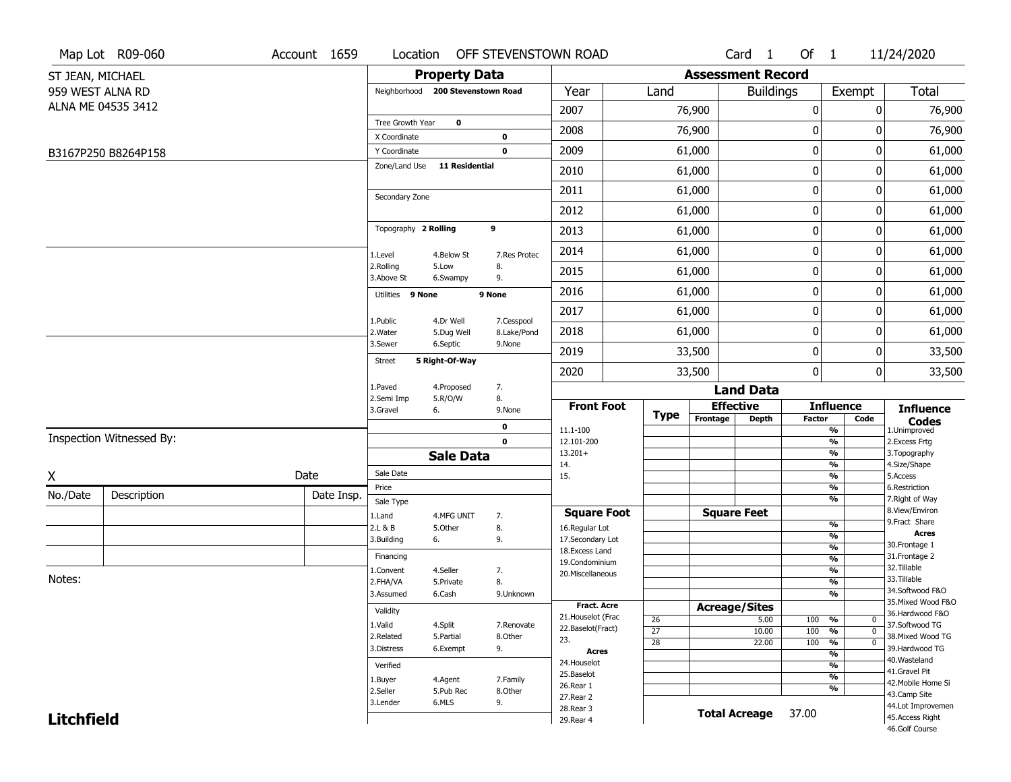|                   | Map Lot R09-060          | Account 1659 | Location                     |                                   | OFF STEVENSTOWN ROAD |                                   |                       |                          | Card <sub>1</sub>    | Of $1$           |                                 | 11/24/2020                          |
|-------------------|--------------------------|--------------|------------------------------|-----------------------------------|----------------------|-----------------------------------|-----------------------|--------------------------|----------------------|------------------|---------------------------------|-------------------------------------|
| ST JEAN, MICHAEL  |                          |              |                              | <b>Property Data</b>              |                      |                                   |                       | <b>Assessment Record</b> |                      |                  |                                 |                                     |
| 959 WEST ALNA RD  |                          |              |                              | Neighborhood 200 Stevenstown Road |                      | Year                              | Land                  |                          | <b>Buildings</b>     |                  | Exempt                          | <b>Total</b>                        |
|                   | ALNA ME 04535 3412       |              |                              |                                   |                      | 2007                              |                       | 76,900                   |                      | $\boldsymbol{0}$ | 0                               | 76,900                              |
|                   |                          |              | Tree Growth Year             | $\mathbf 0$                       |                      | 2008                              |                       | 76,900                   |                      | $\boldsymbol{0}$ | 0                               | 76,900                              |
|                   |                          |              | X Coordinate<br>Y Coordinate |                                   | 0<br>0               | 2009                              |                       | 61,000                   |                      | $\mathbf 0$      | 0                               | 61,000                              |
|                   | B3167P250 B8264P158      |              | Zone/Land Use                | <b>11 Residential</b>             |                      |                                   |                       |                          |                      |                  |                                 |                                     |
|                   |                          |              |                              |                                   |                      | 2010                              |                       | 61,000                   |                      | $\mathbf 0$      | 0                               | 61,000                              |
|                   |                          |              | Secondary Zone               |                                   |                      | 2011                              |                       | 61,000                   |                      | $\mathbf 0$      | 0                               | 61,000                              |
|                   |                          |              |                              |                                   |                      | 2012                              |                       | 61,000                   |                      | $\mathbf 0$      | 0                               | 61,000                              |
|                   |                          |              | Topography 2 Rolling         |                                   | 9                    | 2013                              |                       | 61,000                   |                      | $\boldsymbol{0}$ | 0                               | 61,000                              |
|                   |                          |              | 1.Level                      | 4.Below St                        | 7.Res Protec         | 2014                              |                       | 61,000                   |                      | $\boldsymbol{0}$ | 0                               | 61,000                              |
|                   |                          |              | 2.Rolling<br>3.Above St      | 5.Low<br>6.Swampy                 | 8.<br>9.             | 2015                              |                       | 61,000                   |                      | $\mathbf 0$      | 0                               | 61,000                              |
|                   |                          |              | Utilities 9 None             |                                   | 9 None               | 2016                              |                       | 61,000                   |                      | $\mathbf 0$      | 0                               | 61,000                              |
|                   |                          |              | 1.Public                     | 4.Dr Well                         | 7.Cesspool           | 2017                              |                       | 61,000                   |                      | $\mathbf 0$      | 0                               | 61,000                              |
|                   |                          |              | 2. Water                     | 5.Dug Well                        | 8.Lake/Pond          | 2018                              |                       | 61,000                   |                      | $\mathbf 0$      | 0                               | 61,000                              |
|                   |                          |              | 3.Sewer                      | 6.Septic                          | 9.None               | 2019                              |                       | 33,500                   |                      | $\mathbf 0$      | 0                               | 33,500                              |
|                   |                          |              | Street                       | 5 Right-Of-Way                    |                      | 2020                              |                       | 33,500                   |                      | $\boldsymbol{0}$ | 0                               | 33,500                              |
|                   |                          |              | 1.Paved                      | 4.Proposed                        | 7.                   |                                   |                       |                          | <b>Land Data</b>     |                  |                                 |                                     |
|                   |                          |              | 2.Semi Imp<br>3.Gravel       | 5.R/O/W<br>6.                     | 8.<br>9.None         | <b>Front Foot</b>                 |                       |                          | <b>Effective</b>     |                  | <b>Influence</b>                | <b>Influence</b>                    |
|                   |                          |              |                              |                                   | 0                    | 11.1-100                          | <b>Type</b>           | Frontage                 | <b>Depth</b>         | <b>Factor</b>    | Code<br>%                       | <b>Codes</b><br>1.Unimproved        |
|                   | Inspection Witnessed By: |              |                              |                                   | $\mathbf 0$          | 12.101-200                        |                       |                          |                      |                  | $\frac{9}{6}$                   | 2.Excess Frtg                       |
|                   |                          |              |                              | <b>Sale Data</b>                  |                      | $13.201+$<br>14.                  |                       |                          |                      |                  | %<br>$\frac{9}{6}$              | 3. Topography<br>4.Size/Shape       |
| X                 |                          | Date         | Sale Date                    |                                   |                      | 15.                               |                       |                          |                      |                  | %                               | 5.Access                            |
| No./Date          | Description              | Date Insp.   | Price                        |                                   |                      |                                   |                       |                          |                      |                  | %<br>%                          | 6.Restriction<br>7. Right of Way    |
|                   |                          |              | Sale Type<br>1.Land          | 4.MFG UNIT                        | 7.                   | <b>Square Foot</b>                |                       |                          | <b>Square Feet</b>   |                  |                                 | 8.View/Environ                      |
|                   |                          |              | 2.L & B                      | 5.Other                           | 8.                   | 16.Regular Lot                    |                       |                          |                      |                  | $\frac{9}{6}$                   | 9.Fract Share<br><b>Acres</b>       |
|                   |                          |              | 3.Building                   | 6.                                | 9.                   | 17.Secondary Lot                  |                       |                          |                      |                  | %<br>$\frac{9}{6}$              | 30. Frontage 1                      |
|                   |                          |              | Financing                    |                                   |                      | 18. Excess Land<br>19.Condominium |                       |                          |                      |                  | $\overline{\frac{9}{6}}$        | 31. Frontage 2                      |
|                   |                          |              | 1.Convent                    | 4.Seller                          | 7.                   | 20.Miscellaneous                  |                       |                          |                      |                  | $\frac{9}{6}$                   | 32.Tillable                         |
| Notes:            |                          |              | 2.FHA/VA                     | 5.Private                         | 8.                   |                                   |                       |                          |                      |                  | $\overline{\frac{9}{6}}$        | 33.Tillable<br>34.Softwood F&O      |
|                   |                          |              | 3.Assumed                    | 6.Cash                            | 9.Unknown            | <b>Fract. Acre</b>                |                       |                          |                      |                  | %                               | 35. Mixed Wood F&O                  |
|                   |                          |              | Validity                     |                                   |                      | 21. Houselot (Frac                |                       |                          | <b>Acreage/Sites</b> |                  |                                 | 36.Hardwood F&O                     |
|                   |                          |              | 1.Valid                      | 4.Split                           | 7.Renovate           | 22.Baselot(Fract)                 | 26<br>$\overline{27}$ |                          | 5.00<br>10.00        | 100<br>100       | %<br>0<br>$\overline{0}$<br>%   | 37.Softwood TG                      |
|                   |                          |              | 2.Related                    | 5.Partial                         | 8.Other              | 23.                               | $\overline{28}$       |                          | 22.00                | 100              | $\frac{9}{6}$<br>$\overline{0}$ | 38. Mixed Wood TG                   |
|                   |                          |              | 3.Distress                   | 6.Exempt                          | 9.                   | <b>Acres</b>                      |                       |                          |                      |                  | $\overline{\frac{9}{6}}$        | 39.Hardwood TG                      |
|                   |                          |              | Verified                     |                                   |                      | 24. Houselot                      |                       |                          |                      |                  | %                               | 40. Wasteland                       |
|                   |                          |              | 1.Buyer                      | 4.Agent                           | 7.Family             | 25.Baselot                        |                       |                          |                      |                  | $\frac{9}{6}$                   | 41.Gravel Pit<br>42. Mobile Home Si |
|                   |                          |              | 2.Seller                     | 5.Pub Rec                         | 8.Other              | 26.Rear 1<br>27.Rear 2            |                       |                          |                      |                  | %                               | 43.Camp Site                        |
|                   |                          |              | 3.Lender                     | 6.MLS                             | 9.                   | 28. Rear 3                        |                       |                          |                      |                  |                                 | 44.Lot Improvemen                   |
| <b>Litchfield</b> |                          |              |                              |                                   |                      | 29. Rear 4                        |                       |                          | <b>Total Acreage</b> | 37.00            |                                 | 45.Access Right                     |
|                   |                          |              |                              |                                   |                      |                                   |                       |                          |                      |                  |                                 | 46.Golf Course                      |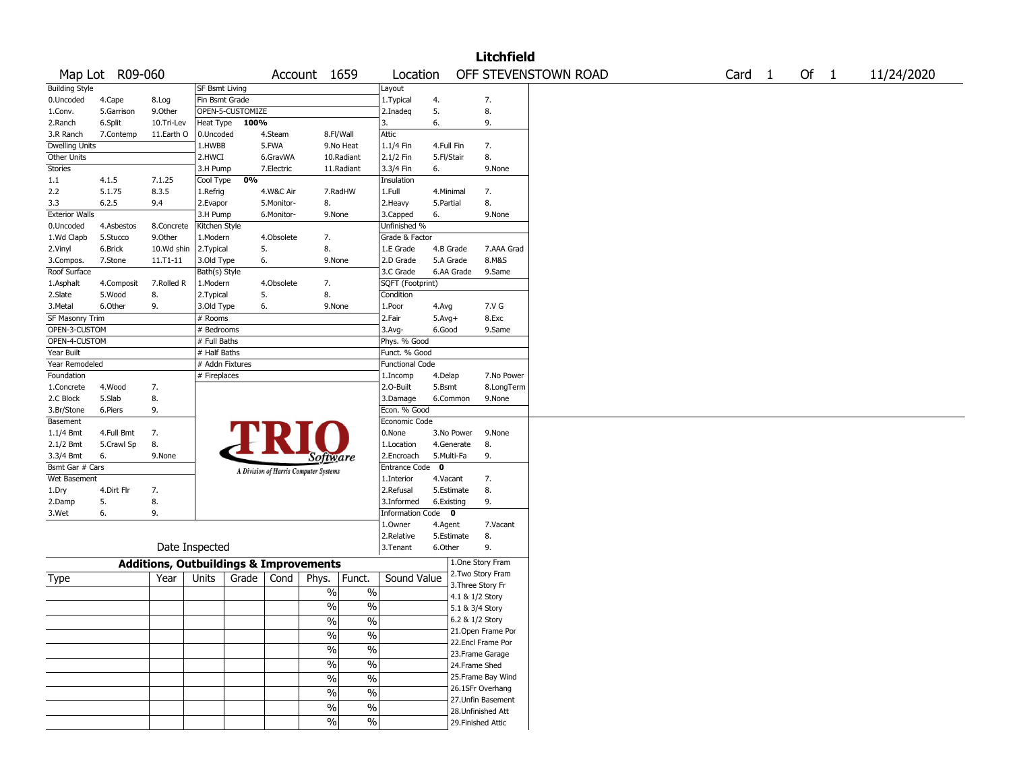|                       |                 |                                                   |                       |                  |            |                                       |                          |                        |             |                   | <b>Litchfield</b>  |                      |  |        |        |            |
|-----------------------|-----------------|---------------------------------------------------|-----------------------|------------------|------------|---------------------------------------|--------------------------|------------------------|-------------|-------------------|--------------------|----------------------|--|--------|--------|------------|
|                       | Map Lot R09-060 |                                                   |                       |                  |            | Account 1659                          |                          | Location               |             |                   |                    | OFF STEVENSTOWN ROAD |  | Card 1 | Of $1$ | 11/24/2020 |
| <b>Building Style</b> |                 |                                                   | <b>SF Bsmt Living</b> |                  |            |                                       |                          | Layout                 |             |                   |                    |                      |  |        |        |            |
| 0.Uncoded             | 4.Cape          | 8.Log                                             | Fin Bsmt Grade        |                  |            |                                       |                          | 1. Typical             | 4.          |                   | 7.                 |                      |  |        |        |            |
| 1.Conv.               | 5.Garrison      | 9.Other                                           |                       | OPEN-5-CUSTOMIZE |            |                                       |                          | 2.Inadeq               | 5.          |                   | 8.                 |                      |  |        |        |            |
| 2.Ranch               | 6.Split         | 10.Tri-Lev                                        | Heat Type             | 100%             |            |                                       |                          | 3.                     | 6.          |                   | 9.                 |                      |  |        |        |            |
| 3.R Ranch             | 7.Contemp       | 11.Earth O                                        | 0.Uncoded             |                  | 4.Steam    |                                       | 8.Fl/Wall                | Attic                  |             |                   |                    |                      |  |        |        |            |
| Dwelling Units        |                 |                                                   | 1.HWBB                |                  | 5.FWA      |                                       | 9.No Heat                | 1.1/4 Fin              | 4.Full Fin  |                   | 7.                 |                      |  |        |        |            |
| Other Units           |                 |                                                   | 2.HWCI                |                  | 6.GravWA   |                                       | 10.Radiant               | 2.1/2 Fin              | 5.Fl/Stair  |                   | 8.                 |                      |  |        |        |            |
| Stories               |                 |                                                   | 3.H Pump              |                  | 7.Electric |                                       | 11.Radiant               | 3.3/4 Fin              | 6.          |                   | 9.None             |                      |  |        |        |            |
| 1.1                   | 4.1.5           | 7.1.25                                            | Cool Type             | 0%               |            |                                       |                          | Insulation             |             |                   |                    |                      |  |        |        |            |
| 2.2                   | 5.1.75          | 8.3.5                                             | 1.Refrig              |                  | 4.W&C Air  |                                       | 7.RadHW                  | 1.Full                 | 4.Minimal   |                   | 7.                 |                      |  |        |        |            |
| 3.3                   | 6.2.5           | 9.4                                               | 2.Evapor              |                  | 5.Monitor- | 8.                                    |                          | 2. Heavy               | 5.Partial   |                   | 8.                 |                      |  |        |        |            |
| <b>Exterior Walls</b> |                 |                                                   | 3.H Pump              |                  | 6.Monitor- | 9.None                                |                          | 3.Capped               | 6.          |                   | 9.None             |                      |  |        |        |            |
| 0.Uncoded             | 4.Asbestos      | 8.Concrete                                        | Kitchen Style         |                  |            |                                       |                          | Unfinished %           |             |                   |                    |                      |  |        |        |            |
| 1.Wd Clapb            | 5.Stucco        | 9.0ther                                           | 1.Modern              |                  | 4.Obsolete | 7.                                    |                          | Grade & Factor         |             |                   |                    |                      |  |        |        |            |
| 2.Vinyl               | 6.Brick         | 10.Wd shin                                        | 2.Typical             |                  | 5.         | 8.                                    |                          | 1.E Grade              | 4.B Grade   |                   | 7.AAA Grad         |                      |  |        |        |            |
| 3.Compos.             | 7.Stone         | $11.71 - 11$                                      | 3.Old Type            |                  | 6.         | 9.None                                |                          | 2.D Grade              | 5.A Grade   |                   | 8.M&S              |                      |  |        |        |            |
| Roof Surface          |                 |                                                   | Bath(s) Style         |                  |            |                                       |                          | 3.C Grade              | 6.AA Grade  |                   | 9.Same             |                      |  |        |        |            |
| 1.Asphalt             | 4.Composit      | 7.Rolled R                                        | 1.Modern              |                  | 4.Obsolete | 7.                                    |                          | SQFT (Footprint)       |             |                   |                    |                      |  |        |        |            |
| 2.Slate               | 5.Wood          | 8.                                                | 2. Typical            |                  | 5.         | 8.                                    |                          | Condition              |             |                   |                    |                      |  |        |        |            |
| 3.Metal               | 6.Other         | 9.                                                | 3.Old Type            |                  | 6.         | 9.None                                |                          | 1.Poor                 | 4.Avg       |                   | 7.V G              |                      |  |        |        |            |
| SF Masonry Trim       |                 |                                                   | # Rooms               |                  |            |                                       |                          | 2.Fair                 | $5.Avg+$    |                   | 8.Exc              |                      |  |        |        |            |
| OPEN-3-CUSTOM         |                 |                                                   | # Bedrooms            |                  |            |                                       |                          | 3.Avg-                 | 6.Good      |                   | 9.Same             |                      |  |        |        |            |
| OPEN-4-CUSTOM         |                 |                                                   | # Full Baths          |                  |            |                                       |                          | Phys. % Good           |             |                   |                    |                      |  |        |        |            |
| Year Built            |                 |                                                   | # Half Baths          |                  |            |                                       |                          | Funct. % Good          |             |                   |                    |                      |  |        |        |            |
| Year Remodeled        |                 |                                                   | # Addn Fixtures       |                  |            |                                       |                          | <b>Functional Code</b> |             |                   |                    |                      |  |        |        |            |
| Foundation            |                 |                                                   | # Fireplaces          |                  |            |                                       |                          | 1.Incomp               | 4.Delap     |                   | 7.No Power         |                      |  |        |        |            |
| 1.Concrete            | 4.Wood          | 7.                                                |                       |                  |            |                                       |                          | 2.0-Built              | 5.Bsmt      |                   | 8.LongTerm         |                      |  |        |        |            |
| 2.C Block             | 5.Slab          | 8.                                                |                       |                  |            |                                       |                          | 3.Damage               | 6.Common    |                   | 9.None             |                      |  |        |        |            |
| 3.Br/Stone            | 6.Piers         | 9.                                                |                       |                  |            |                                       |                          | Econ. % Good           |             |                   |                    |                      |  |        |        |            |
| Basement              |                 |                                                   |                       |                  |            |                                       |                          | Economic Code          |             |                   |                    |                      |  |        |        |            |
| 1.1/4 Bmt             | 4.Full Bmt      | 7.                                                |                       |                  | FRI        |                                       |                          | 0.None                 | 3.No Power  |                   | 9.None             |                      |  |        |        |            |
| 2.1/2 Bmt             | 5.Crawl Sp      | 8.                                                |                       |                  |            |                                       |                          | 1.Location             | 4.Generate  |                   | 8.                 |                      |  |        |        |            |
| 3.3/4 Bmt             | 6.              | 9.None                                            |                       |                  |            | Software                              |                          | 2.Encroach             | 5.Multi-Fa  |                   | 9.                 |                      |  |        |        |            |
| Bsmt Gar # Cars       |                 |                                                   |                       |                  |            |                                       |                          | Entrance Code          | $\mathbf 0$ |                   |                    |                      |  |        |        |            |
| Wet Basement          |                 |                                                   |                       |                  |            | A Division of Harris Computer Systems |                          | 1.Interior             | 4.Vacant    |                   | 7.                 |                      |  |        |        |            |
| 1.Dry                 | 4.Dirt Flr      | 7.                                                |                       |                  |            |                                       |                          | 2.Refusal              | 5.Estimate  |                   | 8.                 |                      |  |        |        |            |
| 2.Damp                | 5.              | 8.                                                |                       |                  |            |                                       |                          | 3.Informed             | 6.Existing  |                   | 9.                 |                      |  |        |        |            |
| 3.Wet                 | 6.              | 9.                                                |                       |                  |            |                                       |                          | Information Code 0     |             |                   |                    |                      |  |        |        |            |
|                       |                 |                                                   |                       |                  |            |                                       |                          | 1.0wner                | 4.Agent     |                   | 7.Vacant           |                      |  |        |        |            |
|                       |                 |                                                   |                       |                  |            |                                       |                          | 2.Relative             | 5.Estimate  |                   | 8.                 |                      |  |        |        |            |
|                       |                 |                                                   | Date Inspected        |                  |            |                                       |                          | 3. Tenant              | 6.Other     |                   | 9.                 |                      |  |        |        |            |
|                       |                 |                                                   |                       |                  |            |                                       |                          |                        |             |                   |                    |                      |  |        |        |            |
|                       |                 | <b>Additions, Outbuildings &amp; Improvements</b> |                       |                  |            |                                       |                          |                        |             |                   | 1.One Story Fram   |                      |  |        |        |            |
| Type                  |                 | Year                                              | Units                 | Grade            | Cond       | Phys.                                 | Funct.                   | Sound Value            |             |                   | 2. Two Story Fram  |                      |  |        |        |            |
|                       |                 |                                                   |                       |                  |            | $\sqrt{6}$                            | $\%$                     |                        |             | 3. Three Story Fr |                    |                      |  |        |        |            |
|                       |                 |                                                   |                       |                  |            |                                       |                          |                        |             | 4.1 & 1/2 Story   |                    |                      |  |        |        |            |
|                       |                 |                                                   |                       |                  |            | $\frac{0}{0}$                         | $\%$                     |                        |             | 5.1 & 3/4 Story   |                    |                      |  |        |        |            |
|                       |                 |                                                   |                       |                  |            | $\%$                                  | $\overline{\frac{0}{6}}$ |                        |             | 6.2 & 1/2 Story   |                    |                      |  |        |        |            |
|                       |                 |                                                   |                       |                  |            | $\sqrt{6}$                            | $\overline{\frac{0}{0}}$ |                        |             |                   | 21.Open Frame Por  |                      |  |        |        |            |
|                       |                 |                                                   |                       |                  |            | $\frac{1}{2}$                         | $\overline{\frac{0}{6}}$ |                        |             |                   | 22.Encl Frame Por  |                      |  |        |        |            |
|                       |                 |                                                   |                       |                  |            |                                       |                          |                        |             |                   | 23. Frame Garage   |                      |  |        |        |            |
|                       |                 |                                                   |                       |                  |            | $\frac{1}{2}$                         | $\overline{\frac{0}{0}}$ |                        |             | 24.Frame Shed     |                    |                      |  |        |        |            |
|                       |                 |                                                   |                       |                  |            | $\sqrt{6}$                            | $\overline{\frac{0}{0}}$ |                        |             |                   | 25. Frame Bay Wind |                      |  |        |        |            |
|                       |                 |                                                   |                       |                  |            | $\sqrt{6}$                            | $\overline{\frac{0}{0}}$ |                        |             |                   | 26.1SFr Overhang   |                      |  |        |        |            |
|                       |                 |                                                   |                       |                  |            |                                       | $\overline{\frac{0}{0}}$ |                        |             |                   | 27.Unfin Basement  |                      |  |        |        |            |
|                       |                 |                                                   |                       |                  |            | $\sqrt{6}$                            |                          |                        |             |                   | 28. Unfinished Att |                      |  |        |        |            |
|                       |                 |                                                   |                       |                  |            | %                                     | $\%$                     |                        |             |                   | 29. Finished Attic |                      |  |        |        |            |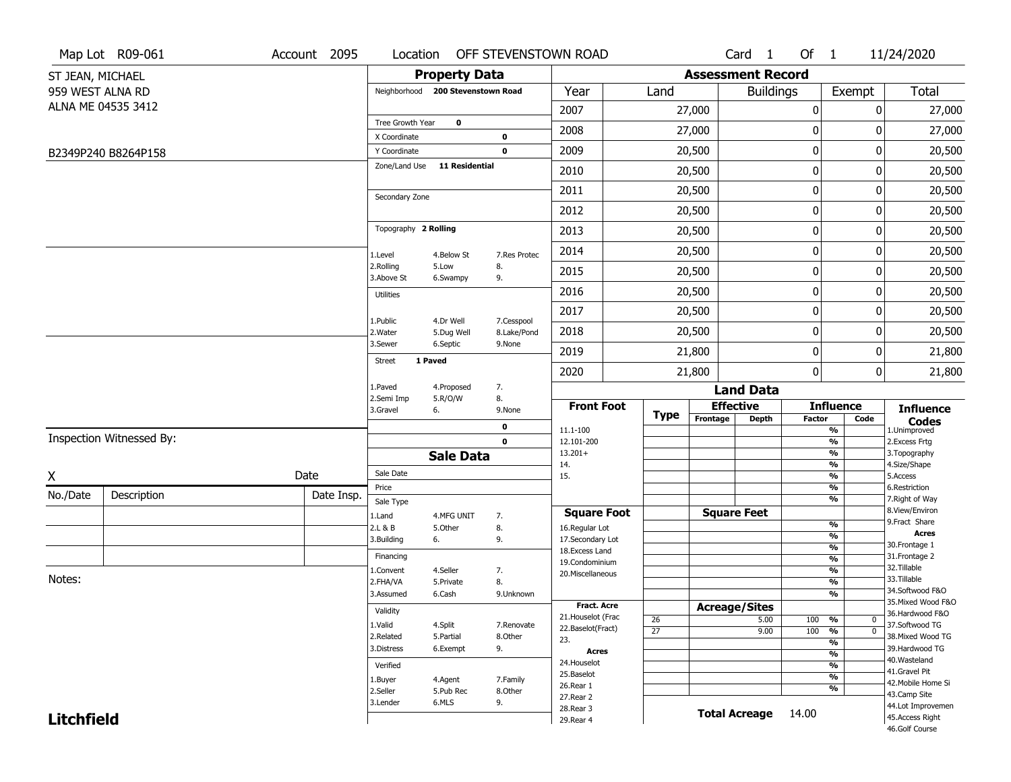| <b>Assessment Record</b><br><b>Property Data</b><br>ST JEAN, MICHAEL<br>959 WEST ALNA RD<br>Year<br>Land<br><b>Buildings</b><br>Exempt<br>Neighborhood 200 Stevenstown Road<br>ALNA ME 04535 3412<br>2007<br>27,000<br>0<br>0<br>Tree Growth Year<br>$\mathbf 0$<br>0<br>2008<br>27,000<br>0<br>X Coordinate<br>0<br>$\pmb{0}$<br>2009<br>20,500<br>0<br>Y Coordinate<br>0<br>B2349P240 B8264P158<br>Zone/Land Use<br><b>11 Residential</b><br>0<br>2010<br>20,500<br>0<br>$\mathbf 0$<br>2011<br>20,500<br>0<br>Secondary Zone<br>0<br>2012<br>20,500<br>0<br>Topography 2 Rolling<br>$\pmb{0}$<br>2013<br>20,500<br>0 | Total<br>27,000<br>27,000<br>20,500<br>20,500<br>20,500<br>20,500<br>20,500 |
|-------------------------------------------------------------------------------------------------------------------------------------------------------------------------------------------------------------------------------------------------------------------------------------------------------------------------------------------------------------------------------------------------------------------------------------------------------------------------------------------------------------------------------------------------------------------------------------------------------------------------|-----------------------------------------------------------------------------|
|                                                                                                                                                                                                                                                                                                                                                                                                                                                                                                                                                                                                                         |                                                                             |
|                                                                                                                                                                                                                                                                                                                                                                                                                                                                                                                                                                                                                         |                                                                             |
|                                                                                                                                                                                                                                                                                                                                                                                                                                                                                                                                                                                                                         |                                                                             |
|                                                                                                                                                                                                                                                                                                                                                                                                                                                                                                                                                                                                                         |                                                                             |
|                                                                                                                                                                                                                                                                                                                                                                                                                                                                                                                                                                                                                         |                                                                             |
|                                                                                                                                                                                                                                                                                                                                                                                                                                                                                                                                                                                                                         |                                                                             |
|                                                                                                                                                                                                                                                                                                                                                                                                                                                                                                                                                                                                                         |                                                                             |
|                                                                                                                                                                                                                                                                                                                                                                                                                                                                                                                                                                                                                         |                                                                             |
|                                                                                                                                                                                                                                                                                                                                                                                                                                                                                                                                                                                                                         |                                                                             |
|                                                                                                                                                                                                                                                                                                                                                                                                                                                                                                                                                                                                                         |                                                                             |
| 0<br>2014<br>20,500<br>0<br>4.Below St<br>7.Res Protec<br>1.Level                                                                                                                                                                                                                                                                                                                                                                                                                                                                                                                                                       | 20,500                                                                      |
| 2.Rolling<br>5.Low<br>8.<br>0<br>2015<br>20,500<br>0<br>3.Above St<br>9.<br>6.Swampy                                                                                                                                                                                                                                                                                                                                                                                                                                                                                                                                    | 20,500                                                                      |
| $\pmb{0}$<br>2016<br>20,500<br>0<br><b>Utilities</b>                                                                                                                                                                                                                                                                                                                                                                                                                                                                                                                                                                    | 20,500                                                                      |
| $\pmb{0}$<br>2017<br>20,500<br>0                                                                                                                                                                                                                                                                                                                                                                                                                                                                                                                                                                                        | 20,500                                                                      |
| 4.Dr Well<br>7.Cesspool<br>1.Public<br>0<br>2018<br>20,500<br>0<br>2. Water<br>5.Dug Well<br>8.Lake/Pond                                                                                                                                                                                                                                                                                                                                                                                                                                                                                                                | 20,500                                                                      |
| 3.Sewer<br>6.Septic<br>9.None<br>0<br>2019<br>21,800<br>0                                                                                                                                                                                                                                                                                                                                                                                                                                                                                                                                                               | 21,800                                                                      |
| 1 Paved<br><b>Street</b><br>0<br>2020<br>21,800<br>0                                                                                                                                                                                                                                                                                                                                                                                                                                                                                                                                                                    | 21,800                                                                      |
| 1.Paved<br>7.<br>4.Proposed<br><b>Land Data</b>                                                                                                                                                                                                                                                                                                                                                                                                                                                                                                                                                                         |                                                                             |
| 8.<br>2.Semi Imp<br>5.R/O/W<br><b>Front Foot</b><br><b>Effective</b><br><b>Influence</b><br>3.Gravel<br>6.<br>9.None                                                                                                                                                                                                                                                                                                                                                                                                                                                                                                    | <b>Influence</b>                                                            |
| <b>Type</b><br>Frontage<br><b>Depth</b><br><b>Factor</b><br>Code<br>0<br>11.1-100<br>%                                                                                                                                                                                                                                                                                                                                                                                                                                                                                                                                  | <b>Codes</b><br>1.Unimproved                                                |
| Inspection Witnessed By:<br>$\frac{9}{6}$<br>$\mathbf 0$<br>12.101-200                                                                                                                                                                                                                                                                                                                                                                                                                                                                                                                                                  | 2. Excess Frtg                                                              |
| $13.201+$<br>%<br><b>Sale Data</b><br>14.<br>%                                                                                                                                                                                                                                                                                                                                                                                                                                                                                                                                                                          | 3. Topography<br>4.Size/Shape                                               |
| Sale Date<br>Date<br>X<br>$\frac{9}{6}$<br>15.<br>5.Access                                                                                                                                                                                                                                                                                                                                                                                                                                                                                                                                                              |                                                                             |
| Price<br>%<br>No./Date<br>Description<br>Date Insp.                                                                                                                                                                                                                                                                                                                                                                                                                                                                                                                                                                     | 6.Restriction                                                               |
| %<br>Sale Type<br><b>Square Feet</b><br><b>Square Foot</b>                                                                                                                                                                                                                                                                                                                                                                                                                                                                                                                                                              | 7. Right of Way<br>8.View/Environ                                           |
| 1.Land<br>4.MFG UNIT<br>7.<br>$\frac{9}{6}$<br>8.<br>2.L & B<br>5.Other<br>16.Regular Lot                                                                                                                                                                                                                                                                                                                                                                                                                                                                                                                               | 9. Fract Share                                                              |
| $\overline{\frac{9}{6}}$<br>3.Building<br>9.<br>17.Secondary Lot<br>6.                                                                                                                                                                                                                                                                                                                                                                                                                                                                                                                                                  | <b>Acres</b>                                                                |
| $\frac{9}{6}$<br>18.Excess Land<br>Financing<br>$\frac{9}{6}$                                                                                                                                                                                                                                                                                                                                                                                                                                                                                                                                                           | 30.Frontage 1<br>31. Frontage 2                                             |
| 19.Condominium<br>$\frac{9}{6}$<br>4.Seller<br>7.<br>1.Convent<br>20.Miscellaneous                                                                                                                                                                                                                                                                                                                                                                                                                                                                                                                                      | 32.Tillable                                                                 |
| Notes:<br>8.<br>$\frac{9}{6}$<br>2.FHA/VA<br>5.Private                                                                                                                                                                                                                                                                                                                                                                                                                                                                                                                                                                  | 33.Tillable                                                                 |
| $\overline{\frac{9}{6}}$<br>3.Assumed<br>6.Cash<br>9.Unknown                                                                                                                                                                                                                                                                                                                                                                                                                                                                                                                                                            | 34.Softwood F&O<br>35. Mixed Wood F&O                                       |
| <b>Fract. Acre</b><br><b>Acreage/Sites</b><br>Validity                                                                                                                                                                                                                                                                                                                                                                                                                                                                                                                                                                  | 36.Hardwood F&O                                                             |
| 21. Houselot (Frac<br>26<br>5.00<br>100<br>%<br>0<br>1.Valid<br>4.Split<br>7.Renovate<br>22.Baselot(Fract)                                                                                                                                                                                                                                                                                                                                                                                                                                                                                                              | 37.Softwood TG                                                              |
| $\overline{27}$<br>100<br>$\overline{0}$<br>9.00<br>$\frac{9}{6}$<br>2.Related<br>5.Partial<br>8.Other<br>23.<br>$\frac{9}{6}$                                                                                                                                                                                                                                                                                                                                                                                                                                                                                          | 38. Mixed Wood TG                                                           |
| 3.Distress<br>6.Exempt<br>9.<br><b>Acres</b><br>$\frac{9}{6}$                                                                                                                                                                                                                                                                                                                                                                                                                                                                                                                                                           | 39.Hardwood TG                                                              |
| 24. Houselot<br>$\frac{9}{6}$<br>Verified                                                                                                                                                                                                                                                                                                                                                                                                                                                                                                                                                                               | 40. Wasteland                                                               |
| 25.Baselot<br>$\frac{9}{6}$<br>4.Agent<br>7.Family<br>1.Buyer                                                                                                                                                                                                                                                                                                                                                                                                                                                                                                                                                           | 41.Gravel Pit<br>42. Mobile Home Si                                         |
| 26.Rear 1<br>%<br>2.Seller<br>5.Pub Rec<br>8.Other<br>27.Rear 2                                                                                                                                                                                                                                                                                                                                                                                                                                                                                                                                                         | 43.Camp Site                                                                |
| 6.MLS<br>9.<br>3.Lender<br>28. Rear 3                                                                                                                                                                                                                                                                                                                                                                                                                                                                                                                                                                                   | 44.Lot Improvemen                                                           |
| <b>Total Acreage</b><br>14.00<br><b>Litchfield</b><br>29. Rear 4                                                                                                                                                                                                                                                                                                                                                                                                                                                                                                                                                        | 45.Access Right<br>46.Golf Course                                           |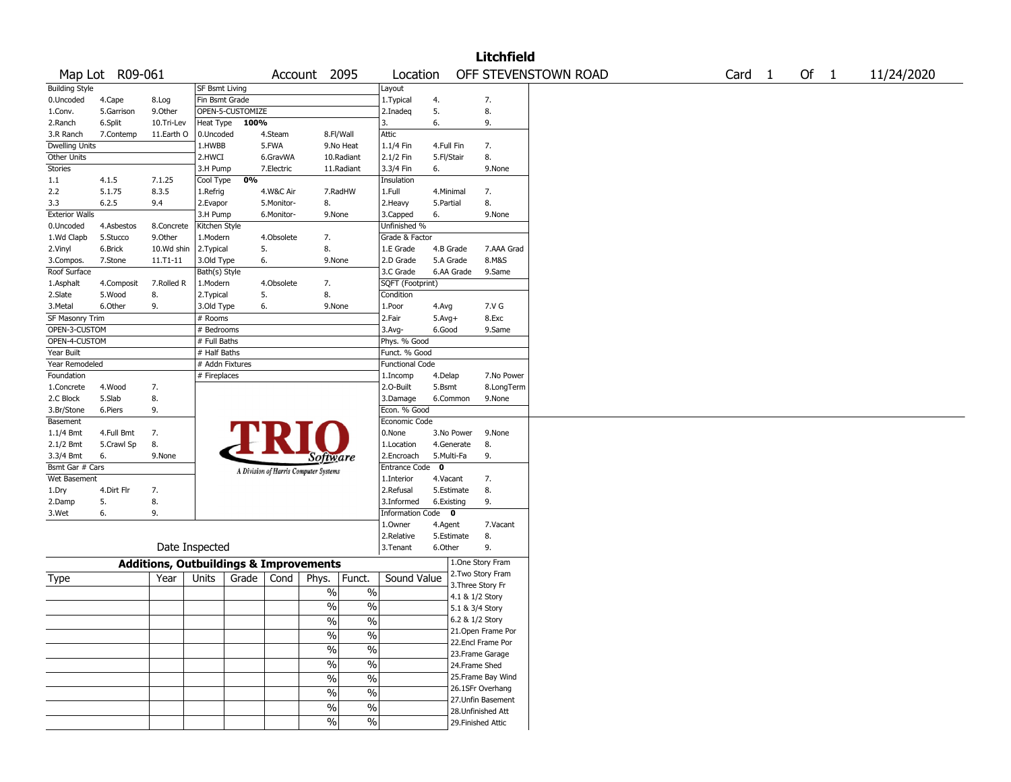|                           |                    |                                                   |                         |                  |                  |                                       |                          |                                  |             |                 | <b>Litchfield</b>                        |                      |                   |        |            |
|---------------------------|--------------------|---------------------------------------------------|-------------------------|------------------|------------------|---------------------------------------|--------------------------|----------------------------------|-------------|-----------------|------------------------------------------|----------------------|-------------------|--------|------------|
|                           | Map Lot R09-061    |                                                   |                         |                  |                  | Account 2095                          |                          | Location                         |             |                 |                                          | OFF STEVENSTOWN ROAD | Card <sub>1</sub> | Of $1$ | 11/24/2020 |
| <b>Building Style</b>     |                    |                                                   | <b>SF Bsmt Living</b>   |                  |                  |                                       |                          | Layout                           |             |                 |                                          |                      |                   |        |            |
| 0.Uncoded                 | 4.Cape             | 8.Log                                             | Fin Bsmt Grade          |                  |                  |                                       |                          | 1. Typical                       | 4.          |                 | 7.                                       |                      |                   |        |            |
| 1.Conv.                   | 5.Garrison         | 9.Other                                           |                         | OPEN-5-CUSTOMIZE |                  |                                       |                          | 2.Inadeq                         | 5.          |                 | 8.                                       |                      |                   |        |            |
| 2.Ranch                   | 6.Split            | 10.Tri-Lev                                        | Heat Type               | 100%             |                  |                                       |                          | 3.                               | 6.          |                 | 9.                                       |                      |                   |        |            |
| 3.R Ranch                 | 7.Contemp          | 11.Earth O                                        | 0.Uncoded               |                  | 4.Steam          | 8.Fl/Wall                             |                          | Attic                            |             |                 |                                          |                      |                   |        |            |
| Dwelling Units            |                    |                                                   | 1.HWBB                  |                  | 5.FWA            |                                       | 9.No Heat                | 1.1/4 Fin                        | 4.Full Fin  |                 | 7.                                       |                      |                   |        |            |
| Other Units               |                    |                                                   | 2.HWCI                  |                  | 6.GravWA         |                                       | 10.Radiant               | 2.1/2 Fin                        | 5.Fl/Stair  |                 | 8.                                       |                      |                   |        |            |
| Stories                   |                    |                                                   | 3.H Pump                |                  | 7.Electric       |                                       | 11.Radiant               | 3.3/4 Fin                        | 6.          |                 | 9.None                                   |                      |                   |        |            |
| 1.1                       | 4.1.5              | 7.1.25                                            | Cool Type               | 0%               |                  |                                       |                          | Insulation                       |             |                 |                                          |                      |                   |        |            |
| 2.2                       | 5.1.75             | 8.3.5                                             | 1.Refrig                |                  | 4.W&C Air        |                                       | 7.RadHW                  | 1.Full                           | 4.Minimal   |                 | 7.                                       |                      |                   |        |            |
| 3.3                       | 6.2.5              | 9.4                                               | 2.Evapor                |                  | 5.Monitor-       | 8.                                    |                          | 2. Heavy                         | 5.Partial   |                 | 8.                                       |                      |                   |        |            |
| <b>Exterior Walls</b>     |                    |                                                   | 3.H Pump                |                  | 6.Monitor-       | 9.None                                |                          | 3.Capped                         | 6.          |                 | 9.None                                   |                      |                   |        |            |
| 0.Uncoded                 | 4.Asbestos         | 8.Concrete                                        | Kitchen Style           |                  |                  |                                       |                          | Unfinished %<br>Grade & Factor   |             |                 |                                          |                      |                   |        |            |
| 1.Wd Clapb                | 5.Stucco           | 9.0ther                                           | 1.Modern                |                  | 4.Obsolete<br>5. | 7.<br>8.                              |                          |                                  | 4.B Grade   |                 | 7.AAA Grad                               |                      |                   |        |            |
| 2.Vinyl                   | 6.Brick<br>7.Stone | 10.Wd shin<br>11.T1-11                            | 2.Typical<br>3.Old Type |                  | 6.               | 9.None                                |                          | 1.E Grade<br>2.D Grade           | 5.A Grade   |                 | 8.M&S                                    |                      |                   |        |            |
| 3.Compos.<br>Roof Surface |                    |                                                   | Bath(s) Style           |                  |                  |                                       |                          | 3.C Grade                        |             | 6.AA Grade      | 9.Same                                   |                      |                   |        |            |
| 1.Asphalt                 | 4.Composit         | 7.Rolled R                                        | 1.Modern                |                  | 4.Obsolete       | 7.                                    |                          | SQFT (Footprint)                 |             |                 |                                          |                      |                   |        |            |
| 2.Slate                   | 5.Wood             | 8.                                                | 2. Typical              |                  | 5.               | 8.                                    |                          | Condition                        |             |                 |                                          |                      |                   |        |            |
| 3.Metal                   | 6.Other            | 9.                                                | 3.Old Type              |                  | 6.               | 9.None                                |                          | 1.Poor                           | 4.Avg       |                 | 7.V G                                    |                      |                   |        |            |
| SF Masonry Trim           |                    |                                                   | # Rooms                 |                  |                  |                                       |                          | 2.Fair                           | $5.Avg+$    |                 | 8.Exc                                    |                      |                   |        |            |
| OPEN-3-CUSTOM             |                    |                                                   | # Bedrooms              |                  |                  |                                       |                          | 3.Avg-                           | 6.Good      |                 | 9.Same                                   |                      |                   |        |            |
| OPEN-4-CUSTOM             |                    |                                                   | # Full Baths            |                  |                  |                                       |                          | Phys. % Good                     |             |                 |                                          |                      |                   |        |            |
| Year Built                |                    |                                                   | # Half Baths            |                  |                  |                                       |                          | Funct. % Good                    |             |                 |                                          |                      |                   |        |            |
| Year Remodeled            |                    |                                                   | # Addn Fixtures         |                  |                  |                                       |                          | <b>Functional Code</b>           |             |                 |                                          |                      |                   |        |            |
| Foundation                |                    |                                                   | # Fireplaces            |                  |                  |                                       |                          | 1.Incomp                         | 4.Delap     |                 | 7.No Power                               |                      |                   |        |            |
| 1.Concrete                | 4.Wood             | 7.                                                |                         |                  |                  |                                       |                          | 2.0-Built                        | 5.Bsmt      |                 | 8.LongTerm                               |                      |                   |        |            |
| 2.C Block                 | 5.Slab             | 8.                                                |                         |                  |                  |                                       |                          | 3.Damage                         |             | 6.Common        | 9.None                                   |                      |                   |        |            |
| 3.Br/Stone                | 6.Piers            | 9.                                                |                         |                  |                  |                                       |                          | Econ. % Good                     |             |                 |                                          |                      |                   |        |            |
| Basement                  |                    |                                                   |                         |                  |                  |                                       |                          | Economic Code                    |             |                 |                                          |                      |                   |        |            |
| 1.1/4 Bmt                 | 4.Full Bmt         | 7.                                                |                         |                  | PRI              |                                       |                          | 0.None                           |             | 3.No Power      | 9.None                                   |                      |                   |        |            |
| 2.1/2 Bmt                 | 5.Crawl Sp         | 8.                                                |                         |                  |                  |                                       |                          | 1.Location                       |             | 4.Generate      | 8.                                       |                      |                   |        |            |
| 3.3/4 Bmt                 | 6.                 | 9.None                                            |                         |                  |                  | Software                              |                          | 2.Encroach                       | 5.Multi-Fa  |                 | 9.                                       |                      |                   |        |            |
| Bsmt Gar # Cars           |                    |                                                   |                         |                  |                  | A Division of Harris Computer Systems |                          | Entrance Code                    | $\mathbf 0$ |                 |                                          |                      |                   |        |            |
| Wet Basement              |                    |                                                   |                         |                  |                  |                                       |                          | 1.Interior                       | 4.Vacant    |                 | 7.                                       |                      |                   |        |            |
| 1.Dry                     | 4.Dirt Flr         | 7.                                                |                         |                  |                  |                                       |                          | 2.Refusal                        |             | 5.Estimate      | 8.                                       |                      |                   |        |            |
| 2.Damp                    | 5.<br>6.           | 8.<br>9.                                          |                         |                  |                  |                                       |                          | 3.Informed<br>Information Code 0 | 6.Existing  |                 | 9.                                       |                      |                   |        |            |
| 3.Wet                     |                    |                                                   |                         |                  |                  |                                       |                          | 1.Owner                          | 4.Agent     |                 | 7.Vacant                                 |                      |                   |        |            |
|                           |                    |                                                   |                         |                  |                  |                                       |                          | 2.Relative                       |             | 5.Estimate      | 8.                                       |                      |                   |        |            |
|                           |                    |                                                   | Date Inspected          |                  |                  |                                       |                          | 3.Tenant                         | 6.Other     |                 | 9.                                       |                      |                   |        |            |
|                           |                    |                                                   |                         |                  |                  |                                       |                          |                                  |             |                 | 1.One Story Fram                         |                      |                   |        |            |
|                           |                    | <b>Additions, Outbuildings &amp; Improvements</b> |                         |                  |                  |                                       |                          |                                  |             |                 | 2. Two Story Fram                        |                      |                   |        |            |
| Type                      |                    | Year                                              | Units                   | Grade            | Cond             | Phys.                                 | Funct.                   | Sound Value                      |             |                 | 3. Three Story Fr                        |                      |                   |        |            |
|                           |                    |                                                   |                         |                  |                  | $\%$                                  | $\%$                     |                                  |             | 4.1 & 1/2 Story |                                          |                      |                   |        |            |
|                           |                    |                                                   |                         |                  |                  | $\%$                                  | $\%$                     |                                  |             | 5.1 & 3/4 Story |                                          |                      |                   |        |            |
|                           |                    |                                                   |                         |                  |                  | $\%$                                  | $\%$                     |                                  |             | 6.2 & 1/2 Story |                                          |                      |                   |        |            |
|                           |                    |                                                   |                         |                  |                  | $\frac{1}{2}$                         | $\frac{0}{0}$            |                                  |             |                 | 21. Open Frame Por                       |                      |                   |        |            |
|                           |                    |                                                   |                         |                  |                  |                                       |                          |                                  |             |                 | 22.Encl Frame Por                        |                      |                   |        |            |
|                           |                    |                                                   |                         |                  |                  | $\frac{9}{6}$                         | $\overline{\frac{0}{0}}$ |                                  |             |                 | 23. Frame Garage                         |                      |                   |        |            |
|                           |                    |                                                   |                         |                  |                  | $\frac{9}{6}$                         | $\overline{\frac{0}{0}}$ |                                  |             | 24.Frame Shed   |                                          |                      |                   |        |            |
|                           |                    |                                                   |                         |                  |                  | $\sqrt{6}$                            | $\overline{\frac{0}{0}}$ |                                  |             |                 | 25. Frame Bay Wind                       |                      |                   |        |            |
|                           |                    |                                                   |                         |                  |                  | $\frac{9}{6}$                         | $\overline{\frac{0}{0}}$ |                                  |             |                 | 26.1SFr Overhang                         |                      |                   |        |            |
|                           |                    |                                                   |                         |                  |                  | $\sqrt{6}$                            | $\overline{\frac{0}{0}}$ |                                  |             |                 | 27. Unfin Basement                       |                      |                   |        |            |
|                           |                    |                                                   |                         |                  |                  | $\sqrt{6}$                            | $\overline{\frac{0}{6}}$ |                                  |             |                 | 28. Unfinished Att<br>29. Finished Attic |                      |                   |        |            |
|                           |                    |                                                   |                         |                  |                  |                                       |                          |                                  |             |                 |                                          |                      |                   |        |            |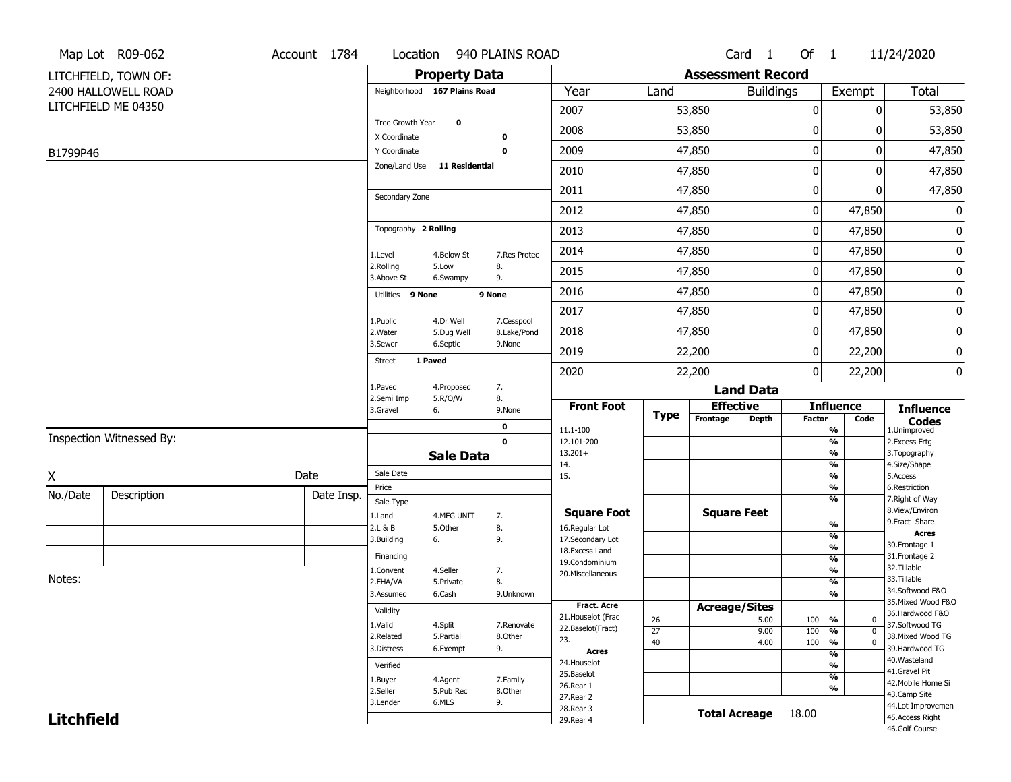|                   | Map Lot R09-062          | Account 1784 | Location                     |                         | 940 PLAINS ROAD           |                                  |                       |                          | Card 1           | Of 1          |                                | 11/24/2020                        |
|-------------------|--------------------------|--------------|------------------------------|-------------------------|---------------------------|----------------------------------|-----------------------|--------------------------|------------------|---------------|--------------------------------|-----------------------------------|
|                   | LITCHFIELD, TOWN OF:     |              |                              | <b>Property Data</b>    |                           |                                  |                       | <b>Assessment Record</b> |                  |               |                                |                                   |
|                   | 2400 HALLOWELL ROAD      |              | Neighborhood 167 Plains Road |                         |                           | Year                             | Land                  |                          | <b>Buildings</b> |               | Exempt                         | <b>Total</b>                      |
|                   | LITCHFIELD ME 04350      |              |                              |                         |                           | 2007                             |                       | 53,850                   |                  | 0             | 0                              | 53,850                            |
|                   |                          |              | Tree Growth Year             | $\mathbf 0$             |                           | 2008                             |                       | 53,850                   |                  | 0             | 0                              |                                   |
|                   |                          |              | X Coordinate                 |                         | $\mathbf 0$               |                                  |                       |                          |                  |               |                                | 53,850                            |
| B1799P46          |                          |              | Y Coordinate                 |                         | $\mathbf 0$               | 2009                             |                       | 47,850                   |                  | 0             | 0                              | 47,850                            |
|                   |                          |              | Zone/Land Use                | <b>11 Residential</b>   |                           | 2010                             |                       | 47,850                   |                  | 0             | 0                              | 47,850                            |
|                   |                          |              | Secondary Zone               |                         |                           | 2011                             |                       | 47,850                   |                  | 0             | 0                              | 47,850                            |
|                   |                          |              |                              |                         |                           | 2012                             |                       | 47,850                   |                  | 0             | 47,850                         | 0                                 |
|                   |                          |              | Topography 2 Rolling         |                         |                           | 2013                             |                       | 47,850                   |                  | 0             | 47,850                         | 0                                 |
|                   |                          |              | 1.Level                      | 4.Below St              | 7.Res Protec              | 2014                             |                       | 47,850                   |                  | 0             | 47,850                         | 0                                 |
|                   |                          |              | 2.Rolling<br>3.Above St      | 5.Low<br>6.Swampy       | 8.<br>9.                  | 2015                             |                       | 47,850                   |                  | 0             | 47,850                         | 0                                 |
|                   |                          |              | Utilities 9 None             |                         | 9 None                    | 2016                             |                       | 47,850                   |                  | 0             | 47,850                         | 0                                 |
|                   |                          |              |                              |                         |                           | 2017                             |                       | 47,850                   |                  | 0             | 47,850                         | 0                                 |
|                   |                          |              | 1.Public<br>2. Water         | 4.Dr Well<br>5.Dug Well | 7.Cesspool<br>8.Lake/Pond | 2018                             |                       | 47,850                   |                  | 0             | 47,850                         | 0                                 |
|                   |                          |              | 3.Sewer                      | 6.Septic                | 9.None                    | 2019                             |                       | 22,200                   |                  | $\mathbf{0}$  | 22,200                         | 0                                 |
|                   |                          |              | 1 Paved<br><b>Street</b>     |                         |                           | 2020                             |                       | 22,200                   |                  | 0             | 22,200                         | 0                                 |
|                   |                          |              | 1.Paved                      | 4.Proposed              | 7.                        |                                  |                       |                          | <b>Land Data</b> |               |                                |                                   |
|                   |                          |              | 2.Semi Imp<br>3.Gravel       | 5.R/O/W<br>6.           | 8.<br>9.None              | <b>Front Foot</b>                | <b>Type</b>           | <b>Effective</b>         |                  |               | <b>Influence</b>               | <b>Influence</b>                  |
|                   |                          |              |                              |                         | 0                         | 11.1-100                         |                       | Frontage                 | <b>Depth</b>     | <b>Factor</b> | Code<br>%                      | <b>Codes</b><br>1.Unimproved      |
|                   | Inspection Witnessed By: |              |                              |                         | $\mathbf 0$               | 12.101-200                       |                       |                          |                  |               | $\frac{9}{6}$                  | 2.Excess Frtg                     |
|                   |                          |              |                              | <b>Sale Data</b>        |                           | $13.201+$<br>14.                 |                       |                          |                  |               | %<br>%                         | 3. Topography<br>4.Size/Shape     |
| X                 |                          | Date         | Sale Date                    |                         |                           | 15.                              |                       |                          |                  |               | %                              | 5.Access                          |
| No./Date          | Description              | Date Insp.   | Price                        |                         |                           |                                  |                       |                          |                  |               | %<br>%                         | 6.Restriction<br>7. Right of Way  |
|                   |                          |              | Sale Type<br>1.Land          | 4.MFG UNIT              | 7.                        | <b>Square Foot</b>               |                       | <b>Square Feet</b>       |                  |               |                                | 8.View/Environ                    |
|                   |                          |              | 2.L & B                      | 5.Other                 | 8.                        | 16.Regular Lot                   |                       |                          |                  |               | $\frac{9}{6}$                  | 9.Fract Share                     |
|                   |                          |              | 3.Building                   | 6.                      | 9.                        | 17.Secondary Lot                 |                       |                          |                  |               | $\frac{9}{6}$<br>$\frac{9}{6}$ | <b>Acres</b><br>30. Frontage 1    |
|                   |                          |              | Financing                    |                         |                           | 18.Excess Land<br>19.Condominium |                       |                          |                  |               | $\frac{9}{6}$                  | 31. Frontage 2                    |
|                   |                          |              | 1.Convent                    | 4.Seller                | 7.                        | 20.Miscellaneous                 |                       |                          |                  |               | $\frac{9}{6}$                  | 32.Tillable                       |
| Notes:            |                          |              | 2.FHA/VA                     | 5.Private               | 8.                        |                                  |                       |                          |                  |               | $\frac{9}{6}$                  | 33.Tillable<br>34.Softwood F&O    |
|                   |                          |              | 3.Assumed                    | 6.Cash                  | 9.Unknown                 | <b>Fract. Acre</b>               |                       |                          |                  |               | $\frac{9}{6}$                  | 35. Mixed Wood F&O                |
|                   |                          |              | Validity                     |                         |                           | 21. Houselot (Frac               |                       | <b>Acreage/Sites</b>     | 5.00             |               | %<br>0                         | 36.Hardwood F&O                   |
|                   |                          |              | 1.Valid                      | 4.Split                 | 7.Renovate                | 22.Baselot(Fract)                | 26<br>$\overline{27}$ |                          | 9.00             | 100<br>100    | %<br>$\mathbf 0$               | 37.Softwood TG                    |
|                   |                          |              | 2.Related                    | 5.Partial               | 8.Other                   | 23.                              | 40                    |                          | 4.00             | 100           | $\frac{9}{6}$<br>$\mathbf 0$   | 38. Mixed Wood TG                 |
|                   |                          |              | 3.Distress                   | 6.Exempt                | 9.                        | <b>Acres</b>                     |                       |                          |                  |               | $\frac{9}{6}$                  | 39.Hardwood TG<br>40. Wasteland   |
|                   |                          |              | Verified                     |                         |                           | 24. Houselot<br>25.Baselot       |                       |                          |                  |               | $\frac{9}{6}$                  | 41.Gravel Pit                     |
|                   |                          |              | 1.Buyer                      | 4.Agent                 | 7.Family                  | 26.Rear 1                        |                       |                          |                  |               | $\frac{9}{6}$<br>$\frac{9}{6}$ | 42. Mobile Home Si                |
|                   |                          |              | 2.Seller                     | 5.Pub Rec               | 8.0ther                   | 27.Rear 2                        |                       |                          |                  |               |                                | 43.Camp Site                      |
|                   |                          |              | 3.Lender                     | 6.MLS                   | 9.                        | 28. Rear 3                       |                       | <b>Total Acreage</b>     |                  | 18.00         |                                | 44.Lot Improvemen                 |
| <b>Litchfield</b> |                          |              |                              |                         |                           | 29. Rear 4                       |                       |                          |                  |               |                                | 45.Access Right<br>46.Golf Course |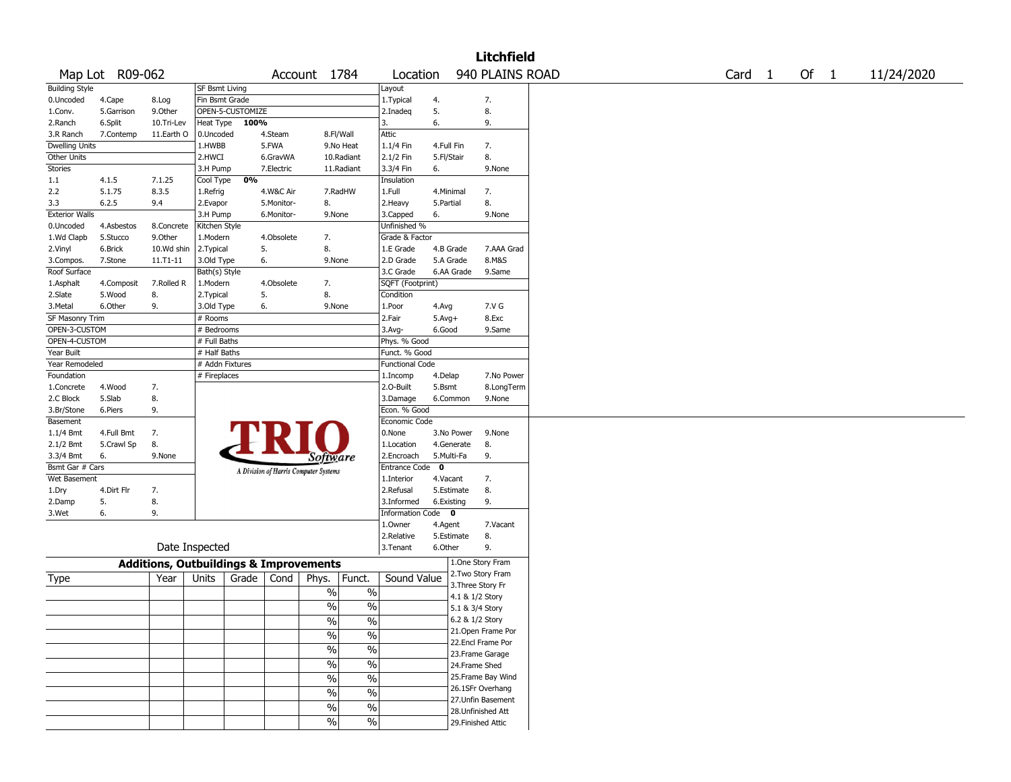| 940 PLAINS ROAD<br>Map Lot R09-062<br>Of 1<br>Account 1784<br>Location<br>Card <sub>1</sub><br><b>SF Bsmt Living</b><br>Layout<br>Fin Bsmt Grade<br>1.Typical<br>4.<br>7.<br>4.Cape<br>8.Log<br>OPEN-5-CUSTOMIZE<br>5.<br>8.<br>5.Garrison<br>9.0ther<br>2.Inadeg<br>6.<br>100%<br>9.<br>Heat Type<br>3.<br>6.Split<br>10.Tri-Lev<br>Attic<br>11.Earth O<br>7.Contemp<br>0.Uncoded<br>4.Steam<br>8.Fl/Wall<br><b>Dwelling Units</b><br>5.FWA<br>1.HWBB<br>9.No Heat<br>$1.1/4$ Fin<br>4.Full Fin<br>7.<br>Other Units<br>2.1/2 Fin<br>8.<br>2.HWCI<br>6.GravWA<br>10.Radiant<br>5.Fl/Stair<br>Stories<br>11.Radiant<br>6.<br>9.None<br>3.H Pump<br>7.Electric<br>3.3/4 Fin<br>0%<br>Cool Type<br>1.1<br>4.1.5<br>7.1.25<br>Insulation<br>5.1.75<br>8.3.5<br>2.2<br>4.W&C Air<br>7.RadHW<br>1.Full<br>4.Minimal<br>7.<br>1.Refrig<br>8.<br>2.Heavy<br>8.<br>3.3<br>6.2.5<br>9.4<br>2.Evapor<br>5.Monitor-<br>5.Partial<br><b>Exterior Walls</b><br>6.<br>9.None<br>3.H Pump<br>6.Monitor-<br>9.None<br>3.Capped<br>Unfinished %<br>0.Uncoded<br>4.Asbestos<br>8.Concrete<br>Kitchen Style<br>1.Wd Clapb<br>5.Stucco<br>9.Other<br>1.Modern<br>4.Obsolete<br>7.<br>Grade & Factor<br>10.Wd shin<br>5.<br>8.<br>6.Brick<br>2. Typical<br>1.E Grade<br>4.B Grade<br>7.AAA Grad<br>6.<br>8.M&S<br>11.T1-11<br>3.Old Type<br>9.None<br>2.D Grade<br>5.A Grade<br>7.Stone<br>6.AA Grade<br>9.Same<br>Bath(s) Style<br>3.C Grade<br>7.<br>SQFT (Footprint)<br>7.Rolled R<br>1.Modern<br>4.Obsolete<br>4.Composit<br>5.<br>8.<br>5.Wood<br>8.<br>2. Typical<br>Condition<br>9.<br>6.<br>7.V G<br>6.Other<br>3.Old Type<br>9.None<br>1.Poor<br>4.Avg<br>SF Masonry Trim<br>2.Fair<br>8.Exc<br># Rooms<br>$5.Avg+$<br>OPEN-3-CUSTOM<br># Bedrooms<br>$3.$ Avg-<br>6.Good<br>9.Same<br>OPEN-4-CUSTOM<br># Full Baths<br>Phys. % Good<br>Year Built<br># Half Baths<br>Funct. % Good<br># Addn Fixtures<br>Year Remodeled<br><b>Functional Code</b><br>Foundation<br># Fireplaces<br>4.Delap<br>7.No Power<br>1.Incomp<br>4.Wood<br>7.<br>2.O-Built<br>5.Bsmt<br>8.LongTerm<br>1.Concrete<br>8.<br>2.C Block<br>5.Slab<br>3.Damage<br>6.Common<br>9.None<br>9.<br>Econ. % Good<br>3.Br/Stone<br>6.Piers<br>Economic Code<br>Basement<br>0.None<br>$1.1/4$ Bmt<br>4.Full Bmt<br>7.<br>3.No Power<br>9.None<br>8.<br>8.<br>5.Crawl Sp<br>1.Location<br>4.Generate<br>6.<br>9.None<br>2.Encroach<br>5.Multi-Fa<br>9.<br>Software<br>Entrance Code 0<br>Bsmt Gar # Cars<br>A Division of Harris Computer Systems<br>Wet Basement<br>1.Interior<br>4.Vacant<br>7.<br>8.<br>4.Dirt Flr<br>7.<br>2.Refusal<br>5.Estimate<br>5.<br>8.<br>9.<br>2.Damp<br>3.Informed<br>6.Existing<br>6.<br>9.<br>Information Code 0<br>3.Wet<br>4.Agent<br>7.Vacant<br>1.Owner<br>8.<br>2.Relative<br>5.Estimate<br>Date Inspected<br>9.<br>3.Tenant<br>6.Other<br>1.One Story Fram<br><b>Additions, Outbuildings &amp; Improvements</b><br>2. Two Story Fram<br>Funct.<br>Sound Value<br>Year<br>Grade<br>Cond<br>Phys.<br>Units<br>3. Three Story Fr<br>$\%$<br>%<br>4.1 & 1/2 Story<br>$\overline{\frac{0}{6}}$<br>$\frac{0}{0}$<br>5.1 & 3/4 Story<br>6.2 & 1/2 Story<br>% <br>$\%$<br>21. Open Frame Por<br>$\frac{0}{6}$<br>$\overline{\frac{0}{0}}$<br>22.Encl Frame Por<br>$\overline{\frac{0}{0}}$<br>$\sqrt{6}$<br>23. Frame Garage<br>$\frac{0}{6}$<br>$\overline{\frac{0}{0}}$<br>24.Frame Shed<br>25. Frame Bay Wind<br>$\sqrt{6}$<br>$\%$<br>26.1SFr Overhang<br>$\sqrt{6}$<br>$\frac{0}{0}$<br>27.Unfin Basement<br>$\%$<br>$\%$<br>28. Unfinished Att<br>$\frac{9}{6}$<br>$\overline{\frac{0}{6}}$<br>29. Finished Attic |                       |  |  |  |  |  | <b>Litchfield</b> |  |  |  |            |
|-----------------------------------------------------------------------------------------------------------------------------------------------------------------------------------------------------------------------------------------------------------------------------------------------------------------------------------------------------------------------------------------------------------------------------------------------------------------------------------------------------------------------------------------------------------------------------------------------------------------------------------------------------------------------------------------------------------------------------------------------------------------------------------------------------------------------------------------------------------------------------------------------------------------------------------------------------------------------------------------------------------------------------------------------------------------------------------------------------------------------------------------------------------------------------------------------------------------------------------------------------------------------------------------------------------------------------------------------------------------------------------------------------------------------------------------------------------------------------------------------------------------------------------------------------------------------------------------------------------------------------------------------------------------------------------------------------------------------------------------------------------------------------------------------------------------------------------------------------------------------------------------------------------------------------------------------------------------------------------------------------------------------------------------------------------------------------------------------------------------------------------------------------------------------------------------------------------------------------------------------------------------------------------------------------------------------------------------------------------------------------------------------------------------------------------------------------------------------------------------------------------------------------------------------------------------------------------------------------------------------------------------------------------------------------------------------------------------------------------------------------------------------------------------------------------------------------------------------------------------------------------------------------------------------------------------------------------------------------------------------------------------------------------------------------------------------------------------------------------------------------------------------------------------------------------------------------------------------------------------------------------------------------------------------------------------------------------------------------------------------------------------------------------------------------------------------------------------------------------------------------------------------------------------------------------------------------------------------------|-----------------------|--|--|--|--|--|-------------------|--|--|--|------------|
|                                                                                                                                                                                                                                                                                                                                                                                                                                                                                                                                                                                                                                                                                                                                                                                                                                                                                                                                                                                                                                                                                                                                                                                                                                                                                                                                                                                                                                                                                                                                                                                                                                                                                                                                                                                                                                                                                                                                                                                                                                                                                                                                                                                                                                                                                                                                                                                                                                                                                                                                                                                                                                                                                                                                                                                                                                                                                                                                                                                                                                                                                                                                                                                                                                                                                                                                                                                                                                                                                                                                                                                                     |                       |  |  |  |  |  |                   |  |  |  | 11/24/2020 |
|                                                                                                                                                                                                                                                                                                                                                                                                                                                                                                                                                                                                                                                                                                                                                                                                                                                                                                                                                                                                                                                                                                                                                                                                                                                                                                                                                                                                                                                                                                                                                                                                                                                                                                                                                                                                                                                                                                                                                                                                                                                                                                                                                                                                                                                                                                                                                                                                                                                                                                                                                                                                                                                                                                                                                                                                                                                                                                                                                                                                                                                                                                                                                                                                                                                                                                                                                                                                                                                                                                                                                                                                     | <b>Building Style</b> |  |  |  |  |  |                   |  |  |  |            |
|                                                                                                                                                                                                                                                                                                                                                                                                                                                                                                                                                                                                                                                                                                                                                                                                                                                                                                                                                                                                                                                                                                                                                                                                                                                                                                                                                                                                                                                                                                                                                                                                                                                                                                                                                                                                                                                                                                                                                                                                                                                                                                                                                                                                                                                                                                                                                                                                                                                                                                                                                                                                                                                                                                                                                                                                                                                                                                                                                                                                                                                                                                                                                                                                                                                                                                                                                                                                                                                                                                                                                                                                     | 0.Uncoded             |  |  |  |  |  |                   |  |  |  |            |
|                                                                                                                                                                                                                                                                                                                                                                                                                                                                                                                                                                                                                                                                                                                                                                                                                                                                                                                                                                                                                                                                                                                                                                                                                                                                                                                                                                                                                                                                                                                                                                                                                                                                                                                                                                                                                                                                                                                                                                                                                                                                                                                                                                                                                                                                                                                                                                                                                                                                                                                                                                                                                                                                                                                                                                                                                                                                                                                                                                                                                                                                                                                                                                                                                                                                                                                                                                                                                                                                                                                                                                                                     | 1.Conv.               |  |  |  |  |  |                   |  |  |  |            |
|                                                                                                                                                                                                                                                                                                                                                                                                                                                                                                                                                                                                                                                                                                                                                                                                                                                                                                                                                                                                                                                                                                                                                                                                                                                                                                                                                                                                                                                                                                                                                                                                                                                                                                                                                                                                                                                                                                                                                                                                                                                                                                                                                                                                                                                                                                                                                                                                                                                                                                                                                                                                                                                                                                                                                                                                                                                                                                                                                                                                                                                                                                                                                                                                                                                                                                                                                                                                                                                                                                                                                                                                     | 2.Ranch               |  |  |  |  |  |                   |  |  |  |            |
|                                                                                                                                                                                                                                                                                                                                                                                                                                                                                                                                                                                                                                                                                                                                                                                                                                                                                                                                                                                                                                                                                                                                                                                                                                                                                                                                                                                                                                                                                                                                                                                                                                                                                                                                                                                                                                                                                                                                                                                                                                                                                                                                                                                                                                                                                                                                                                                                                                                                                                                                                                                                                                                                                                                                                                                                                                                                                                                                                                                                                                                                                                                                                                                                                                                                                                                                                                                                                                                                                                                                                                                                     | 3.R Ranch             |  |  |  |  |  |                   |  |  |  |            |
|                                                                                                                                                                                                                                                                                                                                                                                                                                                                                                                                                                                                                                                                                                                                                                                                                                                                                                                                                                                                                                                                                                                                                                                                                                                                                                                                                                                                                                                                                                                                                                                                                                                                                                                                                                                                                                                                                                                                                                                                                                                                                                                                                                                                                                                                                                                                                                                                                                                                                                                                                                                                                                                                                                                                                                                                                                                                                                                                                                                                                                                                                                                                                                                                                                                                                                                                                                                                                                                                                                                                                                                                     |                       |  |  |  |  |  |                   |  |  |  |            |
|                                                                                                                                                                                                                                                                                                                                                                                                                                                                                                                                                                                                                                                                                                                                                                                                                                                                                                                                                                                                                                                                                                                                                                                                                                                                                                                                                                                                                                                                                                                                                                                                                                                                                                                                                                                                                                                                                                                                                                                                                                                                                                                                                                                                                                                                                                                                                                                                                                                                                                                                                                                                                                                                                                                                                                                                                                                                                                                                                                                                                                                                                                                                                                                                                                                                                                                                                                                                                                                                                                                                                                                                     |                       |  |  |  |  |  |                   |  |  |  |            |
|                                                                                                                                                                                                                                                                                                                                                                                                                                                                                                                                                                                                                                                                                                                                                                                                                                                                                                                                                                                                                                                                                                                                                                                                                                                                                                                                                                                                                                                                                                                                                                                                                                                                                                                                                                                                                                                                                                                                                                                                                                                                                                                                                                                                                                                                                                                                                                                                                                                                                                                                                                                                                                                                                                                                                                                                                                                                                                                                                                                                                                                                                                                                                                                                                                                                                                                                                                                                                                                                                                                                                                                                     |                       |  |  |  |  |  |                   |  |  |  |            |
|                                                                                                                                                                                                                                                                                                                                                                                                                                                                                                                                                                                                                                                                                                                                                                                                                                                                                                                                                                                                                                                                                                                                                                                                                                                                                                                                                                                                                                                                                                                                                                                                                                                                                                                                                                                                                                                                                                                                                                                                                                                                                                                                                                                                                                                                                                                                                                                                                                                                                                                                                                                                                                                                                                                                                                                                                                                                                                                                                                                                                                                                                                                                                                                                                                                                                                                                                                                                                                                                                                                                                                                                     |                       |  |  |  |  |  |                   |  |  |  |            |
|                                                                                                                                                                                                                                                                                                                                                                                                                                                                                                                                                                                                                                                                                                                                                                                                                                                                                                                                                                                                                                                                                                                                                                                                                                                                                                                                                                                                                                                                                                                                                                                                                                                                                                                                                                                                                                                                                                                                                                                                                                                                                                                                                                                                                                                                                                                                                                                                                                                                                                                                                                                                                                                                                                                                                                                                                                                                                                                                                                                                                                                                                                                                                                                                                                                                                                                                                                                                                                                                                                                                                                                                     |                       |  |  |  |  |  |                   |  |  |  |            |
|                                                                                                                                                                                                                                                                                                                                                                                                                                                                                                                                                                                                                                                                                                                                                                                                                                                                                                                                                                                                                                                                                                                                                                                                                                                                                                                                                                                                                                                                                                                                                                                                                                                                                                                                                                                                                                                                                                                                                                                                                                                                                                                                                                                                                                                                                                                                                                                                                                                                                                                                                                                                                                                                                                                                                                                                                                                                                                                                                                                                                                                                                                                                                                                                                                                                                                                                                                                                                                                                                                                                                                                                     |                       |  |  |  |  |  |                   |  |  |  |            |
|                                                                                                                                                                                                                                                                                                                                                                                                                                                                                                                                                                                                                                                                                                                                                                                                                                                                                                                                                                                                                                                                                                                                                                                                                                                                                                                                                                                                                                                                                                                                                                                                                                                                                                                                                                                                                                                                                                                                                                                                                                                                                                                                                                                                                                                                                                                                                                                                                                                                                                                                                                                                                                                                                                                                                                                                                                                                                                                                                                                                                                                                                                                                                                                                                                                                                                                                                                                                                                                                                                                                                                                                     |                       |  |  |  |  |  |                   |  |  |  |            |
|                                                                                                                                                                                                                                                                                                                                                                                                                                                                                                                                                                                                                                                                                                                                                                                                                                                                                                                                                                                                                                                                                                                                                                                                                                                                                                                                                                                                                                                                                                                                                                                                                                                                                                                                                                                                                                                                                                                                                                                                                                                                                                                                                                                                                                                                                                                                                                                                                                                                                                                                                                                                                                                                                                                                                                                                                                                                                                                                                                                                                                                                                                                                                                                                                                                                                                                                                                                                                                                                                                                                                                                                     |                       |  |  |  |  |  |                   |  |  |  |            |
|                                                                                                                                                                                                                                                                                                                                                                                                                                                                                                                                                                                                                                                                                                                                                                                                                                                                                                                                                                                                                                                                                                                                                                                                                                                                                                                                                                                                                                                                                                                                                                                                                                                                                                                                                                                                                                                                                                                                                                                                                                                                                                                                                                                                                                                                                                                                                                                                                                                                                                                                                                                                                                                                                                                                                                                                                                                                                                                                                                                                                                                                                                                                                                                                                                                                                                                                                                                                                                                                                                                                                                                                     |                       |  |  |  |  |  |                   |  |  |  |            |
|                                                                                                                                                                                                                                                                                                                                                                                                                                                                                                                                                                                                                                                                                                                                                                                                                                                                                                                                                                                                                                                                                                                                                                                                                                                                                                                                                                                                                                                                                                                                                                                                                                                                                                                                                                                                                                                                                                                                                                                                                                                                                                                                                                                                                                                                                                                                                                                                                                                                                                                                                                                                                                                                                                                                                                                                                                                                                                                                                                                                                                                                                                                                                                                                                                                                                                                                                                                                                                                                                                                                                                                                     |                       |  |  |  |  |  |                   |  |  |  |            |
|                                                                                                                                                                                                                                                                                                                                                                                                                                                                                                                                                                                                                                                                                                                                                                                                                                                                                                                                                                                                                                                                                                                                                                                                                                                                                                                                                                                                                                                                                                                                                                                                                                                                                                                                                                                                                                                                                                                                                                                                                                                                                                                                                                                                                                                                                                                                                                                                                                                                                                                                                                                                                                                                                                                                                                                                                                                                                                                                                                                                                                                                                                                                                                                                                                                                                                                                                                                                                                                                                                                                                                                                     | 2.Vinyl               |  |  |  |  |  |                   |  |  |  |            |
|                                                                                                                                                                                                                                                                                                                                                                                                                                                                                                                                                                                                                                                                                                                                                                                                                                                                                                                                                                                                                                                                                                                                                                                                                                                                                                                                                                                                                                                                                                                                                                                                                                                                                                                                                                                                                                                                                                                                                                                                                                                                                                                                                                                                                                                                                                                                                                                                                                                                                                                                                                                                                                                                                                                                                                                                                                                                                                                                                                                                                                                                                                                                                                                                                                                                                                                                                                                                                                                                                                                                                                                                     | 3.Compos.             |  |  |  |  |  |                   |  |  |  |            |
|                                                                                                                                                                                                                                                                                                                                                                                                                                                                                                                                                                                                                                                                                                                                                                                                                                                                                                                                                                                                                                                                                                                                                                                                                                                                                                                                                                                                                                                                                                                                                                                                                                                                                                                                                                                                                                                                                                                                                                                                                                                                                                                                                                                                                                                                                                                                                                                                                                                                                                                                                                                                                                                                                                                                                                                                                                                                                                                                                                                                                                                                                                                                                                                                                                                                                                                                                                                                                                                                                                                                                                                                     | Roof Surface          |  |  |  |  |  |                   |  |  |  |            |
|                                                                                                                                                                                                                                                                                                                                                                                                                                                                                                                                                                                                                                                                                                                                                                                                                                                                                                                                                                                                                                                                                                                                                                                                                                                                                                                                                                                                                                                                                                                                                                                                                                                                                                                                                                                                                                                                                                                                                                                                                                                                                                                                                                                                                                                                                                                                                                                                                                                                                                                                                                                                                                                                                                                                                                                                                                                                                                                                                                                                                                                                                                                                                                                                                                                                                                                                                                                                                                                                                                                                                                                                     | 1.Asphalt             |  |  |  |  |  |                   |  |  |  |            |
|                                                                                                                                                                                                                                                                                                                                                                                                                                                                                                                                                                                                                                                                                                                                                                                                                                                                                                                                                                                                                                                                                                                                                                                                                                                                                                                                                                                                                                                                                                                                                                                                                                                                                                                                                                                                                                                                                                                                                                                                                                                                                                                                                                                                                                                                                                                                                                                                                                                                                                                                                                                                                                                                                                                                                                                                                                                                                                                                                                                                                                                                                                                                                                                                                                                                                                                                                                                                                                                                                                                                                                                                     | 2.Slate               |  |  |  |  |  |                   |  |  |  |            |
|                                                                                                                                                                                                                                                                                                                                                                                                                                                                                                                                                                                                                                                                                                                                                                                                                                                                                                                                                                                                                                                                                                                                                                                                                                                                                                                                                                                                                                                                                                                                                                                                                                                                                                                                                                                                                                                                                                                                                                                                                                                                                                                                                                                                                                                                                                                                                                                                                                                                                                                                                                                                                                                                                                                                                                                                                                                                                                                                                                                                                                                                                                                                                                                                                                                                                                                                                                                                                                                                                                                                                                                                     | 3. Metal              |  |  |  |  |  |                   |  |  |  |            |
|                                                                                                                                                                                                                                                                                                                                                                                                                                                                                                                                                                                                                                                                                                                                                                                                                                                                                                                                                                                                                                                                                                                                                                                                                                                                                                                                                                                                                                                                                                                                                                                                                                                                                                                                                                                                                                                                                                                                                                                                                                                                                                                                                                                                                                                                                                                                                                                                                                                                                                                                                                                                                                                                                                                                                                                                                                                                                                                                                                                                                                                                                                                                                                                                                                                                                                                                                                                                                                                                                                                                                                                                     |                       |  |  |  |  |  |                   |  |  |  |            |
|                                                                                                                                                                                                                                                                                                                                                                                                                                                                                                                                                                                                                                                                                                                                                                                                                                                                                                                                                                                                                                                                                                                                                                                                                                                                                                                                                                                                                                                                                                                                                                                                                                                                                                                                                                                                                                                                                                                                                                                                                                                                                                                                                                                                                                                                                                                                                                                                                                                                                                                                                                                                                                                                                                                                                                                                                                                                                                                                                                                                                                                                                                                                                                                                                                                                                                                                                                                                                                                                                                                                                                                                     |                       |  |  |  |  |  |                   |  |  |  |            |
|                                                                                                                                                                                                                                                                                                                                                                                                                                                                                                                                                                                                                                                                                                                                                                                                                                                                                                                                                                                                                                                                                                                                                                                                                                                                                                                                                                                                                                                                                                                                                                                                                                                                                                                                                                                                                                                                                                                                                                                                                                                                                                                                                                                                                                                                                                                                                                                                                                                                                                                                                                                                                                                                                                                                                                                                                                                                                                                                                                                                                                                                                                                                                                                                                                                                                                                                                                                                                                                                                                                                                                                                     |                       |  |  |  |  |  |                   |  |  |  |            |
|                                                                                                                                                                                                                                                                                                                                                                                                                                                                                                                                                                                                                                                                                                                                                                                                                                                                                                                                                                                                                                                                                                                                                                                                                                                                                                                                                                                                                                                                                                                                                                                                                                                                                                                                                                                                                                                                                                                                                                                                                                                                                                                                                                                                                                                                                                                                                                                                                                                                                                                                                                                                                                                                                                                                                                                                                                                                                                                                                                                                                                                                                                                                                                                                                                                                                                                                                                                                                                                                                                                                                                                                     |                       |  |  |  |  |  |                   |  |  |  |            |
|                                                                                                                                                                                                                                                                                                                                                                                                                                                                                                                                                                                                                                                                                                                                                                                                                                                                                                                                                                                                                                                                                                                                                                                                                                                                                                                                                                                                                                                                                                                                                                                                                                                                                                                                                                                                                                                                                                                                                                                                                                                                                                                                                                                                                                                                                                                                                                                                                                                                                                                                                                                                                                                                                                                                                                                                                                                                                                                                                                                                                                                                                                                                                                                                                                                                                                                                                                                                                                                                                                                                                                                                     |                       |  |  |  |  |  |                   |  |  |  |            |
|                                                                                                                                                                                                                                                                                                                                                                                                                                                                                                                                                                                                                                                                                                                                                                                                                                                                                                                                                                                                                                                                                                                                                                                                                                                                                                                                                                                                                                                                                                                                                                                                                                                                                                                                                                                                                                                                                                                                                                                                                                                                                                                                                                                                                                                                                                                                                                                                                                                                                                                                                                                                                                                                                                                                                                                                                                                                                                                                                                                                                                                                                                                                                                                                                                                                                                                                                                                                                                                                                                                                                                                                     |                       |  |  |  |  |  |                   |  |  |  |            |
|                                                                                                                                                                                                                                                                                                                                                                                                                                                                                                                                                                                                                                                                                                                                                                                                                                                                                                                                                                                                                                                                                                                                                                                                                                                                                                                                                                                                                                                                                                                                                                                                                                                                                                                                                                                                                                                                                                                                                                                                                                                                                                                                                                                                                                                                                                                                                                                                                                                                                                                                                                                                                                                                                                                                                                                                                                                                                                                                                                                                                                                                                                                                                                                                                                                                                                                                                                                                                                                                                                                                                                                                     |                       |  |  |  |  |  |                   |  |  |  |            |
|                                                                                                                                                                                                                                                                                                                                                                                                                                                                                                                                                                                                                                                                                                                                                                                                                                                                                                                                                                                                                                                                                                                                                                                                                                                                                                                                                                                                                                                                                                                                                                                                                                                                                                                                                                                                                                                                                                                                                                                                                                                                                                                                                                                                                                                                                                                                                                                                                                                                                                                                                                                                                                                                                                                                                                                                                                                                                                                                                                                                                                                                                                                                                                                                                                                                                                                                                                                                                                                                                                                                                                                                     |                       |  |  |  |  |  |                   |  |  |  |            |
|                                                                                                                                                                                                                                                                                                                                                                                                                                                                                                                                                                                                                                                                                                                                                                                                                                                                                                                                                                                                                                                                                                                                                                                                                                                                                                                                                                                                                                                                                                                                                                                                                                                                                                                                                                                                                                                                                                                                                                                                                                                                                                                                                                                                                                                                                                                                                                                                                                                                                                                                                                                                                                                                                                                                                                                                                                                                                                                                                                                                                                                                                                                                                                                                                                                                                                                                                                                                                                                                                                                                                                                                     |                       |  |  |  |  |  |                   |  |  |  |            |
|                                                                                                                                                                                                                                                                                                                                                                                                                                                                                                                                                                                                                                                                                                                                                                                                                                                                                                                                                                                                                                                                                                                                                                                                                                                                                                                                                                                                                                                                                                                                                                                                                                                                                                                                                                                                                                                                                                                                                                                                                                                                                                                                                                                                                                                                                                                                                                                                                                                                                                                                                                                                                                                                                                                                                                                                                                                                                                                                                                                                                                                                                                                                                                                                                                                                                                                                                                                                                                                                                                                                                                                                     |                       |  |  |  |  |  |                   |  |  |  |            |
|                                                                                                                                                                                                                                                                                                                                                                                                                                                                                                                                                                                                                                                                                                                                                                                                                                                                                                                                                                                                                                                                                                                                                                                                                                                                                                                                                                                                                                                                                                                                                                                                                                                                                                                                                                                                                                                                                                                                                                                                                                                                                                                                                                                                                                                                                                                                                                                                                                                                                                                                                                                                                                                                                                                                                                                                                                                                                                                                                                                                                                                                                                                                                                                                                                                                                                                                                                                                                                                                                                                                                                                                     |                       |  |  |  |  |  |                   |  |  |  |            |
|                                                                                                                                                                                                                                                                                                                                                                                                                                                                                                                                                                                                                                                                                                                                                                                                                                                                                                                                                                                                                                                                                                                                                                                                                                                                                                                                                                                                                                                                                                                                                                                                                                                                                                                                                                                                                                                                                                                                                                                                                                                                                                                                                                                                                                                                                                                                                                                                                                                                                                                                                                                                                                                                                                                                                                                                                                                                                                                                                                                                                                                                                                                                                                                                                                                                                                                                                                                                                                                                                                                                                                                                     |                       |  |  |  |  |  |                   |  |  |  |            |
|                                                                                                                                                                                                                                                                                                                                                                                                                                                                                                                                                                                                                                                                                                                                                                                                                                                                                                                                                                                                                                                                                                                                                                                                                                                                                                                                                                                                                                                                                                                                                                                                                                                                                                                                                                                                                                                                                                                                                                                                                                                                                                                                                                                                                                                                                                                                                                                                                                                                                                                                                                                                                                                                                                                                                                                                                                                                                                                                                                                                                                                                                                                                                                                                                                                                                                                                                                                                                                                                                                                                                                                                     | 2.1/2 Bmt             |  |  |  |  |  |                   |  |  |  |            |
|                                                                                                                                                                                                                                                                                                                                                                                                                                                                                                                                                                                                                                                                                                                                                                                                                                                                                                                                                                                                                                                                                                                                                                                                                                                                                                                                                                                                                                                                                                                                                                                                                                                                                                                                                                                                                                                                                                                                                                                                                                                                                                                                                                                                                                                                                                                                                                                                                                                                                                                                                                                                                                                                                                                                                                                                                                                                                                                                                                                                                                                                                                                                                                                                                                                                                                                                                                                                                                                                                                                                                                                                     | 3.3/4 Bmt             |  |  |  |  |  |                   |  |  |  |            |
|                                                                                                                                                                                                                                                                                                                                                                                                                                                                                                                                                                                                                                                                                                                                                                                                                                                                                                                                                                                                                                                                                                                                                                                                                                                                                                                                                                                                                                                                                                                                                                                                                                                                                                                                                                                                                                                                                                                                                                                                                                                                                                                                                                                                                                                                                                                                                                                                                                                                                                                                                                                                                                                                                                                                                                                                                                                                                                                                                                                                                                                                                                                                                                                                                                                                                                                                                                                                                                                                                                                                                                                                     |                       |  |  |  |  |  |                   |  |  |  |            |
|                                                                                                                                                                                                                                                                                                                                                                                                                                                                                                                                                                                                                                                                                                                                                                                                                                                                                                                                                                                                                                                                                                                                                                                                                                                                                                                                                                                                                                                                                                                                                                                                                                                                                                                                                                                                                                                                                                                                                                                                                                                                                                                                                                                                                                                                                                                                                                                                                                                                                                                                                                                                                                                                                                                                                                                                                                                                                                                                                                                                                                                                                                                                                                                                                                                                                                                                                                                                                                                                                                                                                                                                     |                       |  |  |  |  |  |                   |  |  |  |            |
|                                                                                                                                                                                                                                                                                                                                                                                                                                                                                                                                                                                                                                                                                                                                                                                                                                                                                                                                                                                                                                                                                                                                                                                                                                                                                                                                                                                                                                                                                                                                                                                                                                                                                                                                                                                                                                                                                                                                                                                                                                                                                                                                                                                                                                                                                                                                                                                                                                                                                                                                                                                                                                                                                                                                                                                                                                                                                                                                                                                                                                                                                                                                                                                                                                                                                                                                                                                                                                                                                                                                                                                                     | 1.Dry                 |  |  |  |  |  |                   |  |  |  |            |
|                                                                                                                                                                                                                                                                                                                                                                                                                                                                                                                                                                                                                                                                                                                                                                                                                                                                                                                                                                                                                                                                                                                                                                                                                                                                                                                                                                                                                                                                                                                                                                                                                                                                                                                                                                                                                                                                                                                                                                                                                                                                                                                                                                                                                                                                                                                                                                                                                                                                                                                                                                                                                                                                                                                                                                                                                                                                                                                                                                                                                                                                                                                                                                                                                                                                                                                                                                                                                                                                                                                                                                                                     |                       |  |  |  |  |  |                   |  |  |  |            |
|                                                                                                                                                                                                                                                                                                                                                                                                                                                                                                                                                                                                                                                                                                                                                                                                                                                                                                                                                                                                                                                                                                                                                                                                                                                                                                                                                                                                                                                                                                                                                                                                                                                                                                                                                                                                                                                                                                                                                                                                                                                                                                                                                                                                                                                                                                                                                                                                                                                                                                                                                                                                                                                                                                                                                                                                                                                                                                                                                                                                                                                                                                                                                                                                                                                                                                                                                                                                                                                                                                                                                                                                     |                       |  |  |  |  |  |                   |  |  |  |            |
|                                                                                                                                                                                                                                                                                                                                                                                                                                                                                                                                                                                                                                                                                                                                                                                                                                                                                                                                                                                                                                                                                                                                                                                                                                                                                                                                                                                                                                                                                                                                                                                                                                                                                                                                                                                                                                                                                                                                                                                                                                                                                                                                                                                                                                                                                                                                                                                                                                                                                                                                                                                                                                                                                                                                                                                                                                                                                                                                                                                                                                                                                                                                                                                                                                                                                                                                                                                                                                                                                                                                                                                                     |                       |  |  |  |  |  |                   |  |  |  |            |
|                                                                                                                                                                                                                                                                                                                                                                                                                                                                                                                                                                                                                                                                                                                                                                                                                                                                                                                                                                                                                                                                                                                                                                                                                                                                                                                                                                                                                                                                                                                                                                                                                                                                                                                                                                                                                                                                                                                                                                                                                                                                                                                                                                                                                                                                                                                                                                                                                                                                                                                                                                                                                                                                                                                                                                                                                                                                                                                                                                                                                                                                                                                                                                                                                                                                                                                                                                                                                                                                                                                                                                                                     |                       |  |  |  |  |  |                   |  |  |  |            |
|                                                                                                                                                                                                                                                                                                                                                                                                                                                                                                                                                                                                                                                                                                                                                                                                                                                                                                                                                                                                                                                                                                                                                                                                                                                                                                                                                                                                                                                                                                                                                                                                                                                                                                                                                                                                                                                                                                                                                                                                                                                                                                                                                                                                                                                                                                                                                                                                                                                                                                                                                                                                                                                                                                                                                                                                                                                                                                                                                                                                                                                                                                                                                                                                                                                                                                                                                                                                                                                                                                                                                                                                     |                       |  |  |  |  |  |                   |  |  |  |            |
|                                                                                                                                                                                                                                                                                                                                                                                                                                                                                                                                                                                                                                                                                                                                                                                                                                                                                                                                                                                                                                                                                                                                                                                                                                                                                                                                                                                                                                                                                                                                                                                                                                                                                                                                                                                                                                                                                                                                                                                                                                                                                                                                                                                                                                                                                                                                                                                                                                                                                                                                                                                                                                                                                                                                                                                                                                                                                                                                                                                                                                                                                                                                                                                                                                                                                                                                                                                                                                                                                                                                                                                                     |                       |  |  |  |  |  |                   |  |  |  |            |
|                                                                                                                                                                                                                                                                                                                                                                                                                                                                                                                                                                                                                                                                                                                                                                                                                                                                                                                                                                                                                                                                                                                                                                                                                                                                                                                                                                                                                                                                                                                                                                                                                                                                                                                                                                                                                                                                                                                                                                                                                                                                                                                                                                                                                                                                                                                                                                                                                                                                                                                                                                                                                                                                                                                                                                                                                                                                                                                                                                                                                                                                                                                                                                                                                                                                                                                                                                                                                                                                                                                                                                                                     |                       |  |  |  |  |  |                   |  |  |  |            |
|                                                                                                                                                                                                                                                                                                                                                                                                                                                                                                                                                                                                                                                                                                                                                                                                                                                                                                                                                                                                                                                                                                                                                                                                                                                                                                                                                                                                                                                                                                                                                                                                                                                                                                                                                                                                                                                                                                                                                                                                                                                                                                                                                                                                                                                                                                                                                                                                                                                                                                                                                                                                                                                                                                                                                                                                                                                                                                                                                                                                                                                                                                                                                                                                                                                                                                                                                                                                                                                                                                                                                                                                     | Type                  |  |  |  |  |  |                   |  |  |  |            |
|                                                                                                                                                                                                                                                                                                                                                                                                                                                                                                                                                                                                                                                                                                                                                                                                                                                                                                                                                                                                                                                                                                                                                                                                                                                                                                                                                                                                                                                                                                                                                                                                                                                                                                                                                                                                                                                                                                                                                                                                                                                                                                                                                                                                                                                                                                                                                                                                                                                                                                                                                                                                                                                                                                                                                                                                                                                                                                                                                                                                                                                                                                                                                                                                                                                                                                                                                                                                                                                                                                                                                                                                     |                       |  |  |  |  |  |                   |  |  |  |            |
|                                                                                                                                                                                                                                                                                                                                                                                                                                                                                                                                                                                                                                                                                                                                                                                                                                                                                                                                                                                                                                                                                                                                                                                                                                                                                                                                                                                                                                                                                                                                                                                                                                                                                                                                                                                                                                                                                                                                                                                                                                                                                                                                                                                                                                                                                                                                                                                                                                                                                                                                                                                                                                                                                                                                                                                                                                                                                                                                                                                                                                                                                                                                                                                                                                                                                                                                                                                                                                                                                                                                                                                                     |                       |  |  |  |  |  |                   |  |  |  |            |
|                                                                                                                                                                                                                                                                                                                                                                                                                                                                                                                                                                                                                                                                                                                                                                                                                                                                                                                                                                                                                                                                                                                                                                                                                                                                                                                                                                                                                                                                                                                                                                                                                                                                                                                                                                                                                                                                                                                                                                                                                                                                                                                                                                                                                                                                                                                                                                                                                                                                                                                                                                                                                                                                                                                                                                                                                                                                                                                                                                                                                                                                                                                                                                                                                                                                                                                                                                                                                                                                                                                                                                                                     |                       |  |  |  |  |  |                   |  |  |  |            |
|                                                                                                                                                                                                                                                                                                                                                                                                                                                                                                                                                                                                                                                                                                                                                                                                                                                                                                                                                                                                                                                                                                                                                                                                                                                                                                                                                                                                                                                                                                                                                                                                                                                                                                                                                                                                                                                                                                                                                                                                                                                                                                                                                                                                                                                                                                                                                                                                                                                                                                                                                                                                                                                                                                                                                                                                                                                                                                                                                                                                                                                                                                                                                                                                                                                                                                                                                                                                                                                                                                                                                                                                     |                       |  |  |  |  |  |                   |  |  |  |            |
|                                                                                                                                                                                                                                                                                                                                                                                                                                                                                                                                                                                                                                                                                                                                                                                                                                                                                                                                                                                                                                                                                                                                                                                                                                                                                                                                                                                                                                                                                                                                                                                                                                                                                                                                                                                                                                                                                                                                                                                                                                                                                                                                                                                                                                                                                                                                                                                                                                                                                                                                                                                                                                                                                                                                                                                                                                                                                                                                                                                                                                                                                                                                                                                                                                                                                                                                                                                                                                                                                                                                                                                                     |                       |  |  |  |  |  |                   |  |  |  |            |
|                                                                                                                                                                                                                                                                                                                                                                                                                                                                                                                                                                                                                                                                                                                                                                                                                                                                                                                                                                                                                                                                                                                                                                                                                                                                                                                                                                                                                                                                                                                                                                                                                                                                                                                                                                                                                                                                                                                                                                                                                                                                                                                                                                                                                                                                                                                                                                                                                                                                                                                                                                                                                                                                                                                                                                                                                                                                                                                                                                                                                                                                                                                                                                                                                                                                                                                                                                                                                                                                                                                                                                                                     |                       |  |  |  |  |  |                   |  |  |  |            |
|                                                                                                                                                                                                                                                                                                                                                                                                                                                                                                                                                                                                                                                                                                                                                                                                                                                                                                                                                                                                                                                                                                                                                                                                                                                                                                                                                                                                                                                                                                                                                                                                                                                                                                                                                                                                                                                                                                                                                                                                                                                                                                                                                                                                                                                                                                                                                                                                                                                                                                                                                                                                                                                                                                                                                                                                                                                                                                                                                                                                                                                                                                                                                                                                                                                                                                                                                                                                                                                                                                                                                                                                     |                       |  |  |  |  |  |                   |  |  |  |            |
|                                                                                                                                                                                                                                                                                                                                                                                                                                                                                                                                                                                                                                                                                                                                                                                                                                                                                                                                                                                                                                                                                                                                                                                                                                                                                                                                                                                                                                                                                                                                                                                                                                                                                                                                                                                                                                                                                                                                                                                                                                                                                                                                                                                                                                                                                                                                                                                                                                                                                                                                                                                                                                                                                                                                                                                                                                                                                                                                                                                                                                                                                                                                                                                                                                                                                                                                                                                                                                                                                                                                                                                                     |                       |  |  |  |  |  |                   |  |  |  |            |
|                                                                                                                                                                                                                                                                                                                                                                                                                                                                                                                                                                                                                                                                                                                                                                                                                                                                                                                                                                                                                                                                                                                                                                                                                                                                                                                                                                                                                                                                                                                                                                                                                                                                                                                                                                                                                                                                                                                                                                                                                                                                                                                                                                                                                                                                                                                                                                                                                                                                                                                                                                                                                                                                                                                                                                                                                                                                                                                                                                                                                                                                                                                                                                                                                                                                                                                                                                                                                                                                                                                                                                                                     |                       |  |  |  |  |  |                   |  |  |  |            |
|                                                                                                                                                                                                                                                                                                                                                                                                                                                                                                                                                                                                                                                                                                                                                                                                                                                                                                                                                                                                                                                                                                                                                                                                                                                                                                                                                                                                                                                                                                                                                                                                                                                                                                                                                                                                                                                                                                                                                                                                                                                                                                                                                                                                                                                                                                                                                                                                                                                                                                                                                                                                                                                                                                                                                                                                                                                                                                                                                                                                                                                                                                                                                                                                                                                                                                                                                                                                                                                                                                                                                                                                     |                       |  |  |  |  |  |                   |  |  |  |            |
|                                                                                                                                                                                                                                                                                                                                                                                                                                                                                                                                                                                                                                                                                                                                                                                                                                                                                                                                                                                                                                                                                                                                                                                                                                                                                                                                                                                                                                                                                                                                                                                                                                                                                                                                                                                                                                                                                                                                                                                                                                                                                                                                                                                                                                                                                                                                                                                                                                                                                                                                                                                                                                                                                                                                                                                                                                                                                                                                                                                                                                                                                                                                                                                                                                                                                                                                                                                                                                                                                                                                                                                                     |                       |  |  |  |  |  |                   |  |  |  |            |
|                                                                                                                                                                                                                                                                                                                                                                                                                                                                                                                                                                                                                                                                                                                                                                                                                                                                                                                                                                                                                                                                                                                                                                                                                                                                                                                                                                                                                                                                                                                                                                                                                                                                                                                                                                                                                                                                                                                                                                                                                                                                                                                                                                                                                                                                                                                                                                                                                                                                                                                                                                                                                                                                                                                                                                                                                                                                                                                                                                                                                                                                                                                                                                                                                                                                                                                                                                                                                                                                                                                                                                                                     |                       |  |  |  |  |  |                   |  |  |  |            |
|                                                                                                                                                                                                                                                                                                                                                                                                                                                                                                                                                                                                                                                                                                                                                                                                                                                                                                                                                                                                                                                                                                                                                                                                                                                                                                                                                                                                                                                                                                                                                                                                                                                                                                                                                                                                                                                                                                                                                                                                                                                                                                                                                                                                                                                                                                                                                                                                                                                                                                                                                                                                                                                                                                                                                                                                                                                                                                                                                                                                                                                                                                                                                                                                                                                                                                                                                                                                                                                                                                                                                                                                     |                       |  |  |  |  |  |                   |  |  |  |            |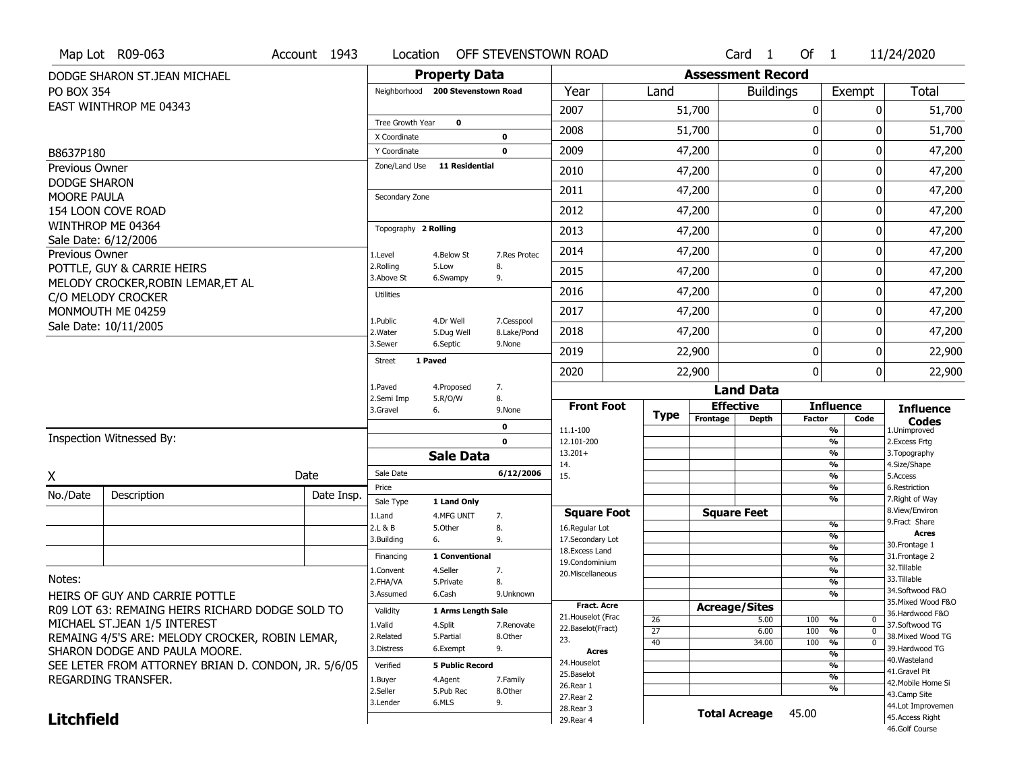|                                              | Map Lot R09-063                                     | Account 1943 | Location                      |                                   | OFF STEVENSTOWN ROAD |                                          |                       |                          | Card <sub>1</sub>    | Of $1$                                    |                             | 11/24/2020                            |
|----------------------------------------------|-----------------------------------------------------|--------------|-------------------------------|-----------------------------------|----------------------|------------------------------------------|-----------------------|--------------------------|----------------------|-------------------------------------------|-----------------------------|---------------------------------------|
|                                              | DODGE SHARON ST.JEAN MICHAEL                        |              |                               | <b>Property Data</b>              |                      |                                          |                       | <b>Assessment Record</b> |                      |                                           |                             |                                       |
| PO BOX 354                                   |                                                     |              |                               | Neighborhood 200 Stevenstown Road |                      | Year                                     | Land                  |                          | <b>Buildings</b>     |                                           | Exempt                      | <b>Total</b>                          |
|                                              | EAST WINTHROP ME 04343                              |              |                               |                                   |                      | 2007                                     |                       | 51,700                   |                      | 0                                         | $\mathbf{0}$                | 51,700                                |
|                                              |                                                     |              | Tree Growth Year              | $\mathbf 0$                       |                      | 2008                                     |                       | 51,700                   |                      | $\mathbf{0}$                              | 0                           | 51,700                                |
|                                              |                                                     |              | X Coordinate                  |                                   | 0<br>$\mathbf{0}$    | 2009                                     |                       |                          |                      | 0                                         | 0                           |                                       |
| B8637P180                                    |                                                     |              | Y Coordinate<br>Zone/Land Use | <b>11 Residential</b>             |                      |                                          |                       | 47,200                   |                      |                                           |                             | 47,200                                |
| <b>Previous Owner</b><br><b>DODGE SHARON</b> |                                                     |              |                               |                                   |                      | 2010                                     |                       | 47,200                   |                      | $\mathbf 0$                               | 0                           | 47,200                                |
| <b>MOORE PAULA</b>                           |                                                     |              | Secondary Zone                |                                   |                      | 2011                                     |                       | 47,200                   |                      | 0                                         | 0                           | 47,200                                |
|                                              | 154 LOON COVE ROAD                                  |              |                               |                                   |                      | 2012                                     |                       | 47,200                   |                      | 0                                         | 0                           | 47,200                                |
|                                              | WINTHROP ME 04364                                   |              | Topography 2 Rolling          |                                   |                      | 2013                                     |                       | 47,200                   |                      | 0                                         | 0                           | 47,200                                |
| Previous Owner                               | Sale Date: 6/12/2006                                |              | 1.Level                       | 4.Below St                        | 7.Res Protec         | 2014                                     |                       | 47,200                   |                      | $\mathbf 0$                               | 0                           | 47,200                                |
|                                              | POTTLE, GUY & CARRIE HEIRS                          |              | 2.Rolling                     | 5.Low                             | 8.                   | 2015                                     |                       | 47,200                   |                      | $\mathbf 0$                               | 0                           | 47,200                                |
|                                              | MELODY CROCKER, ROBIN LEMAR, ET AL                  |              | 3.Above St                    | 6.Swampy                          | 9.                   |                                          |                       |                          |                      |                                           |                             |                                       |
|                                              | C/O MELODY CROCKER                                  |              | <b>Utilities</b>              |                                   |                      | 2016                                     |                       | 47,200                   |                      | $\mathbf 0$                               | 0                           | 47,200                                |
|                                              | MONMOUTH ME 04259                                   |              | 1.Public                      | 4.Dr Well                         | 7.Cesspool           | 2017                                     |                       | 47,200                   |                      | 0                                         | 0                           | 47,200                                |
|                                              | Sale Date: 10/11/2005                               |              | 2. Water                      | 5.Dug Well                        | 8.Lake/Pond          | 2018                                     |                       | 47,200                   |                      | $\mathbf 0$                               | 0                           | 47,200                                |
|                                              |                                                     |              | 3.Sewer                       | 6.Septic                          | 9.None               | 2019                                     |                       | 22,900                   |                      | 0                                         | 0                           | 22,900                                |
|                                              |                                                     |              | <b>Street</b>                 | 1 Paved                           |                      | 2020                                     |                       | 22,900                   |                      | $\mathbf{0}$                              | 0                           | 22,900                                |
|                                              |                                                     |              | 1.Paved                       | 4.Proposed                        | 7.                   |                                          |                       |                          | <b>Land Data</b>     |                                           |                             |                                       |
|                                              |                                                     |              | 2.Semi Imp<br>3.Gravel        | 5.R/O/W<br>6.                     | 8.<br>9.None         | <b>Front Foot</b>                        |                       | <b>Effective</b>         |                      | <b>Influence</b>                          |                             | <b>Influence</b>                      |
|                                              |                                                     |              |                               |                                   |                      |                                          |                       |                          |                      |                                           |                             |                                       |
|                                              |                                                     |              |                               |                                   |                      |                                          | <b>Type</b>           | Frontage                 | Depth                | <b>Factor</b>                             | Code                        | <b>Codes</b>                          |
|                                              | Inspection Witnessed By:                            |              |                               |                                   | 0<br>$\mathbf 0$     | 11.1-100                                 |                       |                          |                      | $\frac{9}{6}$                             |                             | 1.Unimproved                          |
|                                              |                                                     |              |                               | <b>Sale Data</b>                  |                      | 12.101-200<br>$13.201+$                  |                       |                          |                      | $\frac{9}{6}$<br>$\overline{\frac{9}{6}}$ |                             | 2.Excess Frtg<br>3. Topography        |
|                                              |                                                     |              | Sale Date                     |                                   | 6/12/2006            | 14.<br>15.                               |                       |                          |                      | $\frac{9}{6}$<br>$\frac{9}{6}$            |                             | 4.Size/Shape<br>5.Access              |
| X                                            |                                                     | Date         | Price                         |                                   |                      |                                          |                       |                          |                      | $\frac{9}{6}$                             |                             | 6.Restriction                         |
| No./Date                                     | Description                                         | Date Insp.   | Sale Type                     | 1 Land Only                       |                      |                                          |                       |                          |                      | $\frac{9}{6}$                             |                             | 7. Right of Way                       |
|                                              |                                                     |              | 1.Land                        | 4.MFG UNIT                        | 7.                   | <b>Square Foot</b>                       |                       |                          | <b>Square Feet</b>   | %                                         |                             | 8.View/Environ<br>9.Fract Share       |
|                                              |                                                     |              | 2.L & B<br>3.Building         | 5.Other<br>6.                     | 8.<br>9.             | 16.Regular Lot<br>17.Secondary Lot       |                       |                          |                      | %                                         |                             | <b>Acres</b>                          |
|                                              |                                                     |              | Financing                     | 1 Conventional                    |                      | 18. Excess Land                          |                       |                          |                      | $\frac{9}{6}$<br>$\frac{9}{6}$            |                             | 30. Frontage 1<br>31. Frontage 2      |
|                                              |                                                     |              | 1.Convent                     | 4.Seller                          | 7.                   | 19.Condominium<br>20.Miscellaneous       |                       |                          |                      | $\frac{9}{6}$                             |                             | 32.Tillable                           |
| Notes:                                       |                                                     |              | 2.FHA/VA                      | 5.Private                         | 8.                   |                                          |                       |                          |                      | $\frac{9}{6}$                             |                             | 33.Tillable                           |
|                                              | HEIRS OF GUY AND CARRIE POTTLE                      |              | 3.Assumed                     | 6.Cash                            | 9.Unknown            |                                          |                       |                          |                      | $\frac{9}{6}$                             |                             | 34.Softwood F&O<br>35. Mixed Wood F&O |
|                                              | R09 LOT 63: REMAING HEIRS RICHARD DODGE SOLD TO     |              | Validity                      | 1 Arms Length Sale                |                      | <b>Fract. Acre</b><br>21. Houselot (Frac |                       | <b>Acreage/Sites</b>     |                      |                                           |                             | 36.Hardwood F&O                       |
|                                              | MICHAEL ST.JEAN 1/5 INTEREST                        |              | 1.Valid                       | 4.Split                           | 7.Renovate           | 22.Baselot(Fract)                        | 26<br>$\overline{27}$ |                          | 5.00<br>6.00         | 100<br>%<br>100<br>%                      | $\mathbf{0}$<br>$\mathbf 0$ | 37.Softwood TG                        |
|                                              | REMAING 4/5'S ARE: MELODY CROCKER, ROBIN LEMAR,     |              | 2.Related                     | 5.Partial                         | 8.Other              | 23.                                      | 40                    |                          | 34.00                | 100<br>%                                  | 0                           | 38. Mixed Wood TG                     |
|                                              | SHARON DODGE AND PAULA MOORE.                       |              | 3.Distress                    | 6.Exempt                          | 9.                   | Acres                                    |                       |                          |                      | %                                         |                             | 39.Hardwood TG<br>40. Wasteland       |
|                                              | SEE LETER FROM ATTORNEY BRIAN D. CONDON, JR. 5/6/05 |              | Verified                      | <b>5 Public Record</b>            |                      | 24. Houselot                             |                       |                          |                      | %                                         |                             | 41.Gravel Pit                         |
|                                              | REGARDING TRANSFER.                                 |              | 1.Buyer                       | 4.Agent                           | 7.Family             | 25.Baselot<br>26.Rear 1                  |                       |                          |                      | %                                         |                             | 42. Mobile Home Si                    |
|                                              |                                                     |              | 2.Seller                      | 5.Pub Rec                         | 8.Other              | 27.Rear 2                                |                       |                          |                      | %                                         |                             | 43.Camp Site                          |
| <b>Litchfield</b>                            |                                                     |              | 3.Lender                      | 6.MLS                             | 9.                   | 28. Rear 3<br>29. Rear 4                 |                       |                          | <b>Total Acreage</b> | 45.00                                     |                             | 44.Lot Improvemen<br>45. Access Right |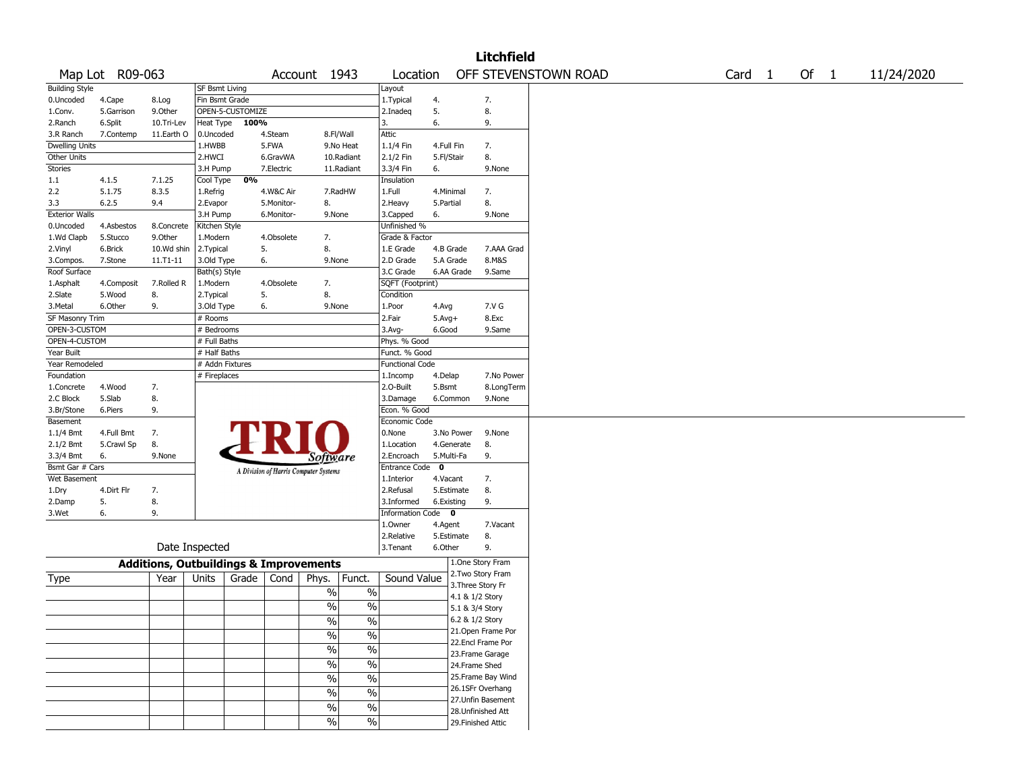|                           |                    |                                                   |                             |                  |                  |                                       |                          |                        |             |                   | <b>Litchfield</b>  |                      |                   |        |            |
|---------------------------|--------------------|---------------------------------------------------|-----------------------------|------------------|------------------|---------------------------------------|--------------------------|------------------------|-------------|-------------------|--------------------|----------------------|-------------------|--------|------------|
|                           | Map Lot R09-063    |                                                   |                             |                  |                  | Account 1943                          |                          | Location               |             |                   |                    | OFF STEVENSTOWN ROAD | Card <sub>1</sub> | Of $1$ | 11/24/2020 |
| <b>Building Style</b>     |                    |                                                   | SF Bsmt Living              |                  |                  |                                       |                          | Layout                 |             |                   |                    |                      |                   |        |            |
| 0.Uncoded                 | 4.Cape             | 8.Log                                             | Fin Bsmt Grade              |                  |                  |                                       |                          | 1. Typical             | 4.          |                   | 7.                 |                      |                   |        |            |
| 1.Conv.                   | 5.Garrison         | 9.Other                                           |                             | OPEN-5-CUSTOMIZE |                  |                                       |                          | 2.Inadeq               | 5.          |                   | 8.                 |                      |                   |        |            |
| 2.Ranch                   | 6.Split            | 10.Tri-Lev                                        | Heat Type                   | 100%             |                  |                                       |                          | 3.                     | 6.          |                   | 9.                 |                      |                   |        |            |
| 3.R Ranch                 | 7.Contemp          | 11.Earth O                                        | 0.Uncoded                   |                  | 4.Steam          |                                       | 8.Fl/Wall                | Attic                  |             |                   |                    |                      |                   |        |            |
| Dwelling Units            |                    |                                                   | 1.HWBB                      |                  | 5.FWA            |                                       | 9.No Heat                | 1.1/4 Fin              | 4.Full Fin  |                   | 7.                 |                      |                   |        |            |
| Other Units               |                    |                                                   | 2.HWCI                      |                  | 6.GravWA         |                                       | 10.Radiant               | 2.1/2 Fin              | 5.Fl/Stair  |                   | 8.                 |                      |                   |        |            |
| Stories                   |                    |                                                   | 3.H Pump                    |                  | 7.Electric       |                                       | 11.Radiant               | 3.3/4 Fin              | 6.          |                   | 9.None             |                      |                   |        |            |
| 1.1                       | 4.1.5              | 7.1.25                                            | Cool Type                   | 0%               |                  |                                       |                          | Insulation             |             |                   |                    |                      |                   |        |            |
| 2.2                       | 5.1.75             | 8.3.5                                             | 1.Refrig                    |                  | 4.W&C Air        |                                       | 7.RadHW                  | 1.Full                 | 4.Minimal   |                   | 7.                 |                      |                   |        |            |
| 3.3                       | 6.2.5              | 9.4                                               | 2.Evapor                    |                  | 5.Monitor-       | 8.                                    |                          | 2. Heavy               | 5.Partial   |                   | 8.                 |                      |                   |        |            |
| <b>Exterior Walls</b>     |                    |                                                   | 3.H Pump                    |                  | 6.Monitor-       | 9.None                                |                          | 3.Capped               | 6.          |                   | 9.None             |                      |                   |        |            |
| 0.Uncoded                 | 4.Asbestos         | 8.Concrete                                        | Kitchen Style               |                  |                  |                                       |                          | Unfinished %           |             |                   |                    |                      |                   |        |            |
| 1.Wd Clapb                | 5.Stucco           | 9.0ther                                           | 1.Modern                    |                  | 4.Obsolete<br>5. | 7.<br>8.                              |                          | Grade & Factor         | 4.B Grade   |                   | 7.AAA Grad         |                      |                   |        |            |
| 2.Vinyl                   | 6.Brick<br>7.Stone | 10.Wd shin<br>11.T1-11                            | 2.Typical                   |                  | 6.               | 9.None                                |                          | 1.E Grade<br>2.D Grade |             | 5.A Grade         | 8.M&S              |                      |                   |        |            |
| 3.Compos.<br>Roof Surface |                    |                                                   | 3.Old Type<br>Bath(s) Style |                  |                  |                                       |                          | 3.C Grade              |             | 6.AA Grade        | 9.Same             |                      |                   |        |            |
|                           | 4.Composit         | 7.Rolled R                                        | 1.Modern                    |                  | 4.Obsolete       | 7.                                    |                          | SQFT (Footprint)       |             |                   |                    |                      |                   |        |            |
| 1.Asphalt<br>2.Slate      | 5.Wood             | 8.                                                | 2. Typical                  |                  | 5.               | 8.                                    |                          | Condition              |             |                   |                    |                      |                   |        |            |
| 3.Metal                   | 6.Other            | 9.                                                | 3.Old Type                  |                  | 6.               | 9.None                                |                          | 1.Poor                 | 4.Avg       |                   | 7.V G              |                      |                   |        |            |
| SF Masonry Trim           |                    |                                                   | # Rooms                     |                  |                  |                                       |                          | 2.Fair                 | $5.Avg+$    |                   | 8.Exc              |                      |                   |        |            |
| OPEN-3-CUSTOM             |                    |                                                   | # Bedrooms                  |                  |                  |                                       |                          | 3.Avg-                 | 6.Good      |                   | 9.Same             |                      |                   |        |            |
| OPEN-4-CUSTOM             |                    |                                                   | # Full Baths                |                  |                  |                                       |                          | Phys. % Good           |             |                   |                    |                      |                   |        |            |
| Year Built                |                    |                                                   | # Half Baths                |                  |                  |                                       |                          | Funct. % Good          |             |                   |                    |                      |                   |        |            |
| Year Remodeled            |                    |                                                   | # Addn Fixtures             |                  |                  |                                       |                          | <b>Functional Code</b> |             |                   |                    |                      |                   |        |            |
| Foundation                |                    |                                                   | # Fireplaces                |                  |                  |                                       |                          | 1.Incomp               | 4.Delap     |                   | 7.No Power         |                      |                   |        |            |
| 1.Concrete                | 4.Wood             | 7.                                                |                             |                  |                  |                                       |                          | 2.0-Built              | 5.Bsmt      |                   | 8.LongTerm         |                      |                   |        |            |
| 2.C Block                 | 5.Slab             | 8.                                                |                             |                  |                  |                                       |                          | 3.Damage               |             | 6.Common          | 9.None             |                      |                   |        |            |
| 3.Br/Stone                | 6.Piers            | 9.                                                |                             |                  |                  |                                       |                          | Econ. % Good           |             |                   |                    |                      |                   |        |            |
| Basement                  |                    |                                                   |                             |                  |                  |                                       |                          | Economic Code          |             |                   |                    |                      |                   |        |            |
| 1.1/4 Bmt                 | 4.Full Bmt         | 7.                                                |                             |                  | FR               |                                       |                          | 0.None                 |             | 3.No Power        | 9.None             |                      |                   |        |            |
| 2.1/2 Bmt                 | 5.Crawl Sp         | 8.                                                |                             |                  |                  |                                       |                          | 1.Location             |             | 4.Generate        | 8.                 |                      |                   |        |            |
| 3.3/4 Bmt                 | 6.                 | 9.None                                            |                             |                  |                  | Software                              |                          | 2.Encroach             | 5.Multi-Fa  |                   | 9.                 |                      |                   |        |            |
| Bsmt Gar # Cars           |                    |                                                   |                             |                  |                  | A Division of Harris Computer Systems |                          | Entrance Code          | $\mathbf 0$ |                   |                    |                      |                   |        |            |
| Wet Basement              |                    |                                                   |                             |                  |                  |                                       |                          | 1.Interior             | 4.Vacant    |                   | 7.                 |                      |                   |        |            |
| 1.Dry                     | 4.Dirt Flr         | 7.                                                |                             |                  |                  |                                       |                          | 2.Refusal              |             | 5.Estimate        | 8.                 |                      |                   |        |            |
| 2.Damp                    | 5.                 | 8.                                                |                             |                  |                  |                                       |                          | 3.Informed             | 6.Existing  |                   | 9.                 |                      |                   |        |            |
| 3.Wet                     | 6.                 | 9.                                                |                             |                  |                  |                                       |                          | Information Code 0     |             |                   |                    |                      |                   |        |            |
|                           |                    |                                                   |                             |                  |                  |                                       |                          | 1.Owner                | 4.Agent     |                   | 7.Vacant           |                      |                   |        |            |
|                           |                    |                                                   |                             |                  |                  |                                       |                          | 2.Relative             |             | 5.Estimate        | 8.                 |                      |                   |        |            |
|                           |                    |                                                   | Date Inspected              |                  |                  |                                       |                          | 3.Tenant               | 6.Other     |                   | 9.                 |                      |                   |        |            |
|                           |                    | <b>Additions, Outbuildings &amp; Improvements</b> |                             |                  |                  |                                       |                          |                        |             |                   | 1.One Story Fram   |                      |                   |        |            |
| Type                      |                    | Year                                              | Units                       | Grade            | Cond             | Phys.                                 | Funct.                   | Sound Value            |             |                   | 2. Two Story Fram  |                      |                   |        |            |
|                           |                    |                                                   |                             |                  |                  |                                       |                          |                        |             | 3. Three Story Fr |                    |                      |                   |        |            |
|                           |                    |                                                   |                             |                  |                  | $\%$                                  | $\%$                     |                        |             | 4.1 & 1/2 Story   |                    |                      |                   |        |            |
|                           |                    |                                                   |                             |                  |                  | $\%$                                  | $\%$                     |                        |             | 5.1 & 3/4 Story   |                    |                      |                   |        |            |
|                           |                    |                                                   |                             |                  |                  | $\%$                                  | $\%$                     |                        |             | 6.2 & 1/2 Story   |                    |                      |                   |        |            |
|                           |                    |                                                   |                             |                  |                  | $\frac{1}{2}$                         | $\frac{0}{0}$            |                        |             |                   | 21. Open Frame Por |                      |                   |        |            |
|                           |                    |                                                   |                             |                  |                  | $\frac{9}{6}$                         | $\overline{\frac{0}{0}}$ |                        |             |                   | 22.Encl Frame Por  |                      |                   |        |            |
|                           |                    |                                                   |                             |                  |                  |                                       |                          |                        |             |                   | 23. Frame Garage   |                      |                   |        |            |
|                           |                    |                                                   |                             |                  |                  | $\frac{9}{6}$                         | $\overline{\frac{0}{0}}$ |                        |             | 24.Frame Shed     |                    |                      |                   |        |            |
|                           |                    |                                                   |                             |                  |                  | $\sqrt{6}$                            | $\overline{\frac{0}{0}}$ |                        |             |                   | 25. Frame Bay Wind |                      |                   |        |            |
|                           |                    |                                                   |                             |                  |                  | $\frac{9}{6}$                         | $\overline{\frac{0}{0}}$ |                        |             |                   | 26.1SFr Overhang   |                      |                   |        |            |
|                           |                    |                                                   |                             |                  |                  | $\sqrt{6}$                            | $\overline{\frac{0}{0}}$ |                        |             |                   | 27. Unfin Basement |                      |                   |        |            |
|                           |                    |                                                   |                             |                  |                  |                                       |                          |                        |             |                   | 28. Unfinished Att |                      |                   |        |            |
|                           |                    |                                                   |                             |                  |                  | $\sqrt{6}$                            | $\overline{\frac{0}{6}}$ |                        |             |                   | 29. Finished Attic |                      |                   |        |            |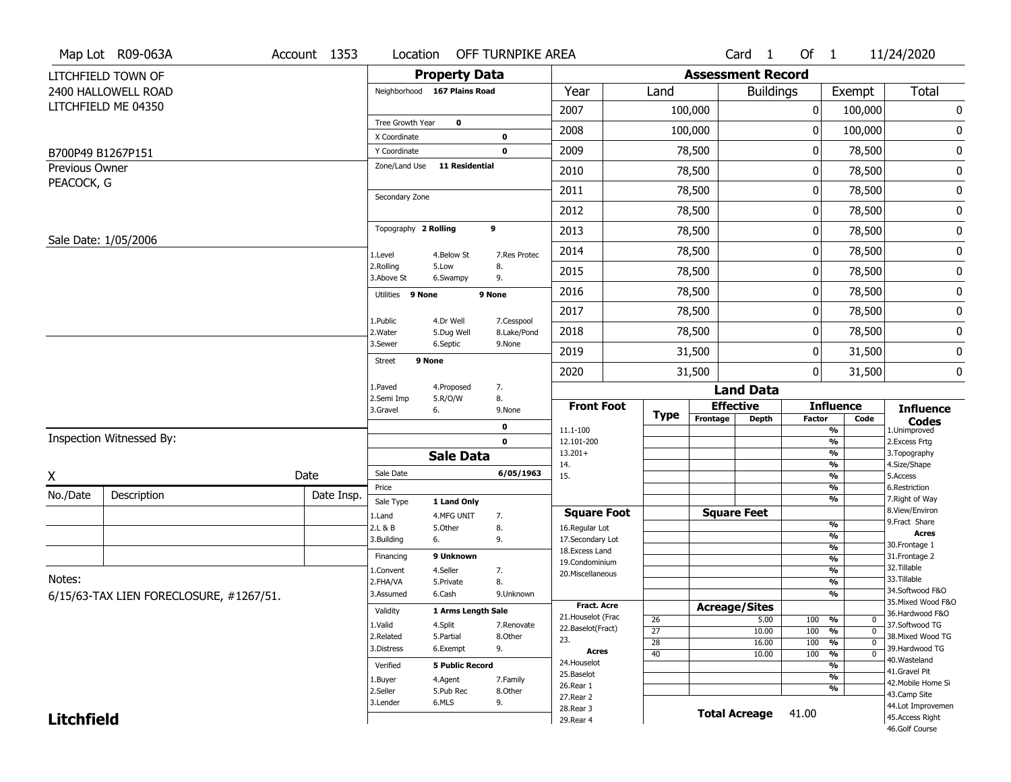|                   | Map Lot R09-063A                        | Account 1353 | Location                |                              | OFF TURNPIKE AREA         |                                    |                 |                          | Card <sub>1</sub> | Of 1          |                                | 11/24/2020                                         |
|-------------------|-----------------------------------------|--------------|-------------------------|------------------------------|---------------------------|------------------------------------|-----------------|--------------------------|-------------------|---------------|--------------------------------|----------------------------------------------------|
|                   | LITCHFIELD TOWN OF                      |              |                         | <b>Property Data</b>         |                           |                                    |                 | <b>Assessment Record</b> |                   |               |                                |                                                    |
|                   | 2400 HALLOWELL ROAD                     |              |                         | Neighborhood 167 Plains Road |                           | Year                               | Land            |                          | <b>Buildings</b>  |               | Exempt                         | <b>Total</b>                                       |
|                   | LITCHFIELD ME 04350                     |              |                         |                              |                           | 2007                               |                 | 100,000                  |                   | 0             | 100,000                        | 0                                                  |
|                   |                                         |              | Tree Growth Year        | $\mathbf 0$                  |                           | 2008                               |                 | 100,000                  |                   | 0             | 100,000                        | 0                                                  |
|                   |                                         |              | X Coordinate            |                              | $\bf{0}$                  |                                    |                 |                          |                   |               |                                |                                                    |
|                   | B700P49 B1267P151                       |              | Y Coordinate            |                              | $\mathbf 0$               | 2009                               |                 | 78,500                   |                   | 0             | 78,500                         | 0                                                  |
| Previous Owner    |                                         |              | Zone/Land Use           | <b>11 Residential</b>        |                           | 2010                               |                 | 78,500                   |                   | 0             | 78,500                         | 0                                                  |
| PEACOCK, G        |                                         |              | Secondary Zone          |                              |                           | 2011                               |                 | 78,500                   |                   | 0             | 78,500                         | 0                                                  |
|                   |                                         |              |                         |                              |                           | 2012                               |                 | 78,500                   |                   | 0             | 78,500                         | 0                                                  |
|                   |                                         |              | Topography 2 Rolling    |                              | 9                         | 2013                               |                 | 78,500                   |                   | 0             | 78,500                         | 0                                                  |
|                   | Sale Date: 1/05/2006                    |              | 1.Level                 | 4.Below St                   | 7.Res Protec              | 2014                               |                 | 78,500                   |                   | 0             | 78,500                         | 0                                                  |
|                   |                                         |              | 2.Rolling<br>3.Above St | 5.Low<br>6.Swampy            | 8.<br>9.                  | 2015                               |                 | 78,500                   |                   | 0             | 78,500                         | 0                                                  |
|                   |                                         |              | Utilities 9 None        |                              | 9 None                    | 2016                               |                 | 78,500                   |                   | 0             | 78,500                         | 0                                                  |
|                   |                                         |              |                         |                              |                           | 2017                               |                 | 78,500                   |                   | 0             | 78,500                         | 0                                                  |
|                   |                                         |              | 1.Public<br>2. Water    | 4.Dr Well<br>5.Dug Well      | 7.Cesspool<br>8.Lake/Pond | 2018                               |                 | 78,500                   |                   | 0             | 78,500                         | 0                                                  |
|                   |                                         |              | 3.Sewer                 | 6.Septic                     | 9.None                    | 2019                               |                 | 31,500                   |                   | 0             | 31,500                         | 0                                                  |
|                   |                                         |              | <b>Street</b>           | 9 None                       |                           | 2020                               |                 | 31,500                   |                   | 0             | 31,500                         | 0                                                  |
|                   |                                         |              | 1.Paved                 | 4.Proposed                   | 7.                        |                                    |                 |                          | <b>Land Data</b>  |               |                                |                                                    |
|                   |                                         |              | 2.Semi Imp<br>3.Gravel  | 5.R/O/W<br>6.                | 8.<br>9.None              | <b>Front Foot</b>                  |                 | <b>Effective</b>         |                   |               | <b>Influence</b>               | <b>Influence</b>                                   |
|                   |                                         |              |                         |                              | 0                         | 11.1-100                           | <b>Type</b>     | Frontage                 | <b>Depth</b>      | <b>Factor</b> | Code<br>%                      | <b>Codes</b><br>1.Unimproved                       |
|                   | Inspection Witnessed By:                |              |                         |                              | $\mathbf 0$               | 12.101-200                         |                 |                          |                   |               | %                              | 2. Excess Frtg                                     |
|                   |                                         |              |                         | <b>Sale Data</b>             |                           | $13.201+$                          |                 |                          |                   |               | %                              | 3. Topography                                      |
| X                 |                                         | Date         | Sale Date               |                              | 6/05/1963                 | 14.<br>15.                         |                 |                          |                   |               | %<br>%                         | 4.Size/Shape<br>5.Access                           |
| No./Date          |                                         |              | Price                   |                              |                           |                                    |                 |                          |                   |               | %                              | 6.Restriction                                      |
|                   | Description                             | Date Insp.   | Sale Type               | 1 Land Only                  |                           |                                    |                 |                          |                   |               | %                              | 7. Right of Way<br>8.View/Environ                  |
|                   |                                         |              | 1.Land                  | 4.MFG UNIT                   | 7.                        | <b>Square Foot</b>                 |                 | <b>Square Feet</b>       |                   |               | $\frac{9}{6}$                  | 9. Fract Share                                     |
|                   |                                         |              | 2.L & B<br>3.Building   | 5.0ther<br>6.                | 8.<br>9.                  | 16.Regular Lot<br>17.Secondary Lot |                 |                          |                   |               | %                              | <b>Acres</b>                                       |
|                   |                                         |              |                         |                              |                           | 18.Excess Land                     |                 |                          |                   |               | $\frac{9}{6}$                  | 30.Frontage 1                                      |
|                   |                                         |              | Financing               | 9 Unknown                    |                           | 19.Condominium                     |                 |                          |                   |               | $\frac{9}{6}$                  | 31. Frontage 2<br>32. Tillable                     |
| Notes:            |                                         |              | 1.Convent<br>2.FHA/VA   | 4.Seller<br>5.Private        | 7.<br>8.                  | 20.Miscellaneous                   |                 |                          |                   |               | $\frac{9}{6}$<br>$\frac{9}{6}$ | 33.Tillable                                        |
|                   | 6/15/63-TAX LIEN FORECLOSURE, #1267/51. |              | 3.Assumed               | 6.Cash                       | 9.Unknown                 |                                    |                 |                          |                   |               | $\frac{9}{6}$                  | 34.Softwood F&O                                    |
|                   |                                         |              |                         |                              |                           | <b>Fract, Acre</b>                 |                 | <b>Acreage/Sites</b>     |                   |               |                                | 35. Mixed Wood F&O                                 |
|                   |                                         |              | Validity                | 1 Arms Length Sale           |                           | 21. Houselot (Frac                 | 26              |                          | 5.00              | 100           | %                              | 36.Hardwood F&O<br>0                               |
|                   |                                         |              | 1.Valid<br>2.Related    | 4.Split                      | 7.Renovate                | 22.Baselot(Fract)                  | $\overline{27}$ |                          | 10.00             | 100           | $\frac{9}{6}$                  | 37.Softwood TG<br>$\mathbf 0$<br>38. Mixed Wood TG |
|                   |                                         |              | 3.Distress              | 5.Partial<br>6.Exempt        | 8.Other<br>9.             | 23.                                | 28              |                          | 16.00             | 100           | $\frac{9}{6}$                  | $\mathbf 0$<br>39.Hardwood TG                      |
|                   |                                         |              |                         |                              |                           | <b>Acres</b>                       | 40              |                          | 10.00             | 100           | $\frac{9}{6}$                  | $\mathbf 0$<br>40.Wasteland                        |
|                   |                                         |              | Verified                | <b>5 Public Record</b>       |                           | 24. Houselot<br>25.Baselot         |                 |                          |                   |               | $\frac{9}{6}$                  | 41.Gravel Pit                                      |
|                   |                                         |              | 1.Buyer                 | 4.Agent                      | 7.Family                  | 26.Rear 1                          |                 |                          |                   |               | $\frac{9}{6}$<br>%             | 42. Mobile Home Si                                 |
|                   |                                         |              | 2.Seller                | 5.Pub Rec                    | 8.Other                   | 27.Rear 2                          |                 |                          |                   |               |                                | 43.Camp Site                                       |
|                   |                                         |              | 3.Lender                | 6.MLS                        | 9.                        | 28. Rear 3                         |                 | <b>Total Acreage</b>     |                   | 41.00         |                                | 44.Lot Improvemen                                  |
| <b>Litchfield</b> |                                         |              |                         |                              |                           | 29. Rear 4                         |                 |                          |                   |               |                                | 45.Access Right<br>46.Golf Course                  |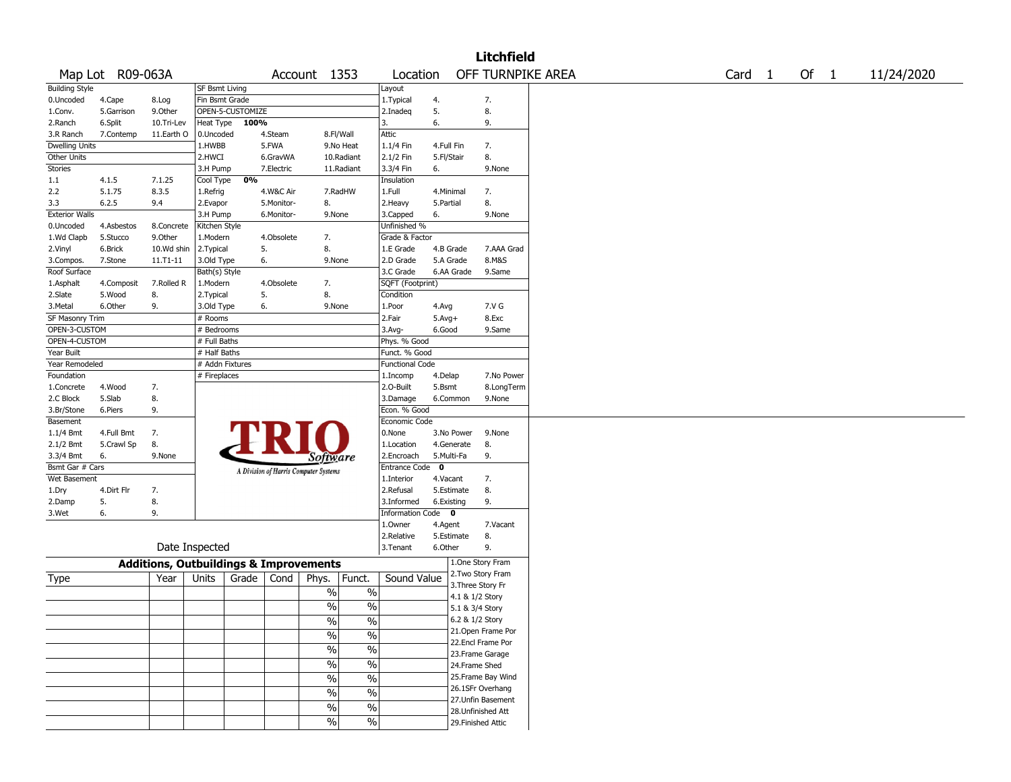|                       |                  |                                                   |                 |                  |            |                                       |               |                        |                           |            | <b>Litchfield</b>                       |  |  |                   |      |            |
|-----------------------|------------------|---------------------------------------------------|-----------------|------------------|------------|---------------------------------------|---------------|------------------------|---------------------------|------------|-----------------------------------------|--|--|-------------------|------|------------|
|                       | Map Lot R09-063A |                                                   |                 |                  |            | Account 1353                          |               | Location               |                           |            | OFF TURNPIKE AREA                       |  |  | Card <sub>1</sub> | Of 1 | 11/24/2020 |
| <b>Building Style</b> |                  |                                                   | SF Bsmt Living  |                  |            |                                       |               | Layout                 |                           |            |                                         |  |  |                   |      |            |
| 0.Uncoded             | 4.Cape           | 8.Log                                             | Fin Bsmt Grade  |                  |            |                                       |               | 1. Typical             | 4.                        |            | 7.                                      |  |  |                   |      |            |
| 1.Conv.               | 5.Garrison       | 9.0ther                                           |                 | OPEN-5-CUSTOMIZE |            |                                       |               | 2.Inadeg               | 5.                        |            | 8.                                      |  |  |                   |      |            |
| 2.Ranch               | 6.Split          | 10.Tri-Lev                                        | Heat Type       | 100%             |            |                                       |               | 3.                     | 6.                        |            | 9.                                      |  |  |                   |      |            |
| 3.R Ranch             | 7.Contemp        | 11.Earth O                                        | 0.Uncoded       |                  | 4.Steam    |                                       | 8.Fl/Wall     | Attic                  |                           |            |                                         |  |  |                   |      |            |
| <b>Dwelling Units</b> |                  |                                                   | 1.HWBB          |                  | 5.FWA      |                                       | 9.No Heat     | 1.1/4 Fin              | 4.Full Fin                |            | 7.                                      |  |  |                   |      |            |
| Other Units           |                  |                                                   | 2.HWCI          |                  | 6.GravWA   |                                       | 10.Radiant    | 2.1/2 Fin              | 5.Fl/Stair                |            | 8.                                      |  |  |                   |      |            |
| Stories               |                  |                                                   | 3.H Pump        |                  | 7.Electric |                                       | 11.Radiant    | 3.3/4 Fin              | 6.                        |            | 9.None                                  |  |  |                   |      |            |
| 1.1                   | 4.1.5            | 7.1.25                                            | Cool Type       | 0%               |            |                                       |               | Insulation             |                           |            |                                         |  |  |                   |      |            |
| 2.2                   | 5.1.75           | 8.3.5                                             | 1.Refrig        |                  | 4.W&C Air  |                                       | 7.RadHW       | 1.Full                 | 4.Minimal                 |            | 7.                                      |  |  |                   |      |            |
| 3.3                   | 6.2.5            | 9.4                                               | 2.Evapor        |                  | 5.Monitor- | 8.                                    |               | 2.Heavy                | 5.Partial                 |            | 8.                                      |  |  |                   |      |            |
| <b>Exterior Walls</b> |                  |                                                   | 3.H Pump        |                  | 6.Monitor- | 9.None                                |               | 3.Capped               | 6.                        |            | 9.None                                  |  |  |                   |      |            |
| 0.Uncoded             | 4.Asbestos       | 8.Concrete                                        | Kitchen Style   |                  |            |                                       |               | Unfinished %           |                           |            |                                         |  |  |                   |      |            |
| 1.Wd Clapb            | 5.Stucco         | 9.Other                                           | 1.Modern        |                  | 4.Obsolete | 7.                                    |               | Grade & Factor         |                           |            |                                         |  |  |                   |      |            |
| 2.Vinyl               | 6.Brick          | 10.Wd shin                                        | 2. Typical      |                  | 5.         | 8.                                    |               | 1.E Grade              | 4.B Grade                 |            | 7.AAA Grad                              |  |  |                   |      |            |
| 3.Compos.             | 7.Stone          | 11.T1-11                                          | 3.Old Type      |                  | 6.         | 9.None                                |               | 2.D Grade              | 5.A Grade                 |            | 8.M&S                                   |  |  |                   |      |            |
| Roof Surface          |                  |                                                   | Bath(s) Style   |                  |            |                                       |               | 3.C Grade              |                           | 6.AA Grade | 9.Same                                  |  |  |                   |      |            |
| 1.Asphalt             | 4.Composit       | 7.Rolled R                                        | 1.Modern        |                  | 4.Obsolete | 7.                                    |               | SQFT (Footprint)       |                           |            |                                         |  |  |                   |      |            |
| 2.Slate               | 5.Wood           | 8.                                                | 2. Typical      |                  | 5.         | 8.                                    |               | Condition              |                           |            |                                         |  |  |                   |      |            |
| 3. Metal              | 6.Other          | 9.                                                | 3.Old Type      |                  | 6.         | 9.None                                |               | 1.Poor                 | 4.Avg                     |            | 7.V G                                   |  |  |                   |      |            |
| SF Masonry Trim       |                  |                                                   | # Rooms         |                  |            |                                       |               | 2.Fair                 | $5.Avg+$                  |            | 8.Exc                                   |  |  |                   |      |            |
| OPEN-3-CUSTOM         |                  |                                                   | # Bedrooms      |                  |            |                                       |               | 3.Avg-                 | 6.Good                    |            | 9.Same                                  |  |  |                   |      |            |
| OPEN-4-CUSTOM         |                  |                                                   | # Full Baths    |                  |            |                                       |               | Phys. % Good           |                           |            |                                         |  |  |                   |      |            |
| Year Built            |                  |                                                   | # Half Baths    |                  |            |                                       |               | Funct. % Good          |                           |            |                                         |  |  |                   |      |            |
| Year Remodeled        |                  |                                                   | # Addn Fixtures |                  |            |                                       |               | <b>Functional Code</b> |                           |            |                                         |  |  |                   |      |            |
| Foundation            |                  |                                                   | # Fireplaces    |                  |            |                                       |               | 1.Incomp               | 4.Delap                   |            | 7.No Power                              |  |  |                   |      |            |
| 1.Concrete            | 4.Wood           | 7.                                                |                 |                  |            |                                       |               | 2.0-Built              | 5.Bsmt                    |            | 8.LongTerm                              |  |  |                   |      |            |
| 2.C Block             | 5.Slab           | 8.                                                |                 |                  |            |                                       |               | 3.Damage               |                           | 6.Common   | 9.None                                  |  |  |                   |      |            |
| 3.Br/Stone            | 6.Piers          | 9.                                                |                 |                  |            |                                       |               | Econ. % Good           |                           |            |                                         |  |  |                   |      |            |
| Basement              |                  |                                                   |                 |                  |            |                                       |               | Economic Code          |                           |            |                                         |  |  |                   |      |            |
|                       |                  |                                                   |                 |                  |            |                                       |               | 0.None                 |                           | 3.No Power | 9.None                                  |  |  |                   |      |            |
| $1.1/4$ Bmt           | 4.Full Bmt       | 7.<br>8.                                          |                 |                  |            |                                       |               | 1.Location             |                           | 4.Generate |                                         |  |  |                   |      |            |
| 2.1/2 Bmt             | 5.Crawl Sp<br>6. | 9.None                                            |                 |                  |            |                                       |               | 2.Encroach             |                           |            | 8.<br>9.                                |  |  |                   |      |            |
| 3.3/4 Bmt             |                  |                                                   |                 |                  |            | <i>Software</i>                       |               |                        | 5.Multi-Fa<br>$\mathbf 0$ |            |                                         |  |  |                   |      |            |
| Bsmt Gar # Cars       |                  |                                                   |                 |                  |            | A Division of Harris Computer Systems |               | Entrance Code          |                           |            |                                         |  |  |                   |      |            |
| Wet Basement          |                  |                                                   |                 |                  |            |                                       |               | 1.Interior             | 4.Vacant                  |            | 7.                                      |  |  |                   |      |            |
| 1.Dry                 | 4.Dirt Flr       | 7.                                                |                 |                  |            |                                       |               | 2.Refusal              | 5.Estimate                |            | 8.                                      |  |  |                   |      |            |
| 2.Damp                | 5.               | 8.                                                |                 |                  |            |                                       |               | 3.Informed             | 6.Existing                |            | 9.                                      |  |  |                   |      |            |
| 3.Wet                 | 6.               | 9.                                                |                 |                  |            |                                       |               | Information Code 0     |                           |            |                                         |  |  |                   |      |            |
|                       |                  |                                                   |                 |                  |            |                                       |               | 1.0wner                | 4.Agent                   |            | 7.Vacant                                |  |  |                   |      |            |
|                       |                  |                                                   |                 |                  |            |                                       |               | 2.Relative             | 5.Estimate                |            | 8.                                      |  |  |                   |      |            |
|                       |                  |                                                   | Date Inspected  |                  |            |                                       |               | 3.Tenant               | 6.Other                   |            | 9.                                      |  |  |                   |      |            |
|                       |                  | <b>Additions, Outbuildings &amp; Improvements</b> |                 |                  |            |                                       |               |                        |                           |            | 1.One Story Fram                        |  |  |                   |      |            |
| Type                  |                  | Year                                              | Units           | Grade            | Cond       | Phys.                                 | Funct.        | Sound Value            |                           |            | 2. Two Story Fram<br>3. Three Story Fr  |  |  |                   |      |            |
|                       |                  |                                                   |                 |                  |            | $\%$                                  | $\%$          |                        |                           |            | 4.1 & 1/2 Story                         |  |  |                   |      |            |
|                       |                  |                                                   |                 |                  |            | $\frac{1}{2}$                         | $\%$          |                        |                           |            |                                         |  |  |                   |      |            |
|                       |                  |                                                   |                 |                  |            |                                       |               |                        |                           |            | 5.1 & 3/4 Story                         |  |  |                   |      |            |
|                       |                  |                                                   |                 |                  |            | %                                     | %             |                        |                           |            | 6.2 & 1/2 Story                         |  |  |                   |      |            |
|                       |                  |                                                   |                 |                  |            | $\frac{1}{2}$                         | $\frac{0}{6}$ |                        |                           |            | 21. Open Frame Por<br>22.Encl Frame Por |  |  |                   |      |            |
|                       |                  |                                                   |                 |                  |            | $\sqrt{6}$                            | $\frac{1}{2}$ |                        |                           |            |                                         |  |  |                   |      |            |
|                       |                  |                                                   |                 |                  |            | $\sqrt{6}$                            | $\frac{1}{2}$ |                        |                           |            | 23. Frame Garage                        |  |  |                   |      |            |
|                       |                  |                                                   |                 |                  |            |                                       |               |                        |                           |            | 24.Frame Shed                           |  |  |                   |      |            |
|                       |                  |                                                   |                 |                  |            | $\sqrt{6}$                            | $\frac{1}{2}$ |                        |                           |            | 25. Frame Bay Wind                      |  |  |                   |      |            |
|                       |                  |                                                   |                 |                  |            | $\sqrt{6}$                            | $\frac{1}{2}$ |                        |                           |            | 26.1SFr Overhang                        |  |  |                   |      |            |
|                       |                  |                                                   |                 |                  |            | $\%$                                  | $\%$          |                        |                           |            | 27. Unfin Basement                      |  |  |                   |      |            |
|                       |                  |                                                   |                 |                  |            |                                       |               |                        |                           |            | 28. Unfinished Att                      |  |  |                   |      |            |
|                       |                  |                                                   |                 |                  |            | $\sqrt{6}$                            | $\sqrt{6}$    |                        |                           |            | 29. Finished Attic                      |  |  |                   |      |            |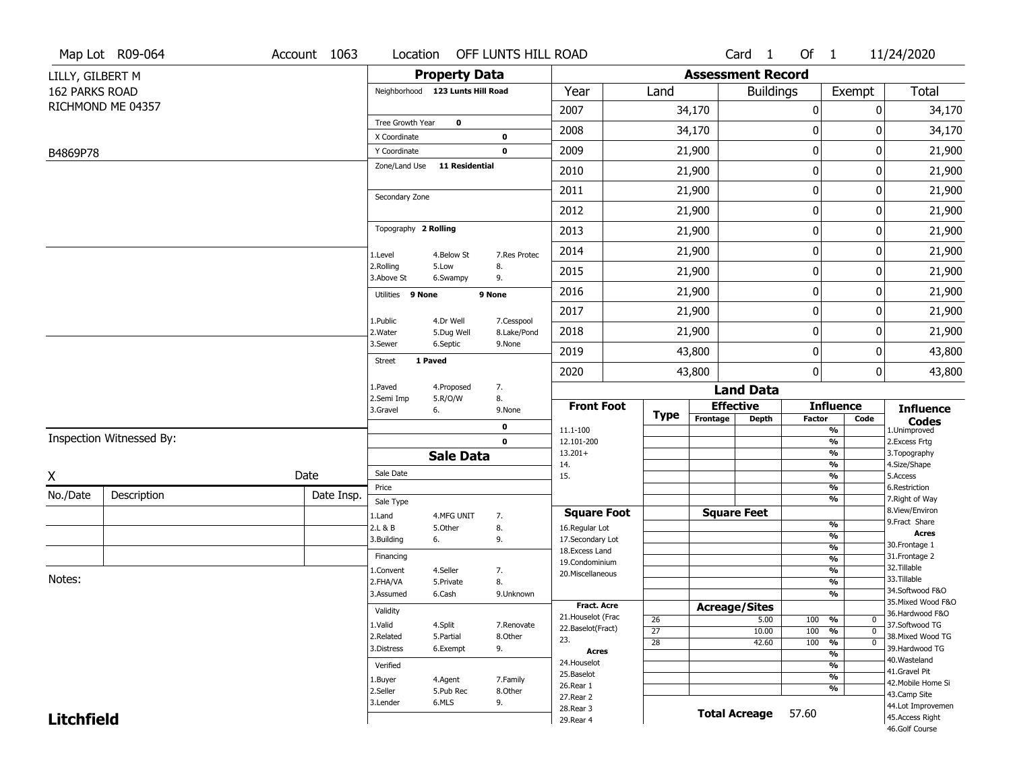|                       | Map Lot R09-064          | Account 1063 | Location                         |                         | OFF LUNTS HILL ROAD       |                                   |                       |                          | Card <sub>1</sub>    | Of 1             |                                           | 11/24/2020                        |
|-----------------------|--------------------------|--------------|----------------------------------|-------------------------|---------------------------|-----------------------------------|-----------------------|--------------------------|----------------------|------------------|-------------------------------------------|-----------------------------------|
| LILLY, GILBERT M      |                          |              |                                  | <b>Property Data</b>    |                           |                                   |                       | <b>Assessment Record</b> |                      |                  |                                           |                                   |
| <b>162 PARKS ROAD</b> |                          |              | Neighborhood 123 Lunts Hill Road |                         |                           | Year                              | Land                  |                          | <b>Buildings</b>     |                  | Exempt                                    | <b>Total</b>                      |
|                       | RICHMOND ME 04357        |              |                                  |                         |                           | 2007                              |                       | 34,170                   |                      | 0                | 0                                         | 34,170                            |
|                       |                          |              | Tree Growth Year                 | $\mathbf 0$             |                           | 2008                              |                       | 34,170                   |                      | 0                | 0                                         | 34,170                            |
|                       |                          |              | X Coordinate<br>Y Coordinate     |                         | 0<br>0                    | 2009                              |                       | 21,900                   |                      | $\mathbf 0$      | 0                                         | 21,900                            |
| B4869P78              |                          |              | Zone/Land Use                    | 11 Residential          |                           |                                   |                       |                          |                      | $\mathbf 0$      | 0                                         |                                   |
|                       |                          |              |                                  |                         |                           | 2010                              |                       | 21,900                   |                      |                  |                                           | 21,900                            |
|                       |                          |              | Secondary Zone                   |                         |                           | 2011                              |                       | 21,900                   |                      | $\mathbf 0$      | 0                                         | 21,900                            |
|                       |                          |              |                                  |                         |                           | 2012                              |                       | 21,900                   |                      | $\mathbf 0$      | 0                                         | 21,900                            |
|                       |                          |              | Topography 2 Rolling             |                         |                           | 2013                              |                       | 21,900                   |                      | $\boldsymbol{0}$ | 0                                         | 21,900                            |
|                       |                          |              | 1.Level                          | 4.Below St              | 7.Res Protec              | 2014                              |                       | 21,900                   |                      | $\boldsymbol{0}$ | 0                                         | 21,900                            |
|                       |                          |              | 2.Rolling<br>3.Above St          | 5.Low<br>6.Swampy       | 8.<br>9.                  | 2015                              |                       | 21,900                   |                      | $\mathbf 0$      | 0                                         | 21,900                            |
|                       |                          |              | Utilities 9 None                 |                         | 9 None                    | 2016                              |                       | 21,900                   |                      | $\mathbf 0$      | 0                                         | 21,900                            |
|                       |                          |              |                                  |                         |                           | 2017                              |                       | 21,900                   |                      | $\mathbf 0$      | 0                                         | 21,900                            |
|                       |                          |              | 1.Public<br>2. Water             | 4.Dr Well<br>5.Dug Well | 7.Cesspool<br>8.Lake/Pond | 2018                              |                       | 21,900                   |                      | $\mathbf 0$      | 0                                         | 21,900                            |
|                       |                          |              | 3.Sewer                          | 6.Septic                | 9.None                    | 2019                              |                       | 43,800                   |                      | $\mathbf 0$      | 0                                         | 43,800                            |
|                       |                          |              | <b>Street</b>                    | 1 Paved                 |                           | 2020                              |                       | 43,800                   |                      | $\boldsymbol{0}$ | 0                                         | 43,800                            |
|                       |                          |              | 1.Paved                          | 4.Proposed              | 7.                        |                                   |                       |                          | <b>Land Data</b>     |                  |                                           |                                   |
|                       |                          |              | 2.Semi Imp<br>3.Gravel           | 5.R/O/W<br>6.           | 8.<br>9.None              | <b>Front Foot</b>                 |                       |                          | <b>Effective</b>     |                  | <b>Influence</b>                          | <b>Influence</b>                  |
|                       |                          |              |                                  |                         | 0                         | 11.1-100                          | <b>Type</b>           | Frontage                 | Depth                | <b>Factor</b>    | Code<br>%                                 | <b>Codes</b><br>1.Unimproved      |
|                       | Inspection Witnessed By: |              |                                  |                         | $\mathbf 0$               | 12.101-200                        |                       |                          |                      |                  | $\frac{9}{6}$                             | 2.Excess Frtg                     |
|                       |                          |              |                                  | <b>Sale Data</b>        |                           | $13.201+$<br>14.                  |                       |                          |                      |                  | %<br>$\frac{9}{6}$                        | 3. Topography<br>4.Size/Shape     |
| X                     |                          | Date         | Sale Date                        |                         |                           | 15.                               |                       |                          |                      |                  | %                                         | 5.Access                          |
| No./Date              | Description              | Date Insp.   | Price                            |                         |                           |                                   |                       |                          |                      |                  | %<br>%                                    | 6.Restriction<br>7. Right of Way  |
|                       |                          |              | Sale Type<br>1.Land              | 4.MFG UNIT              | 7.                        | <b>Square Foot</b>                |                       |                          | <b>Square Feet</b>   |                  |                                           | 8.View/Environ                    |
|                       |                          |              | 2.L & B                          | 5.Other                 | 8.                        | 16.Regular Lot                    |                       |                          |                      |                  | $\frac{9}{6}$                             | 9. Fract Share<br><b>Acres</b>    |
|                       |                          |              | 3.Building                       | 6.                      | 9.                        | 17.Secondary Lot                  |                       |                          |                      |                  | $\overline{\frac{9}{6}}$<br>$\frac{9}{6}$ | 30. Frontage 1                    |
|                       |                          |              | Financing                        |                         |                           | 18. Excess Land<br>19.Condominium |                       |                          |                      |                  | $\overline{\frac{9}{6}}$                  | 31. Frontage 2                    |
|                       |                          |              | 1.Convent                        | 4.Seller                | 7.                        | 20.Miscellaneous                  |                       |                          |                      |                  | $\frac{9}{6}$                             | 32.Tillable                       |
| Notes:                |                          |              | 2.FHA/VA                         | 5.Private               | 8.                        |                                   |                       |                          |                      |                  | $\overline{\frac{9}{6}}$                  | 33.Tillable<br>34.Softwood F&O    |
|                       |                          |              | 3.Assumed                        | 6.Cash                  | 9.Unknown                 | <b>Fract. Acre</b>                |                       |                          |                      |                  | %                                         | 35. Mixed Wood F&O                |
|                       |                          |              | Validity                         |                         |                           | 21. Houselot (Frac                |                       |                          | <b>Acreage/Sites</b> |                  |                                           | 36.Hardwood F&O                   |
|                       |                          |              | 1.Valid                          | 4.Split                 | 7.Renovate                | 22.Baselot(Fract)                 | 26<br>$\overline{27}$ |                          | 5.00<br>10.00        | 100<br>100       | %<br>0<br>$\overline{0}$<br>%             | 37.Softwood TG                    |
|                       |                          |              | 2.Related                        | 5.Partial               | 8.Other                   | 23.                               | $\overline{28}$       |                          | 42.60                | 100              | $\frac{9}{6}$<br>$\overline{0}$           | 38. Mixed Wood TG                 |
|                       |                          |              | 3.Distress                       | 6.Exempt                | 9.                        | <b>Acres</b>                      |                       |                          |                      |                  | $\frac{9}{6}$                             | 39.Hardwood TG                    |
|                       |                          |              | Verified                         |                         |                           | 24. Houselot                      |                       |                          |                      |                  | %                                         | 40. Wasteland<br>41.Gravel Pit    |
|                       |                          |              | 1.Buyer                          | 4.Agent                 | 7.Family                  | 25.Baselot<br>26.Rear 1           |                       |                          |                      |                  | $\frac{9}{6}$                             | 42. Mobile Home Si                |
|                       |                          |              | 2.Seller                         | 5.Pub Rec               | 8.Other                   | 27.Rear 2                         |                       |                          |                      |                  | %                                         | 43.Camp Site                      |
|                       |                          |              | 3.Lender                         | 6.MLS                   | 9.                        | 28. Rear 3                        |                       |                          | <b>Total Acreage</b> |                  |                                           | 44.Lot Improvemen                 |
| <b>Litchfield</b>     |                          |              |                                  |                         |                           | 29. Rear 4                        |                       |                          |                      | 57.60            |                                           | 45.Access Right<br>46.Golf Course |